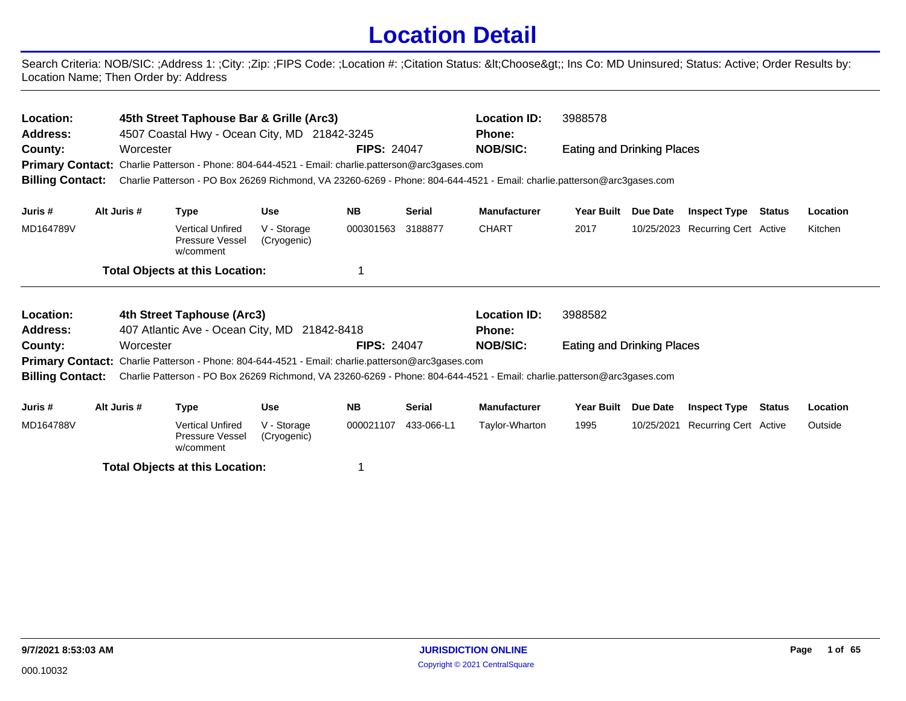## **Location Detail**

Search Criteria: NOB/SIC: ;Address 1: ;City: ;Zip: ;FIPS Code: ;Location #: ;Citation Status: <Choose&gt;; Ins Co: MD Uninsured; Status: Active; Order Results by: Location Name; Then Order by: Address

| Location:<br><b>Address:</b><br>County: | Worcester   | 45th Street Taphouse Bar & Grille (Arc3)<br>4507 Coastal Hwy - Ocean City, MD 21842-3245<br>Primary Contact: Charlie Patterson - Phone: 804-644-4521 - Email: charlie.patterson@arc3gases.com | <b>FIPS: 24047</b>         | <b>Location ID:</b><br><b>Phone:</b><br><b>NOB/SIC:</b> | 3988578<br>Eating and Drinking Places |                     |                                   |            |                                  |               |          |
|-----------------------------------------|-------------|-----------------------------------------------------------------------------------------------------------------------------------------------------------------------------------------------|----------------------------|---------------------------------------------------------|---------------------------------------|---------------------|-----------------------------------|------------|----------------------------------|---------------|----------|
| <b>Billing Contact:</b>                 |             | Charlie Patterson - PO Box 26269 Richmond, VA 23260-6269 - Phone: 804-644-4521 - Email: charlie.patterson@arc3gases.com                                                                       |                            |                                                         |                                       |                     |                                   |            |                                  |               |          |
| Juris #                                 | Alt Juris # | Type                                                                                                                                                                                          | Use                        | <b>NB</b>                                               | Serial                                | <b>Manufacturer</b> | <b>Year Built</b>                 | Due Date   | <b>Inspect Type Status</b>       |               | Location |
| MD164789V                               |             | <b>Vertical Unfired</b><br>Pressure Vessel<br>w/comment                                                                                                                                       | V - Storage<br>(Cryogenic) | 000301563                                               | 3188877                               | <b>CHART</b>        | 2017                              |            | 10/25/2023 Recurring Cert Active |               | Kitchen  |
|                                         |             | <b>Total Objects at this Location:</b>                                                                                                                                                        |                            |                                                         |                                       |                     |                                   |            |                                  |               |          |
| Location:                               |             | 4th Street Taphouse (Arc3)                                                                                                                                                                    |                            |                                                         |                                       | <b>Location ID:</b> | 3988582                           |            |                                  |               |          |
| <b>Address:</b>                         |             | 407 Atlantic Ave - Ocean City, MD 21842-8418                                                                                                                                                  |                            |                                                         |                                       | <b>Phone:</b>       |                                   |            |                                  |               |          |
| County:                                 | Worcester   |                                                                                                                                                                                               |                            | <b>FIPS: 24047</b>                                      |                                       | <b>NOB/SIC:</b>     | <b>Eating and Drinking Places</b> |            |                                  |               |          |
|                                         |             | <b>Primary Contact:</b> Charlie Patterson - Phone: 804-644-4521 - Email: charlie.patterson@arc3gases.com                                                                                      |                            |                                                         |                                       |                     |                                   |            |                                  |               |          |
| <b>Billing Contact:</b>                 |             | Charlie Patterson - PO Box 26269 Richmond, VA 23260-6269 - Phone: 804-644-4521 - Email: charlie.patterson@arc3gases.com                                                                       |                            |                                                         |                                       |                     |                                   |            |                                  |               |          |
| Juris #                                 | Alt Juris # | Type                                                                                                                                                                                          | Use                        | <b>NB</b>                                               | Serial                                | <b>Manufacturer</b> | <b>Year Built</b>                 | Due Date   | <b>Inspect Type</b>              | <b>Status</b> | Location |
| MD164788V                               |             | Vertical Unfired                                                                                                                                                                              | V - Storage                | 000021107                                               | 433-066-L1                            | Taylor-Wharton      | 1995                              | 10/25/2021 | Recurring Cert Active            |               | Outside  |

**Total Objects at this Location:** 1

w/comment

Pressure Vessel (Cryogenic)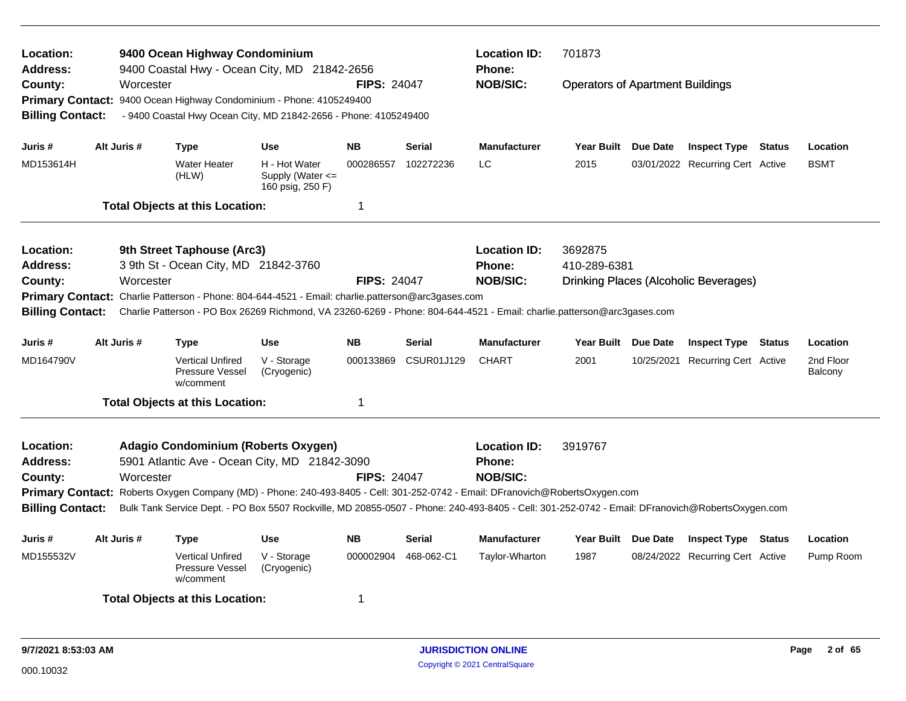| Location:<br>Address:<br>County:<br><b>Billing Contact:</b>                                                                                                                                                                                         | Worcester   | 9400 Ocean Highway Condominium<br>9400 Coastal Hwy - Ocean City, MD 21842-2656<br>Primary Contact: 9400 Ocean Highway Condominium - Phone: 4105249400<br>- 9400 Coastal Hwy Ocean City, MD 21842-2656 - Phone: 4105249400                                                                                                                                                |                                                       | <b>FIPS: 24047</b> |                                                  | <b>Location ID:</b><br><b>Phone:</b><br><b>NOB/SIC:</b> | 701873<br><b>Operators of Apartment Buildings</b> |          |                                       |        |                      |
|-----------------------------------------------------------------------------------------------------------------------------------------------------------------------------------------------------------------------------------------------------|-------------|--------------------------------------------------------------------------------------------------------------------------------------------------------------------------------------------------------------------------------------------------------------------------------------------------------------------------------------------------------------------------|-------------------------------------------------------|--------------------|--------------------------------------------------|---------------------------------------------------------|---------------------------------------------------|----------|---------------------------------------|--------|----------------------|
| Juris #                                                                                                                                                                                                                                             | Alt Juris # | <b>Type</b>                                                                                                                                                                                                                                                                                                                                                              | <b>Use</b>                                            | <b>NB</b>          | <b>Serial</b>                                    | <b>Manufacturer</b>                                     | <b>Year Built</b>                                 | Due Date | <b>Inspect Type</b>                   | Status | Location             |
| MD153614H                                                                                                                                                                                                                                           |             | <b>Water Heater</b><br>(HLW)                                                                                                                                                                                                                                                                                                                                             | H - Hot Water<br>Supply (Water <=<br>160 psig, 250 F) | 000286557          | 102272236                                        | LC                                                      | 2015                                              |          | 03/01/2022 Recurring Cert Active      |        | <b>BSMT</b>          |
|                                                                                                                                                                                                                                                     |             | <b>Total Objects at this Location:</b>                                                                                                                                                                                                                                                                                                                                   |                                                       | 1                  |                                                  |                                                         |                                                   |          |                                       |        |                      |
| Location:<br>Address:<br>County:<br><b>Billing Contact:</b>                                                                                                                                                                                         | Worcester   | 9th Street Taphouse (Arc3)<br>3 9th St - Ocean City, MD 21842-3760<br>Primary Contact: Charlie Patterson - Phone: 804-644-4521 - Email: charlie.patterson@arc3gases.com                                                                                                                                                                                                  |                                                       | <b>FIPS: 24047</b> |                                                  | <b>Location ID:</b><br><b>Phone:</b><br><b>NOB/SIC:</b> | 3692875<br>410-289-6381                           |          | Drinking Places (Alcoholic Beverages) |        |                      |
| Charlie Patterson - PO Box 26269 Richmond, VA 23260-6269 - Phone: 804-644-4521 - Email: charlie.patterson@arc3gases.com<br>Alt Juris #<br><b>Use</b><br>NΒ<br><b>Serial</b><br><b>Manufacturer</b><br>Year Built Due Date<br>Juris #<br><b>Type</b> |             |                                                                                                                                                                                                                                                                                                                                                                          |                                                       |                    |                                                  |                                                         | <b>Inspect Type Status</b>                        |          | Location                              |        |                      |
| MD164790V                                                                                                                                                                                                                                           |             | <b>Vertical Unfired</b><br>Pressure Vessel<br>w/comment                                                                                                                                                                                                                                                                                                                  | V - Storage<br>(Cryogenic)                            | 000133869          | CSUR01J129                                       | <b>CHART</b>                                            | 2001                                              |          | 10/25/2021 Recurring Cert Active      |        | 2nd Floor<br>Balcony |
|                                                                                                                                                                                                                                                     |             | <b>Total Objects at this Location:</b>                                                                                                                                                                                                                                                                                                                                   |                                                       | 1                  |                                                  |                                                         |                                                   |          |                                       |        |                      |
| Location:<br><b>Address:</b><br>County:<br><b>Billing Contact:</b>                                                                                                                                                                                  | Worcester   | Adagio Condominium (Roberts Oxygen)<br>5901 Atlantic Ave - Ocean City, MD 21842-3090<br>Primary Contact: Roberts Oxygen Company (MD) - Phone: 240-493-8405 - Cell: 301-252-0742 - Email: DFranovich@RobertsOxygen.com<br>Bulk Tank Service Dept. - PO Box 5507 Rockville, MD 20855-0507 - Phone: 240-493-8405 - Cell: 301-252-0742 - Email: DFranovich@RobertsOxygen.com |                                                       | <b>FIPS: 24047</b> | <b>Location ID:</b><br>Phone:<br><b>NOB/SIC:</b> | 3919767                                                 |                                                   |          |                                       |        |                      |
| Juris #                                                                                                                                                                                                                                             | Alt Juris # | Type                                                                                                                                                                                                                                                                                                                                                                     | Use                                                   | <b>NB</b>          | <b>Serial</b>                                    | <b>Manufacturer</b>                                     | Year Built Due Date                               |          | <b>Inspect Type Status</b>            |        | Location             |
| MD155532V<br><b>Vertical Unfired</b><br>V - Storage<br><b>Pressure Vessel</b><br>(Cryogenic)<br>w/comment                                                                                                                                           |             |                                                                                                                                                                                                                                                                                                                                                                          |                                                       | 000002904          | 468-062-C1                                       | Taylor-Wharton                                          | 1987                                              |          | 08/24/2022 Recurring Cert Active      |        | Pump Room            |
|                                                                                                                                                                                                                                                     |             | <b>Total Objects at this Location:</b>                                                                                                                                                                                                                                                                                                                                   |                                                       | 1                  |                                                  |                                                         |                                                   |          |                                       |        |                      |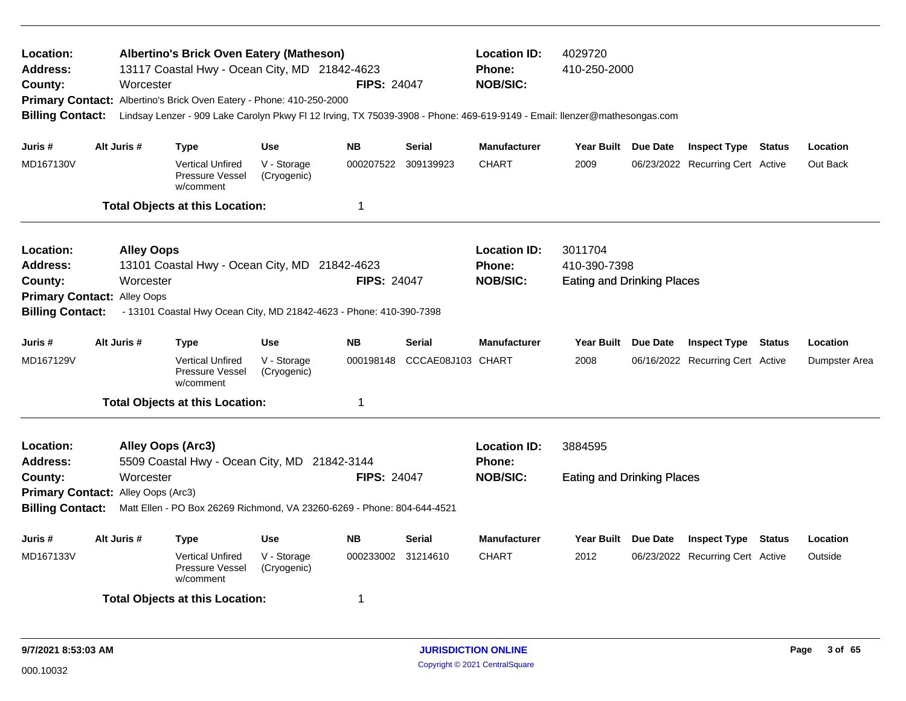| Location:<br><b>Address:</b><br>County:<br><b>Billing Contact:</b>                                                                                                                                                                                                                   |  | Worcester   | Albertino's Brick Oven Eatery (Matheson)<br>13117 Coastal Hwy - Ocean City, MD 21842-4623<br>Primary Contact: Albertino's Brick Oven Eatery - Phone: 410-250-2000<br>Lindsay Lenzer - 909 Lake Carolyn Pkwy FI 12 Irving, TX 75039-3908 - Phone: 469-619-9149 - Email: Ilenzer@mathesongas.com |                            | <b>FIPS: 24047</b>                                      |                                              | <b>Location ID:</b><br>Phone:<br><b>NOB/SIC:</b> | 4029720<br>410-250-2000                                      |                                  |               |               |
|--------------------------------------------------------------------------------------------------------------------------------------------------------------------------------------------------------------------------------------------------------------------------------------|--|-------------|------------------------------------------------------------------------------------------------------------------------------------------------------------------------------------------------------------------------------------------------------------------------------------------------|----------------------------|---------------------------------------------------------|----------------------------------------------|--------------------------------------------------|--------------------------------------------------------------|----------------------------------|---------------|---------------|
| Juris #                                                                                                                                                                                                                                                                              |  | Alt Juris # | <b>Type</b>                                                                                                                                                                                                                                                                                    | <b>Use</b>                 | <b>NB</b>                                               | <b>Serial</b>                                | <b>Manufacturer</b>                              | Year Built Due Date                                          | <b>Inspect Type</b>              | <b>Status</b> | Location      |
| MD167130V                                                                                                                                                                                                                                                                            |  |             | <b>Vertical Unfired</b><br>Pressure Vessel<br>w/comment                                                                                                                                                                                                                                        | V - Storage<br>(Cryogenic) | 000207522                                               | 309139923                                    | <b>CHART</b>                                     | 2009                                                         | 06/23/2022 Recurring Cert Active |               | Out Back      |
|                                                                                                                                                                                                                                                                                      |  |             | <b>Total Objects at this Location:</b>                                                                                                                                                                                                                                                         |                            | 1                                                       |                                              |                                                  |                                                              |                                  |               |               |
| Location:<br><b>Alley Oops</b><br>13101 Coastal Hwy - Ocean City, MD 21842-4623<br>Address:<br>County:<br>Worcester<br><b>FIPS: 24047</b><br><b>Primary Contact:</b><br>Alley Oops<br><b>Billing Contact:</b><br>- 13101 Coastal Hwy Ocean City, MD 21842-4623 - Phone: 410-390-7398 |  |             |                                                                                                                                                                                                                                                                                                |                            |                                                         |                                              | <b>Location ID:</b><br>Phone:<br><b>NOB/SIC:</b> | 3011704<br>410-390-7398<br><b>Eating and Drinking Places</b> |                                  |               |               |
| Juris #                                                                                                                                                                                                                                                                              |  | Alt Juris # | <b>Type</b>                                                                                                                                                                                                                                                                                    | <b>Use</b>                 | <b>NB</b>                                               | <b>Serial</b>                                | <b>Manufacturer</b>                              | Year Built Due Date                                          | <b>Inspect Type Status</b>       |               | Location      |
| MD167129V                                                                                                                                                                                                                                                                            |  |             | <b>Vertical Unfired</b><br><b>Pressure Vessel</b><br>w/comment                                                                                                                                                                                                                                 | V - Storage<br>(Cryogenic) | 000198148                                               | CCCAE08J103 CHART                            |                                                  | 2008                                                         | 06/16/2022 Recurring Cert Active |               | Dumpster Area |
|                                                                                                                                                                                                                                                                                      |  |             | <b>Total Objects at this Location:</b>                                                                                                                                                                                                                                                         |                            | 1                                                       |                                              |                                                  |                                                              |                                  |               |               |
| Location:<br>Alley Oops (Arc3)<br>Address:<br>5509 Coastal Hwy - Ocean City, MD 21842-3144<br>Worcester<br>County:<br>Primary Contact: Alley Oops (Arc3)<br><b>Billing Contact:</b><br>Matt Ellen - PO Box 26269 Richmond, VA 23260-6269 - Phone: 804-644-4521                       |  |             | <b>FIPS: 24047</b>                                                                                                                                                                                                                                                                             |                            | <b>Location ID:</b><br><b>Phone:</b><br><b>NOB/SIC:</b> | 3884595<br><b>Eating and Drinking Places</b> |                                                  |                                                              |                                  |               |               |
| Juris #                                                                                                                                                                                                                                                                              |  | Alt Juris # | Type                                                                                                                                                                                                                                                                                           | <b>Use</b>                 | <b>NB</b>                                               | <b>Serial</b>                                | <b>Manufacturer</b>                              | Year Built Due Date                                          | <b>Inspect Type</b>              | <b>Status</b> | Location      |
| MD167133V                                                                                                                                                                                                                                                                            |  |             | <b>Vertical Unfired</b><br>Pressure Vessel<br>w/comment                                                                                                                                                                                                                                        | V - Storage<br>(Cryogenic) | 000233002 31214610                                      |                                              | <b>CHART</b>                                     | 2012                                                         | 06/23/2022 Recurring Cert Active |               | Outside       |
|                                                                                                                                                                                                                                                                                      |  |             | <b>Total Objects at this Location:</b>                                                                                                                                                                                                                                                         |                            | 1                                                       |                                              |                                                  |                                                              |                                  |               |               |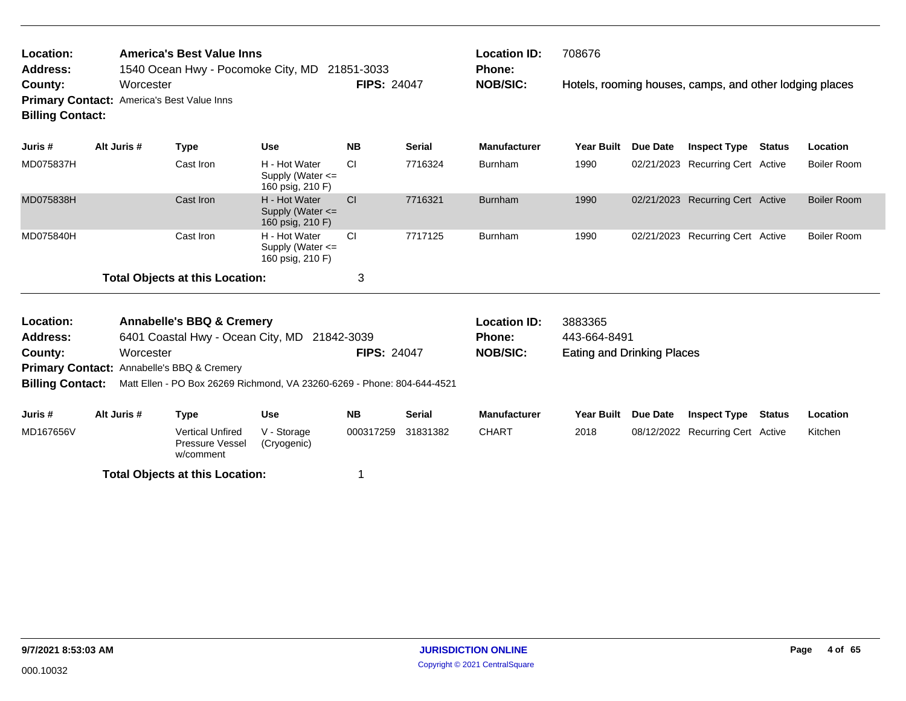| Location:               | <b>America's Best Value Inns</b>                  |                    | <b>Location ID:</b> | 708676                                                  |
|-------------------------|---------------------------------------------------|--------------------|---------------------|---------------------------------------------------------|
| <b>Address:</b>         | 1540 Ocean Hwy - Pocomoke City, MD 21851-3033     |                    | <b>Phone:</b>       |                                                         |
| County:                 | Worcester                                         | <b>FIPS: 24047</b> | <b>NOB/SIC:</b>     | Hotels, rooming houses, camps, and other lodging places |
|                         | <b>Primary Contact:</b> America's Best Value Inns |                    |                     |                                                         |
| <b>Billing Contact:</b> |                                                   |                    |                     |                                                         |

| Juris #   | Alt Juris # | Type                                   | <b>Use</b>                                                | <b>NB</b>     | <b>Serial</b> | <b>Manufacturer</b> | Year Built | <b>Due Date</b> | <b>Inspect Type</b>              | <b>Status</b> | Location           |
|-----------|-------------|----------------------------------------|-----------------------------------------------------------|---------------|---------------|---------------------|------------|-----------------|----------------------------------|---------------|--------------------|
| MD075837H |             | Cast Iron                              | H - Hot Water<br>Supply (Water $\leq$<br>160 psig, 210 F) | -CI           | 7716324       | <b>Burnham</b>      | 1990       |                 | 02/21/2023 Recurring Cert Active |               | Boiler Room        |
| MD075838H |             | Cast Iron                              | H - Hot Water<br>Supply (Water $\leq$<br>160 psig, 210 F) | <sub>CI</sub> | 7716321       | <b>Burnham</b>      | 1990       |                 | 02/21/2023 Recurring Cert Active |               | <b>Boiler Room</b> |
| MD075840H |             | Cast Iron                              | H - Hot Water<br>Supply (Water $\leq$<br>160 psig, 210 F) | -CI           | 7717125       | <b>Burnham</b>      | 1990       |                 | 02/21/2023 Recurring Cert Active |               | Boiler Room        |
|           |             | <b>Total Objects at this Location:</b> |                                                           |               |               |                     |            |                 |                                  |               |                    |

| <b>Annabelle's BBQ &amp; Cremery</b><br>Location:<br>6401 Coastal Hwy - Ocean City, MD 21842-3039<br><b>Address:</b><br><b>FIPS: 24047</b><br>Worcester<br>County: |             |                                                                |                            |           |               | <b>Location ID:</b><br><b>Phone:</b> | 3883365<br>443-664-8491           |                 |                                  |        |          |  |
|--------------------------------------------------------------------------------------------------------------------------------------------------------------------|-------------|----------------------------------------------------------------|----------------------------|-----------|---------------|--------------------------------------|-----------------------------------|-----------------|----------------------------------|--------|----------|--|
|                                                                                                                                                                    |             |                                                                |                            |           |               | NOB/SIC:                             | <b>Eating and Drinking Places</b> |                 |                                  |        |          |  |
| <b>Primary Contact:</b> Annabelle's BBQ & Cremery<br>Matt Ellen - PO Box 26269 Richmond, VA 23260-6269 - Phone: 804-644-4521                                       |             |                                                                |                            |           |               |                                      |                                   |                 |                                  |        |          |  |
| <b>Billing Contact:</b>                                                                                                                                            |             |                                                                |                            |           |               |                                      |                                   |                 |                                  |        |          |  |
|                                                                                                                                                                    |             |                                                                |                            |           |               |                                      |                                   |                 |                                  |        |          |  |
| Juris #                                                                                                                                                            | Alt Juris # | Type                                                           | <b>Use</b>                 | <b>NB</b> | <b>Serial</b> | <b>Manufacturer</b>                  | <b>Year Built</b>                 | <b>Due Date</b> | <b>Inspect Type</b>              | Status | Location |  |
| MD167656V                                                                                                                                                          |             | <b>Vertical Unfired</b><br><b>Pressure Vessel</b><br>w/comment | V - Storage<br>(Cryogenic) | 000317259 | 31831382      | CHART                                | 2018                              |                 | 08/12/2022 Recurring Cert Active |        | Kitchen  |  |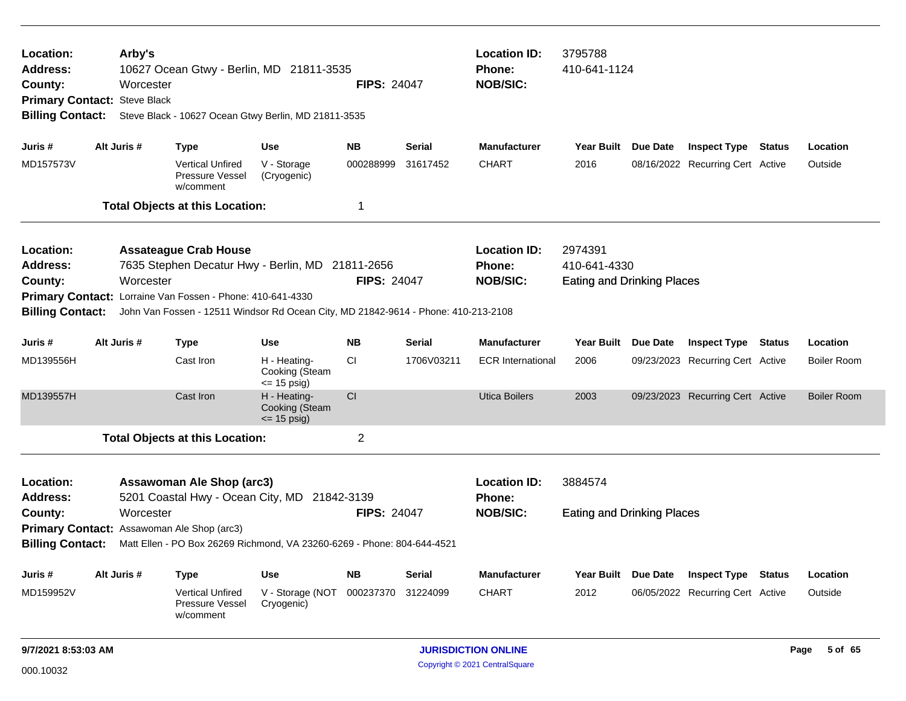| Location:<br><b>Address:</b><br>County:<br><b>Billing Contact:</b>                                                                                                                                                                                                                           | <b>Location ID:</b><br>3795788<br>Arby's<br>10627 Ocean Gtwy - Berlin, MD 21811-3535<br>410-641-1124<br>Phone:<br><b>NOB/SIC:</b><br>Worcester<br><b>FIPS: 24047</b><br>Primary Contact: Steve Black<br>Steve Black - 10627 Ocean Gtwy Berlin, MD 21811-3535 |             |                                                                                                                                                                                                                                      |                                                  |                    |                            |                                                  |                                                              |                     |                                  |               |                    |
|----------------------------------------------------------------------------------------------------------------------------------------------------------------------------------------------------------------------------------------------------------------------------------------------|--------------------------------------------------------------------------------------------------------------------------------------------------------------------------------------------------------------------------------------------------------------|-------------|--------------------------------------------------------------------------------------------------------------------------------------------------------------------------------------------------------------------------------------|--------------------------------------------------|--------------------|----------------------------|--------------------------------------------------|--------------------------------------------------------------|---------------------|----------------------------------|---------------|--------------------|
| Juris #                                                                                                                                                                                                                                                                                      |                                                                                                                                                                                                                                                              | Alt Juris # | <b>Type</b>                                                                                                                                                                                                                          | <b>Use</b>                                       | <b>NB</b>          | <b>Serial</b>              | <b>Manufacturer</b>                              | Year Built Due Date                                          |                     | <b>Inspect Type Status</b>       |               | Location           |
| MD157573V                                                                                                                                                                                                                                                                                    |                                                                                                                                                                                                                                                              |             | <b>Vertical Unfired</b><br>Pressure Vessel<br>w/comment                                                                                                                                                                              | V - Storage<br>(Cryogenic)                       | 000288999          | 31617452                   | <b>CHART</b>                                     | 2016                                                         |                     | 08/16/2022 Recurring Cert Active |               | Outside            |
|                                                                                                                                                                                                                                                                                              |                                                                                                                                                                                                                                                              |             | <b>Total Objects at this Location:</b>                                                                                                                                                                                               |                                                  | 1                  |                            |                                                  |                                                              |                     |                                  |               |                    |
| Location:<br><b>Address:</b><br>County:<br><b>Billing Contact:</b>                                                                                                                                                                                                                           |                                                                                                                                                                                                                                                              | Worcester   | <b>Assateague Crab House</b><br>7635 Stephen Decatur Hwy - Berlin, MD 21811-2656<br>Primary Contact: Lorraine Van Fossen - Phone: 410-641-4330<br>John Van Fossen - 12511 Windsor Rd Ocean City, MD 21842-9614 - Phone: 410-213-2108 |                                                  | <b>FIPS: 24047</b> |                            | <b>Location ID:</b><br>Phone:<br><b>NOB/SIC:</b> | 2974391<br>410-641-4330<br><b>Eating and Drinking Places</b> |                     |                                  |               |                    |
| Juris #                                                                                                                                                                                                                                                                                      |                                                                                                                                                                                                                                                              | Alt Juris # | <b>Type</b>                                                                                                                                                                                                                          | <b>Use</b>                                       | <b>NB</b>          | <b>Serial</b>              | <b>Manufacturer</b>                              | <b>Year Built</b>                                            | <b>Due Date</b>     | <b>Inspect Type Status</b>       |               | Location           |
| MD139556H                                                                                                                                                                                                                                                                                    |                                                                                                                                                                                                                                                              |             | Cast Iron                                                                                                                                                                                                                            | H - Heating-<br>Cooking (Steam<br>$= 15$ psig)   | <b>CI</b>          | 1706V03211                 | <b>ECR</b> International                         | 2006                                                         |                     | 09/23/2023 Recurring Cert Active |               | <b>Boiler Room</b> |
| MD139557H                                                                                                                                                                                                                                                                                    |                                                                                                                                                                                                                                                              |             | Cast Iron                                                                                                                                                                                                                            | H - Heating-<br>Cooking (Steam<br>$\le$ 15 psig) | CI                 |                            | <b>Utica Boilers</b>                             | 2003                                                         |                     | 09/23/2023 Recurring Cert Active |               | <b>Boiler Room</b> |
|                                                                                                                                                                                                                                                                                              |                                                                                                                                                                                                                                                              |             | <b>Total Objects at this Location:</b>                                                                                                                                                                                               |                                                  | $\overline{2}$     |                            |                                                  |                                                              |                     |                                  |               |                    |
| Location:<br><b>Assawoman Ale Shop (arc3)</b><br>5201 Coastal Hwy - Ocean City, MD 21842-3139<br><b>Address:</b><br>Worcester<br>County:<br>Primary Contact: Assawoman Ale Shop (arc3)<br><b>Billing Contact:</b><br>Matt Ellen - PO Box 26269 Richmond, VA 23260-6269 - Phone: 804-644-4521 |                                                                                                                                                                                                                                                              |             |                                                                                                                                                                                                                                      |                                                  | <b>FIPS: 24047</b> |                            | <b>Location ID:</b><br>Phone:<br><b>NOB/SIC:</b> | 3884574<br><b>Eating and Drinking Places</b>                 |                     |                                  |               |                    |
| Juris #                                                                                                                                                                                                                                                                                      |                                                                                                                                                                                                                                                              | Alt Juris # | <b>Type</b>                                                                                                                                                                                                                          | Use                                              | <b>NB</b>          | <b>Serial</b>              | <b>Manufacturer</b>                              |                                                              | Year Built Due Date | <b>Inspect Type</b>              | <b>Status</b> | Location           |
| MD159952V                                                                                                                                                                                                                                                                                    |                                                                                                                                                                                                                                                              |             | <b>Vertical Unfired</b><br>Pressure Vessel<br>w/comment                                                                                                                                                                              | V - Storage (NOT<br>Cryogenic)                   | 000237370          | 31224099                   | <b>CHART</b>                                     | 2012                                                         |                     | 06/05/2022 Recurring Cert Active |               | Outside            |
| 9/7/2021 8:53:03 AM                                                                                                                                                                                                                                                                          |                                                                                                                                                                                                                                                              |             |                                                                                                                                                                                                                                      |                                                  |                    | <b>JURISDICTION ONLINE</b> |                                                  |                                                              |                     |                                  | Page 5 of 65  |                    |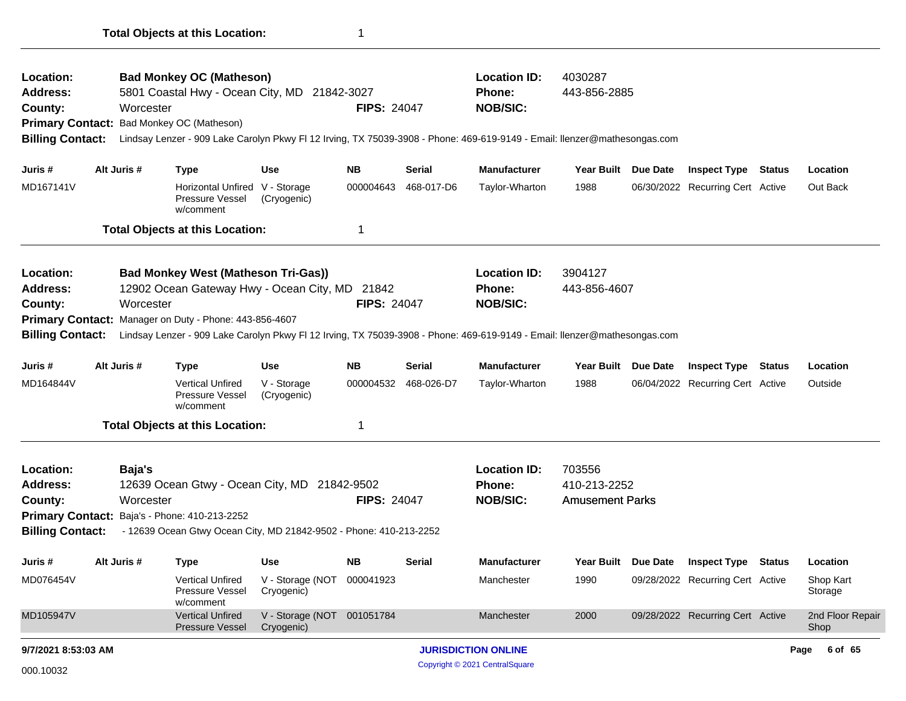| Location:<br><b>Address:</b> |             | <b>Bad Monkey OC (Matheson)</b><br>5801 Coastal Hwy - Ocean City, MD 21842-3027 |                                          |                    |                      | <b>Location ID:</b><br><b>Phone:</b>                                                                                      | 4030287<br>443-856-2885 |                     |                                  |               |                          |
|------------------------------|-------------|---------------------------------------------------------------------------------|------------------------------------------|--------------------|----------------------|---------------------------------------------------------------------------------------------------------------------------|-------------------------|---------------------|----------------------------------|---------------|--------------------------|
| County:                      | Worcester   |                                                                                 |                                          | <b>FIPS: 24047</b> |                      | <b>NOB/SIC:</b>                                                                                                           |                         |                     |                                  |               |                          |
| <b>Primary Contact:</b>      |             | Bad Monkey OC (Matheson)                                                        |                                          |                    |                      |                                                                                                                           |                         |                     |                                  |               |                          |
| <b>Billing Contact:</b>      |             |                                                                                 |                                          |                    |                      | Lindsay Lenzer - 909 Lake Carolyn Pkwy FI 12 Irving, TX 75039-3908 - Phone: 469-619-9149 - Email: Ilenzer@mathesongas.com |                         |                     |                                  |               |                          |
| Juris #                      | Alt Juris # |                                                                                 | Use                                      | <b>NB</b>          | Serial               | <b>Manufacturer</b>                                                                                                       | Year Built Due Date     |                     |                                  |               | Location                 |
|                              |             | <b>Type</b>                                                                     |                                          |                    |                      |                                                                                                                           |                         |                     | <b>Inspect Type</b>              | <b>Status</b> |                          |
| MD167141V                    |             | Horizontal Unfired V - Storage<br>Pressure Vessel<br>w/comment                  | (Cryogenic)                              | 000004643          | 468-017-D6           | Taylor-Wharton                                                                                                            | 1988                    |                     | 06/30/2022 Recurring Cert Active |               | Out Back                 |
|                              |             | <b>Total Objects at this Location:</b>                                          |                                          | 1                  |                      |                                                                                                                           |                         |                     |                                  |               |                          |
| Location:                    |             | <b>Bad Monkey West (Matheson Tri-Gas))</b>                                      |                                          |                    |                      | <b>Location ID:</b>                                                                                                       | 3904127                 |                     |                                  |               |                          |
| Address:                     |             | 12902 Ocean Gateway Hwy - Ocean City, MD 21842                                  |                                          |                    |                      | <b>Phone:</b>                                                                                                             | 443-856-4607            |                     |                                  |               |                          |
| County:                      | Worcester   |                                                                                 |                                          | <b>FIPS: 24047</b> |                      | <b>NOB/SIC:</b>                                                                                                           |                         |                     |                                  |               |                          |
| <b>Primary Contact:</b>      |             | Manager on Duty - Phone: 443-856-4607                                           |                                          |                    |                      |                                                                                                                           |                         |                     |                                  |               |                          |
| <b>Billing Contact:</b>      |             |                                                                                 |                                          |                    |                      | Lindsay Lenzer - 909 Lake Carolyn Pkwy FI 12 Irving, TX 75039-3908 - Phone: 469-619-9149 - Email: Ilenzer@mathesongas.com |                         |                     |                                  |               |                          |
| Juris #                      | Alt Juris # | <b>Type</b>                                                                     | <b>Use</b>                               | <b>NB</b>          | Serial               | <b>Manufacturer</b>                                                                                                       | Year Built Due Date     |                     | <b>Inspect Type</b>              | <b>Status</b> | Location                 |
| MD164844V                    |             | <b>Vertical Unfired</b><br>Pressure Vessel<br>w/comment                         | V - Storage<br>(Cryogenic)               |                    | 000004532 468-026-D7 | Taylor-Wharton                                                                                                            | 1988                    |                     | 06/04/2022 Recurring Cert Active |               | Outside                  |
|                              |             | <b>Total Objects at this Location:</b>                                          |                                          | 1                  |                      |                                                                                                                           |                         |                     |                                  |               |                          |
| Location:                    | Baja's      |                                                                                 |                                          |                    |                      | <b>Location ID:</b>                                                                                                       | 703556                  |                     |                                  |               |                          |
| Address:                     |             | 12639 Ocean Gtwy - Ocean City, MD 21842-9502                                    |                                          |                    |                      | Phone:                                                                                                                    | 410-213-2252            |                     |                                  |               |                          |
| County:                      | Worcester   |                                                                                 |                                          | <b>FIPS: 24047</b> |                      | <b>NOB/SIC:</b>                                                                                                           | <b>Amusement Parks</b>  |                     |                                  |               |                          |
|                              |             | Primary Contact: Baja's - Phone: 410-213-2252                                   |                                          |                    |                      |                                                                                                                           |                         |                     |                                  |               |                          |
| <b>Billing Contact:</b>      |             | - 12639 Ocean Gtwy Ocean City, MD 21842-9502 - Phone: 410-213-2252              |                                          |                    |                      |                                                                                                                           |                         |                     |                                  |               |                          |
| Juris #                      | Alt Juris # | <b>Type</b>                                                                     | Use                                      | <b>NB</b>          | <b>Serial</b>        | <b>Manufacturer</b>                                                                                                       |                         | Year Built Due Date | <b>Inspect Type Status</b>       |               | Location                 |
| MD076454V                    |             | Vertical Unfired<br>Pressure Vessel<br>w/comment                                | V - Storage (NOT 000041923<br>Cryogenic) |                    |                      | Manchester                                                                                                                | 1990                    |                     | 09/28/2022 Recurring Cert Active |               | Shop Kart<br>Storage     |
| MD105947V                    |             | <b>Vertical Unfired</b><br><b>Pressure Vessel</b>                               | V - Storage (NOT 001051784<br>Cryogenic) |                    |                      | Manchester                                                                                                                | 2000                    |                     | 09/28/2022 Recurring Cert Active |               | 2nd Floor Repair<br>Shop |
| 9/7/2021 8:53:03 AM          |             |                                                                                 |                                          |                    |                      | <b>JURISDICTION ONLINE</b>                                                                                                |                         |                     |                                  |               | 6 of 65<br>Page          |
| 000.10032                    |             |                                                                                 |                                          |                    |                      | Copyright © 2021 CentralSquare                                                                                            |                         |                     |                                  |               |                          |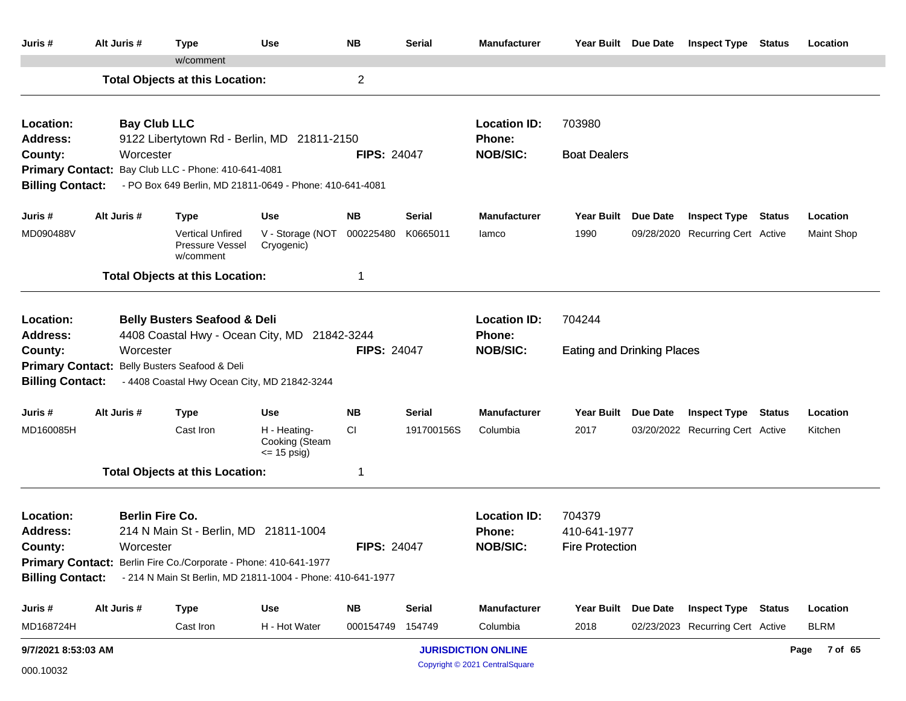| Juris #                                    | Alt Juris #            | Type                                                                                    | Use                                              | <b>NB</b>          | <b>Serial</b> | <b>Manufacturer</b>           | Year Built Due Date               |                 | <b>Inspect Type Status</b>       | Location          |
|--------------------------------------------|------------------------|-----------------------------------------------------------------------------------------|--------------------------------------------------|--------------------|---------------|-------------------------------|-----------------------------------|-----------------|----------------------------------|-------------------|
|                                            |                        | w/comment                                                                               |                                                  |                    |               |                               |                                   |                 |                                  |                   |
|                                            |                        | <b>Total Objects at this Location:</b>                                                  |                                                  | $\overline{2}$     |               |                               |                                   |                 |                                  |                   |
| Location:<br><b>Address:</b>               | <b>Bay Club LLC</b>    | 9122 Libertytown Rd - Berlin, MD 21811-2150                                             |                                                  |                    |               | <b>Location ID:</b><br>Phone: | 703980                            |                 |                                  |                   |
| County:                                    | Worcester              |                                                                                         |                                                  | <b>FIPS: 24047</b> |               | <b>NOB/SIC:</b>               | <b>Boat Dealers</b>               |                 |                                  |                   |
|                                            |                        | Primary Contact: Bay Club LLC - Phone: 410-641-4081                                     |                                                  |                    |               |                               |                                   |                 |                                  |                   |
| <b>Billing Contact:</b>                    |                        | - PO Box 649 Berlin, MD 21811-0649 - Phone: 410-641-4081                                |                                                  |                    |               |                               |                                   |                 |                                  |                   |
| Juris #                                    | Alt Juris #            | <b>Type</b>                                                                             | <b>Use</b>                                       | NB.                | Serial        | <b>Manufacturer</b>           | <b>Year Built</b>                 | <b>Due Date</b> | <b>Inspect Type Status</b>       | Location          |
| MD090488V                                  |                        | <b>Vertical Unfired</b><br>Pressure Vessel<br>w/comment                                 | V - Storage (NOT<br>Cryogenic)                   | 000225480          | K0665011      | lamco                         | 1990                              |                 | 09/28/2020 Recurring Cert Active | <b>Maint Shop</b> |
|                                            |                        | <b>Total Objects at this Location:</b>                                                  |                                                  | 1                  |               |                               |                                   |                 |                                  |                   |
| Location:<br><b>Address:</b>               |                        | <b>Belly Busters Seafood &amp; Deli</b><br>4408 Coastal Hwy - Ocean City, MD 21842-3244 |                                                  |                    |               | <b>Location ID:</b><br>Phone: | 704244                            |                 |                                  |                   |
| County:                                    | Worcester              |                                                                                         |                                                  | <b>FIPS: 24047</b> |               | <b>NOB/SIC:</b>               | <b>Eating and Drinking Places</b> |                 |                                  |                   |
|                                            |                        | Primary Contact: Belly Busters Seafood & Deli                                           |                                                  |                    |               |                               |                                   |                 |                                  |                   |
| <b>Billing Contact:</b>                    |                        | - 4408 Coastal Hwy Ocean City, MD 21842-3244                                            |                                                  |                    |               |                               |                                   |                 |                                  |                   |
| Juris #                                    | Alt Juris #            | <b>Type</b>                                                                             | <b>Use</b>                                       | <b>NB</b>          | <b>Serial</b> | <b>Manufacturer</b>           | Year Built Due Date               |                 | <b>Inspect Type Status</b>       | Location          |
| MD160085H                                  |                        | Cast Iron                                                                               | H - Heating-<br>Cooking (Steam<br>$\le$ 15 psig) | CI                 | 191700156S    | Columbia                      | 2017                              |                 | 03/20/2022 Recurring Cert Active | Kitchen           |
|                                            |                        | <b>Total Objects at this Location:</b>                                                  |                                                  | 1                  |               |                               |                                   |                 |                                  |                   |
| Location:                                  | <b>Berlin Fire Co.</b> |                                                                                         |                                                  |                    |               | <b>Location ID:</b>           | 704379                            |                 |                                  |                   |
| <b>Address:</b>                            |                        | 214 N Main St - Berlin, MD 21811-1004                                                   |                                                  |                    |               | <b>Phone:</b>                 | 410-641-1977                      |                 |                                  |                   |
| <b>FIPS: 24047</b><br>County:<br>Worcester |                        |                                                                                         |                                                  |                    |               | <b>NOB/SIC:</b>               | <b>Fire Protection</b>            |                 |                                  |                   |
|                                            |                        | Primary Contact: Berlin Fire Co./Corporate - Phone: 410-641-1977                        |                                                  |                    |               |                               |                                   |                 |                                  |                   |
| <b>Billing Contact:</b>                    |                        | - 214 N Main St Berlin, MD 21811-1004 - Phone: 410-641-1977                             |                                                  |                    |               |                               |                                   |                 |                                  |                   |
| Juris #                                    | Alt Juris #            | <b>Type</b>                                                                             | Use                                              | <b>NB</b>          | <b>Serial</b> | <b>Manufacturer</b>           | <b>Year Built</b>                 | Due Date        | <b>Inspect Type Status</b>       | Location          |
| MD168724H                                  |                        | Cast Iron                                                                               | H - Hot Water                                    | 000154749          | 154749        | Columbia                      | 2018                              |                 | 02/23/2023 Recurring Cert Active | <b>BLRM</b>       |
| 9/7/2021 8:53:03 AM                        |                        |                                                                                         |                                                  |                    |               | <b>JURISDICTION ONLINE</b>    |                                   |                 |                                  | Page 7 of 65      |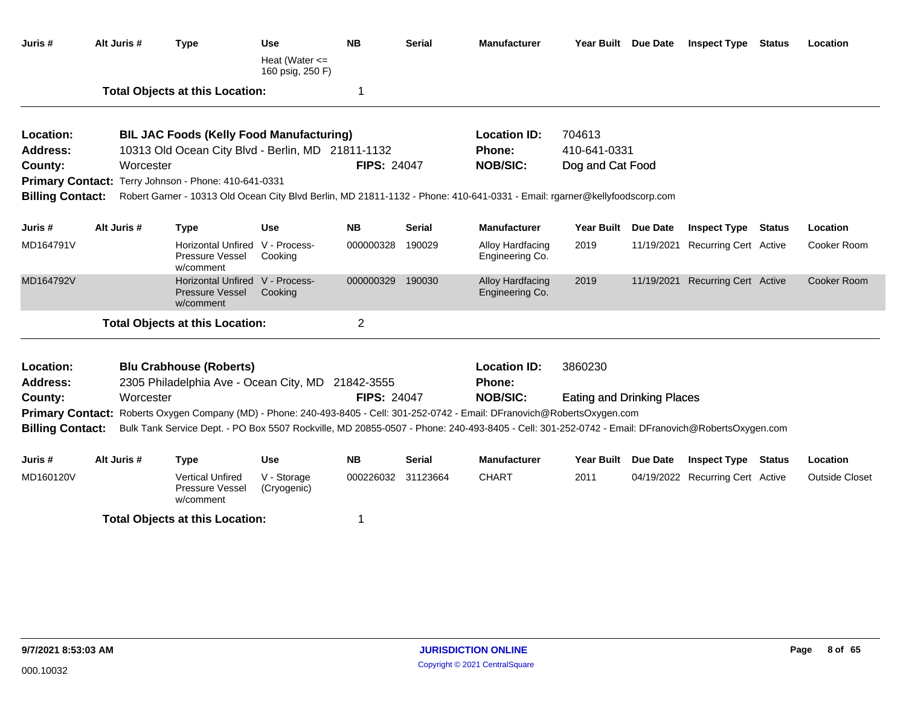| Juris #                      | Alt Juris # | <b>Type</b>                                                                                                                                     | <b>Use</b>                             | <b>NB</b>          | Serial | <b>Manufacturer</b>                  | Year Built Due Date               |            | <b>Inspect Type Status</b>       |               | Location              |
|------------------------------|-------------|-------------------------------------------------------------------------------------------------------------------------------------------------|----------------------------------------|--------------------|--------|--------------------------------------|-----------------------------------|------------|----------------------------------|---------------|-----------------------|
|                              |             |                                                                                                                                                 | Heat (Water $\leq$<br>160 psig, 250 F) |                    |        |                                      |                                   |            |                                  |               |                       |
|                              |             | <b>Total Objects at this Location:</b>                                                                                                          |                                        | 1                  |        |                                      |                                   |            |                                  |               |                       |
| Location:                    |             | <b>BIL JAC Foods (Kelly Food Manufacturing)</b>                                                                                                 |                                        |                    |        | <b>Location ID:</b>                  | 704613                            |            |                                  |               |                       |
| <b>Address:</b>              |             | 10313 Old Ocean City Blvd - Berlin, MD 21811-1132                                                                                               |                                        |                    |        | Phone:                               | 410-641-0331                      |            |                                  |               |                       |
| County:                      | Worcester   |                                                                                                                                                 |                                        | <b>FIPS: 24047</b> |        | <b>NOB/SIC:</b>                      | Dog and Cat Food                  |            |                                  |               |                       |
|                              |             | Primary Contact: Terry Johnson - Phone: 410-641-0331                                                                                            |                                        |                    |        |                                      |                                   |            |                                  |               |                       |
| <b>Billing Contact:</b>      |             | Robert Garner - 10313 Old Ocean City Blvd Berlin, MD 21811-1132 - Phone: 410-641-0331 - Email: rgarner@kellyfoodscorp.com                       |                                        |                    |        |                                      |                                   |            |                                  |               |                       |
| Juris #                      | Alt Juris # | <b>Type</b>                                                                                                                                     | <b>Use</b>                             | <b>NB</b>          | Serial | <b>Manufacturer</b>                  | Year Built Due Date               |            | <b>Inspect Type</b>              | Status        | Location              |
| MD164791V                    |             | <b>Horizontal Unfired</b><br><b>Pressure Vessel</b><br>w/comment                                                                                | V - Process-<br>Cooking                | 000000328          | 190029 | Alloy Hardfacing<br>Engineering Co.  | 2019                              | 11/19/2021 | <b>Recurring Cert Active</b>     |               | Cooker Room           |
| MD164792V                    |             | Horizontal Unfired V - Process-<br><b>Pressure Vessel</b><br>w/comment                                                                          | Cooking                                | 000000329          | 190030 | Alloy Hardfacing<br>Engineering Co.  | 2019                              |            | 11/19/2021 Recurring Cert Active |               | Cooker Room           |
|                              |             | <b>Total Objects at this Location:</b>                                                                                                          |                                        | $\overline{2}$     |        |                                      |                                   |            |                                  |               |                       |
| Location:<br><b>Address:</b> |             | <b>Blu Crabhouse (Roberts)</b><br>2305 Philadelphia Ave - Ocean City, MD 21842-3555                                                             |                                        |                    |        | <b>Location ID:</b><br><b>Phone:</b> | 3860230                           |            |                                  |               |                       |
| County:                      | Worcester   |                                                                                                                                                 |                                        | <b>FIPS: 24047</b> |        | <b>NOB/SIC:</b>                      | <b>Eating and Drinking Places</b> |            |                                  |               |                       |
| <b>Primary Contact:</b>      |             | Roberts Oxygen Company (MD) - Phone: 240-493-8405 - Cell: 301-252-0742 - Email: DFranovich@RobertsOxygen.com                                    |                                        |                    |        |                                      |                                   |            |                                  |               |                       |
| <b>Billing Contact:</b>      |             | Bulk Tank Service Dept. - PO Box 5507 Rockville, MD 20855-0507 - Phone: 240-493-8405 - Cell: 301-252-0742 - Email: DFranovich@RobertsOxygen.com |                                        |                    |        |                                      |                                   |            |                                  |               |                       |
| Juris #                      | Alt Juris # | <b>Type</b>                                                                                                                                     | <b>Use</b>                             | <b>NB</b>          | Serial | <b>Manufacturer</b>                  | Year Built Due Date               |            | <b>Inspect Type</b>              | <b>Status</b> | Location              |
| MD160120V                    |             | <b>Vertical Unfired</b><br>Pressure Vessel<br>w/comment                                                                                         | V - Storage<br>(Cryogenic)             | 000226032 31123664 |        | <b>CHART</b>                         | 2011                              |            | 04/19/2022 Recurring Cert Active |               | <b>Outside Closet</b> |
|                              |             | <b>Total Objects at this Location:</b>                                                                                                          |                                        | 1                  |        |                                      |                                   |            |                                  |               |                       |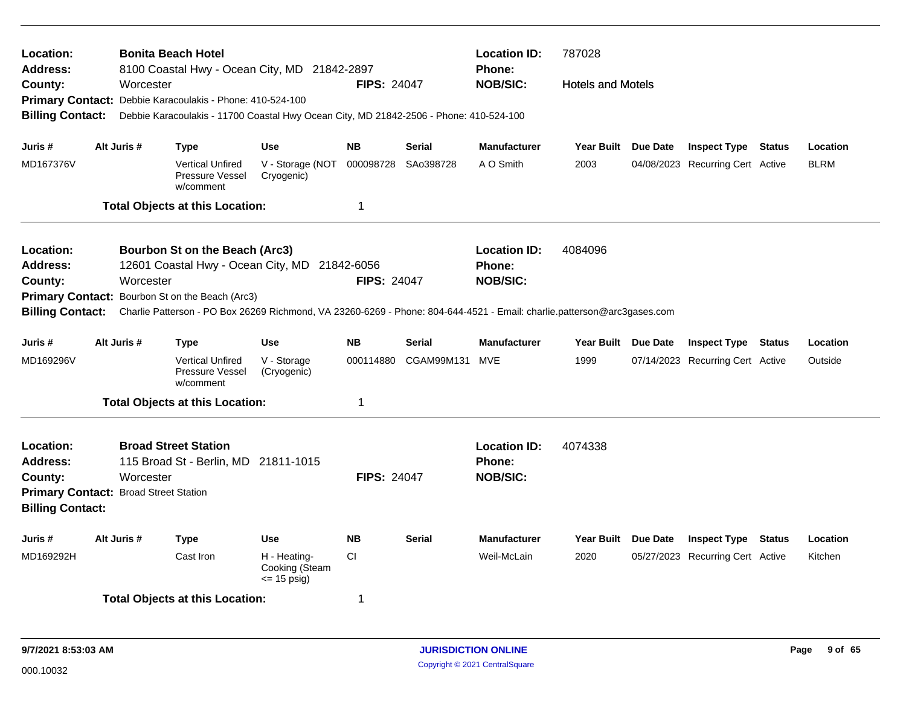| Location:<br><b>Address:</b><br>County:                                                                                                                                                                                                          | Worcester                                                                                                                                                                                                                                                                                                        | <b>Bonita Beach Hotel</b><br>8100 Coastal Hwy - Ocean City, MD 21842-2897              |                                                   | <b>FIPS: 24047</b> |                                                         | <b>Location ID:</b><br><b>Phone:</b><br><b>NOB/SIC:</b> | 787028<br><b>Hotels and Motels</b> |  |                                  |               |             |
|--------------------------------------------------------------------------------------------------------------------------------------------------------------------------------------------------------------------------------------------------|------------------------------------------------------------------------------------------------------------------------------------------------------------------------------------------------------------------------------------------------------------------------------------------------------------------|----------------------------------------------------------------------------------------|---------------------------------------------------|--------------------|---------------------------------------------------------|---------------------------------------------------------|------------------------------------|--|----------------------------------|---------------|-------------|
|                                                                                                                                                                                                                                                  |                                                                                                                                                                                                                                                                                                                  | Primary Contact: Debbie Karacoulakis - Phone: 410-524-100                              |                                                   |                    |                                                         |                                                         |                                    |  |                                  |               |             |
| <b>Billing Contact:</b>                                                                                                                                                                                                                          |                                                                                                                                                                                                                                                                                                                  | Debbie Karacoulakis - 11700 Coastal Hwy Ocean City, MD 21842-2506 - Phone: 410-524-100 |                                                   |                    |                                                         |                                                         |                                    |  |                                  |               |             |
| Juris #                                                                                                                                                                                                                                          | Alt Juris #                                                                                                                                                                                                                                                                                                      | <b>Type</b>                                                                            | <b>Use</b>                                        | <b>NB</b>          | <b>Serial</b>                                           | <b>Manufacturer</b>                                     | Year Built Due Date                |  | <b>Inspect Type Status</b>       |               | Location    |
| MD167376V                                                                                                                                                                                                                                        |                                                                                                                                                                                                                                                                                                                  | <b>Vertical Unfired</b><br><b>Pressure Vessel</b><br>w/comment                         | V - Storage (NOT<br>Cryogenic)                    | 000098728          | SAo398728                                               | A O Smith                                               | 2003                               |  | 04/08/2023 Recurring Cert Active |               | <b>BLRM</b> |
|                                                                                                                                                                                                                                                  |                                                                                                                                                                                                                                                                                                                  | <b>Total Objects at this Location:</b>                                                 |                                                   | $\mathbf 1$        |                                                         |                                                         |                                    |  |                                  |               |             |
| Location:<br><b>Address:</b>                                                                                                                                                                                                                     | Bourbon St on the Beach (Arc3)<br>12601 Coastal Hwy - Ocean City, MD 21842-6056<br>County:<br>Worcester<br>Primary Contact: Bourbon St on the Beach (Arc3)<br>Charlie Patterson - PO Box 26269 Richmond, VA 23260-6269 - Phone: 804-644-4521 - Email: charlie.patterson@arc3gases.com<br><b>Billing Contact:</b> |                                                                                        |                                                   |                    | <b>FIPS: 24047</b>                                      | <b>Location ID:</b><br><b>Phone:</b><br><b>NOB/SIC:</b> | 4084096                            |  |                                  |               |             |
|                                                                                                                                                                                                                                                  |                                                                                                                                                                                                                                                                                                                  |                                                                                        |                                                   |                    |                                                         |                                                         |                                    |  |                                  |               |             |
|                                                                                                                                                                                                                                                  |                                                                                                                                                                                                                                                                                                                  |                                                                                        |                                                   |                    |                                                         |                                                         |                                    |  |                                  |               |             |
| Juris #                                                                                                                                                                                                                                          | Alt Juris #                                                                                                                                                                                                                                                                                                      | <b>Type</b>                                                                            | <b>Use</b>                                        | <b>NB</b>          | <b>Serial</b>                                           | <b>Manufacturer</b>                                     | Year Built Due Date                |  | <b>Inspect Type</b>              | <b>Status</b> | Location    |
| MD169296V                                                                                                                                                                                                                                        |                                                                                                                                                                                                                                                                                                                  | <b>Vertical Unfired</b><br><b>Pressure Vessel</b><br>w/comment                         | V - Storage<br>(Cryogenic)                        | 000114880          | CGAM99M131                                              | MVE                                                     | 1999                               |  | 07/14/2023 Recurring Cert Active |               | Outside     |
|                                                                                                                                                                                                                                                  |                                                                                                                                                                                                                                                                                                                  |                                                                                        |                                                   | $\mathbf 1$        |                                                         |                                                         |                                    |  |                                  |               |             |
| <b>Total Objects at this Location:</b><br><b>Broad Street Station</b><br>Location:<br>115 Broad St - Berlin, MD 21811-1015<br><b>Address:</b><br>Worcester<br>County:<br><b>Primary Contact: Broad Street Station</b><br><b>Billing Contact:</b> |                                                                                                                                                                                                                                                                                                                  |                                                                                        | <b>FIPS: 24047</b>                                |                    | <b>Location ID:</b><br><b>Phone:</b><br><b>NOB/SIC:</b> | 4074338                                                 |                                    |  |                                  |               |             |
| Juris #                                                                                                                                                                                                                                          | Alt Juris #                                                                                                                                                                                                                                                                                                      | <b>Type</b>                                                                            | <b>Use</b>                                        | <b>NB</b>          | <b>Serial</b>                                           | <b>Manufacturer</b>                                     | Year Built Due Date                |  | <b>Inspect Type</b>              | <b>Status</b> | Location    |
| MD169292H                                                                                                                                                                                                                                        |                                                                                                                                                                                                                                                                                                                  | Cast Iron                                                                              | H - Heating-<br>Cooking (Steam<br>$\leq$ 15 psig) | <b>CI</b>          |                                                         | Weil-McLain                                             | 2020                               |  | 05/27/2023 Recurring Cert Active |               | Kitchen     |
|                                                                                                                                                                                                                                                  |                                                                                                                                                                                                                                                                                                                  | <b>Total Objects at this Location:</b>                                                 |                                                   | -1                 |                                                         |                                                         |                                    |  |                                  |               |             |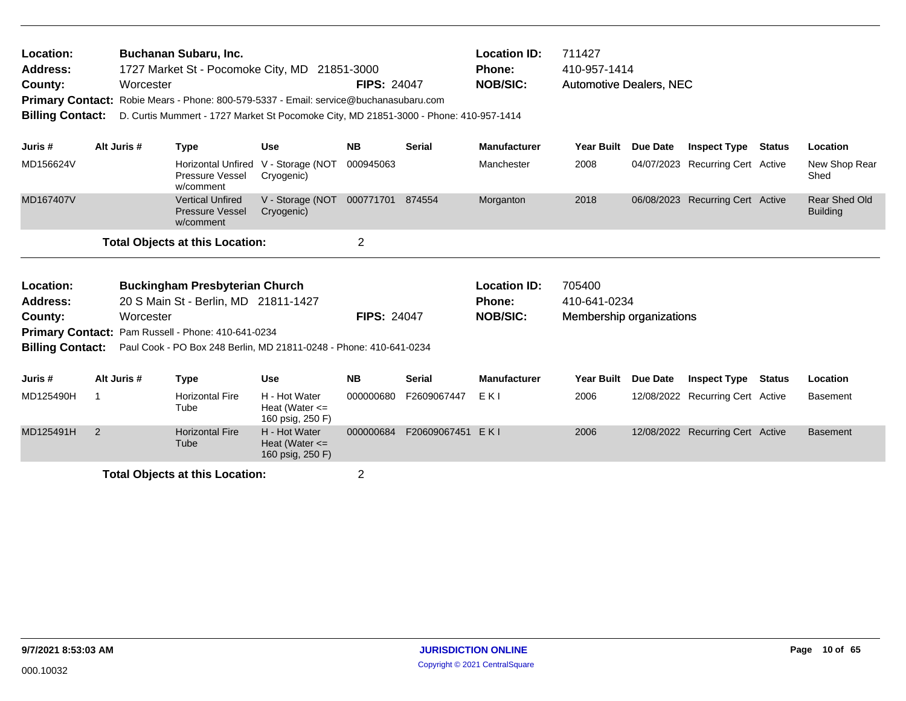| Location:<br>Address:<br>County:<br><b>Primary Contact:</b><br><b>Billing Contact:</b> |                                                                                                                                                  | Buchanan Subaru, Inc.<br>1727 Market St - Pocomoke City, MD 21851-3000<br>Worcester<br>Robie Mears - Phone: 800-579-5337 - Email: service@buchanasubaru.com<br>D. Curtis Mummert - 1727 Market St Pocomoke City, MD 21851-3000 - Phone: 410-957-1414 |                                                         | <b>FIPS: 24047</b> |                    | <b>Location ID:</b><br><b>Phone:</b><br><b>NOB/SIC:</b> | 711427<br>410-957-1414<br><b>Automotive Dealers, NEC</b> |            |                                  |        |                                  |
|----------------------------------------------------------------------------------------|--------------------------------------------------------------------------------------------------------------------------------------------------|------------------------------------------------------------------------------------------------------------------------------------------------------------------------------------------------------------------------------------------------------|---------------------------------------------------------|--------------------|--------------------|---------------------------------------------------------|----------------------------------------------------------|------------|----------------------------------|--------|----------------------------------|
| Juris #                                                                                | Alt Juris #                                                                                                                                      | <b>Type</b>                                                                                                                                                                                                                                          | <b>Use</b>                                              | <b>NB</b>          | <b>Serial</b>      | <b>Manufacturer</b>                                     | <b>Year Built</b>                                        | Due Date   | <b>Inspect Type Status</b>       |        | Location                         |
| MD156624V                                                                              |                                                                                                                                                  | <b>Horizontal Unfired</b><br>Pressure Vessel<br>w/comment                                                                                                                                                                                            | V - Storage (NOT<br>Cryogenic)                          | 000945063          |                    | Manchester                                              | 2008                                                     |            | 04/07/2023 Recurring Cert Active |        | New Shop Rear<br>Shed            |
| MD167407V                                                                              |                                                                                                                                                  | <b>Vertical Unfired</b><br><b>Pressure Vessel</b><br>w/comment                                                                                                                                                                                       | V - Storage (NOT<br>Cryogenic)                          | 000771701 874554   |                    | Morganton                                               | 2018                                                     |            | 06/08/2023 Recurring Cert Active |        | Rear Shed Old<br><b>Building</b> |
|                                                                                        |                                                                                                                                                  | <b>Total Objects at this Location:</b>                                                                                                                                                                                                               |                                                         | $\overline{2}$     |                    |                                                         |                                                          |            |                                  |        |                                  |
| Location:<br>Address:<br>County:                                                       | <b>Buckingham Presbyterian Church</b><br>20 S Main St - Berlin, MD 21811-1427<br>Worcester<br>Primary Contact: Pam Russell - Phone: 410-641-0234 |                                                                                                                                                                                                                                                      |                                                         |                    | <b>FIPS: 24047</b> | <b>Location ID:</b><br><b>Phone:</b><br><b>NOB/SIC:</b> | 705400<br>410-641-0234<br>Membership organizations       |            |                                  |        |                                  |
| <b>Billing Contact:</b>                                                                |                                                                                                                                                  | Paul Cook - PO Box 248 Berlin, MD 21811-0248 - Phone: 410-641-0234                                                                                                                                                                                   |                                                         |                    |                    |                                                         |                                                          |            |                                  |        |                                  |
| Juris #                                                                                | Alt Juris #                                                                                                                                      | <b>Type</b>                                                                                                                                                                                                                                          | <b>Use</b>                                              | <b>NB</b>          | <b>Serial</b>      | <b>Manufacturer</b>                                     | <b>Year Built</b>                                        | Due Date   | <b>Inspect Type</b>              | Status | Location                         |
| MD125490H                                                                              |                                                                                                                                                  | <b>Horizontal Fire</b><br>Tube                                                                                                                                                                                                                       | H - Hot Water<br>Heat (Water $\leq$<br>160 psig, 250 F) | 000000680          | F2609067447        | EKI                                                     | 2006                                                     |            | 12/08/2022 Recurring Cert Active |        | <b>Basement</b>                  |
| MD125491H                                                                              | 2                                                                                                                                                | <b>Horizontal Fire</b><br>Tube                                                                                                                                                                                                                       | H - Hot Water<br>Heat (Water $\leq$                     | 000000684          | F20609067451       | EKI                                                     | 2006                                                     | 12/08/2022 | <b>Recurring Cert Active</b>     |        | <b>Basement</b>                  |

160 psig, 250 F)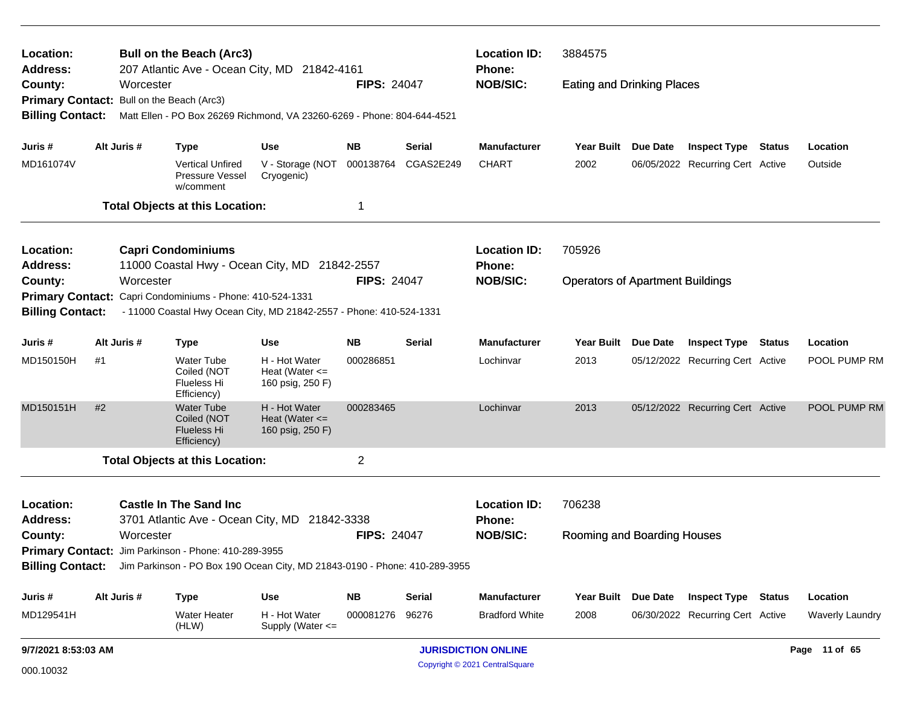| Location:<br>Address:                     |                                                | <b>Bull on the Beach (Arc3)</b> |                                                                                             |                                                         |                     | <b>Location ID:</b>                                                  | 3884575                          |                                         |                 |                                  |        |                        |
|-------------------------------------------|------------------------------------------------|---------------------------------|---------------------------------------------------------------------------------------------|---------------------------------------------------------|---------------------|----------------------------------------------------------------------|----------------------------------|-----------------------------------------|-----------------|----------------------------------|--------|------------------------|
| County:                                   |                                                | Worcester                       | 207 Atlantic Ave - Ocean City, MD 21842-4161                                                |                                                         | <b>FIPS: 24047</b>  |                                                                      | <b>Phone:</b><br><b>NOB/SIC:</b> | <b>Eating and Drinking Places</b>       |                 |                                  |        |                        |
| Primary Contact: Bull on the Beach (Arc3) |                                                |                                 |                                                                                             |                                                         |                     |                                                                      |                                  |                                         |                 |                                  |        |                        |
| <b>Billing Contact:</b>                   |                                                |                                 | Matt Ellen - PO Box 26269 Richmond, VA 23260-6269 - Phone: 804-644-4521                     |                                                         |                     |                                                                      |                                  |                                         |                 |                                  |        |                        |
| Juris #                                   |                                                | Alt Juris #                     | <b>Type</b>                                                                                 | <b>Use</b>                                              | <b>NB</b>           | <b>Serial</b>                                                        | <b>Manufacturer</b>              | <b>Year Built</b>                       | Due Date        | <b>Inspect Type</b>              | Status | Location               |
| MD161074V                                 |                                                |                                 | <b>Vertical Unfired</b><br>Pressure Vessel<br>w/comment                                     | V - Storage (NOT<br>Cryogenic)                          | 000138764           | CGAS2E249                                                            | <b>CHART</b>                     | 2002                                    |                 | 06/05/2022 Recurring Cert Active |        | Outside                |
|                                           |                                                |                                 | <b>Total Objects at this Location:</b>                                                      |                                                         | 1                   |                                                                      |                                  |                                         |                 |                                  |        |                        |
| Location:                                 |                                                |                                 | <b>Capri Condominiums</b>                                                                   |                                                         |                     |                                                                      | <b>Location ID:</b>              | 705926                                  |                 |                                  |        |                        |
| <b>Address:</b>                           |                                                |                                 | 11000 Coastal Hwy - Ocean City, MD 21842-2557                                               |                                                         |                     |                                                                      | Phone:                           |                                         |                 |                                  |        |                        |
| County:                                   |                                                | Worcester                       |                                                                                             |                                                         | <b>FIPS: 24047</b>  |                                                                      | <b>NOB/SIC:</b>                  | <b>Operators of Apartment Buildings</b> |                 |                                  |        |                        |
| <b>Primary Contact:</b>                   |                                                |                                 | Capri Condominiums - Phone: 410-524-1331                                                    |                                                         |                     |                                                                      |                                  |                                         |                 |                                  |        |                        |
| <b>Billing Contact:</b>                   |                                                |                                 | - 11000 Coastal Hwy Ocean City, MD 21842-2557 - Phone: 410-524-1331                         |                                                         |                     |                                                                      |                                  |                                         |                 |                                  |        |                        |
| Juris#                                    | Alt Juris #<br><b>NB</b><br><b>Use</b><br>Type |                                 |                                                                                             | <b>Serial</b>                                           | <b>Manufacturer</b> | Year Built                                                           | <b>Due Date</b>                  | <b>Inspect Type Status</b>              |                 | Location                         |        |                        |
| MD150150H                                 | #1                                             |                                 | <b>Water Tube</b><br>Coiled (NOT<br>Flueless Hi<br>Efficiency)                              | H - Hot Water<br>Heat (Water $\leq$<br>160 psig, 250 F) | 000286851           |                                                                      | Lochinvar                        | 2013                                    |                 | 05/12/2022 Recurring Cert Active |        | POOL PUMP RM           |
| MD150151H                                 | #2                                             |                                 | <b>Water Tube</b><br>Coiled (NOT<br><b>Flueless Hi</b><br>Efficiency)                       | H - Hot Water<br>Heat (Water $\leq$<br>160 psig, 250 F) | 000283465           |                                                                      | Lochinvar                        | 2013                                    |                 | 05/12/2022 Recurring Cert Active |        | POOL PUMP RM           |
|                                           |                                                |                                 | <b>Total Objects at this Location:</b>                                                      |                                                         | $\overline{2}$      |                                                                      |                                  |                                         |                 |                                  |        |                        |
| Location:<br><b>Address:</b>              |                                                |                                 | <b>Castle In The Sand Inc.</b><br>3701 Atlantic Ave - Ocean City, MD 21842-3338             |                                                         |                     |                                                                      | <b>Location ID:</b><br>Phone:    | 706238                                  |                 |                                  |        |                        |
| County:                                   | Worcester                                      |                                 |                                                                                             |                                                         |                     | <b>FIPS: 24047</b><br><b>NOB/SIC:</b><br>Rooming and Boarding Houses |                                  |                                         |                 |                                  |        |                        |
|                                           |                                                |                                 | <b>Primary Contact:</b> Jim Parkinson - Phone: 410-289-3955                                 |                                                         |                     |                                                                      |                                  |                                         |                 |                                  |        |                        |
|                                           |                                                |                                 | Billing Contact: Jim Parkinson - PO Box 190 Ocean City, MD 21843-0190 - Phone: 410-289-3955 |                                                         |                     |                                                                      |                                  |                                         |                 |                                  |        |                        |
| Juris #                                   |                                                | Alt Juris #                     | <b>Type</b>                                                                                 | Use                                                     | <b>NB</b>           | <b>Serial</b>                                                        | Manufacturer                     | <b>Year Built</b>                       | <b>Due Date</b> | <b>Inspect Type Status</b>       |        | Location               |
| MD129541H                                 |                                                |                                 | <b>Water Heater</b><br>(HLW)                                                                | H - Hot Water<br>Supply (Water <=                       | 000081276           | 96276                                                                | <b>Bradford White</b>            | 2008                                    |                 | 06/30/2022 Recurring Cert Active |        | <b>Waverly Laundry</b> |
|                                           | 9/7/2021 8:53:03 AM                            |                                 |                                                                                             |                                                         |                     |                                                                      | <b>JURISDICTION ONLINE</b>       |                                         |                 |                                  |        | Page 11 of 65          |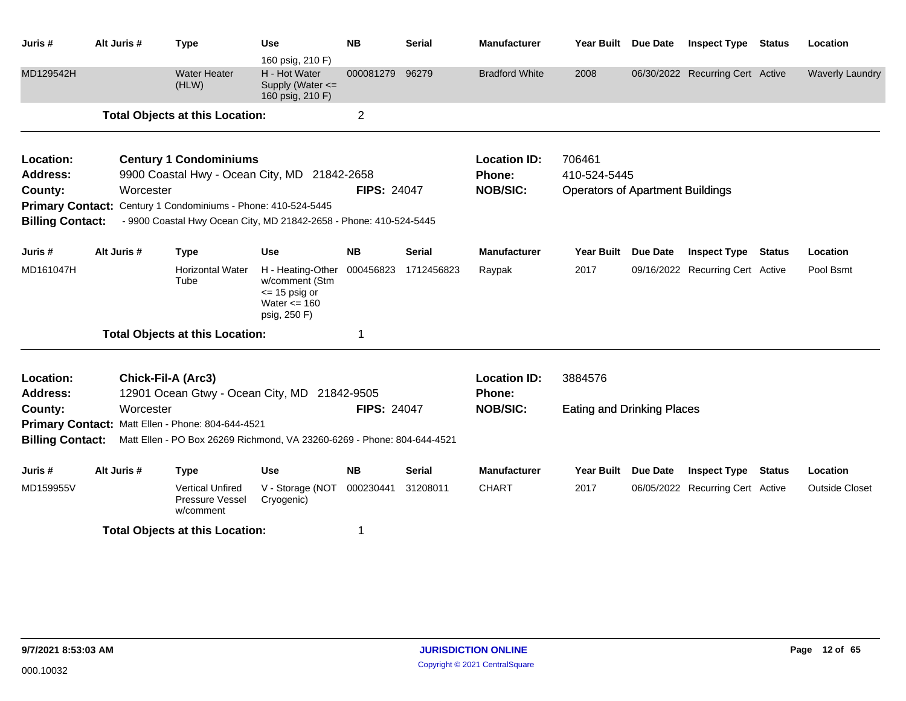| Juris #                 | Alt Juris # | <b>Type</b>                                                             | <b>Use</b><br>160 psig, 210 F)                                                              | <b>NB</b>          | <b>Serial</b> | <b>Manufacturer</b>   | Year Built Due Date                     |                 | <b>Inspect Type Status</b>       |               | Location               |
|-------------------------|-------------|-------------------------------------------------------------------------|---------------------------------------------------------------------------------------------|--------------------|---------------|-----------------------|-----------------------------------------|-----------------|----------------------------------|---------------|------------------------|
| MD129542H               |             | <b>Water Heater</b><br>(HLW)                                            | H - Hot Water<br>Supply (Water <=<br>160 psig, 210 F)                                       | 000081279          | 96279         | <b>Bradford White</b> | 2008                                    |                 | 06/30/2022 Recurring Cert Active |               | <b>Waverly Laundry</b> |
|                         |             | <b>Total Objects at this Location:</b>                                  |                                                                                             | $\overline{c}$     |               |                       |                                         |                 |                                  |               |                        |
| Location:               |             | <b>Century 1 Condominiums</b>                                           |                                                                                             |                    |               | <b>Location ID:</b>   | 706461                                  |                 |                                  |               |                        |
| <b>Address:</b>         |             | 9900 Coastal Hwy - Ocean City, MD 21842-2658                            |                                                                                             |                    |               | Phone:                | 410-524-5445                            |                 |                                  |               |                        |
| County:                 | Worcester   |                                                                         |                                                                                             | <b>FIPS: 24047</b> |               | <b>NOB/SIC:</b>       | <b>Operators of Apartment Buildings</b> |                 |                                  |               |                        |
| <b>Primary Contact:</b> |             | Century 1 Condominiums - Phone: 410-524-5445                            |                                                                                             |                    |               |                       |                                         |                 |                                  |               |                        |
| <b>Billing Contact:</b> |             | - 9900 Coastal Hwy Ocean City, MD 21842-2658 - Phone: 410-524-5445      |                                                                                             |                    |               |                       |                                         |                 |                                  |               |                        |
| Juris #                 | Alt Juris # | <b>Type</b>                                                             | <b>Use</b>                                                                                  | <b>NB</b>          | <b>Serial</b> | <b>Manufacturer</b>   | Year Built Due Date                     |                 | <b>Inspect Type Status</b>       |               | Location               |
| MD161047H               |             | <b>Horizontal Water</b><br>Tube                                         | H - Heating-Other<br>w/comment (Stm<br>$\le$ 15 psig or<br>Water $\leq$ 160<br>psig, 250 F) | 000456823          | 1712456823    | Raypak                | 2017                                    |                 | 09/16/2022 Recurring Cert Active |               | Pool Bsmt              |
|                         |             | <b>Total Objects at this Location:</b>                                  |                                                                                             | 1                  |               |                       |                                         |                 |                                  |               |                        |
| Location:               |             | <b>Chick-Fil-A (Arc3)</b>                                               |                                                                                             |                    |               | <b>Location ID:</b>   | 3884576                                 |                 |                                  |               |                        |
| <b>Address:</b>         |             | 12901 Ocean Gtwy - Ocean City, MD 21842-9505                            |                                                                                             |                    |               | Phone:                |                                         |                 |                                  |               |                        |
| County:                 | Worcester   |                                                                         |                                                                                             | <b>FIPS: 24047</b> |               | <b>NOB/SIC:</b>       | <b>Eating and Drinking Places</b>       |                 |                                  |               |                        |
|                         |             | Primary Contact: Matt Ellen - Phone: 804-644-4521                       |                                                                                             |                    |               |                       |                                         |                 |                                  |               |                        |
| <b>Billing Contact:</b> |             | Matt Ellen - PO Box 26269 Richmond, VA 23260-6269 - Phone: 804-644-4521 |                                                                                             |                    |               |                       |                                         |                 |                                  |               |                        |
| Juris #                 | Alt Juris # | <b>Type</b>                                                             | <b>Use</b>                                                                                  | <b>NB</b>          | <b>Serial</b> | <b>Manufacturer</b>   | <b>Year Built</b>                       | <b>Due Date</b> | <b>Inspect Type</b>              | <b>Status</b> | Location               |
| MD159955V               |             | <b>Vertical Unfired</b><br><b>Pressure Vessel</b><br>w/comment          | V - Storage (NOT<br>Cryogenic)                                                              | 000230441          | 31208011      | <b>CHART</b>          | 2017                                    |                 | 06/05/2022 Recurring Cert Active |               | <b>Outside Closet</b>  |
|                         |             | <b>Total Objects at this Location:</b>                                  |                                                                                             | $\mathbf 1$        |               |                       |                                         |                 |                                  |               |                        |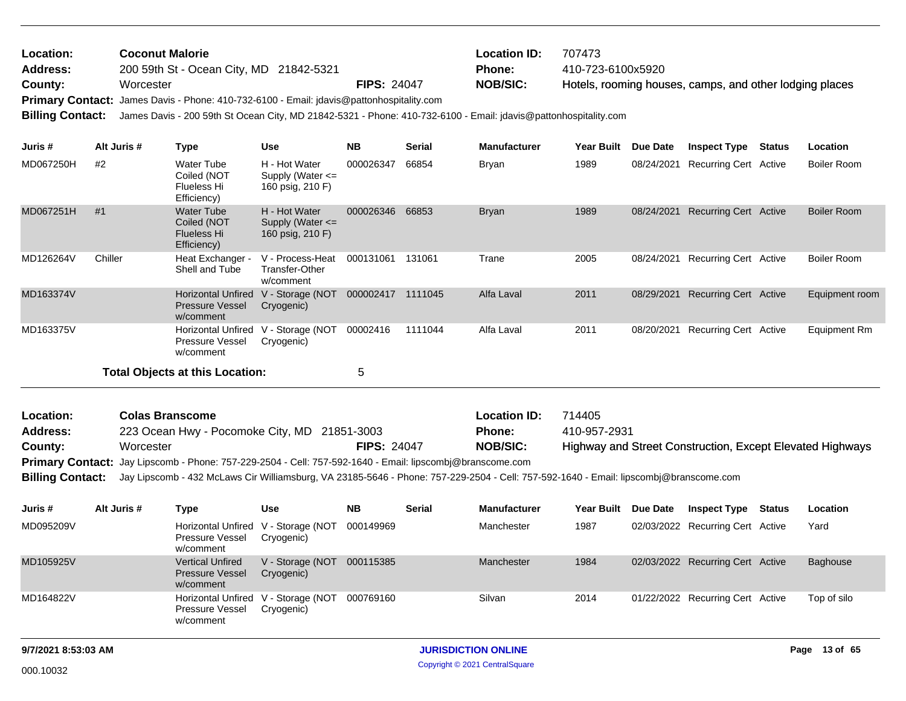| Location:<br><b>Address:</b><br>County:<br><b>Billing Contact:</b> | <b>Coconut Malorie</b><br>Worcester | 200 59th St - Ocean City, MD 21842-5321                        | Primary Contact: James Davis - Phone: 410-732-6100 - Email: jdavis@pattonhospitality.com<br>James Davis - 200 59th St Ocean City, MD 21842-5321 - Phone: 410-732-6100 - Email: jdavis@pattonhospitality.com | <b>FIPS: 24047</b> |               | <b>Location ID:</b><br><b>Phone:</b><br><b>NOB/SIC:</b> | 707473<br>410-723-6100x5920 |            | Hotels, rooming houses, camps, and other lodging places |               |                    |
|--------------------------------------------------------------------|-------------------------------------|----------------------------------------------------------------|-------------------------------------------------------------------------------------------------------------------------------------------------------------------------------------------------------------|--------------------|---------------|---------------------------------------------------------|-----------------------------|------------|---------------------------------------------------------|---------------|--------------------|
| Juris #                                                            | Alt Juris #                         | <b>Type</b>                                                    | <b>Use</b>                                                                                                                                                                                                  | <b>NB</b>          | <b>Serial</b> | <b>Manufacturer</b>                                     | <b>Year Built</b>           | Due Date   | <b>Inspect Type</b>                                     | <b>Status</b> | <b>Location</b>    |
| MD067250H                                                          | #2                                  | Water Tube<br>Coiled (NOT<br>Flueless Hi<br>Efficiency)        | H - Hot Water<br>Supply (Water $\leq$<br>160 psig, 210 F)                                                                                                                                                   | 000026347          | 66854         | <b>Bryan</b>                                            | 1989                        | 08/24/2021 | Recurring Cert Active                                   |               | Boiler Room        |
| MD067251H                                                          | #1                                  | Water Tube<br>Coiled (NOT<br><b>Flueless Hi</b><br>Efficiency) | H - Hot Water<br>Supply (Water $\leq$<br>160 psig, 210 F)                                                                                                                                                   | 000026346          | 66853         | <b>Bryan</b>                                            | 1989                        | 08/24/2021 | <b>Recurring Cert Active</b>                            |               | Boiler Room        |
| MD126264V                                                          | Chiller                             | Heat Exchanger -<br>Shell and Tube                             | V - Process-Heat<br>Transfer-Other<br>w/comment                                                                                                                                                             | 000131061          | 131061        | Trane                                                   | 2005                        | 08/24/2021 | Recurring Cert Active                                   |               | <b>Boiler Room</b> |

| Location:       | <b>Colas Branscome</b>                                                                                                                                 |                    | <b>Location ID:</b> | 714405                                                    |
|-----------------|--------------------------------------------------------------------------------------------------------------------------------------------------------|--------------------|---------------------|-----------------------------------------------------------|
| <b>Address:</b> | 223 Ocean Hwy - Pocomoke City, MD 21851-3003                                                                                                           |                    | <b>Phone:</b>       | 410-957-2931                                              |
| County:         | Worcester                                                                                                                                              | <b>FIPS: 24047</b> | <b>NOB/SIC:</b>     | Highway and Street Construction, Except Elevated Highways |
|                 | Primary Contact: Jay Lipscomb - Phone: 757-229-2504 - Cell: 757-592-1640 - Email: lipscombj@branscome.com                                              |                    |                     |                                                           |
|                 | Billing Contact: Jay Lipscomb - 432 McLaws Cir Williamsburg, VA 23185-5646 - Phone: 757-229-2504 - Cell: 757-592-1640 - Email: lipscombj@branscome.com |                    |                     |                                                           |

MD163374V Horizontal Unfired V - Storage (NOT 000002417 1111045 Alfa Laval 2011 08/29/2021

MD163375V Horizontal Unfired V - Storage (NOT 00002416 1111044 Alfa Laval 2011 08/20/2021

Pressure Vessel w/comment

w/comment

Pressure Vessel Cryogenic)

**Total Objects at this Location:** 5

Cryogenic)

| Juris #   | Alt Juris # | Type                                                                | Use                            | <b>NB</b> | <b>Serial</b> | <b>Manufacturer</b> | <b>Year Built</b> | Due Date | <b>Inspect Type</b>              | Status | Location    |
|-----------|-------------|---------------------------------------------------------------------|--------------------------------|-----------|---------------|---------------------|-------------------|----------|----------------------------------|--------|-------------|
| MD095209V |             | Horizontal Unfired V - Storage (NOT<br>Pressure Vessel<br>w/comment | Cryogenic)                     | 000149969 |               | Manchester          | 1987              |          | 02/03/2022 Recurring Cert Active |        | Yard        |
| MD105925V |             | <b>Vertical Unfired</b><br><b>Pressure Vessel</b><br>w/comment      | V - Storage (NOT<br>Cryogenic) | 000115385 |               | Manchester          | 1984              |          | 02/03/2022 Recurring Cert Active |        | Baghouse    |
| MD164822V |             | Horizontal Unfired V - Storage (NOT<br>Pressure Vessel<br>w/comment | Cryogenic)                     | 000769160 |               | Silvan              | 2014              |          | 01/22/2022 Recurring Cert Active |        | Top of silo |

Alfa Laval 2011 08/29/2021 Recurring Cert Active Equipment room

Alfa Laval 2011 08/20/2021 Recurring Cert Active Equipment Rm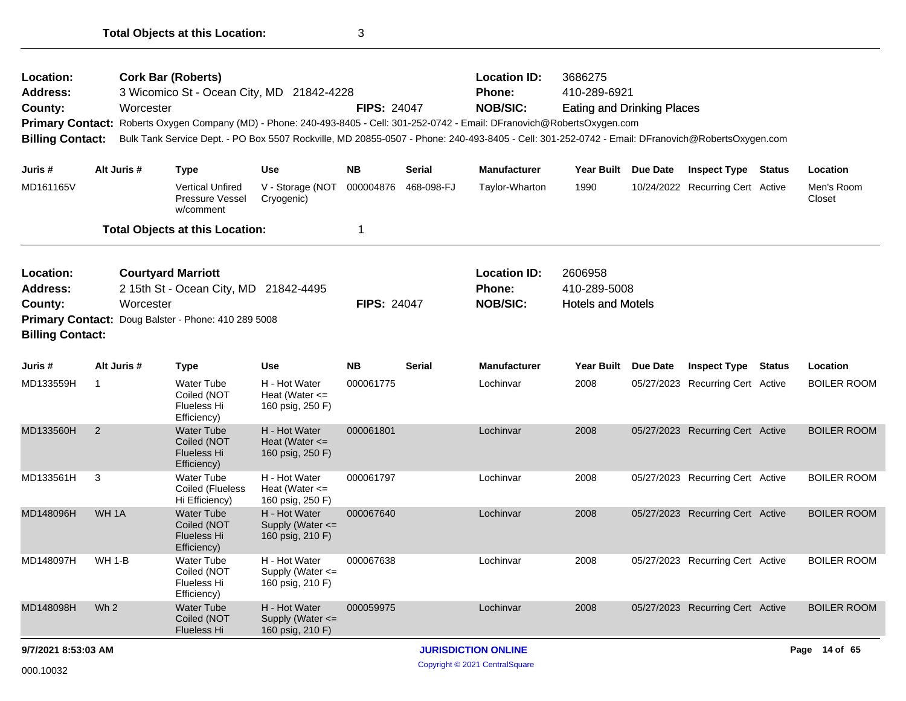| Location:<br>Address:<br>County:<br><b>Billing Contact:</b> |                                                                                                                                        | <b>Cork Bar (Roberts)</b><br>Worcester | 3 Wicomico St - Ocean City, MD 21842-4228                             |                                                           | <b>FIPS: 24047</b> |               | <b>Location ID:</b><br>Phone:<br><b>NOB/SIC:</b><br>Primary Contact: Roberts Oxygen Company (MD) - Phone: 240-493-8405 - Cell: 301-252-0742 - Email: DFranovich@RobertsOxygen.com<br>Bulk Tank Service Dept. - PO Box 5507 Rockville, MD 20855-0507 - Phone: 240-493-8405 - Cell: 301-252-0742 - Email: DFranovich@RobertsOxygen.com | 3686275<br>410-289-6921<br><b>Eating and Drinking Places</b> |                                  |               |                      |
|-------------------------------------------------------------|----------------------------------------------------------------------------------------------------------------------------------------|----------------------------------------|-----------------------------------------------------------------------|-----------------------------------------------------------|--------------------|---------------|--------------------------------------------------------------------------------------------------------------------------------------------------------------------------------------------------------------------------------------------------------------------------------------------------------------------------------------|--------------------------------------------------------------|----------------------------------|---------------|----------------------|
| Juris #                                                     | Alt Juris #                                                                                                                            |                                        | <b>Type</b>                                                           | <b>Use</b>                                                | <b>NB</b>          | <b>Serial</b> | <b>Manufacturer</b>                                                                                                                                                                                                                                                                                                                  | Year Built Due Date                                          | <b>Inspect Type Status</b>       |               | Location             |
| MD161165V                                                   |                                                                                                                                        |                                        | <b>Vertical Unfired</b><br>Pressure Vessel<br>w/comment               | V - Storage (NOT<br>Cryogenic)                            | 000004876          | 468-098-FJ    | Taylor-Wharton                                                                                                                                                                                                                                                                                                                       | 1990                                                         | 10/24/2022 Recurring Cert Active |               | Men's Room<br>Closet |
|                                                             |                                                                                                                                        |                                        | <b>Total Objects at this Location:</b>                                |                                                           | 1                  |               |                                                                                                                                                                                                                                                                                                                                      |                                                              |                                  |               |                      |
| Location:<br>Address:<br>County:<br><b>Billing Contact:</b> | <b>Courtyard Marriott</b><br>2 15th St - Ocean City, MD 21842-4495<br>Worcester<br>Primary Contact: Doug Balster - Phone: 410 289 5008 |                                        |                                                                       |                                                           | <b>FIPS: 24047</b> |               | <b>Location ID:</b><br><b>Phone:</b><br><b>NOB/SIC:</b>                                                                                                                                                                                                                                                                              | 2606958<br>410-289-5008<br><b>Hotels and Motels</b>          |                                  |               |                      |
| Juris #                                                     | Alt Juris #                                                                                                                            |                                        | <b>Type</b>                                                           | <b>Use</b>                                                | <b>NB</b>          | <b>Serial</b> | <b>Manufacturer</b>                                                                                                                                                                                                                                                                                                                  | Year Built Due Date                                          | <b>Inspect Type</b>              | <b>Status</b> | Location             |
| MD133559H                                                   | $\mathbf 1$                                                                                                                            |                                        | <b>Water Tube</b><br>Coiled (NOT<br>Flueless Hi<br>Efficiency)        | H - Hot Water<br>Heat (Water $\leq$<br>160 psig, 250 F)   | 000061775          |               | Lochinvar                                                                                                                                                                                                                                                                                                                            | 2008                                                         | 05/27/2023 Recurring Cert Active |               | BOILER ROOM          |
| MD133560H                                                   | 2                                                                                                                                      |                                        | <b>Water Tube</b><br>Coiled (NOT<br><b>Flueless Hi</b><br>Efficiency) | H - Hot Water<br>Heat (Water $\leq$<br>160 psig, 250 F)   | 000061801          |               | Lochinvar                                                                                                                                                                                                                                                                                                                            | 2008                                                         | 05/27/2023 Recurring Cert Active |               | <b>BOILER ROOM</b>   |
| MD133561H                                                   | 3                                                                                                                                      |                                        | <b>Water Tube</b><br>Coiled (Flueless<br>Hi Efficiency)               | H - Hot Water<br>Heat (Water $\leq$<br>160 psig, 250 F)   | 000061797          |               | Lochinvar                                                                                                                                                                                                                                                                                                                            | 2008                                                         | 05/27/2023 Recurring Cert Active |               | <b>BOILER ROOM</b>   |
| MD148096H                                                   | WH <sub>1A</sub>                                                                                                                       |                                        | <b>Water Tube</b><br>Coiled (NOT<br>Flueless Hi<br>Efficiency)        | H - Hot Water<br>Supply (Water <=<br>160 psig, 210 F)     | 000067640          |               | Lochinvar                                                                                                                                                                                                                                                                                                                            | 2008                                                         | 05/27/2023 Recurring Cert Active |               | <b>BOILER ROOM</b>   |
| MD148097H                                                   | <b>WH 1-B</b>                                                                                                                          |                                        | <b>Water Tube</b><br>Coiled (NOT<br>Flueless Hi<br>Efficiency)        | H - Hot Water<br>Supply (Water <=<br>160 psig, 210 F)     | 000067638          |               | Lochinvar                                                                                                                                                                                                                                                                                                                            | 2008                                                         | 05/27/2023 Recurring Cert Active |               | <b>BOILER ROOM</b>   |
| MD148098H                                                   | Wh <sub>2</sub>                                                                                                                        |                                        | <b>Water Tube</b><br>Coiled (NOT<br><b>Flueless Hi</b>                | H - Hot Water<br>Supply (Water $\leq$<br>160 psig, 210 F) | 000059975          |               | Lochinvar                                                                                                                                                                                                                                                                                                                            | 2008                                                         | 05/27/2023 Recurring Cert Active |               | <b>BOILER ROOM</b>   |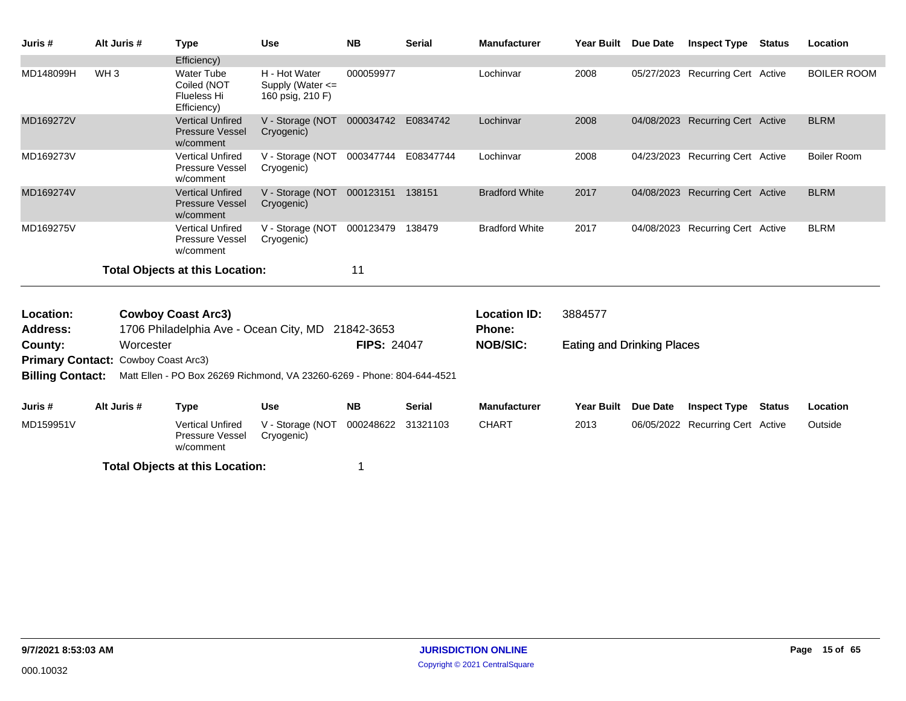| Juris #                 | Alt Juris #        | <b>Type</b>                                                           | <b>Use</b>                                                              | <b>NB</b>           | <b>Serial</b> | <b>Manufacturer</b>   | Year Built Due Date        |          | <b>Inspect Type Status</b>       |               | Location           |
|-------------------------|--------------------|-----------------------------------------------------------------------|-------------------------------------------------------------------------|---------------------|---------------|-----------------------|----------------------------|----------|----------------------------------|---------------|--------------------|
|                         |                    | Efficiency)                                                           |                                                                         |                     |               |                       |                            |          |                                  |               |                    |
| MD148099H               | WH <sub>3</sub>    | <b>Water Tube</b><br>Coiled (NOT<br><b>Flueless Hi</b><br>Efficiency) | H - Hot Water<br>Supply (Water $\leq$<br>160 psig, 210 F)               | 000059977           |               | Lochinvar             | 2008                       |          | 05/27/2023 Recurring Cert Active |               | <b>BOILER ROOM</b> |
| MD169272V               |                    | <b>Vertical Unfired</b><br><b>Pressure Vessel</b><br>w/comment        | V - Storage (NOT 000034742 E0834742<br>Cryogenic)                       |                     |               | Lochinvar             | 2008                       |          | 04/08/2023 Recurring Cert Active |               | <b>BLRM</b>        |
| MD169273V               |                    | <b>Vertical Unfired</b><br>Pressure Vessel<br>w/comment               | V - Storage (NOT<br>Cryogenic)                                          | 000347744 E08347744 |               | Lochinvar             | 2008                       |          | 04/23/2023 Recurring Cert Active |               | <b>Boiler Room</b> |
| MD169274V               |                    | <b>Vertical Unfired</b><br><b>Pressure Vessel</b><br>w/comment        | V - Storage (NOT 000123151 138151<br>Cryogenic)                         |                     |               | <b>Bradford White</b> | 2017                       |          | 04/08/2023 Recurring Cert Active |               | <b>BLRM</b>        |
| MD169275V               |                    | <b>Vertical Unfired</b><br>Pressure Vessel<br>w/comment               | V - Storage (NOT<br>Cryogenic)                                          | 000123479           | 138479        | <b>Bradford White</b> | 2017                       |          | 04/08/2023 Recurring Cert Active |               | <b>BLRM</b>        |
|                         |                    | <b>Total Objects at this Location:</b>                                |                                                                         | 11                  |               |                       |                            |          |                                  |               |                    |
| Location:               |                    | <b>Cowboy Coast Arc3)</b>                                             |                                                                         |                     |               | <b>Location ID:</b>   | 3884577                    |          |                                  |               |                    |
| <b>Address:</b>         |                    | 1706 Philadelphia Ave - Ocean City, MD                                |                                                                         | 21842-3653          |               | <b>Phone:</b>         |                            |          |                                  |               |                    |
| County:                 | Worcester          |                                                                       |                                                                         | <b>FIPS: 24047</b>  |               | <b>NOB/SIC:</b>       | Eating and Drinking Places |          |                                  |               |                    |
| <b>Primary Contact:</b> | Cowboy Coast Arc3) |                                                                       |                                                                         |                     |               |                       |                            |          |                                  |               |                    |
| <b>Billing Contact:</b> |                    |                                                                       | Matt Ellen - PO Box 26269 Richmond, VA 23260-6269 - Phone: 804-644-4521 |                     |               |                       |                            |          |                                  |               |                    |
| Juris #                 | Alt Juris #        | <b>Type</b>                                                           | <b>Use</b>                                                              | <b>NB</b>           | <b>Serial</b> | <b>Manufacturer</b>   | Year Built                 | Due Date | <b>Inspect Type</b>              | <b>Status</b> | Location           |
| MD159951V               |                    | <b>Vertical Unfired</b><br>Pressure Vessel<br>w/comment               | V - Storage (NOT<br>Cryogenic)                                          | 000248622           | 31321103      | <b>CHART</b>          | 2013                       |          | 06/05/2022 Recurring Cert Active |               | Outside            |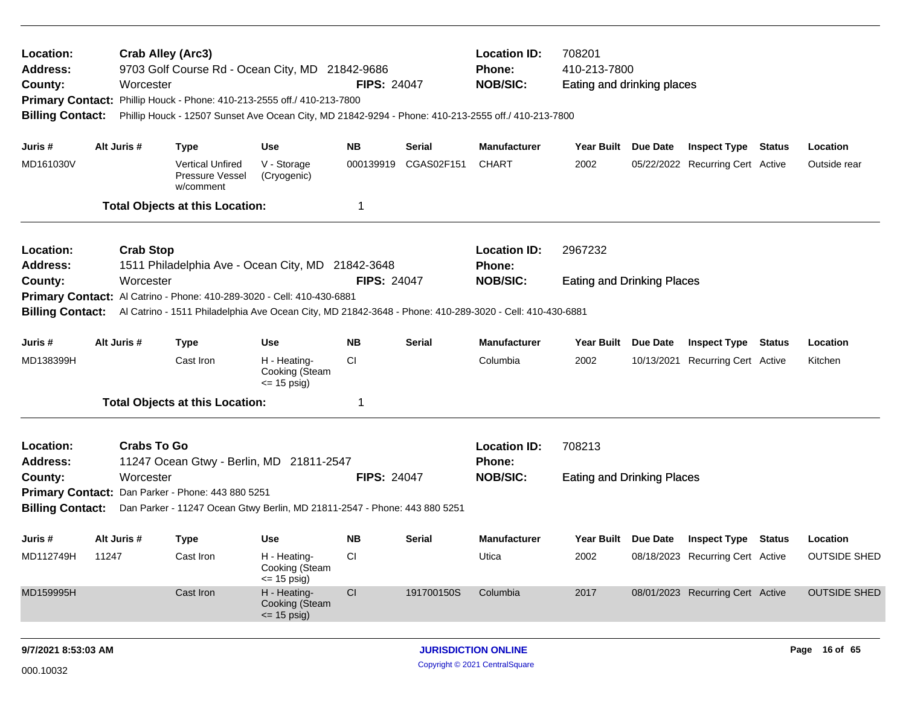| Location:<br>Address:<br>County:<br><b>Primary Contact:</b><br><b>Billing Contact:</b> |       | Worcester          | Crab Alley (Arc3)<br>9703 Golf Course Rd - Ocean City, MD 21842-9686<br>Phillip Houck - Phone: 410-213-2555 off./ 410-213-7800 |                                                | <b>FIPS: 24047</b>     |            | <b>Location ID:</b><br>708201<br>410-213-7800<br>Phone:<br><b>NOB/SIC:</b><br>Eating and drinking places<br>Phillip Houck - 12507 Sunset Ave Ocean City, MD 21842-9294 - Phone: 410-213-2555 off./ 410-213-7800 |                                   |          |                                  |  |                     |
|----------------------------------------------------------------------------------------|-------|--------------------|--------------------------------------------------------------------------------------------------------------------------------|------------------------------------------------|------------------------|------------|-----------------------------------------------------------------------------------------------------------------------------------------------------------------------------------------------------------------|-----------------------------------|----------|----------------------------------|--|---------------------|
| Juris #                                                                                |       | Alt Juris #        | <b>Type</b>                                                                                                                    | <b>Use</b>                                     | <b>NB</b>              | Serial     | <b>Manufacturer</b>                                                                                                                                                                                             | Year Built Due Date               |          | <b>Inspect Type Status</b>       |  | Location            |
| MD161030V                                                                              |       |                    | <b>Vertical Unfired</b><br>Pressure Vessel<br>w/comment                                                                        | V - Storage<br>(Cryogenic)                     | 000139919              | CGAS02F151 | <b>CHART</b>                                                                                                                                                                                                    | 2002                              |          | 05/22/2022 Recurring Cert Active |  | Outside rear        |
|                                                                                        |       |                    | <b>Total Objects at this Location:</b>                                                                                         |                                                | 1                      |            |                                                                                                                                                                                                                 |                                   |          |                                  |  |                     |
| Location:<br><b>Address:</b>                                                           |       | <b>Crab Stop</b>   | 1511 Philadelphia Ave - Ocean City, MD 21842-3648                                                                              |                                                |                        |            | <b>Location ID:</b><br><b>Phone:</b>                                                                                                                                                                            | 2967232                           |          |                                  |  |                     |
| County:                                                                                |       | Worcester          | Primary Contact: Al Catrino - Phone: 410-289-3020 - Cell: 410-430-6881                                                         |                                                | <b>FIPS: 24047</b>     |            | <b>NOB/SIC:</b>                                                                                                                                                                                                 | <b>Eating and Drinking Places</b> |          |                                  |  |                     |
|                                                                                        |       |                    | Billing Contact: Al Catrino - 1511 Philadelphia Ave Ocean City, MD 21842-3648 - Phone: 410-289-3020 - Cell: 410-430-6881       |                                                |                        |            |                                                                                                                                                                                                                 |                                   |          |                                  |  |                     |
| Juris #                                                                                |       | Alt Juris #        | <b>Type</b>                                                                                                                    | <b>Use</b>                                     | <b>NB</b>              | Serial     | <b>Manufacturer</b>                                                                                                                                                                                             | Year Built                        | Due Date | <b>Inspect Type Status</b>       |  | Location            |
| MD138399H                                                                              |       |                    | Cast Iron                                                                                                                      | H - Heating-<br>Cooking (Steam<br>$= 15$ psig) | <b>CI</b>              |            | Columbia                                                                                                                                                                                                        | 2002                              |          | 10/13/2021 Recurring Cert Active |  | Kitchen             |
|                                                                                        |       |                    | <b>Total Objects at this Location:</b>                                                                                         |                                                | 1                      |            |                                                                                                                                                                                                                 |                                   |          |                                  |  |                     |
| Location:<br>Address:                                                                  |       | <b>Crabs To Go</b> | 11247 Ocean Gtwy - Berlin, MD 21811-2547                                                                                       |                                                |                        |            | <b>Location ID:</b><br><b>Phone:</b>                                                                                                                                                                            | 708213                            |          |                                  |  |                     |
| County:                                                                                |       | Worcester          |                                                                                                                                |                                                | <b>FIPS: 24047</b>     |            | <b>NOB/SIC:</b>                                                                                                                                                                                                 | <b>Eating and Drinking Places</b> |          |                                  |  |                     |
| <b>Billing Contact:</b>                                                                |       |                    | Primary Contact: Dan Parker - Phone: 443 880 5251<br>Dan Parker - 11247 Ocean Gtwy Berlin, MD 21811-2547 - Phone: 443 880 5251 |                                                |                        |            |                                                                                                                                                                                                                 |                                   |          |                                  |  |                     |
| Juris #                                                                                |       | Alt Juris #        | <b>Type</b>                                                                                                                    | Use                                            | <b>NB</b>              | Serial     | <b>Manufacturer</b>                                                                                                                                                                                             | Year Built Due Date               |          | <b>Inspect Type Status</b>       |  | Location            |
| MD112749H                                                                              | 11247 |                    | Cast Iron                                                                                                                      | H - Heating-<br>Cooking (Steam<br>$= 15$ psig) | CI.                    |            | Utica                                                                                                                                                                                                           | 2002                              |          | 08/18/2023 Recurring Cert Active |  | <b>OUTSIDE SHED</b> |
| MD159995H                                                                              |       |                    | Cast Iron                                                                                                                      | H - Heating-<br>Cooking (Steam<br>$= 15$ psig) | $\mathsf{C}\mathsf{I}$ | 191700150S | Columbia                                                                                                                                                                                                        | 2017                              |          | 08/01/2023 Recurring Cert Active |  | <b>OUTSIDE SHED</b> |
| 9/7/2021 8:53:03 AM                                                                    |       |                    |                                                                                                                                |                                                |                        |            | <b>JURISDICTION ONLINE</b>                                                                                                                                                                                      |                                   |          |                                  |  | Page 16 of 65       |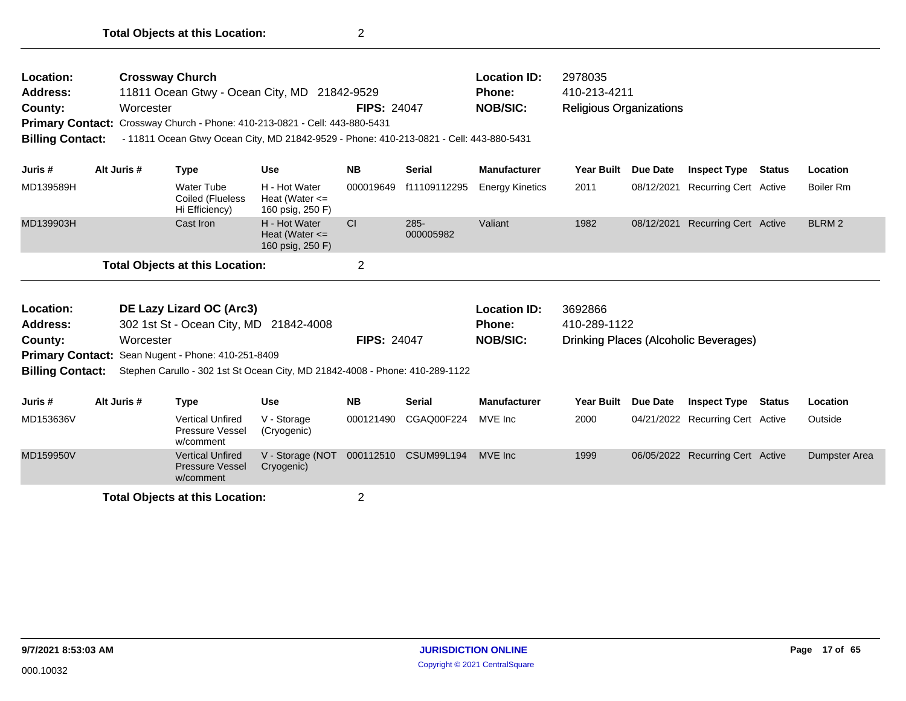| Location:<br><b>Address:</b><br>County:<br><b>Billing Contact:</b> |                                                                                                                                       | <b>Crossway Church</b><br>Worcester |                                                                | 11811 Ocean Gtwy - Ocean City, MD 21842-9529<br>Primary Contact: Crossway Church - Phone: 410-213-0821 - Cell: 443-880-5431 | Phone:<br><b>FIPS: 24047</b><br>- 11811 Ocean Gtwy Ocean City, MD 21842-9529 - Phone: 410-213-0821 - Cell: 443-880-5431 |                      |                                                         | <b>Location ID:</b><br>2978035<br>410-213-4211<br><b>NOB/SIC:</b><br><b>Religious Organizations</b> |            |                                       |        |                   |
|--------------------------------------------------------------------|---------------------------------------------------------------------------------------------------------------------------------------|-------------------------------------|----------------------------------------------------------------|-----------------------------------------------------------------------------------------------------------------------------|-------------------------------------------------------------------------------------------------------------------------|----------------------|---------------------------------------------------------|-----------------------------------------------------------------------------------------------------|------------|---------------------------------------|--------|-------------------|
| Juris #                                                            |                                                                                                                                       | Alt Juris #                         | <b>Type</b>                                                    | <b>Use</b>                                                                                                                  | <b>NB</b>                                                                                                               | <b>Serial</b>        | <b>Manufacturer</b>                                     | <b>Year Built</b>                                                                                   | Due Date   | <b>Inspect Type Status</b>            |        | Location          |
| MD139589H                                                          |                                                                                                                                       |                                     | <b>Water Tube</b><br>Coiled (Flueless<br>Hi Efficiency)        | H - Hot Water<br>Heat (Water $\leq$<br>160 psig, 250 F)                                                                     | 000019649                                                                                                               | f11109112295         | <b>Energy Kinetics</b>                                  | 2011                                                                                                | 08/12/2021 | <b>Recurring Cert Active</b>          |        | Boiler Rm         |
| MD139903H                                                          |                                                                                                                                       |                                     | Cast Iron                                                      | H - Hot Water<br>Heat (Water $\leq$<br>160 psig, 250 F)                                                                     | <b>CI</b>                                                                                                               | $285 -$<br>000005982 | Valiant                                                 | 1982                                                                                                | 08/12/2021 | <b>Recurring Cert Active</b>          |        | BLRM <sub>2</sub> |
|                                                                    |                                                                                                                                       |                                     | <b>Total Objects at this Location:</b>                         |                                                                                                                             | $\mathbf 2$                                                                                                             |                      |                                                         |                                                                                                     |            |                                       |        |                   |
| Location:<br><b>Address:</b><br>County:                            | DE Lazy Lizard OC (Arc3)<br>302 1st St - Ocean City, MD 21842-4008<br>Worcester<br>Primary Contact: Sean Nugent - Phone: 410-251-8409 |                                     |                                                                |                                                                                                                             | <b>FIPS: 24047</b>                                                                                                      |                      | <b>Location ID:</b><br><b>Phone:</b><br><b>NOB/SIC:</b> | 3692866<br>410-289-1122                                                                             |            | Drinking Places (Alcoholic Beverages) |        |                   |
| <b>Billing Contact:</b>                                            |                                                                                                                                       |                                     |                                                                | Stephen Carullo - 302 1st St Ocean City, MD 21842-4008 - Phone: 410-289-1122                                                |                                                                                                                         |                      |                                                         |                                                                                                     |            |                                       |        |                   |
| Juris #                                                            |                                                                                                                                       | Alt Juris #                         | <b>Type</b>                                                    | <b>Use</b>                                                                                                                  | <b>NB</b>                                                                                                               | <b>Serial</b>        | <b>Manufacturer</b>                                     | <b>Year Built</b>                                                                                   | Due Date   | <b>Inspect Type</b>                   | Status | Location          |
| MD153636V                                                          |                                                                                                                                       |                                     | <b>Vertical Unfired</b><br>Pressure Vessel<br>w/comment        | V - Storage<br>(Cryogenic)                                                                                                  | 000121490                                                                                                               | CGAQ00F224           | MVE Inc                                                 | 2000                                                                                                |            | 04/21/2022 Recurring Cert Active      |        | Outside           |
| MD159950V                                                          |                                                                                                                                       |                                     | <b>Vertical Unfired</b><br><b>Pressure Vessel</b><br>w/comment | V - Storage (NOT<br>Cryogenic)                                                                                              | 000112510                                                                                                               | <b>CSUM99L194</b>    | MVE Inc                                                 | 1999                                                                                                |            | 06/05/2022 Recurring Cert Active      |        | Dumpster Area     |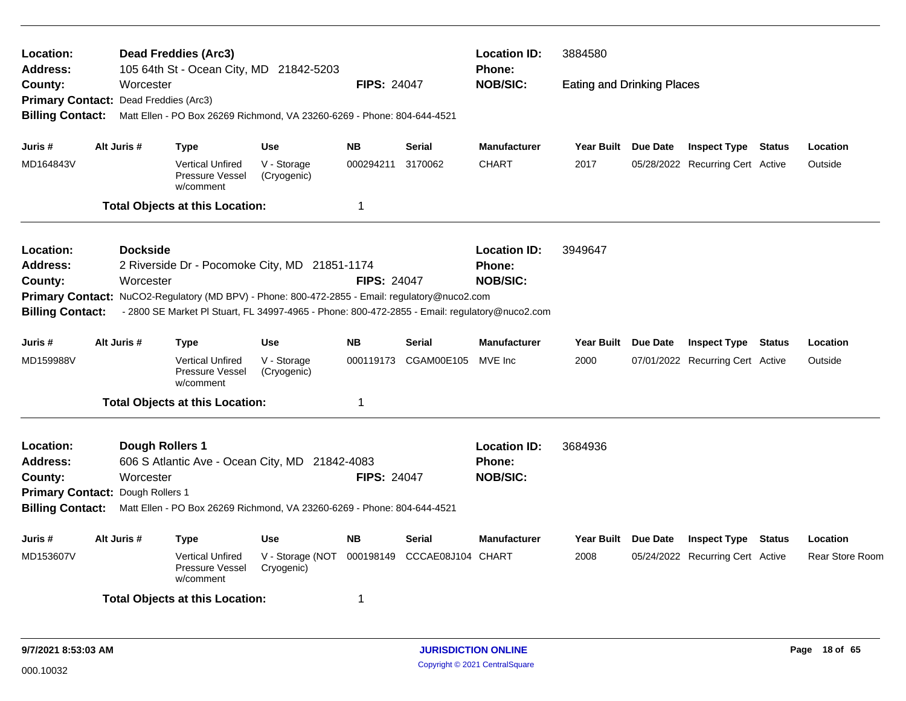| Location:<br><b>Address:</b>          |                                  |                 | <b>Dead Freddies (Arc3)</b><br>105 64th St - Ocean City, MD 21842-5203                         |                                |                    |                   | <b>Location ID:</b><br><b>Phone:</b> | 3884580                           |          |                                  |               |                        |  |
|---------------------------------------|----------------------------------|-----------------|------------------------------------------------------------------------------------------------|--------------------------------|--------------------|-------------------|--------------------------------------|-----------------------------------|----------|----------------------------------|---------------|------------------------|--|
| County:                               |                                  | Worcester       |                                                                                                |                                | <b>FIPS: 24047</b> |                   | <b>NOB/SIC:</b>                      | <b>Eating and Drinking Places</b> |          |                                  |               |                        |  |
| Primary Contact: Dead Freddies (Arc3) |                                  |                 |                                                                                                |                                |                    |                   |                                      |                                   |          |                                  |               |                        |  |
| <b>Billing Contact:</b>               |                                  |                 | Matt Ellen - PO Box 26269 Richmond, VA 23260-6269 - Phone: 804-644-4521                        |                                |                    |                   |                                      |                                   |          |                                  |               |                        |  |
| Juris #                               | Alt Juris #                      |                 | <b>Type</b>                                                                                    | Use                            | <b>NB</b>          | <b>Serial</b>     | <b>Manufacturer</b>                  | Year Built Due Date               |          | <b>Inspect Type Status</b>       |               | Location               |  |
| MD164843V                             |                                  |                 | <b>Vertical Unfired</b><br>Pressure Vessel<br>w/comment                                        | V - Storage<br>(Cryogenic)     | 000294211          | 3170062           | <b>CHART</b>                         | 2017                              |          | 05/28/2022 Recurring Cert Active |               | Outside                |  |
|                                       |                                  |                 | <b>Total Objects at this Location:</b>                                                         |                                | 1                  |                   |                                      |                                   |          |                                  |               |                        |  |
| Location:                             |                                  | <b>Dockside</b> |                                                                                                |                                |                    |                   | <b>Location ID:</b>                  | 3949647                           |          |                                  |               |                        |  |
| Address:                              |                                  |                 | 2 Riverside Dr - Pocomoke City, MD 21851-1174                                                  |                                |                    |                   | Phone:                               |                                   |          |                                  |               |                        |  |
| <b>County:</b>                        | Worcester                        |                 |                                                                                                |                                | <b>FIPS: 24047</b> |                   | <b>NOB/SIC:</b>                      |                                   |          |                                  |               |                        |  |
|                                       |                                  |                 | Primary Contact: NuCO2-Regulatory (MD BPV) - Phone: 800-472-2855 - Email: regulatory@nuco2.com |                                |                    |                   |                                      |                                   |          |                                  |               |                        |  |
| <b>Billing Contact:</b>               |                                  |                 | - 2800 SE Market PI Stuart, FL 34997-4965 - Phone: 800-472-2855 - Email: regulatory@nuco2.com  |                                |                    |                   |                                      |                                   |          |                                  |               |                        |  |
| Juris #                               | Alt Juris #                      |                 | Type                                                                                           | Use                            | NΒ                 | Serial            | <b>Manufacturer</b>                  | Year Built Due Date               |          | <b>Inspect Type Status</b>       |               | Location               |  |
| MD159988V                             |                                  |                 | <b>Vertical Unfired</b><br>Pressure Vessel<br>w/comment                                        | V - Storage<br>(Cryogenic)     | 000119173          | CGAM00E105        | MVE Inc                              | 2000                              |          | 07/01/2022 Recurring Cert Active |               | Outside                |  |
|                                       |                                  |                 | <b>Total Objects at this Location:</b>                                                         |                                | 1                  |                   |                                      |                                   |          |                                  |               |                        |  |
| Location:                             |                                  |                 | Dough Rollers 1                                                                                |                                |                    |                   | <b>Location ID:</b>                  | 3684936                           |          |                                  |               |                        |  |
| Address:                              |                                  |                 | 606 S Atlantic Ave - Ocean City, MD 21842-4083                                                 |                                |                    |                   | Phone:                               |                                   |          |                                  |               |                        |  |
| County:                               |                                  | Worcester       |                                                                                                |                                | <b>FIPS: 24047</b> |                   | <b>NOB/SIC:</b>                      |                                   |          |                                  |               |                        |  |
|                                       | Primary Contact: Dough Rollers 1 |                 |                                                                                                |                                |                    |                   |                                      |                                   |          |                                  |               |                        |  |
| <b>Billing Contact:</b>               |                                  |                 | Matt Ellen - PO Box 26269 Richmond, VA 23260-6269 - Phone: 804-644-4521                        |                                |                    |                   |                                      |                                   |          |                                  |               |                        |  |
| Juris #                               | Alt Juris #                      |                 | Type                                                                                           | <b>Use</b>                     | <b>NB</b>          | <b>Serial</b>     | <b>Manufacturer</b>                  | Year Built                        | Due Date | <b>Inspect Type</b>              | <b>Status</b> | Location               |  |
| MD153607V                             |                                  |                 | <b>Vertical Unfired</b><br>Pressure Vessel<br>w/comment                                        | V - Storage (NOT<br>Cryogenic) | 000198149          | CCCAE08J104 CHART |                                      | 2008                              |          | 05/24/2022 Recurring Cert Active |               | <b>Rear Store Room</b> |  |
|                                       |                                  |                 | <b>Total Objects at this Location:</b>                                                         |                                | 1                  |                   |                                      |                                   |          |                                  |               |                        |  |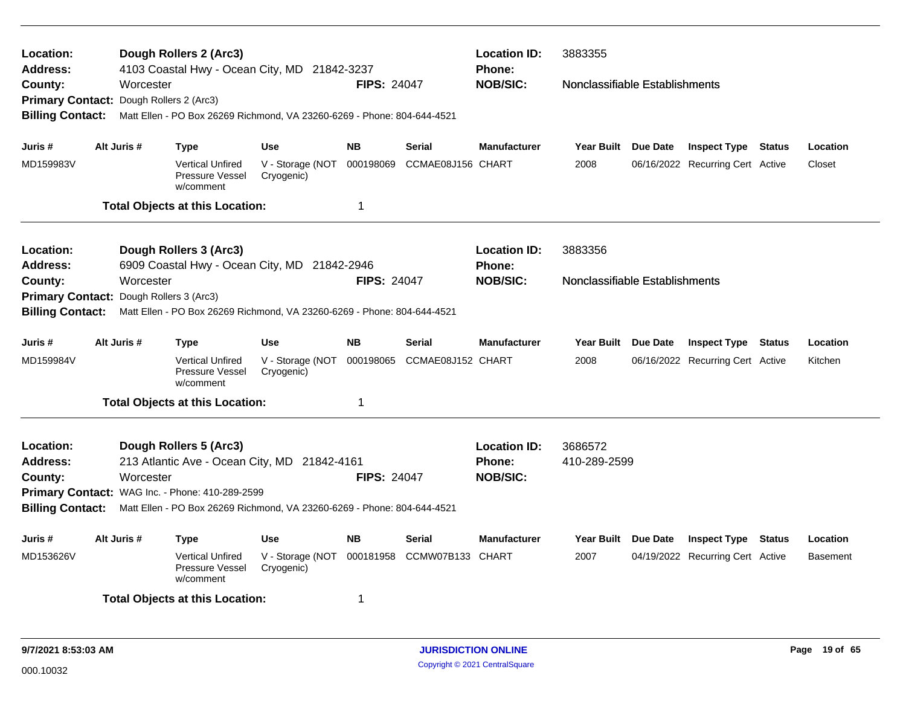| Location:<br>Address:                   |                                                                                                                            |                        | Dough Rollers 2 (Arc3)<br>4103 Coastal Hwy - Ocean City, MD 21842-3237  |                                          |                    |                   | <b>Location ID:</b><br><b>Phone:</b> | 3883355                                                                                                                                                |                 |                                  |  |                 |  |
|-----------------------------------------|----------------------------------------------------------------------------------------------------------------------------|------------------------|-------------------------------------------------------------------------|------------------------------------------|--------------------|-------------------|--------------------------------------|--------------------------------------------------------------------------------------------------------------------------------------------------------|-----------------|----------------------------------|--|-----------------|--|
| County:                                 |                                                                                                                            | Worcester              |                                                                         |                                          | <b>FIPS: 24047</b> |                   | <b>NOB/SIC:</b>                      | Nonclassifiable Establishments                                                                                                                         |                 |                                  |  |                 |  |
| <b>Primary Contact:</b>                 |                                                                                                                            | Dough Rollers 2 (Arc3) |                                                                         |                                          |                    |                   |                                      |                                                                                                                                                        |                 |                                  |  |                 |  |
| <b>Billing Contact:</b>                 |                                                                                                                            |                        | Matt Ellen - PO Box 26269 Richmond, VA 23260-6269 - Phone: 804-644-4521 |                                          |                    |                   |                                      |                                                                                                                                                        |                 |                                  |  |                 |  |
| Juris #                                 |                                                                                                                            | Alt Juris #            | <b>Type</b>                                                             | <b>Use</b>                               | <b>NB</b>          | Serial            | <b>Manufacturer</b>                  | Year Built Due Date                                                                                                                                    |                 | <b>Inspect Type Status</b>       |  | Location        |  |
| MD159983V                               |                                                                                                                            |                        | <b>Vertical Unfired</b><br>Pressure Vessel<br>w/comment                 | V - Storage (NOT 000198069<br>Cryogenic) |                    | CCMAE08J156 CHART |                                      | 2008                                                                                                                                                   |                 | 06/16/2022 Recurring Cert Active |  | Closet          |  |
|                                         |                                                                                                                            |                        | <b>Total Objects at this Location:</b>                                  |                                          | 1                  |                   |                                      |                                                                                                                                                        |                 |                                  |  |                 |  |
| Location:                               |                                                                                                                            |                        | Dough Rollers 3 (Arc3)                                                  |                                          |                    |                   | <b>Location ID:</b>                  | 3883356                                                                                                                                                |                 |                                  |  |                 |  |
| <b>Address:</b>                         |                                                                                                                            |                        | 6909 Coastal Hwy - Ocean City, MD 21842-2946                            |                                          |                    |                   | <b>Phone:</b>                        |                                                                                                                                                        |                 |                                  |  |                 |  |
| County:                                 |                                                                                                                            | Worcester              |                                                                         |                                          | <b>FIPS: 24047</b> |                   | <b>NOB/SIC:</b>                      | Nonclassifiable Establishments<br>Year Built Due Date<br><b>Inspect Type Status</b><br>Location<br>2008<br>06/16/2022 Recurring Cert Active<br>Kitchen |                 |                                  |  |                 |  |
| Primary Contact: Dough Rollers 3 (Arc3) |                                                                                                                            |                        |                                                                         |                                          |                    |                   |                                      |                                                                                                                                                        |                 |                                  |  |                 |  |
| <b>Billing Contact:</b>                 |                                                                                                                            |                        | Matt Ellen - PO Box 26269 Richmond, VA 23260-6269 - Phone: 804-644-4521 |                                          |                    |                   |                                      |                                                                                                                                                        |                 |                                  |  |                 |  |
| Juris #                                 |                                                                                                                            | Alt Juris #            | Type                                                                    | Use                                      | <b>NB</b>          | <b>Serial</b>     | <b>Manufacturer</b>                  |                                                                                                                                                        |                 |                                  |  |                 |  |
| MD159984V                               |                                                                                                                            |                        | Vertical Unfired<br>Pressure Vessel<br>w/comment                        | V - Storage (NOT 000198065<br>Cryogenic) |                    | CCMAE08J152 CHART |                                      |                                                                                                                                                        |                 |                                  |  |                 |  |
|                                         |                                                                                                                            |                        | <b>Total Objects at this Location:</b>                                  |                                          | $\mathbf{1}$       |                   |                                      |                                                                                                                                                        |                 |                                  |  |                 |  |
| Location:                               |                                                                                                                            |                        | Dough Rollers 5 (Arc3)                                                  |                                          |                    |                   | <b>Location ID:</b>                  | 3686572                                                                                                                                                |                 |                                  |  |                 |  |
| Address:                                |                                                                                                                            |                        | 213 Atlantic Ave - Ocean City, MD 21842-4161                            |                                          |                    |                   | <b>Phone:</b>                        | 410-289-2599                                                                                                                                           |                 |                                  |  |                 |  |
| County:                                 |                                                                                                                            | Worcester              |                                                                         |                                          | <b>FIPS: 24047</b> |                   | <b>NOB/SIC:</b>                      |                                                                                                                                                        |                 |                                  |  |                 |  |
|                                         |                                                                                                                            |                        |                                                                         |                                          |                    |                   |                                      |                                                                                                                                                        |                 |                                  |  |                 |  |
| <b>Billing Contact:</b>                 | Primary Contact: WAG Inc. - Phone: 410-289-2599<br>Matt Ellen - PO Box 26269 Richmond, VA 23260-6269 - Phone: 804-644-4521 |                        |                                                                         |                                          |                    |                   |                                      |                                                                                                                                                        |                 |                                  |  |                 |  |
|                                         |                                                                                                                            |                        |                                                                         |                                          |                    |                   |                                      |                                                                                                                                                        |                 |                                  |  |                 |  |
| Juris #                                 |                                                                                                                            | Alt Juris #            | <b>Type</b>                                                             | Use                                      | <b>NB</b>          | <b>Serial</b>     | <b>Manufacturer</b>                  | Year Built                                                                                                                                             | <b>Due Date</b> | <b>Inspect Type Status</b>       |  | Location        |  |
| MD153626V                               |                                                                                                                            |                        | <b>Vertical Unfired</b><br>Pressure Vessel<br>w/comment                 | V - Storage (NOT 000181958<br>Cryogenic) |                    | CCMW07B133 CHART  |                                      | 2007                                                                                                                                                   |                 | 04/19/2022 Recurring Cert Active |  | <b>Basement</b> |  |
|                                         |                                                                                                                            |                        | <b>Total Objects at this Location:</b>                                  |                                          | 1                  |                   |                                      |                                                                                                                                                        |                 |                                  |  |                 |  |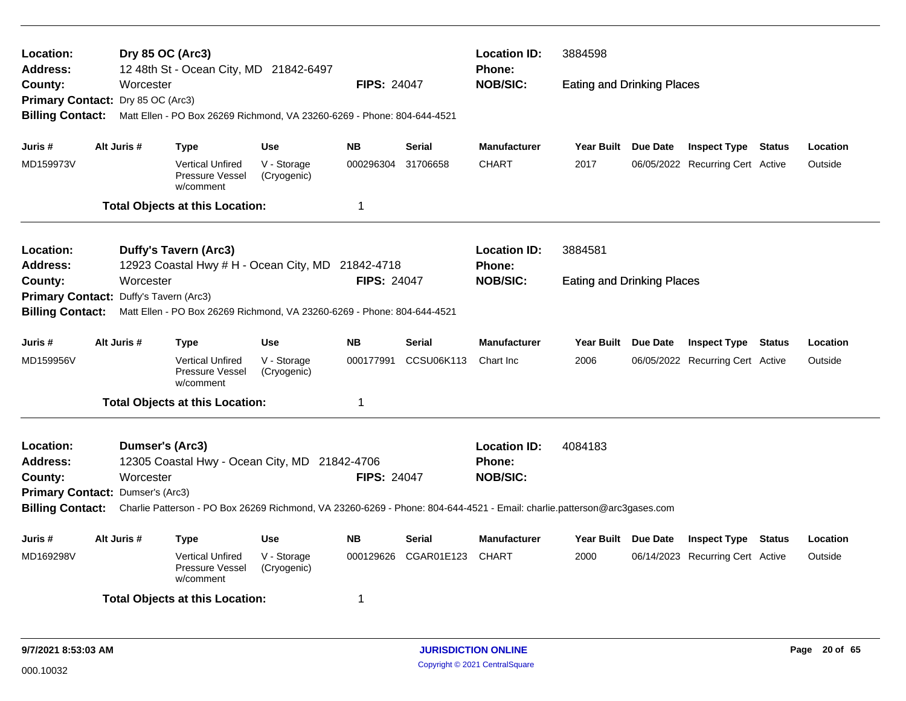| Location:<br><b>Address:</b>                      |  | Dry 85 OC (Arc3) | 12 48th St - Ocean City, MD 21842-6497                                  |                            |                    |               | <b>Location ID:</b><br>Phone:                                                                                           | 3884598                           |                 |                                  |               |          |  |
|---------------------------------------------------|--|------------------|-------------------------------------------------------------------------|----------------------------|--------------------|---------------|-------------------------------------------------------------------------------------------------------------------------|-----------------------------------|-----------------|----------------------------------|---------------|----------|--|
| County:<br>Primary Contact: Dry 85 OC (Arc3)      |  | Worcester        |                                                                         |                            | <b>FIPS: 24047</b> |               | <b>NOB/SIC:</b>                                                                                                         | <b>Eating and Drinking Places</b> |                 |                                  |               |          |  |
| <b>Billing Contact:</b>                           |  |                  | Matt Ellen - PO Box 26269 Richmond, VA 23260-6269 - Phone: 804-644-4521 |                            |                    |               |                                                                                                                         |                                   |                 |                                  |               |          |  |
| Juris #                                           |  | Alt Juris #      | <b>Type</b>                                                             | <b>Use</b>                 | <b>NB</b>          | <b>Serial</b> | <b>Manufacturer</b>                                                                                                     | Year Built Due Date               |                 | <b>Inspect Type Status</b>       |               | Location |  |
| MD159973V                                         |  |                  | <b>Vertical Unfired</b><br>Pressure Vessel<br>w/comment                 | V - Storage<br>(Cryogenic) | 000296304          | 31706658      | <b>CHART</b>                                                                                                            | 2017                              |                 | 06/05/2022 Recurring Cert Active |               | Outside  |  |
|                                                   |  |                  | <b>Total Objects at this Location:</b>                                  |                            | 1                  |               |                                                                                                                         |                                   |                 |                                  |               |          |  |
| Location:                                         |  |                  | <b>Duffy's Tavern (Arc3)</b>                                            |                            |                    |               | <b>Location ID:</b>                                                                                                     | 3884581                           |                 |                                  |               |          |  |
| Address:                                          |  |                  | 12923 Coastal Hwy # H - Ocean City, MD 21842-4718                       |                            |                    |               | <b>Phone:</b>                                                                                                           |                                   |                 |                                  |               |          |  |
| County:<br>Primary Contact: Duffy's Tavern (Arc3) |  | Worcester        |                                                                         |                            | <b>FIPS: 24047</b> |               | <b>NOB/SIC:</b>                                                                                                         | <b>Eating and Drinking Places</b> |                 |                                  |               |          |  |
| <b>Billing Contact:</b>                           |  |                  | Matt Ellen - PO Box 26269 Richmond, VA 23260-6269 - Phone: 804-644-4521 |                            |                    |               |                                                                                                                         |                                   |                 |                                  |               |          |  |
| Juris #                                           |  | Alt Juris #      | Type                                                                    | <b>Use</b>                 | <b>NB</b>          | <b>Serial</b> | <b>Manufacturer</b>                                                                                                     | Year Built                        | <b>Due Date</b> | <b>Inspect Type</b>              | <b>Status</b> | Location |  |
| MD159956V                                         |  |                  | <b>Vertical Unfired</b><br><b>Pressure Vessel</b><br>w/comment          | V - Storage<br>(Cryogenic) | 000177991          | CCSU06K113    | Chart Inc                                                                                                               | 2006                              |                 | 06/05/2022 Recurring Cert Active |               | Outside  |  |
|                                                   |  |                  | <b>Total Objects at this Location:</b>                                  |                            | 1                  |               |                                                                                                                         |                                   |                 |                                  |               |          |  |
| Location:<br>Address:                             |  | Dumser's (Arc3)  | 12305 Coastal Hwy - Ocean City, MD 21842-4706                           |                            |                    |               | <b>Location ID:</b><br><b>Phone:</b>                                                                                    | 4084183                           |                 |                                  |               |          |  |
| County:                                           |  | Worcester        |                                                                         |                            | <b>FIPS: 24047</b> |               | <b>NOB/SIC:</b>                                                                                                         |                                   |                 |                                  |               |          |  |
| Primary Contact: Dumser's (Arc3)                  |  |                  |                                                                         |                            |                    |               |                                                                                                                         |                                   |                 |                                  |               |          |  |
| <b>Billing Contact:</b>                           |  |                  |                                                                         |                            |                    |               | Charlie Patterson - PO Box 26269 Richmond, VA 23260-6269 - Phone: 804-644-4521 - Email: charlie.patterson@arc3gases.com |                                   |                 |                                  |               |          |  |
| Juris #                                           |  | Alt Juris #      | <b>Type</b>                                                             | <b>Use</b>                 | <b>NB</b>          | Serial        | <b>Manufacturer</b>                                                                                                     | Year Built Due Date               |                 | <b>Inspect Type</b>              | <b>Status</b> | Location |  |
| MD169298V                                         |  |                  | <b>Vertical Unfired</b><br><b>Pressure Vessel</b><br>w/comment          | V - Storage<br>(Cryogenic) | 000129626          | CGAR01E123    | <b>CHART</b>                                                                                                            | 2000                              |                 | 06/14/2023 Recurring Cert Active |               | Outside  |  |
|                                                   |  |                  | <b>Total Objects at this Location:</b>                                  |                            | 1                  |               |                                                                                                                         |                                   |                 |                                  |               |          |  |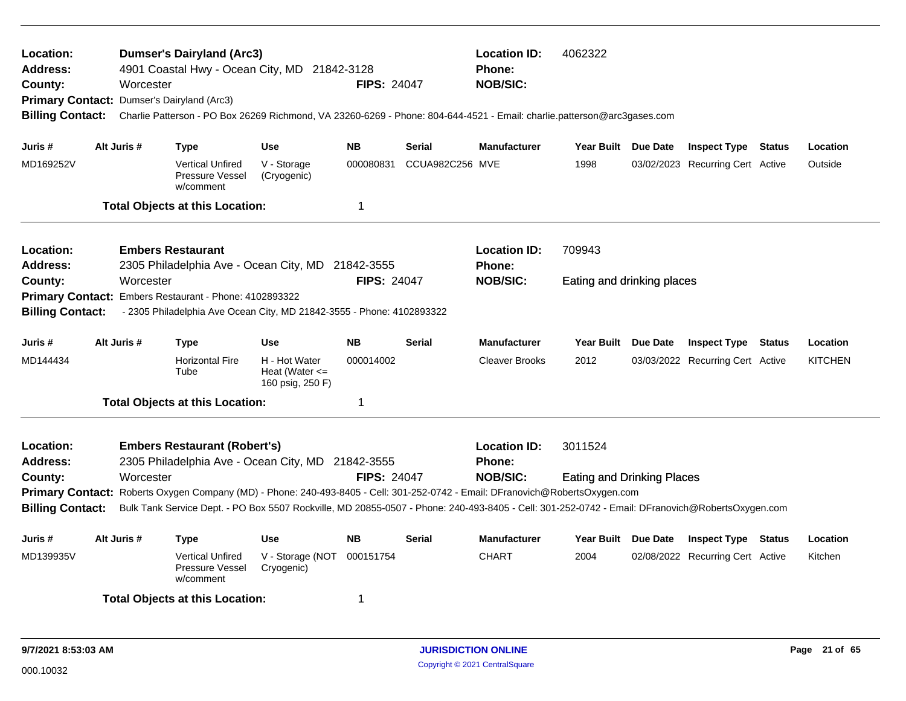| Location:<br>Address:<br>County:<br>Primary Contact: Dumser's Dairyland (Arc3)<br><b>Billing Contact:</b>                                                                                                                                                                                                                                                 |                                                                                                                                                                                               | Worcester | <b>Dumser's Dairyland (Arc3)</b>                               | 4901 Coastal Hwy - Ocean City, MD 21842-3128<br>Charlie Patterson - PO Box 26269 Richmond, VA 23260-6269 - Phone: 804-644-4521 - Email: charlie.patterson@arc3gases.com | <b>FIPS: 24047</b> |                                   | <b>Location ID:</b><br><b>Phone:</b><br><b>NOB/SIC:</b> | 4062322                    |                                  |                |
|-----------------------------------------------------------------------------------------------------------------------------------------------------------------------------------------------------------------------------------------------------------------------------------------------------------------------------------------------------------|-----------------------------------------------------------------------------------------------------------------------------------------------------------------------------------------------|-----------|----------------------------------------------------------------|-------------------------------------------------------------------------------------------------------------------------------------------------------------------------|--------------------|-----------------------------------|---------------------------------------------------------|----------------------------|----------------------------------|----------------|
| Juris #                                                                                                                                                                                                                                                                                                                                                   | Alt Juris #                                                                                                                                                                                   |           | <b>Type</b>                                                    | <b>Use</b>                                                                                                                                                              | <b>NB</b>          | Serial                            | <b>Manufacturer</b>                                     | Year Built Due Date        | <b>Inspect Type Status</b>       | Location       |
| MD169252V                                                                                                                                                                                                                                                                                                                                                 |                                                                                                                                                                                               |           | <b>Vertical Unfired</b><br><b>Pressure Vessel</b><br>w/comment | V - Storage<br>(Cryogenic)                                                                                                                                              | 000080831          | CCUA982C256 MVE                   |                                                         | 1998                       | 03/02/2023 Recurring Cert Active | Outside        |
|                                                                                                                                                                                                                                                                                                                                                           |                                                                                                                                                                                               |           | <b>Total Objects at this Location:</b>                         |                                                                                                                                                                         | 1                  |                                   |                                                         |                            |                                  |                |
| Location:<br><b>Address:</b>                                                                                                                                                                                                                                                                                                                              |                                                                                                                                                                                               |           | <b>Embers Restaurant</b>                                       | 2305 Philadelphia Ave - Ocean City, MD 21842-3555                                                                                                                       |                    |                                   | <b>Location ID:</b><br><b>Phone:</b>                    | 709943                     |                                  |                |
| County:                                                                                                                                                                                                                                                                                                                                                   | <b>FIPS: 24047</b><br>Worcester<br>Primary Contact: Embers Restaurant - Phone: 4102893322<br><b>Billing Contact:</b><br>- 2305 Philadelphia Ave Ocean City, MD 21842-3555 - Phone: 4102893322 |           |                                                                |                                                                                                                                                                         |                    |                                   | <b>NOB/SIC:</b>                                         | Eating and drinking places |                                  |                |
| Juris #                                                                                                                                                                                                                                                                                                                                                   | Alt Juris #                                                                                                                                                                                   |           | <b>Type</b>                                                    | <b>Use</b>                                                                                                                                                              | <b>NB</b>          | Serial                            | <b>Manufacturer</b>                                     | Year Built Due Date        | <b>Inspect Type Status</b>       | Location       |
| MD144434                                                                                                                                                                                                                                                                                                                                                  |                                                                                                                                                                                               |           | <b>Horizontal Fire</b><br>Tube                                 | H - Hot Water<br>Heat (Water $\leq$<br>160 psig, 250 F)                                                                                                                 | 000014002          |                                   | <b>Cleaver Brooks</b>                                   | 2012                       | 03/03/2022 Recurring Cert Active | <b>KITCHEN</b> |
|                                                                                                                                                                                                                                                                                                                                                           |                                                                                                                                                                                               |           | <b>Total Objects at this Location:</b>                         |                                                                                                                                                                         | 1                  |                                   |                                                         |                            |                                  |                |
| Location:<br>Address:                                                                                                                                                                                                                                                                                                                                     |                                                                                                                                                                                               |           | <b>Embers Restaurant (Robert's)</b>                            | 2305 Philadelphia Ave - Ocean City, MD 21842-3555                                                                                                                       |                    |                                   | <b>Location ID:</b><br><b>Phone:</b><br><b>NOB/SIC:</b> | 3011524                    |                                  |                |
| <b>FIPS: 24047</b><br>Worcester<br>County:<br>Primary Contact: Roberts Oxygen Company (MD) - Phone: 240-493-8405 - Cell: 301-252-0742 - Email: DFranovich@RobertsOxygen.com<br><b>Billing Contact:</b><br>Bulk Tank Service Dept. - PO Box 5507 Rockville, MD 20855-0507 - Phone: 240-493-8405 - Cell: 301-252-0742 - Email: DFranovich@RobertsOxygen.com |                                                                                                                                                                                               |           |                                                                |                                                                                                                                                                         |                    | <b>Eating and Drinking Places</b> |                                                         |                            |                                  |                |
| Juris #                                                                                                                                                                                                                                                                                                                                                   | Alt Juris #                                                                                                                                                                                   |           | <b>Type</b>                                                    | <b>Use</b>                                                                                                                                                              | <b>NB</b>          | Serial                            | <b>Manufacturer</b>                                     | Year Built Due Date        | <b>Inspect Type Status</b>       | Location       |
| MD139935V                                                                                                                                                                                                                                                                                                                                                 |                                                                                                                                                                                               |           | <b>Vertical Unfired</b><br><b>Pressure Vessel</b><br>w/comment | V - Storage (NOT<br>Cryogenic)                                                                                                                                          | 000151754          |                                   | <b>CHART</b>                                            | 2004                       | 02/08/2022 Recurring Cert Active | Kitchen        |
|                                                                                                                                                                                                                                                                                                                                                           |                                                                                                                                                                                               |           | <b>Total Objects at this Location:</b>                         |                                                                                                                                                                         | 1                  |                                   |                                                         |                            |                                  |                |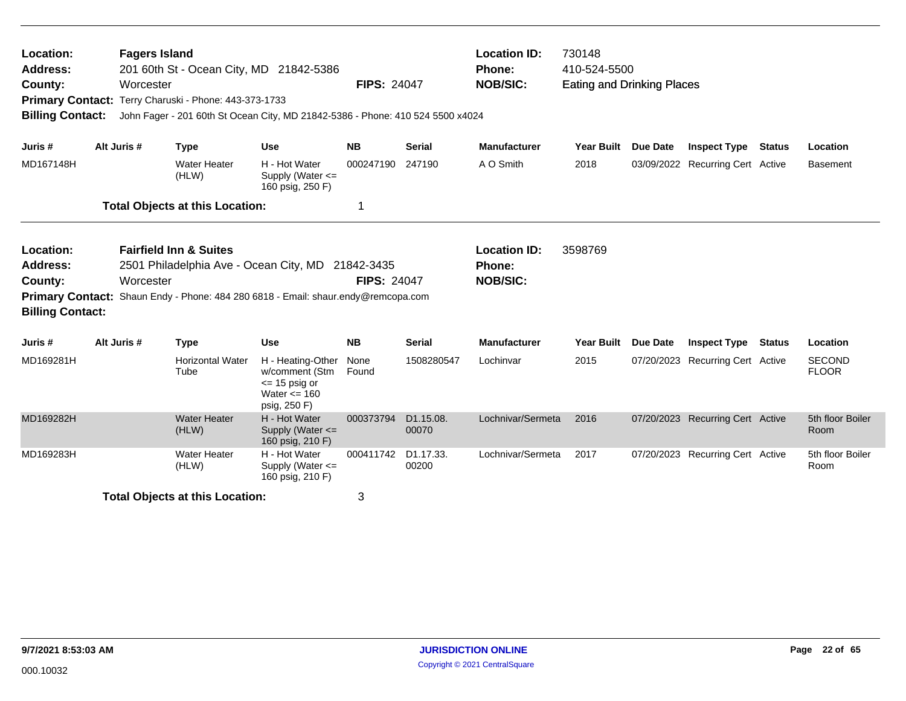| Location:<br>Address:<br>County:<br><b>Primary Contact:</b><br><b>Billing Contact:</b> |                                                                                                                                                                                                                               | <b>Fagers Island</b><br>Worcester | Terry Charuski - Phone: 443-373-1733   | 201 60th St - Ocean City, MD 21842-5386<br>John Fager - 201 60th St Ocean City, MD 21842-5386 - Phone: 410 524 5500 x4024 | <b>FIPS: 24047</b> |                                 | <b>Location ID:</b><br><b>Phone:</b><br><b>NOB/SIC:</b> | 730148<br>410-524-5500<br><b>Eating and Drinking Places</b> |                 |                                  |               |                               |
|----------------------------------------------------------------------------------------|-------------------------------------------------------------------------------------------------------------------------------------------------------------------------------------------------------------------------------|-----------------------------------|----------------------------------------|---------------------------------------------------------------------------------------------------------------------------|--------------------|---------------------------------|---------------------------------------------------------|-------------------------------------------------------------|-----------------|----------------------------------|---------------|-------------------------------|
| Juris #                                                                                | Alt Juris #                                                                                                                                                                                                                   |                                   | <b>Type</b>                            | Use                                                                                                                       | <b>NB</b>          | <b>Serial</b>                   | <b>Manufacturer</b>                                     | Year Built                                                  | <b>Due Date</b> | <b>Inspect Type</b>              | <b>Status</b> | Location                      |
| MD167148H                                                                              |                                                                                                                                                                                                                               |                                   | <b>Water Heater</b><br>(HLW)           | H - Hot Water<br>Supply (Water <=<br>160 psig, 250 F)                                                                     | 000247190          | 247190                          | A O Smith                                               | 2018                                                        |                 | 03/09/2022 Recurring Cert Active |               | <b>Basement</b>               |
|                                                                                        |                                                                                                                                                                                                                               |                                   | <b>Total Objects at this Location:</b> |                                                                                                                           | 1                  |                                 |                                                         |                                                             |                 |                                  |               |                               |
| Location:<br><b>Address:</b><br>County:                                                | <b>Fairfield Inn &amp; Suites</b><br>2501 Philadelphia Ave - Ocean City, MD 21842-3435<br>Worcester<br><b>Primary Contact:</b><br>Shaun Endy - Phone: 484 280 6818 - Email: shaur.endy@remcopa.com<br><b>Billing Contact:</b> |                                   |                                        |                                                                                                                           | <b>FIPS: 24047</b> |                                 | <b>Location ID:</b><br>Phone:<br><b>NOB/SIC:</b>        | 3598769                                                     |                 |                                  |               |                               |
| Juris #                                                                                | Alt Juris #                                                                                                                                                                                                                   |                                   | <b>Type</b>                            | <b>Use</b>                                                                                                                | <b>NB</b>          | <b>Serial</b>                   | <b>Manufacturer</b>                                     | Year Built Due Date                                         |                 | <b>Inspect Type Status</b>       |               | Location                      |
| MD169281H                                                                              |                                                                                                                                                                                                                               |                                   | <b>Horizontal Water</b><br>Tube        | H - Heating-Other<br>w/comment (Stm<br>$\le$ 15 psig or<br>Water $\leq$ 160<br>psig, 250 F)                               | None<br>Found      | 1508280547                      | Lochinvar                                               | 2015                                                        |                 | 07/20/2023 Recurring Cert Active |               | <b>SECOND</b><br><b>FLOOR</b> |
| MD169282H                                                                              |                                                                                                                                                                                                                               |                                   | <b>Water Heater</b><br>(HLW)           | H - Hot Water<br>Supply (Water <=<br>160 psig, 210 F)                                                                     | 000373794          | D1.15.08.<br>00070              | Lochnivar/Sermeta                                       | 2016                                                        |                 | 07/20/2023 Recurring Cert Active |               | 5th floor Boiler<br>Room      |
| MD169283H                                                                              |                                                                                                                                                                                                                               |                                   | <b>Water Heater</b><br>(HLW)           | H - Hot Water<br>Supply (Water <=<br>160 psig, 210 F)                                                                     | 000411742          | D <sub>1.17.33</sub> .<br>00200 | Lochnivar/Sermeta                                       | 2017                                                        |                 | 07/20/2023 Recurring Cert Active |               | 5th floor Boiler<br>Room      |
|                                                                                        |                                                                                                                                                                                                                               |                                   | <b>Total Objects at this Location:</b> |                                                                                                                           | 3                  |                                 |                                                         |                                                             |                 |                                  |               |                               |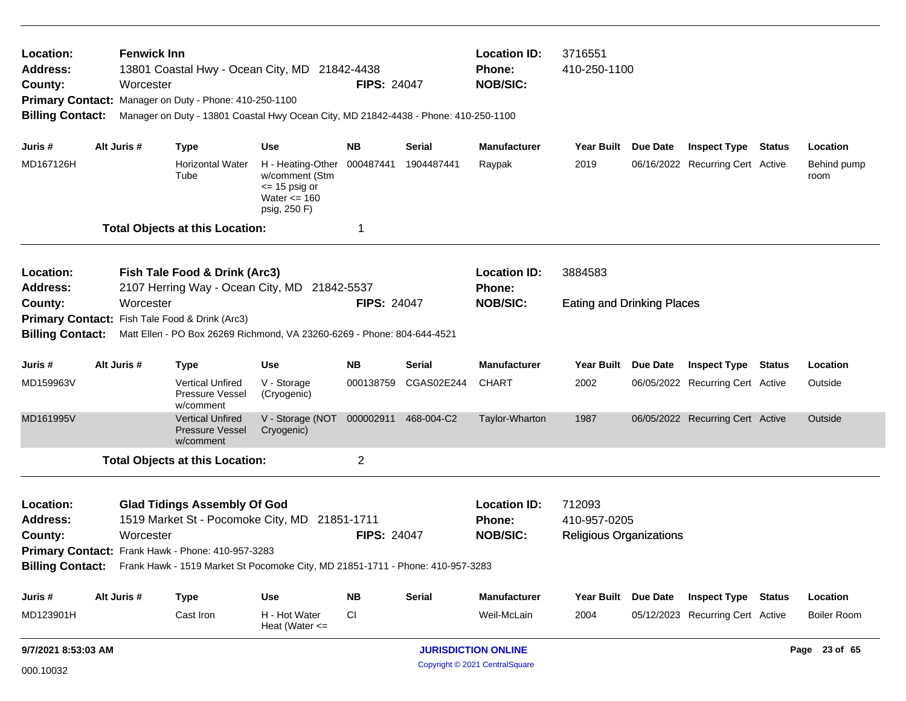| Location:<br><b>Address:</b><br>County:<br><b>Billing Contact:</b> |                                                   | <b>Fenwick Inn</b><br>Worcester | 13801 Coastal Hwy - Ocean City, MD 21842-4438<br>Primary Contact: Manager on Duty - Phone: 410-250-1100<br>Manager on Duty - 13801 Coastal Hwy Ocean City, MD 21842-4438 - Phone: 410-250-1100 |                                                                                                       | <b>FIPS: 24047</b> |                      | <b>Location ID:</b><br><b>Phone:</b><br><b>NOB/SIC:</b> | 3716551<br>410-250-1100           |                 |                                  |  |                     |
|--------------------------------------------------------------------|---------------------------------------------------|---------------------------------|------------------------------------------------------------------------------------------------------------------------------------------------------------------------------------------------|-------------------------------------------------------------------------------------------------------|--------------------|----------------------|---------------------------------------------------------|-----------------------------------|-----------------|----------------------------------|--|---------------------|
| Juris #                                                            |                                                   | Alt Juris #                     | <b>Type</b>                                                                                                                                                                                    | <b>Use</b>                                                                                            | NB.                | Serial               | <b>Manufacturer</b>                                     | <b>Year Built</b>                 | Due Date        | <b>Inspect Type Status</b>       |  | Location            |
| MD167126H                                                          |                                                   |                                 | Horizontal Water<br>Tube                                                                                                                                                                       | H - Heating-Other 000487441<br>w/comment (Stm<br>$\le$ 15 psig or<br>Water $\leq$ 160<br>psig, 250 F) |                    | 1904487441           | Raypak                                                  | 2019                              |                 | 06/16/2022 Recurring Cert Active |  | Behind pump<br>room |
|                                                                    |                                                   |                                 | <b>Total Objects at this Location:</b>                                                                                                                                                         |                                                                                                       | 1                  |                      |                                                         |                                   |                 |                                  |  |                     |
| Location:<br><b>Address:</b>                                       |                                                   |                                 | Fish Tale Food & Drink (Arc3)<br>2107 Herring Way - Ocean City, MD 21842-5537                                                                                                                  |                                                                                                       |                    |                      | <b>Location ID:</b><br><b>Phone:</b>                    | 3884583                           |                 |                                  |  |                     |
| County:                                                            |                                                   | Worcester                       |                                                                                                                                                                                                |                                                                                                       | <b>FIPS: 24047</b> |                      | <b>NOB/SIC:</b>                                         | <b>Eating and Drinking Places</b> |                 |                                  |  |                     |
|                                                                    |                                                   |                                 | Primary Contact: Fish Tale Food & Drink (Arc3)                                                                                                                                                 |                                                                                                       |                    |                      |                                                         |                                   |                 |                                  |  |                     |
| <b>Billing Contact:</b>                                            |                                                   |                                 | Matt Ellen - PO Box 26269 Richmond, VA 23260-6269 - Phone: 804-644-4521                                                                                                                        |                                                                                                       |                    |                      |                                                         |                                   |                 |                                  |  |                     |
| Juris #                                                            |                                                   | Alt Juris #                     | Type                                                                                                                                                                                           | Use                                                                                                   | <b>NB</b>          | Serial               | <b>Manufacturer</b>                                     | <b>Year Built</b>                 | <b>Due Date</b> | <b>Inspect Type Status</b>       |  | Location            |
| MD159963V                                                          |                                                   |                                 | <b>Vertical Unfired</b><br>Pressure Vessel<br>w/comment                                                                                                                                        | V - Storage<br>(Cryogenic)                                                                            | 000138759          | CGAS02E244           | <b>CHART</b>                                            | 2002                              |                 | 06/05/2022 Recurring Cert Active |  | Outside             |
| MD161995V                                                          |                                                   |                                 | <b>Vertical Unfired</b><br><b>Pressure Vessel</b><br>w/comment                                                                                                                                 | V - Storage (NOT<br>Cryogenic)                                                                        |                    | 000002911 468-004-C2 | Taylor-Wharton                                          | 1987                              |                 | 06/05/2022 Recurring Cert Active |  | Outside             |
|                                                                    |                                                   |                                 | <b>Total Objects at this Location:</b>                                                                                                                                                         |                                                                                                       | $\overline{2}$     |                      |                                                         |                                   |                 |                                  |  |                     |
| Location:<br><b>Address:</b>                                       |                                                   |                                 | <b>Glad Tidings Assembly Of God</b><br>1519 Market St - Pocomoke City, MD                                                                                                                      |                                                                                                       | 21851-1711         |                      | <b>Location ID:</b><br>Phone:                           | 712093<br>410-957-0205            |                 |                                  |  |                     |
| County:                                                            |                                                   | Worcester                       |                                                                                                                                                                                                |                                                                                                       | <b>FIPS: 24047</b> |                      | <b>NOB/SIC:</b>                                         | <b>Religious Organizations</b>    |                 |                                  |  |                     |
|                                                                    | Primary Contact: Frank Hawk - Phone: 410-957-3283 |                                 |                                                                                                                                                                                                |                                                                                                       |                    |                      |                                                         |                                   |                 |                                  |  |                     |
|                                                                    |                                                   |                                 | Billing Contact: Frank Hawk - 1519 Market St Pocomoke City, MD 21851-1711 - Phone: 410-957-3283                                                                                                |                                                                                                       |                    |                      |                                                         |                                   |                 |                                  |  |                     |
| Juris #                                                            |                                                   | Alt Juris #                     | <b>Type</b>                                                                                                                                                                                    | Use                                                                                                   | <b>NB</b>          | <b>Serial</b>        | <b>Manufacturer</b>                                     | Year Built Due Date               |                 | <b>Inspect Type Status</b>       |  | Location            |
| MD123901H                                                          |                                                   |                                 | Cast Iron                                                                                                                                                                                      | H - Hot Water<br>Heat (Water $\leq$                                                                   | CI                 |                      | Weil-McLain                                             | 2004                              |                 | 05/12/2023 Recurring Cert Active |  | <b>Boiler Room</b>  |
| <b>JURISDICTION ONLINE</b><br>9/7/2021 8:53:03 AM                  |                                                   |                                 |                                                                                                                                                                                                |                                                                                                       |                    |                      |                                                         | Page 23 of 65                     |                 |                                  |  |                     |

Copyright © 2021 CentralSquare 000.10032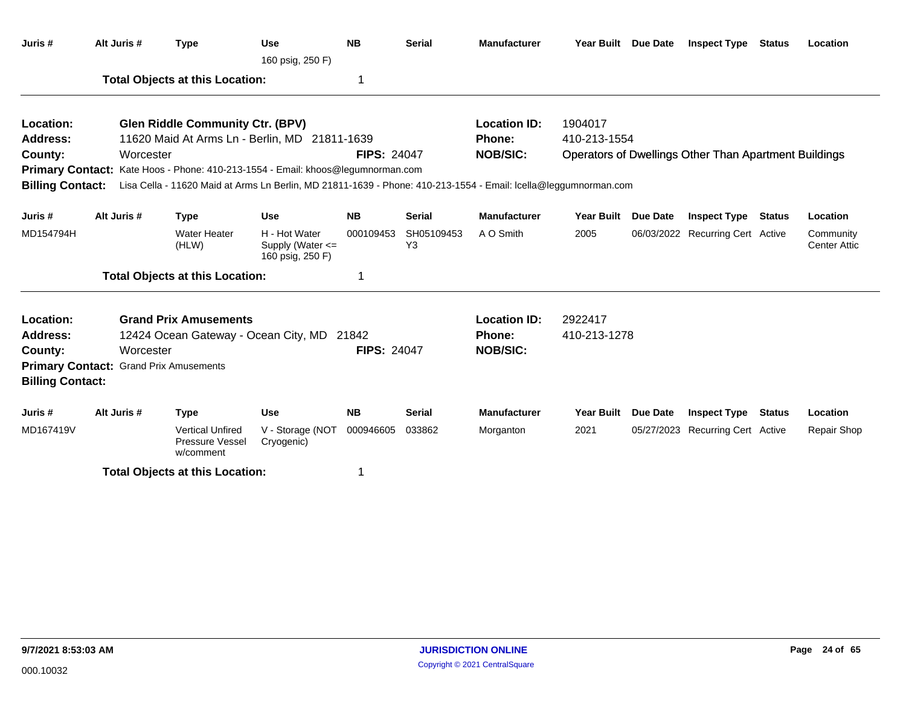| Juris #                 | Alt Juris #                            | <b>Type</b>                                                                                                     | <b>Use</b><br>160 psig, 250 F)                            | <b>NB</b>          | <b>Serial</b>    | <b>Manufacturer</b> | Year Built Due Date |                 | <b>Inspect Type</b>                                   | Status        | Location                         |
|-------------------------|----------------------------------------|-----------------------------------------------------------------------------------------------------------------|-----------------------------------------------------------|--------------------|------------------|---------------------|---------------------|-----------------|-------------------------------------------------------|---------------|----------------------------------|
|                         |                                        | <b>Total Objects at this Location:</b>                                                                          |                                                           | 1                  |                  |                     |                     |                 |                                                       |               |                                  |
| Location:               |                                        | <b>Glen Riddle Community Ctr. (BPV)</b>                                                                         |                                                           |                    |                  | <b>Location ID:</b> | 1904017             |                 |                                                       |               |                                  |
| <b>Address:</b>         |                                        | 11620 Maid At Arms Ln - Berlin, MD 21811-1639                                                                   |                                                           |                    |                  | <b>Phone:</b>       | 410-213-1554        |                 |                                                       |               |                                  |
| County:                 | Worcester                              |                                                                                                                 |                                                           | <b>FIPS: 24047</b> |                  | <b>NOB/SIC:</b>     |                     |                 | Operators of Dwellings Other Than Apartment Buildings |               |                                  |
|                         |                                        | Primary Contact: Kate Hoos - Phone: 410-213-1554 - Email: khoos@legumnorman.com                                 |                                                           |                    |                  |                     |                     |                 |                                                       |               |                                  |
| <b>Billing Contact:</b> |                                        | Lisa Cella - 11620 Maid at Arms Ln Berlin, MD 21811-1639 - Phone: 410-213-1554 - Email: Icella@leggumnorman.com |                                                           |                    |                  |                     |                     |                 |                                                       |               |                                  |
| Juris #                 | Alt Juris #                            | <b>Type</b>                                                                                                     | <b>Use</b>                                                | <b>NB</b>          | <b>Serial</b>    | <b>Manufacturer</b> | <b>Year Built</b>   | <b>Due Date</b> | <b>Inspect Type</b>                                   | <b>Status</b> | Location                         |
| MD154794H               |                                        | <b>Water Heater</b><br>(HLW)                                                                                    | H - Hot Water<br>Supply (Water $\leq$<br>160 psig, 250 F) | 000109453          | SH05109453<br>Y3 | A O Smith           | 2005                |                 | 06/03/2022 Recurring Cert Active                      |               | Community<br><b>Center Attic</b> |
|                         |                                        | <b>Total Objects at this Location:</b>                                                                          |                                                           | 1                  |                  |                     |                     |                 |                                                       |               |                                  |
| Location:               |                                        | <b>Grand Prix Amusements</b>                                                                                    |                                                           |                    |                  | <b>Location ID:</b> | 2922417             |                 |                                                       |               |                                  |
| <b>Address:</b>         |                                        | 12424 Ocean Gateway - Ocean City, MD 21842                                                                      |                                                           |                    |                  | Phone:              | 410-213-1278        |                 |                                                       |               |                                  |
| County:                 | Worcester                              |                                                                                                                 |                                                           | <b>FIPS: 24047</b> |                  | <b>NOB/SIC:</b>     |                     |                 |                                                       |               |                                  |
| <b>Billing Contact:</b> | Primary Contact: Grand Prix Amusements |                                                                                                                 |                                                           |                    |                  |                     |                     |                 |                                                       |               |                                  |
| Juris #                 | Alt Juris #                            | <b>Type</b>                                                                                                     | <b>Use</b>                                                | <b>NB</b>          | <b>Serial</b>    | <b>Manufacturer</b> | Year Built Due Date |                 | <b>Inspect Type</b>                                   | <b>Status</b> | Location                         |
| MD167419V               |                                        | <b>Vertical Unfired</b><br>Pressure Vessel<br>w/comment                                                         | V - Storage (NOT<br>Cryogenic)                            | 000946605          | 033862           | Morganton           | 2021                |                 | 05/27/2023 Recurring Cert Active                      |               | <b>Repair Shop</b>               |
|                         |                                        | <b>Total Objects at this Location:</b>                                                                          |                                                           |                    |                  |                     |                     |                 |                                                       |               |                                  |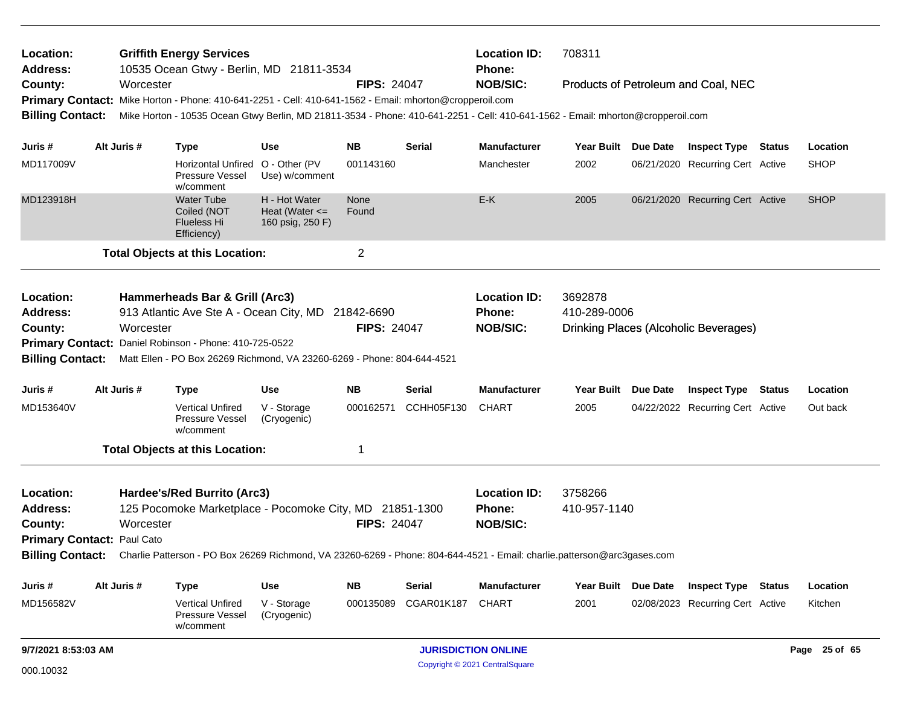| <b>Griffith Energy Services</b><br>Location:<br>10535 Ocean Gtwy - Berlin, MD 21811-3534<br>Address:<br>County:<br>Worcester |                                                                                                                                          |             |                                                                                                                                 |                                                         |                    |               | <b>Location ID:</b><br>Phone:  | 708311              |                     |                                              |               |
|------------------------------------------------------------------------------------------------------------------------------|------------------------------------------------------------------------------------------------------------------------------------------|-------------|---------------------------------------------------------------------------------------------------------------------------------|---------------------------------------------------------|--------------------|---------------|--------------------------------|---------------------|---------------------|----------------------------------------------|---------------|
|                                                                                                                              |                                                                                                                                          |             |                                                                                                                                 |                                                         | <b>FIPS: 24047</b> |               | <b>NOB/SIC:</b>                |                     |                     | Products of Petroleum and Coal, NEC          |               |
|                                                                                                                              |                                                                                                                                          |             | Primary Contact: Mike Horton - Phone: 410-641-2251 - Cell: 410-641-1562 - Email: mhorton@cropperoil.com                         |                                                         |                    |               |                                |                     |                     |                                              |               |
| <b>Billing Contact:</b>                                                                                                      |                                                                                                                                          |             | Mike Horton - 10535 Ocean Gtwy Berlin, MD 21811-3534 - Phone: 410-641-2251 - Cell: 410-641-1562 - Email: mhorton@cropperoil.com |                                                         |                    |               |                                |                     |                     |                                              |               |
| Juris #                                                                                                                      |                                                                                                                                          | Alt Juris # | <b>Type</b>                                                                                                                     | Use                                                     | NΒ                 | Serial        | <b>Manufacturer</b>            |                     | Year Built Due Date | <b>Inspect Type Status</b>                   | Location      |
| MD117009V                                                                                                                    |                                                                                                                                          |             | Horizontal Unfired O - Other (PV<br>Pressure Vessel<br>w/comment                                                                | Use) w/comment                                          | 001143160          |               | Manchester                     | 2002                |                     | 06/21/2020 Recurring Cert Active             | <b>SHOP</b>   |
| MD123918H                                                                                                                    |                                                                                                                                          |             | <b>Water Tube</b><br>Coiled (NOT<br>Flueless Hi<br>Efficiency)                                                                  | H - Hot Water<br>Heat (Water $\leq$<br>160 psig, 250 F) | None<br>Found      |               | E-K                            | 2005                |                     | 06/21/2020 Recurring Cert Active             | <b>SHOP</b>   |
|                                                                                                                              |                                                                                                                                          |             | <b>Total Objects at this Location:</b>                                                                                          |                                                         | $\overline{c}$     |               |                                |                     |                     |                                              |               |
| Location:                                                                                                                    |                                                                                                                                          |             | Hammerheads Bar & Grill (Arc3)                                                                                                  |                                                         |                    |               | <b>Location ID:</b>            | 3692878             |                     |                                              |               |
| <b>Address:</b>                                                                                                              |                                                                                                                                          |             | 913 Atlantic Ave Ste A - Ocean City, MD 21842-6690                                                                              |                                                         |                    |               | Phone:                         | 410-289-0006        |                     |                                              |               |
| County:                                                                                                                      | Worcester                                                                                                                                |             |                                                                                                                                 |                                                         | <b>FIPS: 24047</b> |               | <b>NOB/SIC:</b>                |                     |                     | <b>Drinking Places (Alcoholic Beverages)</b> |               |
|                                                                                                                              | Primary Contact: Daniel Robinson - Phone: 410-725-0522                                                                                   |             |                                                                                                                                 |                                                         |                    |               |                                |                     |                     |                                              |               |
| <b>Billing Contact:</b>                                                                                                      | Matt Ellen - PO Box 26269 Richmond, VA 23260-6269 - Phone: 804-644-4521                                                                  |             |                                                                                                                                 |                                                         |                    |               |                                |                     |                     |                                              |               |
| Juris #                                                                                                                      |                                                                                                                                          | Alt Juris # | <b>Type</b>                                                                                                                     | <b>Use</b>                                              | <b>NB</b>          | Serial        | <b>Manufacturer</b>            | Year Built Due Date |                     | <b>Inspect Type Status</b>                   | Location      |
| MD153640V                                                                                                                    |                                                                                                                                          |             | <b>Vertical Unfired</b><br>Pressure Vessel<br>w/comment                                                                         | V - Storage<br>(Cryogenic)                              | 000162571          | CCHH05F130    | <b>CHART</b>                   | 2005                |                     | 04/22/2022 Recurring Cert Active             | Out back      |
|                                                                                                                              |                                                                                                                                          |             | <b>Total Objects at this Location:</b>                                                                                          |                                                         | -1                 |               |                                |                     |                     |                                              |               |
| Location:                                                                                                                    |                                                                                                                                          |             | Hardee's/Red Burrito (Arc3)                                                                                                     |                                                         |                    |               | <b>Location ID:</b>            | 3758266             |                     |                                              |               |
| <b>Address:</b>                                                                                                              |                                                                                                                                          |             | 125 Pocomoke Marketplace - Pocomoke City, MD 21851-1300                                                                         |                                                         |                    |               | <b>Phone:</b>                  | 410-957-1140        |                     |                                              |               |
| County:                                                                                                                      |                                                                                                                                          | Worcester   |                                                                                                                                 |                                                         | <b>FIPS: 24047</b> |               | <b>NOB/SIC:</b>                |                     |                     |                                              |               |
| Primary Contact: Paul Cato                                                                                                   |                                                                                                                                          |             |                                                                                                                                 |                                                         |                    |               |                                |                     |                     |                                              |               |
|                                                                                                                              | Billing Contact: Charlie Patterson - PO Box 26269 Richmond, VA 23260-6269 - Phone: 804-644-4521 - Email: charlie.patterson@arc3gases.com |             |                                                                                                                                 |                                                         |                    |               |                                |                     |                     |                                              |               |
| Juris #                                                                                                                      |                                                                                                                                          | Alt Juris # | <b>Type</b>                                                                                                                     | Use                                                     | <b>NB</b>          | <b>Serial</b> | <b>Manufacturer</b>            | Year Built Due Date |                     | <b>Inspect Type Status</b>                   | Location      |
| MD156582V                                                                                                                    |                                                                                                                                          |             | <b>Vertical Unfired</b><br>Pressure Vessel<br>w/comment                                                                         | V - Storage<br>(Cryogenic)                              | 000135089          | CGAR01K187    | <b>CHART</b>                   | 2001                |                     | 02/08/2023 Recurring Cert Active             | Kitchen       |
| 9/7/2021 8:53:03 AM                                                                                                          |                                                                                                                                          |             |                                                                                                                                 |                                                         |                    |               | <b>JURISDICTION ONLINE</b>     |                     |                     |                                              | Page 25 of 65 |
| 000.10032                                                                                                                    |                                                                                                                                          |             |                                                                                                                                 |                                                         |                    |               | Copyright © 2021 CentralSquare |                     |                     |                                              |               |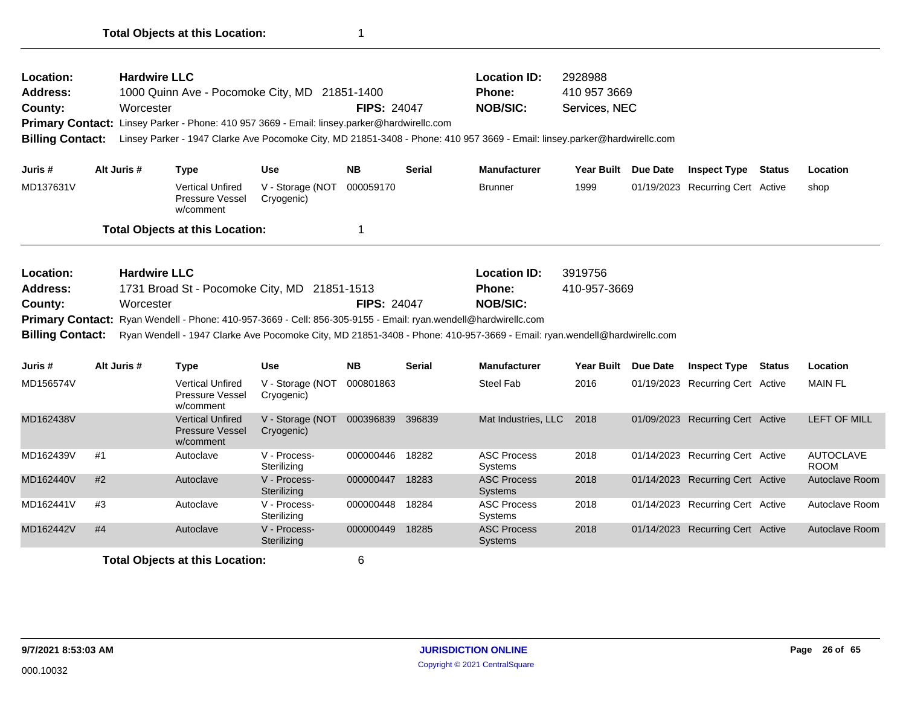| <b>Location:</b><br><b>Address:</b><br>County:<br><b>Billing Contact:</b> |    | <b>Hardwire LLC</b><br>Worcester | 1000 Quinn Ave - Pocomoke City, MD 21851-1400<br>Primary Contact: Linsey Parker - Phone: 410 957 3669 - Email: linsey.parker@hardwirellc.com                   |                                | <b>FIPS: 24047</b> |               | <b>Location ID:</b><br>Phone:<br><b>NOB/SIC:</b><br>Linsey Parker - 1947 Clarke Ave Pocomoke City, MD 21851-3408 - Phone: 410 957 3669 - Email: linsey.parker@hardwirellc.com | 2928988<br>410 957 3669<br>Services, NEC |                 |                                  |                                 |
|---------------------------------------------------------------------------|----|----------------------------------|----------------------------------------------------------------------------------------------------------------------------------------------------------------|--------------------------------|--------------------|---------------|-------------------------------------------------------------------------------------------------------------------------------------------------------------------------------|------------------------------------------|-----------------|----------------------------------|---------------------------------|
| Juris #                                                                   |    | Alt Juris #                      | <b>Type</b>                                                                                                                                                    | <b>Use</b>                     | <b>NB</b>          | <b>Serial</b> | <b>Manufacturer</b>                                                                                                                                                           | <b>Year Built</b>                        | <b>Due Date</b> | <b>Inspect Type Status</b>       | Location                        |
| MD137631V                                                                 |    |                                  | <b>Vertical Unfired</b><br>Pressure Vessel<br>w/comment                                                                                                        | V - Storage (NOT<br>Cryogenic) | 000059170          |               | <b>Brunner</b>                                                                                                                                                                | 1999                                     |                 | 01/19/2023 Recurring Cert Active | shop                            |
|                                                                           |    |                                  | <b>Total Objects at this Location:</b>                                                                                                                         |                                | 1                  |               |                                                                                                                                                                               |                                          |                 |                                  |                                 |
| Location:<br><b>Address:</b><br>County:<br><b>Billing Contact:</b>        |    | <b>Hardwire LLC</b><br>Worcester | 1731 Broad St - Pocomoke City, MD 21851-1513<br>Primary Contact: Ryan Wendell - Phone: 410-957-3669 - Cell: 856-305-9155 - Email: ryan.wendell@hardwirellc.com |                                | <b>FIPS: 24047</b> |               | <b>Location ID:</b><br>Phone:<br><b>NOB/SIC:</b><br>Ryan Wendell - 1947 Clarke Ave Pocomoke City, MD 21851-3408 - Phone: 410-957-3669 - Email: ryan.wendell@hardwirellc.com   | 3919756<br>410-957-3669                  |                 |                                  |                                 |
| Juris #                                                                   |    | Alt Juris #                      | <b>Type</b>                                                                                                                                                    | <b>Use</b>                     | <b>NB</b>          | <b>Serial</b> | <b>Manufacturer</b>                                                                                                                                                           | <b>Year Built</b>                        | <b>Due Date</b> | <b>Inspect Type Status</b>       | Location                        |
| MD156574V                                                                 |    |                                  | <b>Vertical Unfired</b><br>Pressure Vessel<br>w/comment                                                                                                        | V - Storage (NOT<br>Cryogenic) | 000801863          |               | <b>Steel Fab</b>                                                                                                                                                              | 2016                                     |                 | 01/19/2023 Recurring Cert Active | <b>MAIN FL</b>                  |
| MD162438V                                                                 |    |                                  | <b>Vertical Unfired</b><br><b>Pressure Vessel</b><br>w/comment                                                                                                 | V - Storage (NOT<br>Cryogenic) | 000396839 396839   |               | Mat Industries, LLC                                                                                                                                                           | 2018                                     |                 | 01/09/2023 Recurring Cert Active | <b>LEFT OF MILL</b>             |
| MD162439V                                                                 | #1 |                                  | Autoclave                                                                                                                                                      | V - Process-<br>Sterilizing    | 000000446          | 18282         | <b>ASC Process</b><br>Systems                                                                                                                                                 | 2018                                     |                 | 01/14/2023 Recurring Cert Active | <b>AUTOCLAVE</b><br><b>ROOM</b> |
| MD162440V                                                                 | #2 |                                  | Autoclave                                                                                                                                                      | V - Process-<br>Sterilizing    | 000000447          | 18283         | <b>ASC Process</b><br>Systems                                                                                                                                                 | 2018                                     |                 | 01/14/2023 Recurring Cert Active | Autoclave Room                  |
| MD162441V                                                                 | #3 |                                  | Autoclave                                                                                                                                                      | V - Process-<br>Sterilizing    | 000000448          | 18284         | <b>ASC Process</b><br>Systems                                                                                                                                                 | 2018                                     |                 | 01/14/2023 Recurring Cert Active | Autoclave Room                  |
| MD162442V                                                                 | #4 |                                  | Autoclave                                                                                                                                                      | V - Process-<br>Sterilizing    | 000000449          | 18285         | <b>ASC Process</b><br><b>Systems</b>                                                                                                                                          | 2018                                     |                 | 01/14/2023 Recurring Cert Active | Autoclave Room                  |
|                                                                           |    |                                  |                                                                                                                                                                |                                |                    |               |                                                                                                                                                                               |                                          |                 |                                  |                                 |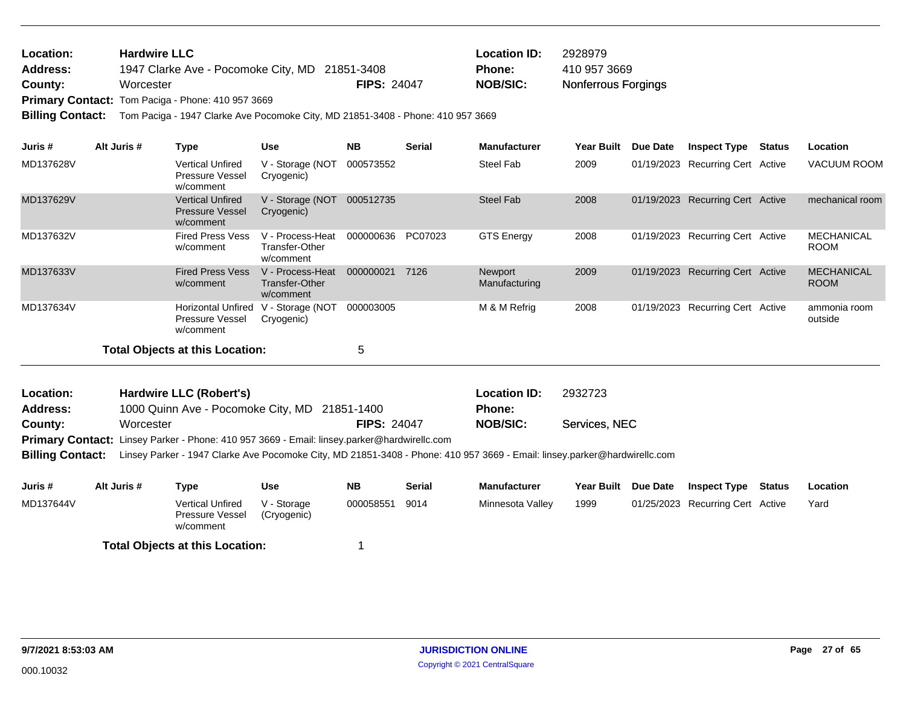| Location:      | <b>Hardwire LLC</b>                            |                    | <b>Location ID:</b> | 2928979                    |
|----------------|------------------------------------------------|--------------------|---------------------|----------------------------|
| Address:       | 1947 Clarke Ave - Pocomoke City, MD 21851-3408 |                    | <b>Phone:</b>       | 410 957 3669               |
| <b>County:</b> | Worcester                                      | <b>FIPS: 24047</b> | <b>NOB/SIC:</b>     | <b>Nonferrous Forgings</b> |

Primary Contact: Tom Paciga - Phone: 410 957 3669

**Billing Contact:** Tom Paciga - 1947 Clarke Ave Pocomoke City, MD 21851-3408 - Phone: 410 957 3669

| Juris #   | Alt Juris # | Type                                                             | <b>Use</b>                                      | <b>NB</b> | <b>Serial</b> | <b>Manufacturer</b>      | <b>Year Built</b> | Due Date   | <b>Inspect Type</b>              | <b>Status</b> | Location                         |
|-----------|-------------|------------------------------------------------------------------|-------------------------------------------------|-----------|---------------|--------------------------|-------------------|------------|----------------------------------|---------------|----------------------------------|
| MD137628V |             | <b>Vertical Unfired</b><br>Pressure Vessel<br>w/comment          | V - Storage (NOT<br>Cryogenic)                  | 000573552 |               | Steel Fab                | 2009              |            | 01/19/2023 Recurring Cert Active |               | <b>VACUUM ROOM</b>               |
| MD137629V |             | <b>Vertical Unfired</b><br><b>Pressure Vessel</b><br>w/comment   | V - Storage (NOT<br>Cryogenic)                  | 000512735 |               | <b>Steel Fab</b>         | 2008              | 01/19/2023 | <b>Recurring Cert Active</b>     |               | mechanical room                  |
| MD137632V |             | <b>Fired Press Vess</b><br>w/comment                             | V - Process-Heat<br>Transfer-Other<br>w/comment | 000000636 | PC07023       | <b>GTS Energy</b>        | 2008              | 01/19/2023 | Recurring Cert Active            |               | <b>MECHANICAL</b><br><b>ROOM</b> |
| MD137633V |             | <b>Fired Press Vess</b><br>w/comment                             | V - Process-Heat<br>Transfer-Other<br>w/comment | 000000021 | 7126          | Newport<br>Manufacturing | 2009              |            | 01/19/2023 Recurring Cert Active |               | <b>MECHANICAL</b><br><b>ROOM</b> |
| MD137634V |             | <b>Horizontal Unfired</b><br><b>Pressure Vessel</b><br>w/comment | V - Storage (NOT<br>Cryogenic)                  | 000003005 |               | M & M Refrig             | 2008              | 01/19/2023 | Recurring Cert Active            |               | ammonia room<br>outside          |
|           |             | <b>Total Objects at this Location:</b>                           |                                                 | 5         |               |                          |                   |            |                                  |               |                                  |

| <b>Location:</b> | Hardwire LLC (Robert's)                       |                    | <b>Location ID:</b> | 2932723       |
|------------------|-----------------------------------------------|--------------------|---------------------|---------------|
| <b>Address:</b>  | 1000 Quinn Ave - Pocomoke City, MD 21851-1400 |                    | <b>Phone:</b>       |               |
| County:          | Worcester                                     | <b>FIPS: 24047</b> | NOB/SIC:            | Services, NEC |
| - -              | $ -$                                          |                    |                     |               |

Primary Contact: Linsey Parker - Phone: 410 957 3669 - Email: linsey.parker@hardwirellc.com

**Billing Contact:** Linsey Parker - 1947 Clarke Ave Pocomoke City, MD 21851-3408 - Phone: 410 957 3669 - Email: linsey.parker@hardwirellc.com

| Juris #   | Alt Juris # | Type                                                    | Use                        | <b>NB</b> | Serial | <b>Manufacturer</b> | <b>Year Built</b> | <b>Due Date</b> | <b>Inspect Type</b>              | Status | Location |
|-----------|-------------|---------------------------------------------------------|----------------------------|-----------|--------|---------------------|-------------------|-----------------|----------------------------------|--------|----------|
| MD137644V |             | <b>Vertical Unfired</b><br>Pressure Vessel<br>w/comment | V - Storage<br>(Cryogenic) | 000058551 | 9014   | Minnesota Valley    | 1999              |                 | 01/25/2023 Recurring Cert Active |        | Yard     |
|           |             | <b>Total Objects at this Location:</b>                  |                            |           |        |                     |                   |                 |                                  |        |          |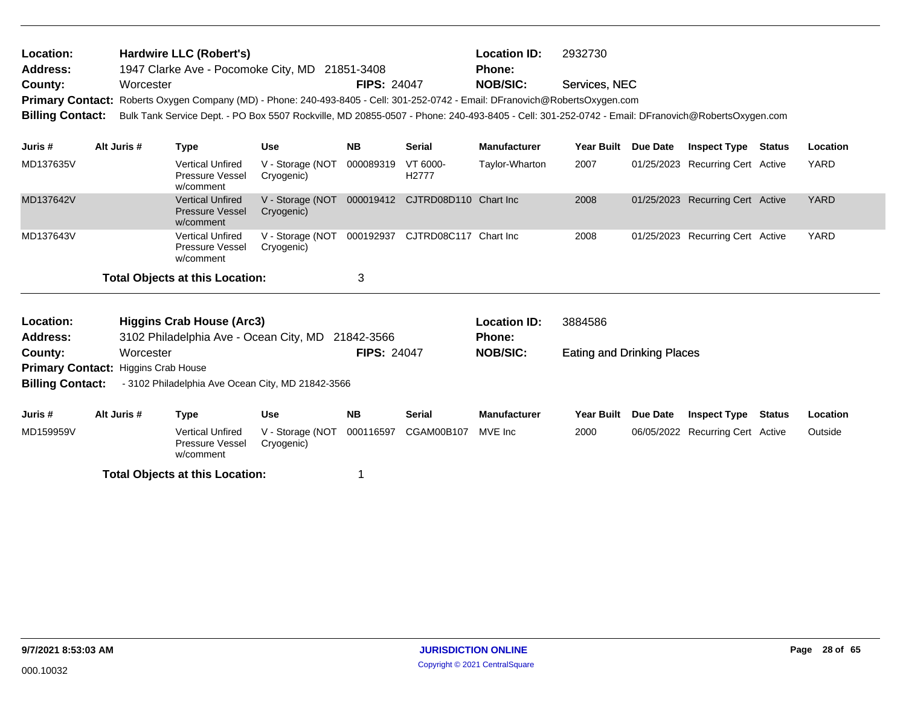| Location:<br>Address:<br>County:<br><b>Primary Contact:</b><br><b>Billing Contact:</b> | Worcester   | <b>Hardwire LLC (Robert's)</b><br>1947 Clarke Ave - Pocomoke City, MD 21851-3408<br>Roberts Oxygen Company (MD) - Phone: 240-493-8405 - Cell: 301-252-0742 - Email: DFranovich@RobertsOxygen.com<br>Bulk Tank Service Dept. - PO Box 5507 Rockville, MD 20855-0507 - Phone: 240-493-8405 - Cell: 301-252-0742 - Email: DFranovich@RobertsOxygen.com |                                | <b>FIPS: 24047</b> |                                 | <b>Location ID:</b><br><b>Phone:</b><br><b>NOB/SIC:</b> | 2932730<br>Services, NEC          |                                  |        |             |
|----------------------------------------------------------------------------------------|-------------|-----------------------------------------------------------------------------------------------------------------------------------------------------------------------------------------------------------------------------------------------------------------------------------------------------------------------------------------------------|--------------------------------|--------------------|---------------------------------|---------------------------------------------------------|-----------------------------------|----------------------------------|--------|-------------|
| Juris #                                                                                | Alt Juris # | <b>Type</b>                                                                                                                                                                                                                                                                                                                                         | <b>Use</b>                     | <b>NB</b>          | <b>Serial</b>                   | <b>Manufacturer</b>                                     | Year Built Due Date               | <b>Inspect Type Status</b>       |        | Location    |
| MD137635V                                                                              |             | <b>Vertical Unfired</b><br>Pressure Vessel<br>w/comment                                                                                                                                                                                                                                                                                             | V - Storage (NOT<br>Cryogenic) | 000089319          | VT 6000-<br>H2777               | Taylor-Wharton                                          | 2007                              | 01/25/2023 Recurring Cert Active |        | <b>YARD</b> |
| MD137642V                                                                              |             | <b>Vertical Unfired</b><br><b>Pressure Vessel</b><br>w/comment                                                                                                                                                                                                                                                                                      | V - Storage (NOT<br>Cryogenic) |                    | 000019412 CJTRD08D110 Chart Inc |                                                         | 2008                              | 01/25/2023 Recurring Cert Active |        | <b>YARD</b> |
| MD137643V                                                                              |             | <b>Vertical Unfired</b><br>Pressure Vessel<br>w/comment                                                                                                                                                                                                                                                                                             | V - Storage (NOT<br>Cryogenic) | 000192937          | CJTRD08C117 Chart Inc           |                                                         | 2008                              | 01/25/2023 Recurring Cert Active |        | YARD        |
|                                                                                        |             | <b>Total Objects at this Location:</b>                                                                                                                                                                                                                                                                                                              |                                | 3                  |                                 |                                                         |                                   |                                  |        |             |
| Location:<br><b>Address:</b>                                                           |             | <b>Higgins Crab House (Arc3)</b><br>3102 Philadelphia Ave - Ocean City, MD 21842-3566                                                                                                                                                                                                                                                               |                                |                    |                                 | <b>Location ID:</b><br><b>Phone:</b>                    | 3884586                           |                                  |        |             |
| County:                                                                                | Worcester   |                                                                                                                                                                                                                                                                                                                                                     |                                | <b>FIPS: 24047</b> |                                 | <b>NOB/SIC:</b>                                         | <b>Eating and Drinking Places</b> |                                  |        |             |
| Primary Contact: Higgins Crab House                                                    |             |                                                                                                                                                                                                                                                                                                                                                     |                                |                    |                                 |                                                         |                                   |                                  |        |             |
| <b>Billing Contact:</b>                                                                |             | - 3102 Philadelphia Ave Ocean City, MD 21842-3566                                                                                                                                                                                                                                                                                                   |                                |                    |                                 |                                                         |                                   |                                  |        |             |
| Juris #                                                                                | Alt Juris # | <b>Type</b>                                                                                                                                                                                                                                                                                                                                         | <b>Use</b>                     | <b>NB</b>          | <b>Serial</b>                   | <b>Manufacturer</b>                                     | Year Built Due Date               | <b>Inspect Type</b>              | Status | Location    |
| MD159959V                                                                              |             | <b>Vertical Unfired</b><br>Pressure Vessel<br>w/comment                                                                                                                                                                                                                                                                                             | V - Storage (NOT<br>Cryogenic) | 000116597          | CGAM00B107                      | MVE Inc                                                 | 2000                              | 06/05/2022 Recurring Cert Active |        | Outside     |
|                                                                                        |             | <b>Total Objects at this Location:</b>                                                                                                                                                                                                                                                                                                              |                                |                    |                                 |                                                         |                                   |                                  |        |             |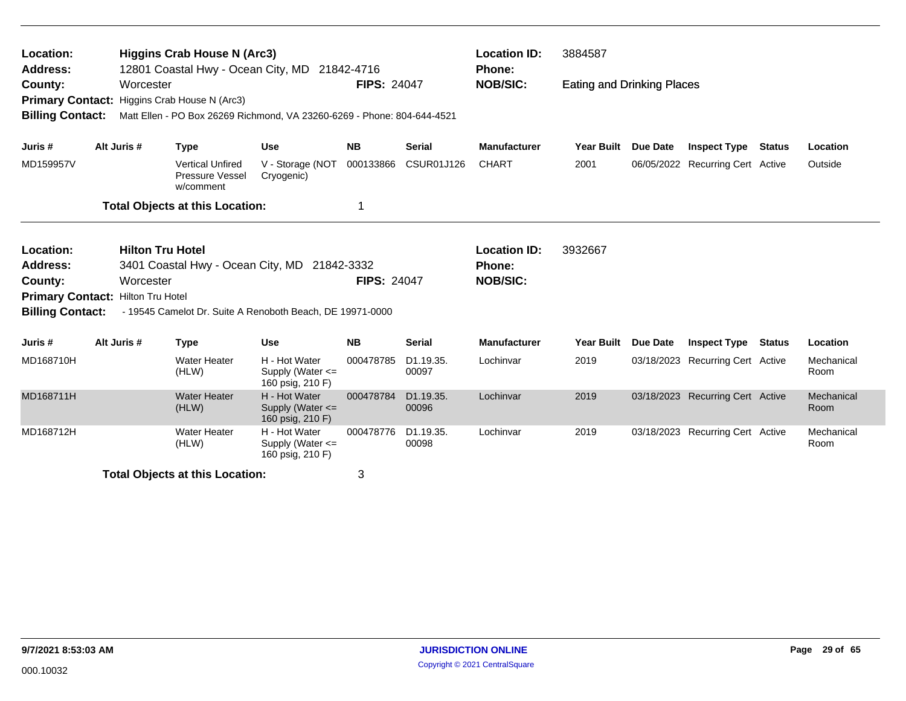| Higgins Crab House N (Arc3)<br>Location:<br>12801 Coastal Hwy - Ocean City, MD 21842-4716<br><b>Address:</b><br>County:<br>Worcester |  |                         |                                                                                                        | <b>FIPS: 24047</b>                                        |                    | <b>Location ID:</b><br><b>Phone:</b><br><b>NOB/SIC:</b> | 3884587<br><b>Eating and Drinking Places</b> |                   |                 |                                  |               |                    |
|--------------------------------------------------------------------------------------------------------------------------------------|--|-------------------------|--------------------------------------------------------------------------------------------------------|-----------------------------------------------------------|--------------------|---------------------------------------------------------|----------------------------------------------|-------------------|-----------------|----------------------------------|---------------|--------------------|
| <b>Primary Contact:</b><br><b>Billing Contact:</b>                                                                                   |  |                         | Higgins Crab House N (Arc3)<br>Matt Ellen - PO Box 26269 Richmond, VA 23260-6269 - Phone: 804-644-4521 |                                                           |                    |                                                         |                                              |                   |                 |                                  |               |                    |
| Juris #                                                                                                                              |  | Alt Juris #             | <b>Type</b>                                                                                            | <b>Use</b>                                                | <b>NB</b>          | <b>Serial</b>                                           | <b>Manufacturer</b>                          | <b>Year Built</b> | <b>Due Date</b> | <b>Inspect Type Status</b>       |               | Location           |
| MD159957V                                                                                                                            |  |                         | <b>Vertical Unfired</b><br>Pressure Vessel<br>w/comment                                                | V - Storage (NOT<br>Cryogenic)                            | 000133866          | <b>CSUR01J126</b>                                       | <b>CHART</b>                                 | 2001              |                 | 06/05/2022 Recurring Cert Active |               | Outside            |
|                                                                                                                                      |  |                         | <b>Total Objects at this Location:</b>                                                                 |                                                           | 1                  |                                                         |                                              |                   |                 |                                  |               |                    |
| Location:<br><b>Address:</b>                                                                                                         |  | <b>Hilton Tru Hotel</b> | 3401 Coastal Hwy - Ocean City, MD 21842-3332                                                           |                                                           |                    |                                                         | <b>Location ID:</b><br>Phone:                | 3932667           |                 |                                  |               |                    |
| County:<br>Primary Contact: Hilton Tru Hotel<br><b>Billing Contact:</b>                                                              |  | Worcester               | - 19545 Camelot Dr. Suite A Renoboth Beach, DE 19971-0000                                              |                                                           | <b>FIPS: 24047</b> |                                                         | <b>NOB/SIC:</b>                              |                   |                 |                                  |               |                    |
| Juris #                                                                                                                              |  | Alt Juris #             |                                                                                                        | <b>Use</b>                                                | <b>NB</b>          | <b>Serial</b>                                           | <b>Manufacturer</b>                          | <b>Year Built</b> | <b>Due Date</b> | <b>Inspect Type</b>              | <b>Status</b> | Location           |
| MD168710H                                                                                                                            |  |                         | <b>Type</b><br><b>Water Heater</b><br>(HLW)                                                            | H - Hot Water<br>Supply (Water $\leq$<br>160 psig, 210 F) | 000478785          | D <sub>1.19.35</sub> .<br>00097                         | Lochinvar                                    | 2019              |                 | 03/18/2023 Recurring Cert Active |               | Mechanical<br>Room |
| MD168711H                                                                                                                            |  |                         | <b>Water Heater</b><br>(HLW)                                                                           | H - Hot Water<br>Supply (Water $\leq$<br>160 psig, 210 F) | 000478784          | D1.19.35.<br>00096                                      | Lochinvar                                    | 2019              |                 | 03/18/2023 Recurring Cert Active |               | Mechanical<br>Room |
| MD168712H                                                                                                                            |  |                         | <b>Water Heater</b><br>(HLW)                                                                           | H - Hot Water<br>Supply (Water <=<br>160 psig, 210 F)     | 000478776          | D1.19.35.<br>00098                                      | Lochinvar                                    | 2019              |                 | 03/18/2023 Recurring Cert Active |               | Mechanical<br>Room |
| 3<br><b>Total Objects at this Location:</b>                                                                                          |  |                         |                                                                                                        |                                                           |                    |                                                         |                                              |                   |                 |                                  |               |                    |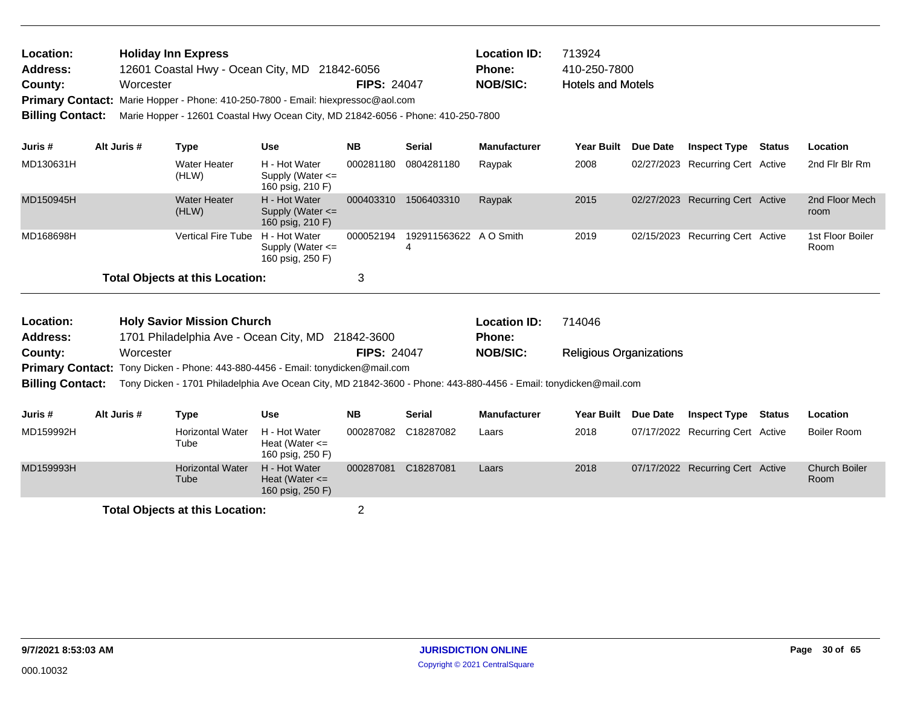| <b>Location:</b> | <b>Holiday Inn Express</b>                                                       |                    | <b>Location ID:</b> | 713924                   |
|------------------|----------------------------------------------------------------------------------|--------------------|---------------------|--------------------------|
| <b>Address:</b>  | 12601 Coastal Hwy - Ocean City, MD 21842-6056                                    |                    | Phone:              | 410-250-7800             |
| County:          | Worcester                                                                        | <b>FIPS: 24047</b> | NOB/SIC:            | <b>Hotels and Motels</b> |
|                  | Primary Contact: Marie Hopper - Phone: 410-250-7800 - Email: hiexpressoc@aol.com |                    |                     |                          |

**Billing Contact:** Marie Hopper - 12601 Coastal Hwy Ocean City, MD 21842-6056 - Phone: 410-250-7800

| Juris #   | Alt Juris # | Type                                   | <b>Use</b>                                                | <b>NB</b> | <b>Serial</b>               | <b>Manufacturer</b> | <b>Year Built</b> | Due Date | <b>Inspect Type</b>              | Status | Location                 |
|-----------|-------------|----------------------------------------|-----------------------------------------------------------|-----------|-----------------------------|---------------------|-------------------|----------|----------------------------------|--------|--------------------------|
| MD130631H |             | Water Heater<br>(HLW)                  | H - Hot Water<br>Supply (Water $\leq$<br>160 psig, 210 F) | 000281180 | 0804281180                  | Raypak              | 2008              |          | 02/27/2023 Recurring Cert Active |        | 2nd Fir Bir Rm           |
| MD150945H |             | <b>Water Heater</b><br>(HLW)           | H - Hot Water<br>Supply (Water $\leq$<br>160 psig, 210 F) | 000403310 | 1506403310                  | Raypak              | 2015              |          | 02/27/2023 Recurring Cert Active |        | 2nd Floor Mech<br>room   |
| MD168698H |             | <b>Vertical Fire Tube</b>              | H - Hot Water<br>Supply (Water $\leq$<br>160 psig, 250 F) | 000052194 | 192911563622 A O Smith<br>4 |                     | 2019              |          | 02/15/2023 Recurring Cert Active |        | 1st Floor Boiler<br>Room |
|           |             | <b>Total Objects at this Location:</b> |                                                           |           |                             |                     |                   |          |                                  |        |                          |

| Location: | <b>Holy Savior Mission Church</b>                                                                                                 |                    | <b>Location ID:</b> | 714046                         |
|-----------|-----------------------------------------------------------------------------------------------------------------------------------|--------------------|---------------------|--------------------------------|
| Address:  | 1701 Philadelphia Ave - Ocean City, MD 21842-3600                                                                                 |                    | <b>Phone:</b>       |                                |
| County:   | Worcester                                                                                                                         | <b>FIPS: 24047</b> | <b>NOB/SIC:</b>     | <b>Religious Organizations</b> |
|           | Primary Contact: Tony Dicken - Phone: 443-880-4456 - Email: tonydicken@mail.com                                                   |                    |                     |                                |
|           | Billing Contact: Tony Dicken - 1701 Philadelphia Ave Ocean City, MD 21842-3600 - Phone: 443-880-4456 - Email: tonydicken@mail.com |                    |                     |                                |
|           |                                                                                                                                   |                    |                     |                                |

| Juris #   | Alt Juris # | Type                            | <b>Use</b>                                              | <b>NB</b> | <b>Serial</b> | <b>Manufacturer</b> | Year Built Due Date | <b>Inspect Type</b>              | Status | Location                     |
|-----------|-------------|---------------------------------|---------------------------------------------------------|-----------|---------------|---------------------|---------------------|----------------------------------|--------|------------------------------|
| MD159992H |             | <b>Horizontal Water</b><br>Tube | H - Hot Water<br>Heat (Water $\leq$<br>160 psig, 250 F) | 000287082 | C18287082     | Laars               | 2018                | 07/17/2022 Recurring Cert Active |        | Boiler Room                  |
| MD159993H |             | <b>Horizontal Water</b><br>Tube | H - Hot Water<br>Heat (Water $\leq$<br>160 psig, 250 F) | 000287081 | C18287081     | Laars               | 2018                | 07/17/2022 Recurring Cert Active |        | <b>Church Boiler</b><br>Room |
|           |             |                                 |                                                         |           |               |                     |                     |                                  |        |                              |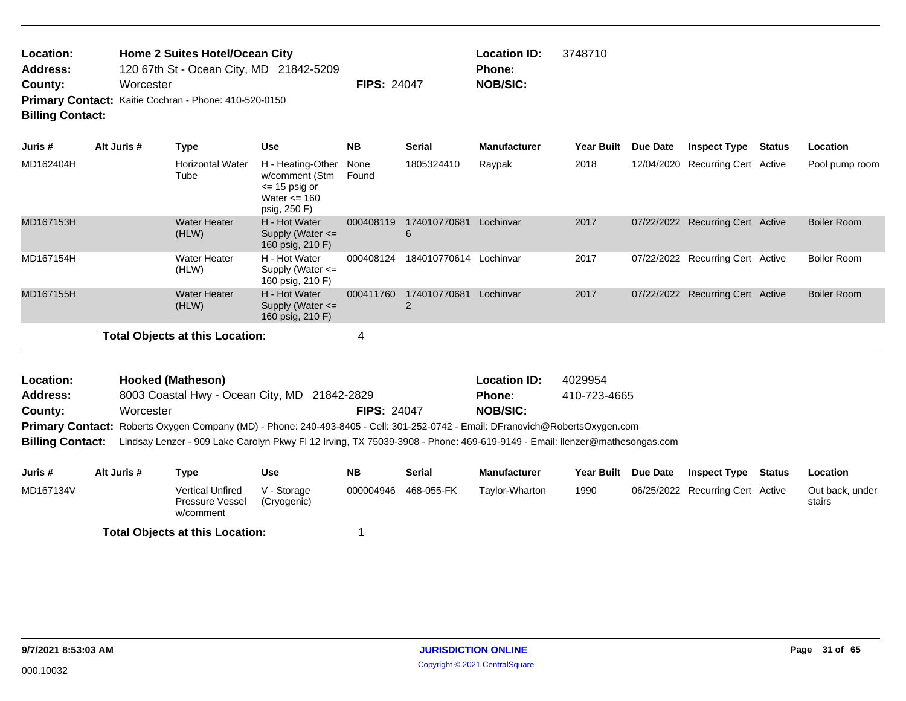| Location:<br><b>Address:</b>                          |                                      | Home 2 Suites Hotel/Ocean City | 120 67th St - Ocean City, MD 21842-5209 |                    |        | <b>Location ID:</b><br><b>Phone:</b> | 3748710 |                                             |                             |  |
|-------------------------------------------------------|--------------------------------------|--------------------------------|-----------------------------------------|--------------------|--------|--------------------------------------|---------|---------------------------------------------|-----------------------------|--|
| County:                                               | Worcester                            |                                |                                         | <b>FIPS: 24047</b> |        | <b>NOB/SIC:</b>                      |         |                                             |                             |  |
| Primary Contact: Kaitie Cochran - Phone: 410-520-0150 |                                      |                                |                                         |                    |        |                                      |         |                                             |                             |  |
| <b>Billing Contact:</b>                               |                                      |                                |                                         |                    |        |                                      |         |                                             |                             |  |
| $\mathbf{L}$ and $\mathbf{L}$ and $\mathbf{L}$        | $A \cup A$ , $A \cup A$ , $B \cup B$ | The same of the                | $\mathbf{1}$                            | <b>SID</b>         | 0.0000 | <b>Black of a stronger</b>           |         | Vess Bullett Bus Bats Hospital Truck Blatch | المستقاد والمستنبذ المستنبذ |  |

| Juris #   | Alt Juris # | Type                                   | <b>Use</b>                                                                                         | <b>NB</b>     | Serial            | <b>Manufacturer</b> | <b>Year Built</b> | <b>Due Date</b> | <b>Inspect Type</b>              | Status | Location           |
|-----------|-------------|----------------------------------------|----------------------------------------------------------------------------------------------------|---------------|-------------------|---------------------|-------------------|-----------------|----------------------------------|--------|--------------------|
| MD162404H |             | <b>Horizontal Water</b><br>Tube        | H - Heating-Other<br>w/comment (Stm<br>$\epsilon$ = 15 psig or<br>Water $\leq$ 160<br>psig, 250 F) | None<br>Found | 1805324410        | Raypak              | 2018              |                 | 12/04/2020 Recurring Cert Active |        | Pool pump room     |
| MD167153H |             | <b>Water Heater</b><br>(HLW)           | H - Hot Water<br>Supply (Water $\leq$<br>160 psig, 210 F)                                          | 000408119     | 174010770681<br>6 | Lochinvar           | 2017              |                 | 07/22/2022 Recurring Cert Active |        | Boiler Room        |
| MD167154H |             | Water Heater<br>(HLW)                  | H - Hot Water<br>Supply (Water $\leq$<br>160 psig, 210 F)                                          | 000408124     | 184010770614      | Lochinvar           | 2017              |                 | 07/22/2022 Recurring Cert Active |        | Boiler Room        |
| MD167155H |             | <b>Water Heater</b><br>(HLW)           | H - Hot Water<br>Supply (Water $\leq$<br>160 psig, 210 F)                                          | 000411760     | 174010770681<br>2 | Lochinvar           | 2017              |                 | 07/22/2022 Recurring Cert Active |        | <b>Boiler Room</b> |
|           |             | <b>Total Objects at this Location:</b> |                                                                                                    | 4             |                   |                     |                   |                 |                                  |        |                    |

| Location:               |                                                          | <b>Hooked (Matheson)</b> |                                              |                    | <b>Location ID:</b>                                                                                                           | 4029954           |                 |                     |        |          |
|-------------------------|----------------------------------------------------------|--------------------------|----------------------------------------------|--------------------|-------------------------------------------------------------------------------------------------------------------------------|-------------------|-----------------|---------------------|--------|----------|
| <b>Address:</b>         |                                                          |                          | 8003 Coastal Hwy - Ocean City, MD 21842-2829 |                    | <b>Phone:</b>                                                                                                                 | 410-723-4665      |                 |                     |        |          |
| County:                 | Worcester                                                |                          |                                              | <b>FIPS: 24047</b> | <b>NOB/SIC:</b>                                                                                                               |                   |                 |                     |        |          |
|                         |                                                          |                          |                                              |                    | Primary Contact: Roberts Oxygen Company (MD) - Phone: 240-493-8405 - Cell: 301-252-0742 - Email: DFranovich@RobertsOxygen.com |                   |                 |                     |        |          |
| <b>Billing Contact:</b> |                                                          |                          |                                              |                    | Lindsay Lenzer - 909 Lake Carolyn Pkwy FI 12 Irving, TX 75039-3908 - Phone: 469-619-9149 - Email: Ilenzer@mathesongas.com     |                   |                 |                     |        |          |
|                         |                                                          |                          |                                              |                    |                                                                                                                               |                   |                 |                     |        |          |
| Juris #                 | <b>NB</b><br><b>Serial</b><br>Alt Juris #<br>Use<br>Type |                          |                                              |                    | <b>Manufacturer</b>                                                                                                           | <b>Year Built</b> | <b>Due Date</b> | <b>Inspect Type</b> | Status | Location |

| ------    | . | ., . <b>.</b>                                    | ----                       | ---       | ------     |                |      |                                  | ---------                 |
|-----------|---|--------------------------------------------------|----------------------------|-----------|------------|----------------|------|----------------------------------|---------------------------|
| MD167134V |   | Vertical Unfired<br>Pressure Vessel<br>w/comment | V - Storage<br>(Cryogenic) | 000004946 | 468-055-FK | Tavlor-Wharton | 1990 | 06/25/2022 Recurring Cert Active | Out back, under<br>stairs |
|           |   | <b>Total Objects at this Location:</b>           |                            |           |            |                |      |                                  |                           |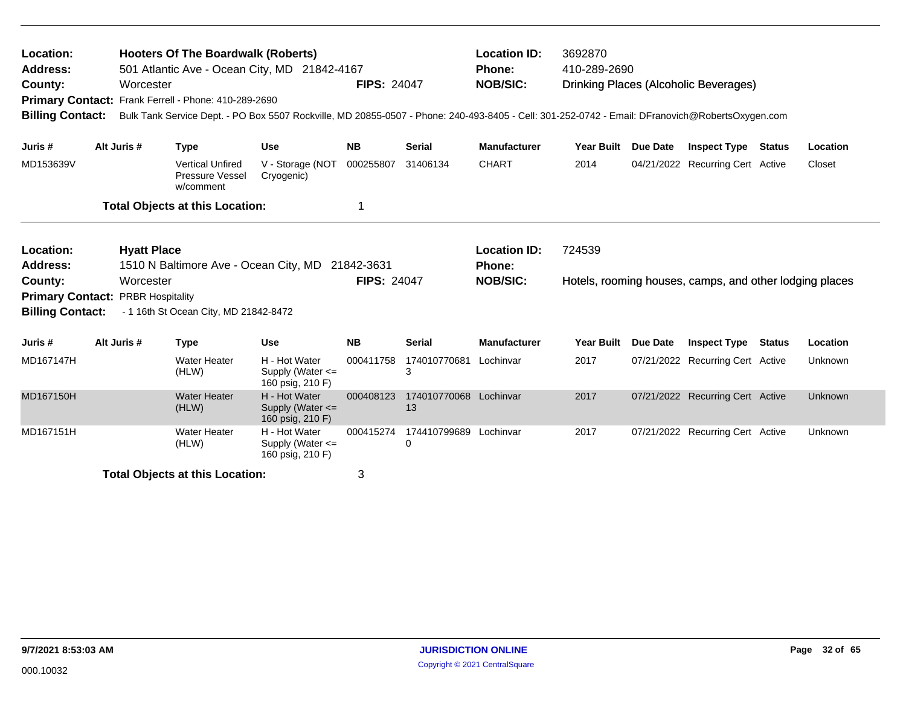| Location:<br><b>Address:</b><br>County:<br><b>Billing Contact:</b>                            | Worcester                                                  | <b>Hooters Of The Boardwalk (Roberts)</b><br>501 Atlantic Ave - Ocean City, MD 21842-4167<br>Primary Contact: Frank Ferrell - Phone: 410-289-2690<br>Bulk Tank Service Dept. - PO Box 5507 Rockville, MD 20855-0507 - Phone: 240-493-8405 - Cell: 301-252-0742 - Email: DFranovich@RobertsOxygen.com |                                                           | <b>Location ID:</b><br><b>Phone:</b><br><b>NOB/SIC:</b> | 3692870<br>410-289-2690      |                                                         | Drinking Places (Alcoholic Beverages) |                 |                                                         |               |          |
|-----------------------------------------------------------------------------------------------|------------------------------------------------------------|------------------------------------------------------------------------------------------------------------------------------------------------------------------------------------------------------------------------------------------------------------------------------------------------------|-----------------------------------------------------------|---------------------------------------------------------|------------------------------|---------------------------------------------------------|---------------------------------------|-----------------|---------------------------------------------------------|---------------|----------|
| Juris #                                                                                       | Alt Juris #                                                | <b>Type</b>                                                                                                                                                                                                                                                                                          | <b>Use</b>                                                | <b>NB</b>                                               | <b>Serial</b>                | <b>Manufacturer</b>                                     | <b>Year Built</b>                     | Due Date        | <b>Inspect Type</b>                                     | <b>Status</b> | Location |
| MD153639V                                                                                     |                                                            | <b>Vertical Unfired</b><br>Pressure Vessel<br>w/comment                                                                                                                                                                                                                                              | V - Storage (NOT<br>Cryogenic)                            | 000255807                                               | 31406134                     | <b>CHART</b>                                            | 2014                                  |                 | 04/21/2022 Recurring Cert Active                        |               | Closet   |
|                                                                                               |                                                            | <b>Total Objects at this Location:</b>                                                                                                                                                                                                                                                               |                                                           | 1                                                       |                              |                                                         |                                       |                 |                                                         |               |          |
| Location:<br><b>Address:</b><br>County:<br><b>Primary Contact:</b><br><b>Billing Contact:</b> | <b>Hyatt Place</b><br>Worcester<br><b>PRBR Hospitality</b> | 1510 N Baltimore Ave - Ocean City, MD 21842-3631<br>- 1 16th St Ocean City, MD 21842-8472                                                                                                                                                                                                            |                                                           | <b>FIPS: 24047</b>                                      |                              | <b>Location ID:</b><br><b>Phone:</b><br><b>NOB/SIC:</b> | 724539                                |                 | Hotels, rooming houses, camps, and other lodging places |               |          |
| Juris #                                                                                       | Alt Juris #                                                | <b>Type</b>                                                                                                                                                                                                                                                                                          | <b>Use</b>                                                | <b>NB</b>                                               | <b>Serial</b>                | <b>Manufacturer</b>                                     | <b>Year Built</b>                     | <b>Due Date</b> | <b>Inspect Type</b>                                     | <b>Status</b> | Location |
| MD167147H                                                                                     |                                                            | <b>Water Heater</b><br>(HLW)                                                                                                                                                                                                                                                                         | H - Hot Water<br>Supply (Water $\leq$<br>160 psig, 210 F) | 000411758                                               | 174010770681<br>3            | Lochinvar                                               | 2017                                  |                 | 07/21/2022 Recurring Cert Active                        |               | Unknown  |
| MD167150H                                                                                     |                                                            | <b>Water Heater</b><br>(HLW)                                                                                                                                                                                                                                                                         | H - Hot Water<br>Supply (Water $\leq$<br>160 psig, 210 F) | 000408123                                               | 174010770068 Lochinvar<br>13 |                                                         | 2017                                  |                 | 07/21/2022 Recurring Cert Active                        |               | Unknown  |
| MD167151H                                                                                     |                                                            | <b>Water Heater</b><br>(HLW)                                                                                                                                                                                                                                                                         | H - Hot Water<br>Supply (Water <=<br>160 psig, 210 F)     | 000415274                                               | 174410799689 Lochinvar<br>0  |                                                         | 2017                                  |                 | 07/21/2022 Recurring Cert Active                        |               | Unknown  |
|                                                                                               |                                                            | <b>Total Objects at this Location:</b>                                                                                                                                                                                                                                                               |                                                           | 3                                                       |                              |                                                         |                                       |                 |                                                         |               |          |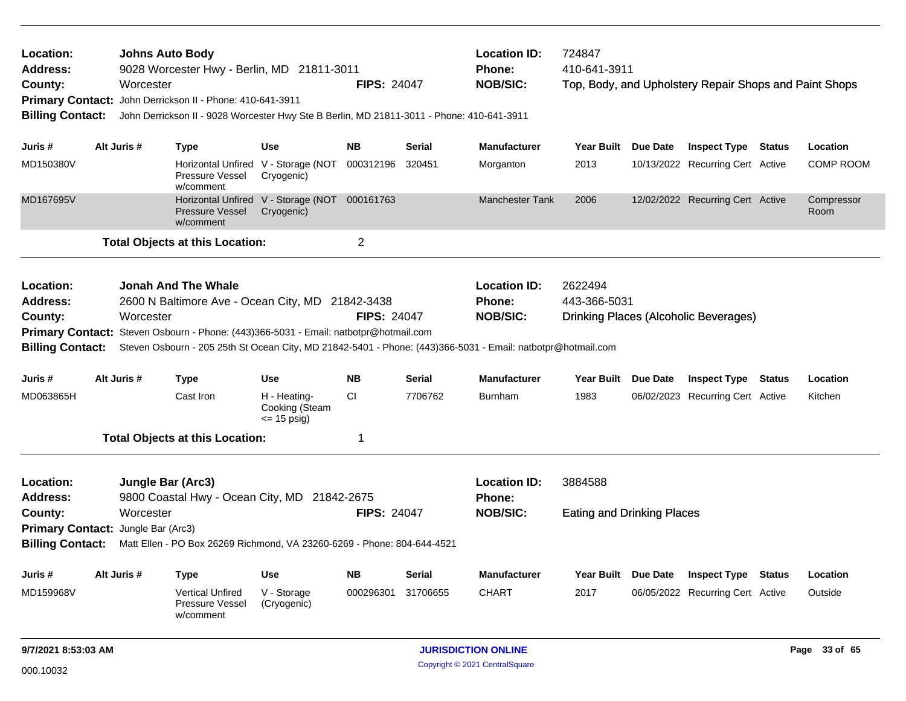| Location:<br>Address:<br>County:<br><b>Billing Contact:</b>            |             | <b>Johns Auto Body</b><br>Worcester   | 9028 Worcester Hwy - Berlin, MD 21811-3011<br>Primary Contact: John Derrickson II - Phone: 410-641-3911<br>John Derrickson II - 9028 Worcester Hwy Ste B Berlin, MD 21811-3011 - Phone: 410-641-3911 |                                                  | <b>FIPS: 24047</b> |               | <b>Location ID:</b><br>Phone:<br><b>NOB/SIC:</b>                                                                                                                | 724847<br>410-641-3911                       |                 | Top, Body, and Upholstery Repair Shops and Paint Shops |                    |
|------------------------------------------------------------------------|-------------|---------------------------------------|------------------------------------------------------------------------------------------------------------------------------------------------------------------------------------------------------|--------------------------------------------------|--------------------|---------------|-----------------------------------------------------------------------------------------------------------------------------------------------------------------|----------------------------------------------|-----------------|--------------------------------------------------------|--------------------|
| Juris #                                                                | Alt Juris # |                                       | <b>Type</b>                                                                                                                                                                                          | <b>Use</b>                                       | <b>NB</b>          | Serial        | <b>Manufacturer</b>                                                                                                                                             | <b>Year Built</b>                            | Due Date        | <b>Inspect Type Status</b>                             | Location           |
| MD150380V                                                              |             |                                       | Horizontal Unfired<br>Pressure Vessel<br>w/comment                                                                                                                                                   | V - Storage (NOT 000312196<br>Cryogenic)         |                    | 320451        | Morganton                                                                                                                                                       | 2013                                         |                 | 10/13/2022 Recurring Cert Active                       | <b>COMP ROOM</b>   |
| MD167695V                                                              |             |                                       | Horizontal Unfired V - Storage (NOT 000161763<br>Pressure Vessel<br>w/comment                                                                                                                        | Cryogenic)                                       |                    |               | <b>Manchester Tank</b>                                                                                                                                          | 2006                                         |                 | 12/02/2022 Recurring Cert Active                       | Compressor<br>Room |
|                                                                        |             |                                       | <b>Total Objects at this Location:</b>                                                                                                                                                               |                                                  | $\overline{2}$     |               |                                                                                                                                                                 |                                              |                 |                                                        |                    |
| Location:<br><b>Address:</b><br>County:<br><b>Billing Contact:</b>     |             | Worcester                             | <b>Jonah And The Whale</b><br>2600 N Baltimore Ave - Ocean City, MD 21842-3438<br>Primary Contact: Steven Osbourn - Phone: (443)366-5031 - Email: natbotpr@hotmail.com                               |                                                  | <b>FIPS: 24047</b> |               | <b>Location ID:</b><br>Phone:<br><b>NOB/SIC:</b><br>Steven Osbourn - 205 25th St Ocean City, MD 21842-5401 - Phone: (443)366-5031 - Email: natbotpr@hotmail.com | 2622494<br>443-366-5031                      |                 | Drinking Places (Alcoholic Beverages)                  |                    |
| Juris #                                                                | Alt Juris # |                                       | <b>Type</b>                                                                                                                                                                                          | <b>Use</b>                                       | <b>NB</b>          | <b>Serial</b> | <b>Manufacturer</b>                                                                                                                                             | Year Built Due Date                          |                 | <b>Inspect Type Status</b>                             | Location           |
| MD063865H                                                              |             |                                       | Cast Iron                                                                                                                                                                                            | H - Heating-<br>Cooking (Steam<br>$\le$ 15 psig) | <b>CI</b>          | 7706762       | <b>Burnham</b>                                                                                                                                                  | 1983                                         |                 | 06/02/2023 Recurring Cert Active                       | Kitchen            |
|                                                                        |             |                                       | <b>Total Objects at this Location:</b>                                                                                                                                                               |                                                  | 1                  |               |                                                                                                                                                                 |                                              |                 |                                                        |                    |
| Location:<br>Address:<br>County:<br>Primary Contact: Jungle Bar (Arc3) |             | <b>Jungle Bar (Arc3)</b><br>Worcester | 9800 Coastal Hwy - Ocean City, MD 21842-2675                                                                                                                                                         |                                                  | <b>FIPS: 24047</b> |               | <b>Location ID:</b><br><b>Phone:</b><br><b>NOB/SIC:</b>                                                                                                         | 3884588<br><b>Eating and Drinking Places</b> |                 |                                                        |                    |
| <b>Billing Contact:</b>                                                |             |                                       | Matt Ellen - PO Box 26269 Richmond, VA 23260-6269 - Phone: 804-644-4521                                                                                                                              |                                                  |                    |               |                                                                                                                                                                 |                                              |                 |                                                        |                    |
| Juris #                                                                | Alt Juris # |                                       | <b>Type</b>                                                                                                                                                                                          | <b>Use</b>                                       | <b>NB</b>          | <b>Serial</b> | <b>Manufacturer</b>                                                                                                                                             | <b>Year Built</b>                            | <b>Due Date</b> | <b>Inspect Type Status</b>                             | Location           |
| MD159968V                                                              |             |                                       | <b>Vertical Unfired</b><br>Pressure Vessel<br>w/comment                                                                                                                                              | V - Storage<br>(Cryogenic)                       | 000296301          | 31706655      | <b>CHART</b>                                                                                                                                                    | 2017                                         |                 | 06/05/2022 Recurring Cert Active                       | Outside            |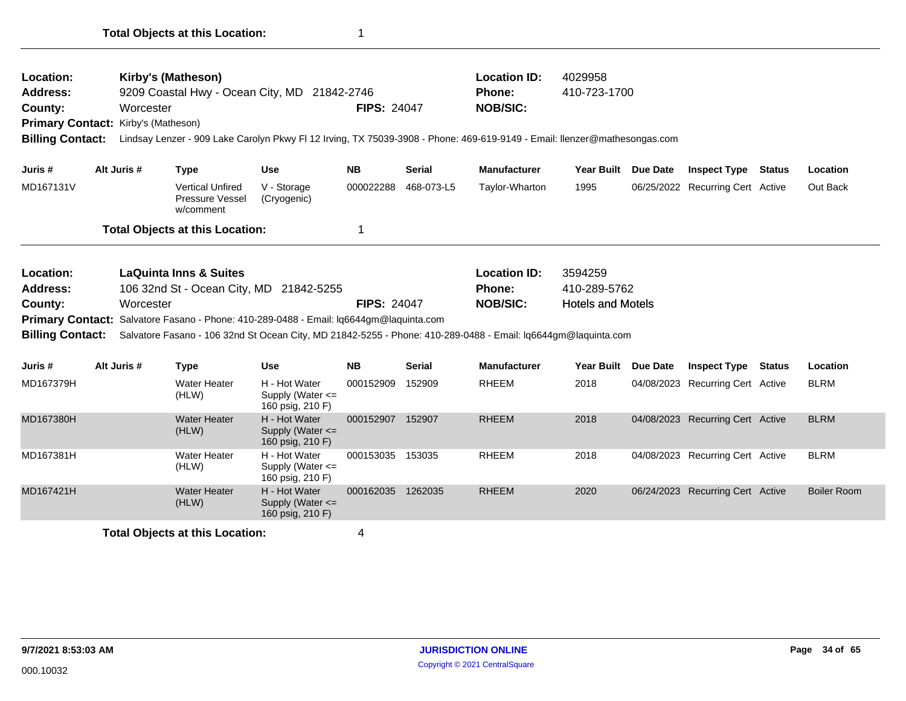| Location:<br>Address:<br>County:<br>Primary Contact: Kirby's (Matheson)<br><b>Billing Contact:</b> | Worcester   | Kirby's (Matheson)                                             | 9209 Coastal Hwy - Ocean City, MD 21842-2746                                                                                      | <b>FIPS: 24047</b> |               | <b>Location ID:</b><br><b>Phone:</b><br><b>NOB/SIC:</b><br>Lindsay Lenzer - 909 Lake Carolyn Pkwy FI 12 Irving, TX 75039-3908 - Phone: 469-619-9149 - Email: Ilenzer@mathesongas.com | 4029958<br>410-723-1700                             |          |                                  |               |                    |
|----------------------------------------------------------------------------------------------------|-------------|----------------------------------------------------------------|-----------------------------------------------------------------------------------------------------------------------------------|--------------------|---------------|--------------------------------------------------------------------------------------------------------------------------------------------------------------------------------------|-----------------------------------------------------|----------|----------------------------------|---------------|--------------------|
| Juris #                                                                                            | Alt Juris # | <b>Type</b>                                                    | <b>Use</b>                                                                                                                        | <b>NB</b>          | <b>Serial</b> | <b>Manufacturer</b>                                                                                                                                                                  | Year Built                                          | Due Date | <b>Inspect Type</b>              | Status        | Location           |
| MD167131V                                                                                          |             | <b>Vertical Unfired</b><br><b>Pressure Vessel</b><br>w/comment | V - Storage<br>(Cryogenic)                                                                                                        | 000022288          | 468-073-L5    | Taylor-Wharton                                                                                                                                                                       | 1995                                                |          | 06/25/2022 Recurring Cert Active |               | Out Back           |
|                                                                                                    |             | <b>Total Objects at this Location:</b>                         |                                                                                                                                   | 1                  |               |                                                                                                                                                                                      |                                                     |          |                                  |               |                    |
| Location:<br><b>Address:</b><br>County:<br><b>Billing Contact:</b>                                 | Worcester   | <b>LaQuinta Inns &amp; Suites</b>                              | 106 32nd St - Ocean City, MD 21842-5255<br>Primary Contact: Salvatore Fasano - Phone: 410-289-0488 - Email: Iq6644gm@laquinta.com | <b>FIPS: 24047</b> |               | <b>Location ID:</b><br><b>Phone:</b><br><b>NOB/SIC:</b><br>Salvatore Fasano - 106 32nd St Ocean City, MD 21842-5255 - Phone: 410-289-0488 - Email: lq6644qm@laquinta.com             | 3594259<br>410-289-5762<br><b>Hotels and Motels</b> |          |                                  |               |                    |
| Juris #                                                                                            | Alt Juris # | <b>Type</b>                                                    | Use                                                                                                                               | <b>NB</b>          | Serial        | <b>Manufacturer</b>                                                                                                                                                                  | Year Built Due Date                                 |          | <b>Inspect Type</b>              | <b>Status</b> | Location           |
| MD167379H                                                                                          |             | Water Heater<br>(HLW)                                          | H - Hot Water<br>Supply (Water <=<br>160 psig, 210 F)                                                                             | 000152909          | 152909        | <b>RHEEM</b>                                                                                                                                                                         | 2018                                                |          | 04/08/2023 Recurring Cert Active |               | <b>BLRM</b>        |
| MD167380H                                                                                          |             | <b>Water Heater</b><br>(HLW)                                   | H - Hot Water<br>Supply (Water $\leq$<br>160 psig, 210 F)                                                                         | 000152907 152907   |               | <b>RHEEM</b>                                                                                                                                                                         | 2018                                                |          | 04/08/2023 Recurring Cert Active |               | <b>BLRM</b>        |
| MD167381H                                                                                          |             | <b>Water Heater</b><br>(HLW)                                   | H - Hot Water<br>Supply (Water $\leq$<br>160 psig, 210 F)                                                                         | 000153035          | 153035        | <b>RHEEM</b>                                                                                                                                                                         | 2018                                                |          | 04/08/2023 Recurring Cert Active |               | <b>BLRM</b>        |
| MD167421H                                                                                          |             | <b>Water Heater</b><br>(HLW)                                   | H - Hot Water<br>Supply (Water <=<br>160 psig, 210 F)                                                                             | 000162035 1262035  |               | <b>RHEEM</b>                                                                                                                                                                         | 2020                                                |          | 06/24/2023 Recurring Cert Active |               | <b>Boiler Room</b> |
|                                                                                                    |             | <b>Total Objects at this Location:</b>                         |                                                                                                                                   | 4                  |               |                                                                                                                                                                                      |                                                     |          |                                  |               |                    |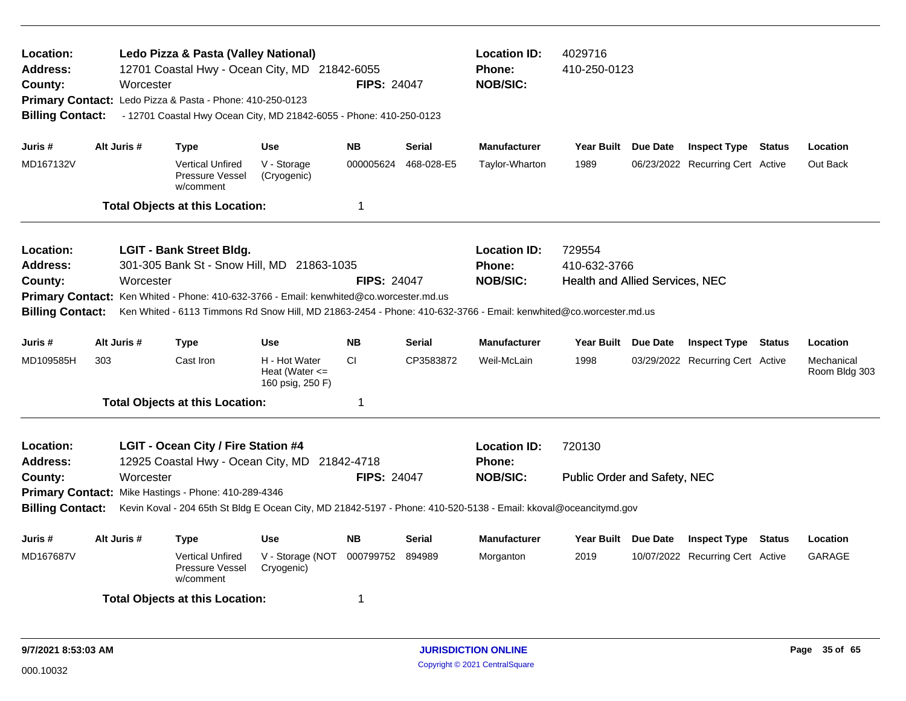| Location:<br>Address:<br>County:<br><b>Billing Contact:</b>                                                                   |     | Worcester   | Ledo Pizza & Pasta (Valley National)<br>12701 Coastal Hwy - Ocean City, MD 21842-6055<br>Primary Contact: Ledo Pizza & Pasta - Phone: 410-250-0123<br>- 12701 Coastal Hwy Ocean City, MD 21842-6055 - Phone: 410-250-0123 |                                                         | <b>FIPS: 24047</b> |               | <b>Location ID:</b><br><b>Phone:</b><br><b>NOB/SIC:</b>                                                                                                                     | 4029716<br>410-250-0123                                   |          |                                  |               |                             |
|-------------------------------------------------------------------------------------------------------------------------------|-----|-------------|---------------------------------------------------------------------------------------------------------------------------------------------------------------------------------------------------------------------------|---------------------------------------------------------|--------------------|---------------|-----------------------------------------------------------------------------------------------------------------------------------------------------------------------------|-----------------------------------------------------------|----------|----------------------------------|---------------|-----------------------------|
| Juris #                                                                                                                       |     | Alt Juris # | Type                                                                                                                                                                                                                      | <b>Use</b>                                              | <b>NB</b>          | <b>Serial</b> | <b>Manufacturer</b>                                                                                                                                                         | <b>Year Built</b>                                         | Due Date | <b>Inspect Type Status</b>       |               | Location                    |
| MD167132V                                                                                                                     |     |             | <b>Vertical Unfired</b><br>Pressure Vessel<br>w/comment                                                                                                                                                                   | V - Storage<br>(Cryogenic)                              | 000005624          | 468-028-E5    | Taylor-Wharton                                                                                                                                                              | 1989                                                      |          | 06/23/2022 Recurring Cert Active |               | Out Back                    |
|                                                                                                                               |     |             | <b>Total Objects at this Location:</b>                                                                                                                                                                                    |                                                         | 1                  |               |                                                                                                                                                                             |                                                           |          |                                  |               |                             |
| Location:<br><b>Address:</b><br>County:<br><b>Billing Contact:</b>                                                            |     | Worcester   | <b>LGIT - Bank Street Bldg.</b><br>301-305 Bank St - Snow Hill, MD 21863-1035<br>Primary Contact: Ken Whited - Phone: 410-632-3766 - Email: kenwhited@co.worcester.md.us                                                  |                                                         | <b>FIPS: 24047</b> |               | <b>Location ID:</b><br>Phone:<br><b>NOB/SIC:</b><br>Ken Whited - 6113 Timmons Rd Snow Hill, MD 21863-2454 - Phone: 410-632-3766 - Email: kenwhited@co.worcester.md.us       | 729554<br>410-632-3766<br>Health and Allied Services, NEC |          |                                  |               |                             |
| Juris #                                                                                                                       |     | Alt Juris # | <b>Type</b>                                                                                                                                                                                                               | <b>Use</b>                                              | <b>NB</b>          | <b>Serial</b> | <b>Manufacturer</b>                                                                                                                                                         | Year Built Due Date                                       |          | <b>Inspect Type Status</b>       |               | Location                    |
| MD109585H                                                                                                                     | 303 |             | Cast Iron                                                                                                                                                                                                                 | H - Hot Water<br>Heat (Water $\leq$<br>160 psig, 250 F) | <b>CI</b>          | CP3583872     | Weil-McLain                                                                                                                                                                 | 1998                                                      |          | 03/29/2022 Recurring Cert Active |               | Mechanical<br>Room Bldg 303 |
|                                                                                                                               |     |             | <b>Total Objects at this Location:</b>                                                                                                                                                                                    |                                                         | -1                 |               |                                                                                                                                                                             |                                                           |          |                                  |               |                             |
| Location:<br><b>Address:</b><br>County:<br><b>Billing Contact:</b>                                                            |     | Worcester   | LGIT - Ocean City / Fire Station #4<br>12925 Coastal Hwy - Ocean City, MD 21842-4718<br>Primary Contact: Mike Hastings - Phone: 410-289-4346                                                                              |                                                         | <b>FIPS: 24047</b> |               | <b>Location ID:</b><br><b>Phone:</b><br><b>NOB/SIC:</b><br>Kevin Koval - 204 65th St Bldg E Ocean City, MD 21842-5197 - Phone: 410-520-5138 - Email: kkoval@oceancitymd.gov | 720130<br>Public Order and Safety, NEC                    |          |                                  |               |                             |
| Juris #                                                                                                                       |     | Alt Juris # | Type                                                                                                                                                                                                                      | <b>Use</b>                                              | <b>NB</b>          | <b>Serial</b> | <b>Manufacturer</b>                                                                                                                                                         | Year Built Due Date                                       |          | <b>Inspect Type</b>              | <b>Status</b> | Location                    |
| MD167687V<br><b>Vertical Unfired</b><br>V - Storage (NOT<br>000799752<br>894989<br>Pressure Vessel<br>Cryogenic)<br>w/comment |     |             |                                                                                                                                                                                                                           | Morganton                                               | 2019               |               | 10/07/2022 Recurring Cert Active                                                                                                                                            |                                                           | GARAGE   |                                  |               |                             |
|                                                                                                                               |     |             | <b>Total Objects at this Location:</b>                                                                                                                                                                                    |                                                         | -1                 |               |                                                                                                                                                                             |                                                           |          |                                  |               |                             |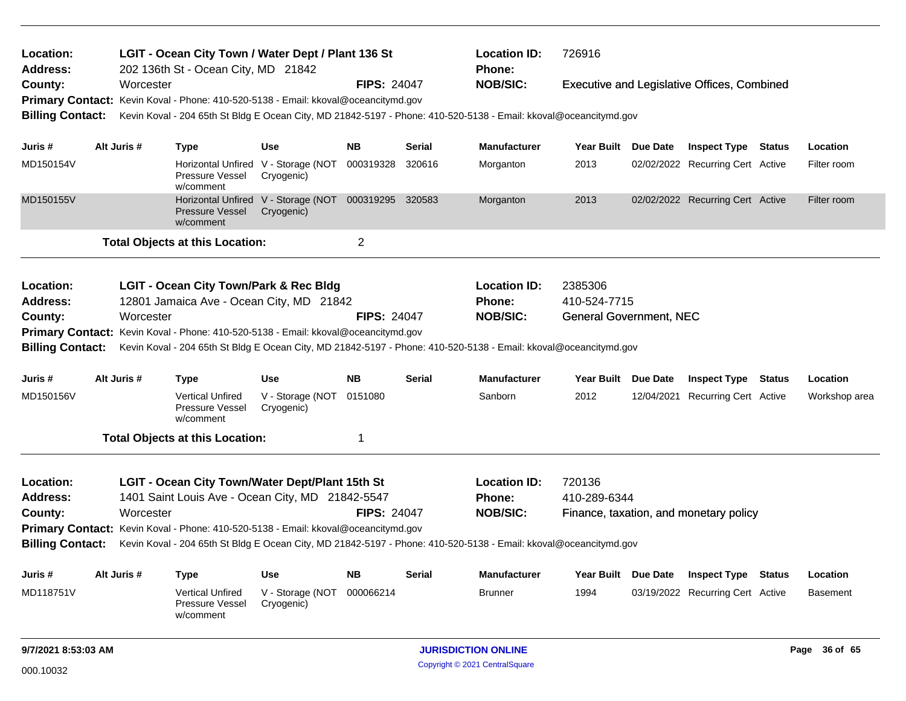| LGIT - Ocean City Town / Water Dept / Plant 136 St<br>Location:<br><b>Address:</b><br>202 136th St - Ocean City, MD 21842 |             |           |                                                                                    |                                                                    |                    |               | <b>Location ID:</b><br><b>Phone:</b>                                                                             | 726916                         |                                                    |                 |
|---------------------------------------------------------------------------------------------------------------------------|-------------|-----------|------------------------------------------------------------------------------------|--------------------------------------------------------------------|--------------------|---------------|------------------------------------------------------------------------------------------------------------------|--------------------------------|----------------------------------------------------|-----------------|
| County:                                                                                                                   |             | Worcester |                                                                                    |                                                                    | <b>FIPS: 24047</b> |               | <b>NOB/SIC:</b>                                                                                                  |                                | <b>Executive and Legislative Offices, Combined</b> |                 |
|                                                                                                                           |             |           | Primary Contact: Kevin Koval - Phone: 410-520-5138 - Email: kkoval@oceancitymd.gov |                                                                    |                    |               |                                                                                                                  |                                |                                                    |                 |
| <b>Billing Contact:</b>                                                                                                   |             |           |                                                                                    |                                                                    |                    |               | Kevin Koval - 204 65th St Bldg E Ocean City, MD 21842-5197 - Phone: 410-520-5138 - Email: kkoval@oceancitymd.gov |                                |                                                    |                 |
| Juris #                                                                                                                   | Alt Juris # |           | <b>Type</b>                                                                        | <b>Use</b>                                                         | <b>NB</b>          | <b>Serial</b> | <b>Manufacturer</b>                                                                                              | Year Built Due Date            | <b>Inspect Type Status</b>                         | Location        |
| MD150154V                                                                                                                 |             |           |                                                                                    | Horizontal Unfired V - Storage (NOT                                | 000319328          | 320616        |                                                                                                                  | 2013                           | 02/02/2022 Recurring Cert Active                   | Filter room     |
|                                                                                                                           |             |           | Pressure Vessel<br>w/comment                                                       | Cryogenic)                                                         |                    |               | Morganton                                                                                                        |                                |                                                    |                 |
| MD150155V                                                                                                                 |             |           | <b>Pressure Vessel</b><br>w/comment                                                | Horizontal Unfired V - Storage (NOT 000319295 320583<br>Cryogenic) |                    |               | Morganton                                                                                                        | 2013                           | 02/02/2022 Recurring Cert Active                   | Filter room     |
|                                                                                                                           |             |           | <b>Total Objects at this Location:</b>                                             |                                                                    | $\overline{c}$     |               |                                                                                                                  |                                |                                                    |                 |
| Location:                                                                                                                 |             |           | <b>LGIT - Ocean City Town/Park &amp; Rec Bldg</b>                                  |                                                                    |                    |               | <b>Location ID:</b>                                                                                              | 2385306                        |                                                    |                 |
| <b>Address:</b>                                                                                                           |             |           | 12801 Jamaica Ave - Ocean City, MD 21842                                           |                                                                    |                    |               | Phone:                                                                                                           | 410-524-7715                   |                                                    |                 |
| County:                                                                                                                   |             | Worcester |                                                                                    |                                                                    | <b>FIPS: 24047</b> |               | <b>NOB/SIC:</b>                                                                                                  | <b>General Government, NEC</b> |                                                    |                 |
|                                                                                                                           |             |           | Primary Contact: Kevin Koval - Phone: 410-520-5138 - Email: kkoval@oceancitymd.gov |                                                                    |                    |               |                                                                                                                  |                                |                                                    |                 |
| <b>Billing Contact:</b>                                                                                                   |             |           |                                                                                    |                                                                    |                    |               | Kevin Koval - 204 65th St Bldg E Ocean City, MD 21842-5197 - Phone: 410-520-5138 - Email: kkoval@oceancitymd.gov |                                |                                                    |                 |
| Juris #                                                                                                                   | Alt Juris # |           | <b>Type</b>                                                                        | <b>Use</b>                                                         | <b>NB</b>          | Serial        | <b>Manufacturer</b>                                                                                              | Year Built Due Date            | <b>Inspect Type Status</b>                         | Location        |
| MD150156V                                                                                                                 |             |           | <b>Vertical Unfired</b><br>Pressure Vessel<br>w/comment                            | V - Storage (NOT<br>Cryogenic)                                     | 0151080            |               | Sanborn                                                                                                          | 2012                           | 12/04/2021 Recurring Cert Active                   | Workshop area   |
|                                                                                                                           |             |           | <b>Total Objects at this Location:</b>                                             |                                                                    | 1                  |               |                                                                                                                  |                                |                                                    |                 |
| Location:                                                                                                                 |             |           | LGIT - Ocean City Town/Water Dept/Plant 15th St                                    |                                                                    |                    |               | <b>Location ID:</b>                                                                                              | 720136                         |                                                    |                 |
| Address:                                                                                                                  |             |           | 1401 Saint Louis Ave - Ocean City, MD 21842-5547                                   |                                                                    |                    |               | Phone:                                                                                                           | 410-289-6344                   |                                                    |                 |
| County:                                                                                                                   |             | Worcester |                                                                                    |                                                                    | <b>FIPS: 24047</b> |               | <b>NOB/SIC:</b>                                                                                                  |                                | Finance, taxation, and monetary policy             |                 |
|                                                                                                                           |             |           | Primary Contact: Kevin Koval - Phone: 410-520-5138 - Email: kkoval@oceancitymd.gov |                                                                    |                    |               |                                                                                                                  |                                |                                                    |                 |
| <b>Billing Contact:</b>                                                                                                   |             |           |                                                                                    |                                                                    |                    |               | Kevin Koval - 204 65th St Bldg E Ocean City, MD 21842-5197 - Phone: 410-520-5138 - Email: kkoval@oceancitymd.gov |                                |                                                    |                 |
| Juris #                                                                                                                   | Alt Juris # |           | <b>Type</b>                                                                        | Use                                                                | <b>NB</b>          | Serial        | <b>Manufacturer</b>                                                                                              | Year Built Due Date            | <b>Inspect Type Status</b>                         | Location        |
| MD118751V<br><b>Vertical Unfired</b><br>Pressure Vessel<br>w/comment                                                      |             |           |                                                                                    | V - Storage (NOT<br>Cryogenic)                                     | 000066214          |               | <b>Brunner</b>                                                                                                   | 1994                           | 03/19/2022 Recurring Cert Active                   | <b>Basement</b> |
| 9/7/2021 8:53:03 AM                                                                                                       |             |           |                                                                                    |                                                                    |                    |               | <b>JURISDICTION ONLINE</b>                                                                                       |                                |                                                    | Page 36 of 65   |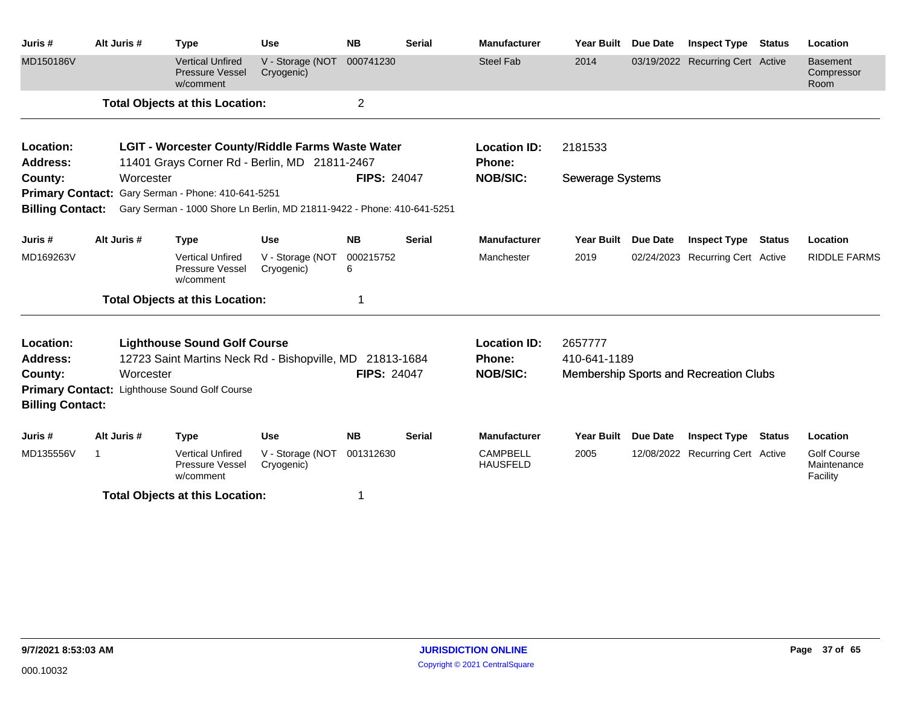| Juris #                 | Alt Juris #  | <b>Type</b>                                                             | <b>Use</b>                     | <b>NB</b>          | <b>Serial</b> | <b>Manufacturer</b>                | Year Built              | <b>Due Date</b> | <b>Inspect Type Status</b>             |               | Location                                      |
|-------------------------|--------------|-------------------------------------------------------------------------|--------------------------------|--------------------|---------------|------------------------------------|-------------------------|-----------------|----------------------------------------|---------------|-----------------------------------------------|
| MD150186V               |              | <b>Vertical Unfired</b><br><b>Pressure Vessel</b><br>w/comment          | V - Storage (NOT<br>Cryogenic) | 000741230          |               | <b>Steel Fab</b>                   | 2014                    |                 | 03/19/2022 Recurring Cert Active       |               | <b>Basement</b><br>Compressor<br>Room         |
|                         |              | <b>Total Objects at this Location:</b>                                  |                                | 2                  |               |                                    |                         |                 |                                        |               |                                               |
| Location:               |              | LGIT - Worcester County/Riddle Farms Waste Water                        |                                |                    |               | <b>Location ID:</b>                | 2181533                 |                 |                                        |               |                                               |
| <b>Address:</b>         |              | 11401 Grays Corner Rd - Berlin, MD 21811-2467                           |                                |                    |               | <b>Phone:</b>                      |                         |                 |                                        |               |                                               |
| County:                 | Worcester    |                                                                         |                                | <b>FIPS: 24047</b> |               | <b>NOB/SIC:</b>                    | <b>Sewerage Systems</b> |                 |                                        |               |                                               |
|                         |              | Primary Contact: Gary Serman - Phone: 410-641-5251                      |                                |                    |               |                                    |                         |                 |                                        |               |                                               |
| <b>Billing Contact:</b> |              | Gary Serman - 1000 Shore Ln Berlin, MD 21811-9422 - Phone: 410-641-5251 |                                |                    |               |                                    |                         |                 |                                        |               |                                               |
| Juris #                 | Alt Juris #  | <b>Type</b>                                                             | <b>Use</b>                     | <b>NB</b>          | <b>Serial</b> | <b>Manufacturer</b>                | <b>Year Built</b>       | <b>Due Date</b> | <b>Inspect Type Status</b>             |               | Location                                      |
| MD169263V               |              | <b>Vertical Unfired</b><br>Pressure Vessel<br>w/comment                 | V - Storage (NOT<br>Cryogenic) | 000215752<br>6     |               | Manchester                         | 2019                    |                 | 02/24/2023 Recurring Cert Active       |               | <b>RIDDLE FARMS</b>                           |
|                         |              | <b>Total Objects at this Location:</b>                                  |                                | 1                  |               |                                    |                         |                 |                                        |               |                                               |
| Location:               |              | <b>Lighthouse Sound Golf Course</b>                                     |                                |                    |               | <b>Location ID:</b>                | 2657777                 |                 |                                        |               |                                               |
| Address:                |              | 12723 Saint Martins Neck Rd - Bishopville, MD 21813-1684                |                                |                    |               | <b>Phone:</b>                      | 410-641-1189            |                 |                                        |               |                                               |
| County:                 | Worcester    |                                                                         |                                | <b>FIPS: 24047</b> |               | <b>NOB/SIC:</b>                    |                         |                 | Membership Sports and Recreation Clubs |               |                                               |
| <b>Billing Contact:</b> |              | Primary Contact: Lighthouse Sound Golf Course                           |                                |                    |               |                                    |                         |                 |                                        |               |                                               |
| Juris #                 | Alt Juris #  | <b>Type</b>                                                             | <b>Use</b>                     | <b>NB</b>          | <b>Serial</b> | <b>Manufacturer</b>                | <b>Year Built</b>       | Due Date        | <b>Inspect Type</b>                    | <b>Status</b> | Location                                      |
| MD135556V               | $\mathbf{1}$ | <b>Vertical Unfired</b><br>Pressure Vessel<br>w/comment                 | V - Storage (NOT<br>Cryogenic) | 001312630          |               | <b>CAMPBELL</b><br><b>HAUSFELD</b> | 2005                    |                 | 12/08/2022 Recurring Cert Active       |               | <b>Golf Course</b><br>Maintenance<br>Facility |
|                         |              | <b>Total Objects at this Location:</b>                                  |                                | 1                  |               |                                    |                         |                 |                                        |               |                                               |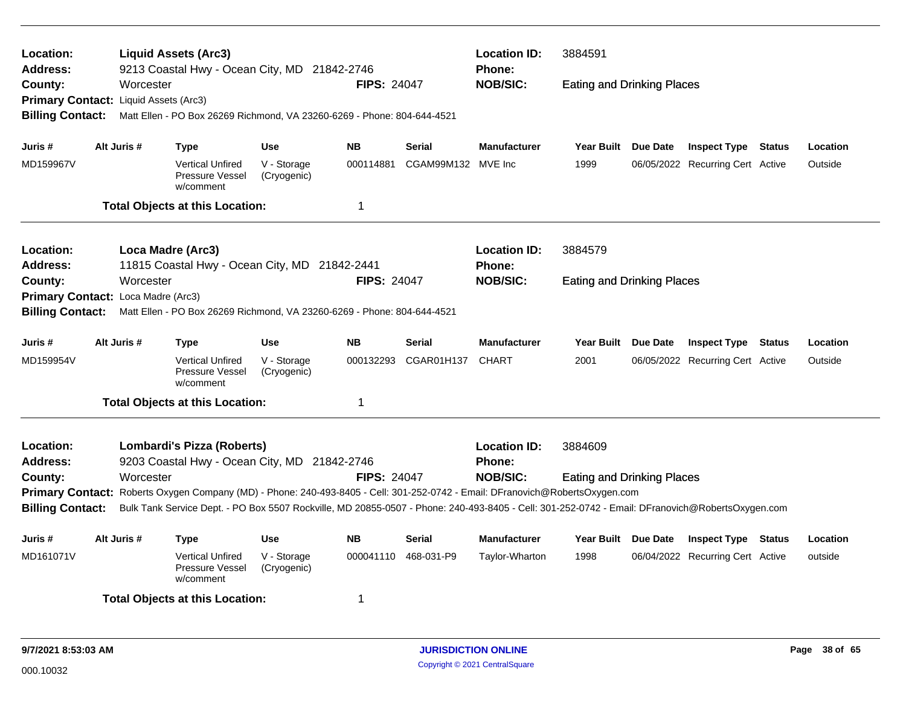| Location:<br>Address:                 |             | <b>Liquid Assets (Arc3)</b><br>9213 Coastal Hwy - Ocean City, MD 21842-2746                                                                     |                            |                    |            | <b>Location ID:</b><br><b>Phone:</b> | 3884591                           |                                  |          |
|---------------------------------------|-------------|-------------------------------------------------------------------------------------------------------------------------------------------------|----------------------------|--------------------|------------|--------------------------------------|-----------------------------------|----------------------------------|----------|
| County:                               |             | Worcester                                                                                                                                       |                            | <b>FIPS: 24047</b> |            | <b>NOB/SIC:</b>                      | <b>Eating and Drinking Places</b> |                                  |          |
| Primary Contact: Liquid Assets (Arc3) |             |                                                                                                                                                 |                            |                    |            |                                      |                                   |                                  |          |
| <b>Billing Contact:</b>               |             | Matt Ellen - PO Box 26269 Richmond, VA 23260-6269 - Phone: 804-644-4521                                                                         |                            |                    |            |                                      |                                   |                                  |          |
| Juris #                               | Alt Juris # | Type                                                                                                                                            | Use                        | <b>NB</b>          | Serial     | <b>Manufacturer</b>                  | Year Built Due Date               | <b>Inspect Type Status</b>       | Location |
| MD159967V                             |             | <b>Vertical Unfired</b><br>Pressure Vessel<br>w/comment                                                                                         | V - Storage<br>(Cryogenic) | 000114881          | CGAM99M132 | MVE Inc                              | 1999                              | 06/05/2022 Recurring Cert Active | Outside  |
|                                       |             | <b>Total Objects at this Location:</b>                                                                                                          |                            | 1                  |            |                                      |                                   |                                  |          |
| <b>Location:</b>                      |             | Loca Madre (Arc3)                                                                                                                               |                            |                    |            | <b>Location ID:</b>                  | 3884579                           |                                  |          |
| <b>Address:</b>                       |             | 11815 Coastal Hwy - Ocean City, MD 21842-2441                                                                                                   |                            |                    |            | Phone:                               |                                   |                                  |          |
| County:                               |             | Worcester                                                                                                                                       |                            | <b>FIPS: 24047</b> |            | <b>NOB/SIC:</b>                      | <b>Eating and Drinking Places</b> |                                  |          |
| Primary Contact: Loca Madre (Arc3)    |             |                                                                                                                                                 |                            |                    |            |                                      |                                   |                                  |          |
| <b>Billing Contact:</b>               |             | Matt Ellen - PO Box 26269 Richmond, VA 23260-6269 - Phone: 804-644-4521                                                                         |                            |                    |            |                                      |                                   |                                  |          |
| Juris #                               | Alt Juris # | Type                                                                                                                                            | Use                        | <b>NB</b>          | Serial     | <b>Manufacturer</b>                  | Year Built Due Date               | <b>Inspect Type Status</b>       | Location |
| MD159954V                             |             | <b>Vertical Unfired</b><br>Pressure Vessel<br>w/comment                                                                                         | V - Storage<br>(Cryogenic) | 000132293          | CGAR01H137 | <b>CHART</b>                         | 2001                              | 06/05/2022 Recurring Cert Active | Outside  |
|                                       |             | <b>Total Objects at this Location:</b>                                                                                                          |                            | 1                  |            |                                      |                                   |                                  |          |
| <b>Location:</b>                      |             | Lombardi's Pizza (Roberts)                                                                                                                      |                            |                    |            | <b>Location ID:</b>                  | 3884609                           |                                  |          |
| Address:                              |             | 9203 Coastal Hwy - Ocean City, MD 21842-2746                                                                                                    |                            |                    |            | Phone:                               |                                   |                                  |          |
| County:                               |             | Worcester                                                                                                                                       |                            | <b>FIPS: 24047</b> |            | <b>NOB/SIC:</b>                      | <b>Eating and Drinking Places</b> |                                  |          |
|                                       |             | Primary Contact: Roberts Oxygen Company (MD) - Phone: 240-493-8405 - Cell: 301-252-0742 - Email: DFranovich@RobertsOxygen.com                   |                            |                    |            |                                      |                                   |                                  |          |
| <b>Billing Contact:</b>               |             | Bulk Tank Service Dept. - PO Box 5507 Rockville, MD 20855-0507 - Phone: 240-493-8405 - Cell: 301-252-0742 - Email: DFranovich@RobertsOxygen.com |                            |                    |            |                                      |                                   |                                  |          |
| Juris #                               | Alt Juris # | Type                                                                                                                                            | Use                        | <b>NB</b>          | Serial     | <b>Manufacturer</b>                  | Year Built Due Date               | <b>Inspect Type Status</b>       | Location |
| MD161071V                             |             | <b>Vertical Unfired</b><br>Pressure Vessel<br>w/comment                                                                                         | V - Storage<br>(Cryogenic) | 000041110          | 468-031-P9 | Taylor-Wharton                       | 1998                              | 06/04/2022 Recurring Cert Active | outside  |
|                                       |             | <b>Total Objects at this Location:</b>                                                                                                          |                            | 1                  |            |                                      |                                   |                                  |          |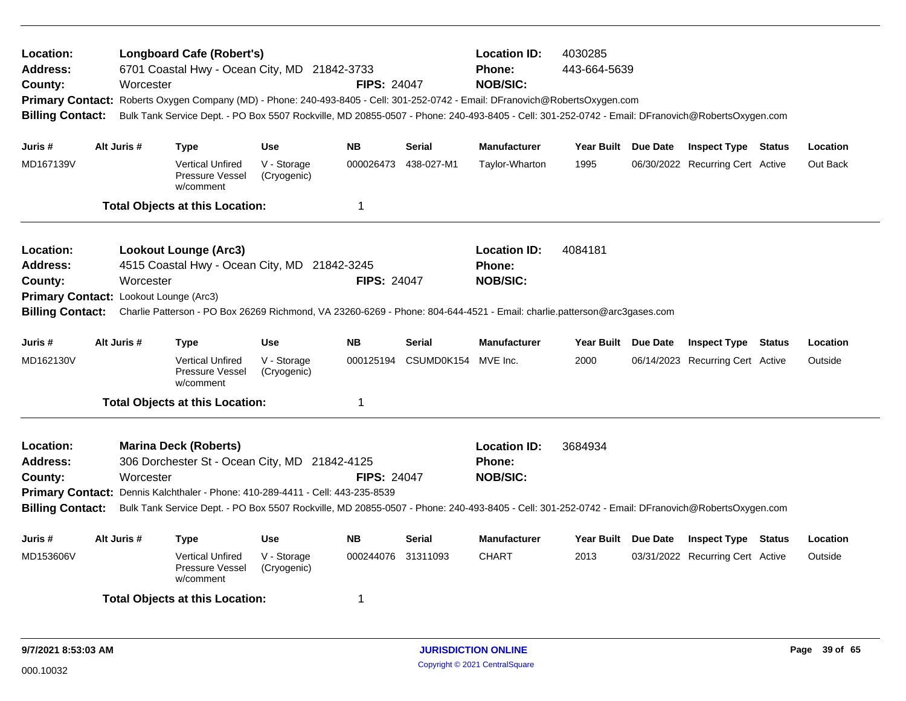| Location:<br><b>Address:</b><br>County:<br><b>Billing Contact:</b> |             | <b>Longboard Cafe (Robert's)</b><br>6701 Coastal Hwy - Ocean City, MD 21842-3733<br>Worcester<br>Primary Contact: Roberts Oxygen Company (MD) - Phone: 240-493-8405 - Cell: 301-252-0742 - Email: DFranovich@RobertsOxygen.com<br>Bulk Tank Service Dept. - PO Box 5507 Rockville, MD 20855-0507 - Phone: 240-493-8405 - Cell: 301-252-0742 - Email: DFranovich@RobertsOxygen.com |                            | <b>FIPS: 24047</b> |                               | <b>Location ID:</b><br><b>Phone:</b><br><b>NOB/SIC:</b> | 4030285<br>443-664-5639 |                                  |        |          |
|--------------------------------------------------------------------|-------------|-----------------------------------------------------------------------------------------------------------------------------------------------------------------------------------------------------------------------------------------------------------------------------------------------------------------------------------------------------------------------------------|----------------------------|--------------------|-------------------------------|---------------------------------------------------------|-------------------------|----------------------------------|--------|----------|
| Juris #                                                            | Alt Juris # | <b>Type</b>                                                                                                                                                                                                                                                                                                                                                                       | <b>Use</b>                 | <b>NB</b>          | <b>Serial</b>                 | <b>Manufacturer</b>                                     | Year Built Due Date     | <b>Inspect Type Status</b>       |        | Location |
| MD167139V                                                          |             | <b>Vertical Unfired</b><br>Pressure Vessel<br>w/comment                                                                                                                                                                                                                                                                                                                           | V - Storage<br>(Cryogenic) | 000026473          | 438-027-M1                    | Taylor-Wharton                                          | 1995                    | 06/30/2022 Recurring Cert Active |        | Out Back |
|                                                                    |             | <b>Total Objects at this Location:</b>                                                                                                                                                                                                                                                                                                                                            |                            | -1                 |                               |                                                         |                         |                                  |        |          |
| Location:<br><b>Address:</b><br>County:<br><b>Billing Contact:</b> |             | <b>Lookout Lounge (Arc3)</b><br>4515 Coastal Hwy - Ocean City, MD 21842-3245<br>Worcester<br>Primary Contact: Lookout Lounge (Arc3)<br>Charlie Patterson - PO Box 26269 Richmond, VA 23260-6269 - Phone: 804-644-4521 - Email: charlie.patterson@arc3gases.com                                                                                                                    |                            | <b>FIPS: 24047</b> |                               | <b>Location ID:</b><br>Phone:<br><b>NOB/SIC:</b>        | 4084181                 |                                  |        |          |
| Juris #                                                            | Alt Juris # | <b>Type</b>                                                                                                                                                                                                                                                                                                                                                                       | <b>Use</b>                 | <b>NB</b>          | <b>Serial</b>                 | <b>Manufacturer</b>                                     | Year Built Due Date     | <b>Inspect Type</b>              | Status | Location |
| MD162130V                                                          |             | <b>Vertical Unfired</b><br>Pressure Vessel<br>w/comment                                                                                                                                                                                                                                                                                                                           | V - Storage<br>(Cryogenic) |                    | 000125194 CSUMD0K154 MVE Inc. |                                                         | 2000                    | 06/14/2023 Recurring Cert Active |        | Outside  |
|                                                                    |             | <b>Total Objects at this Location:</b>                                                                                                                                                                                                                                                                                                                                            |                            | $\mathbf 1$        |                               |                                                         |                         |                                  |        |          |
| Location:<br><b>Address:</b><br>County:<br><b>Billing Contact:</b> |             | <b>Marina Deck (Roberts)</b><br>306 Dorchester St - Ocean City, MD 21842-4125<br>Worcester<br>Primary Contact: Dennis Kalchthaler - Phone: 410-289-4411 - Cell: 443-235-8539<br>Bulk Tank Service Dept. - PO Box 5507 Rockville, MD 20855-0507 - Phone: 240-493-8405 - Cell: 301-252-0742 - Email: DFranovich@RobertsOxygen.com                                                   |                            | <b>FIPS: 24047</b> |                               | <b>Location ID:</b><br>Phone:<br><b>NOB/SIC:</b>        | 3684934                 |                                  |        |          |
| Juris #                                                            | Alt Juris # | <b>Type</b>                                                                                                                                                                                                                                                                                                                                                                       | Use                        | <b>NB</b>          | <b>Serial</b>                 | <b>Manufacturer</b>                                     | Year Built Due Date     | <b>Inspect Type Status</b>       |        | Location |
| MD153606V                                                          |             | <b>Vertical Unfired</b><br>Pressure Vessel<br>w/comment                                                                                                                                                                                                                                                                                                                           | V - Storage<br>(Cryogenic) | 000244076 31311093 |                               | <b>CHART</b>                                            | 2013                    | 03/31/2022 Recurring Cert Active |        | Outside  |
|                                                                    |             | <b>Total Objects at this Location:</b>                                                                                                                                                                                                                                                                                                                                            |                            | -1                 |                               |                                                         |                         |                                  |        |          |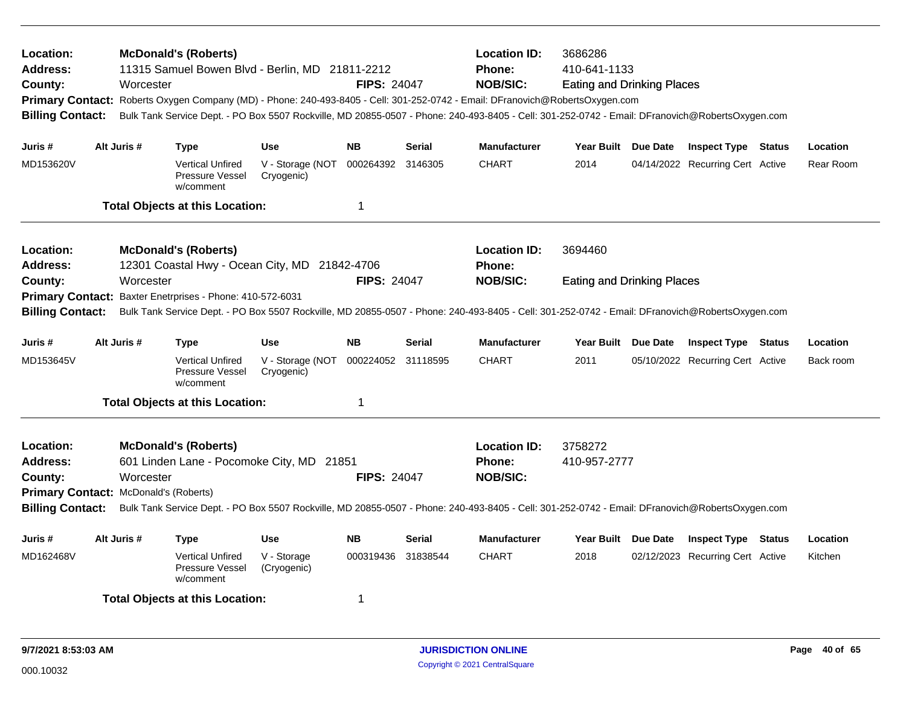| Location:<br>Address:<br>County:<br>Primary Contact: Roberts Oxygen Company (MD) - Phone: 240-493-8405 - Cell: 301-252-0742 - Email: DFranovich@RobertsOxygen.com<br><b>Billing Contact:</b><br>Alt Juris #<br>Juris # |  | Worcester   | <b>McDonald's (Roberts)</b><br>11315 Samuel Bowen Blvd - Berlin, MD 21811-2212 |                                | <b>FIPS: 24047</b> |               | <b>Location ID:</b><br><b>Phone:</b><br><b>NOB/SIC:</b><br>Bulk Tank Service Dept. - PO Box 5507 Rockville, MD 20855-0507 - Phone: 240-493-8405 - Cell: 301-252-0742 - Email: DFranovich@RobertsOxygen.com | 3686286<br>410-641-1133<br><b>Eating and Drinking Places</b> |                 |                                  |        |           |
|------------------------------------------------------------------------------------------------------------------------------------------------------------------------------------------------------------------------|--|-------------|--------------------------------------------------------------------------------|--------------------------------|--------------------|---------------|------------------------------------------------------------------------------------------------------------------------------------------------------------------------------------------------------------|--------------------------------------------------------------|-----------------|----------------------------------|--------|-----------|
|                                                                                                                                                                                                                        |  |             | <b>Type</b>                                                                    | <b>Use</b>                     | <b>NB</b>          | <b>Serial</b> | <b>Manufacturer</b>                                                                                                                                                                                        | Year Built Due Date                                          |                 | <b>Inspect Type Status</b>       |        | Location  |
| MD153620V                                                                                                                                                                                                              |  |             | <b>Vertical Unfired</b><br><b>Pressure Vessel</b><br>w/comment                 | V - Storage (NOT<br>Cryogenic) | 000264392 3146305  |               | <b>CHART</b>                                                                                                                                                                                               | 2014                                                         |                 | 04/14/2022 Recurring Cert Active |        | Rear Room |
|                                                                                                                                                                                                                        |  |             | <b>Total Objects at this Location:</b>                                         |                                | -1                 |               |                                                                                                                                                                                                            |                                                              |                 |                                  |        |           |
| Location:<br>Address:                                                                                                                                                                                                  |  |             | <b>McDonald's (Roberts)</b><br>12301 Coastal Hwy - Ocean City, MD 21842-4706   |                                |                    |               | <b>Location ID:</b><br><b>Phone:</b>                                                                                                                                                                       | 3694460                                                      |                 |                                  |        |           |
| Worcester<br><b>FIPS: 24047</b><br>County:<br>Primary Contact: Baxter Enetrprises - Phone: 410-572-6031                                                                                                                |  |             |                                                                                |                                |                    |               | <b>NOB/SIC:</b>                                                                                                                                                                                            | <b>Eating and Drinking Places</b>                            |                 |                                  |        |           |
| <b>Billing Contact:</b>                                                                                                                                                                                                |  |             |                                                                                |                                |                    |               | Bulk Tank Service Dept. - PO Box 5507 Rockville, MD 20855-0507 - Phone: 240-493-8405 - Cell: 301-252-0742 - Email: DFranovich@RobertsOxygen.com                                                            |                                                              |                 |                                  |        |           |
| Juris #                                                                                                                                                                                                                |  | Alt Juris # | <b>Type</b>                                                                    | Use                            | <b>NB</b>          | <b>Serial</b> | <b>Manufacturer</b>                                                                                                                                                                                        | <b>Year Built</b>                                            | Due Date        | <b>Inspect Type</b>              | Status | Location  |
| MD153645V                                                                                                                                                                                                              |  |             | <b>Vertical Unfired</b><br><b>Pressure Vessel</b><br>w/comment                 | V - Storage (NOT<br>Cryogenic) | 000224052 31118595 |               | <b>CHART</b>                                                                                                                                                                                               | 2011                                                         |                 | 05/10/2022 Recurring Cert Active |        | Back room |
|                                                                                                                                                                                                                        |  |             | <b>Total Objects at this Location:</b>                                         |                                | 1                  |               |                                                                                                                                                                                                            |                                                              |                 |                                  |        |           |
| Location:<br><b>Address:</b><br>County:                                                                                                                                                                                |  | Worcester   | <b>McDonald's (Roberts)</b><br>601 Linden Lane - Pocomoke City, MD 21851       |                                | <b>FIPS: 24047</b> |               | <b>Location ID:</b><br>Phone:<br><b>NOB/SIC:</b>                                                                                                                                                           | 3758272<br>410-957-2777                                      |                 |                                  |        |           |
| Primary Contact: McDonald's (Roberts)<br><b>Billing Contact:</b>                                                                                                                                                       |  |             |                                                                                |                                |                    |               | Bulk Tank Service Dept. - PO Box 5507 Rockville, MD 20855-0507 - Phone: 240-493-8405 - Cell: 301-252-0742 - Email: DFranovich@RobertsOxygen.com                                                            |                                                              |                 |                                  |        |           |
| Juris #                                                                                                                                                                                                                |  | Alt Juris # | <b>Type</b>                                                                    | <b>Use</b>                     | <b>NB</b>          | <b>Serial</b> | <b>Manufacturer</b>                                                                                                                                                                                        | Year Built                                                   | <b>Due Date</b> | <b>Inspect Type Status</b>       |        | Location  |
| MD162468V                                                                                                                                                                                                              |  |             | <b>Vertical Unfired</b><br><b>Pressure Vessel</b><br>w/comment                 | V - Storage<br>(Cryogenic)     | 000319436          | 31838544      | <b>CHART</b>                                                                                                                                                                                               | 2018                                                         |                 | 02/12/2023 Recurring Cert Active |        | Kitchen   |
|                                                                                                                                                                                                                        |  |             | <b>Total Objects at this Location:</b>                                         |                                | -1                 |               |                                                                                                                                                                                                            |                                                              |                 |                                  |        |           |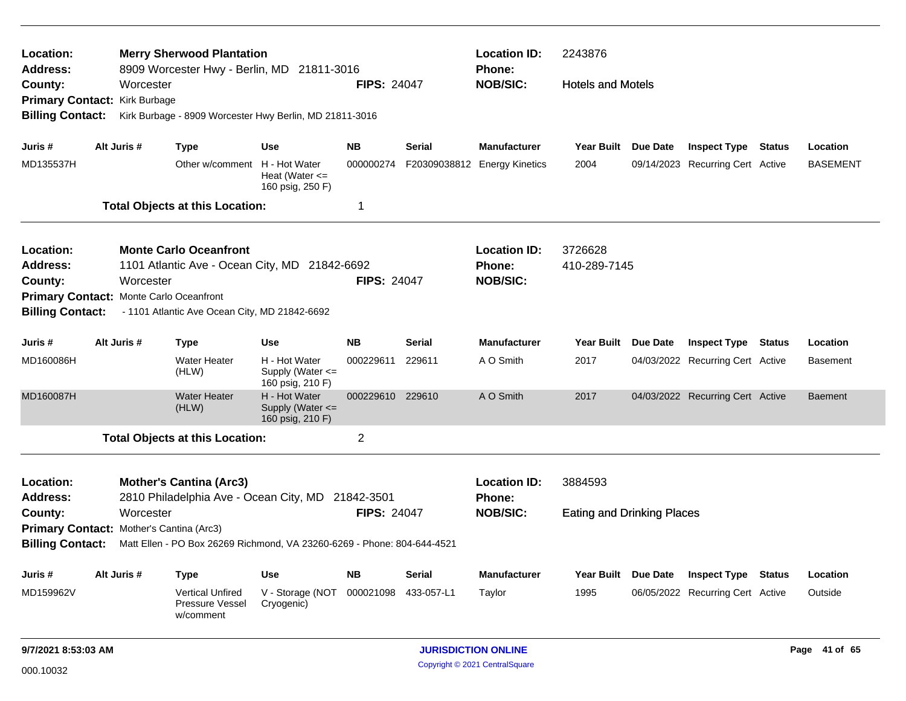| Location:<br><b>Address:</b>                                        |           |             | <b>Merry Sherwood Plantation</b><br>8909 Worcester Hwy - Berlin, MD 21811-3016 |                                                       |                    |               | <b>Location ID:</b><br>Phone: | 2243876                           |                 |                                  |                 |
|---------------------------------------------------------------------|-----------|-------------|--------------------------------------------------------------------------------|-------------------------------------------------------|--------------------|---------------|-------------------------------|-----------------------------------|-----------------|----------------------------------|-----------------|
| County:<br>Primary Contact: Kirk Burbage                            |           | Worcester   |                                                                                |                                                       | <b>FIPS: 24047</b> |               | <b>NOB/SIC:</b>               | <b>Hotels and Motels</b>          |                 |                                  |                 |
| <b>Billing Contact:</b>                                             |           |             | Kirk Burbage - 8909 Worcester Hwy Berlin, MD 21811-3016                        |                                                       |                    |               |                               |                                   |                 |                                  |                 |
| Juris #                                                             |           | Alt Juris # | <b>Type</b>                                                                    | <b>Use</b>                                            | <b>NB</b>          | Serial        | <b>Manufacturer</b>           | Year Built                        | Due Date        | <b>Inspect Type Status</b>       | Location        |
| MD135537H                                                           |           |             | Other w/comment H - Hot Water                                                  | Heat (Water $\leq$<br>160 psig, 250 F)                | 000000274          |               | F20309038812 Energy Kinetics  | 2004                              |                 | 09/14/2023 Recurring Cert Active | <b>BASEMENT</b> |
|                                                                     |           |             | <b>Total Objects at this Location:</b>                                         |                                                       | 1                  |               |                               |                                   |                 |                                  |                 |
| Location:                                                           |           |             | <b>Monte Carlo Oceanfront</b>                                                  |                                                       |                    |               | <b>Location ID:</b>           | 3726628                           |                 |                                  |                 |
| <b>Address:</b>                                                     |           |             | 1101 Atlantic Ave - Ocean City, MD 21842-6692                                  |                                                       |                    |               | <b>Phone:</b>                 | 410-289-7145                      |                 |                                  |                 |
| County:                                                             |           | Worcester   |                                                                                |                                                       | <b>FIPS: 24047</b> |               | <b>NOB/SIC:</b>               |                                   |                 |                                  |                 |
| Primary Contact: Monte Carlo Oceanfront<br><b>Billing Contact:</b>  |           |             | - 1101 Atlantic Ave Ocean City, MD 21842-6692                                  |                                                       |                    |               |                               |                                   |                 |                                  |                 |
| Juris #                                                             |           | Alt Juris # | <b>Type</b>                                                                    | <b>Use</b>                                            | <b>NB</b>          | Serial        | <b>Manufacturer</b>           | <b>Year Built</b>                 | Due Date        | <b>Inspect Type Status</b>       | Location        |
| MD160086H                                                           |           |             | <b>Water Heater</b><br>(HLW)                                                   | H - Hot Water<br>Supply (Water <=<br>160 psig, 210 F) | 000229611          | 229611        | A O Smith                     | 2017                              |                 | 04/03/2022 Recurring Cert Active | <b>Basement</b> |
| MD160087H                                                           |           |             | <b>Water Heater</b><br>(HLW)                                                   | H - Hot Water<br>Supply (Water <=<br>160 psig, 210 F) | 000229610          | 229610        | A O Smith                     | 2017                              |                 | 04/03/2022 Recurring Cert Active | <b>Baement</b>  |
|                                                                     |           |             | <b>Total Objects at this Location:</b>                                         |                                                       | $\mathbf 2$        |               |                               |                                   |                 |                                  |                 |
| Location:                                                           |           |             | <b>Mother's Cantina (Arc3)</b>                                                 |                                                       |                    |               | <b>Location ID:</b>           | 3884593                           |                 |                                  |                 |
| <b>Address:</b>                                                     |           |             | 2810 Philadelphia Ave - Ocean City, MD 21842-3501                              |                                                       |                    |               | <b>Phone:</b>                 |                                   |                 |                                  |                 |
| County:                                                             | Worcester |             |                                                                                |                                                       | <b>FIPS: 24047</b> |               | <b>NOB/SIC:</b>               | <b>Eating and Drinking Places</b> |                 |                                  |                 |
| Primary Contact: Mother's Cantina (Arc3)<br><b>Billing Contact:</b> |           |             | Matt Ellen - PO Box 26269 Richmond, VA 23260-6269 - Phone: 804-644-4521        |                                                       |                    |               |                               |                                   |                 |                                  |                 |
| Juris #                                                             |           | Alt Juris # | <b>Type</b>                                                                    | <b>Use</b>                                            | NB                 | <b>Serial</b> | <b>Manufacturer</b>           | <b>Year Built</b>                 | <b>Due Date</b> | <b>Inspect Type Status</b>       | Location        |
| MD159962V                                                           |           |             | <b>Vertical Unfired</b><br>Pressure Vessel<br>w/comment                        | V - Storage (NOT 000021098<br>Cryogenic)              |                    | 433-057-L1    | Taylor                        | 1995                              |                 | 06/05/2022 Recurring Cert Active | Outside         |
|                                                                     |           |             |                                                                                |                                                       |                    |               |                               |                                   |                 |                                  |                 |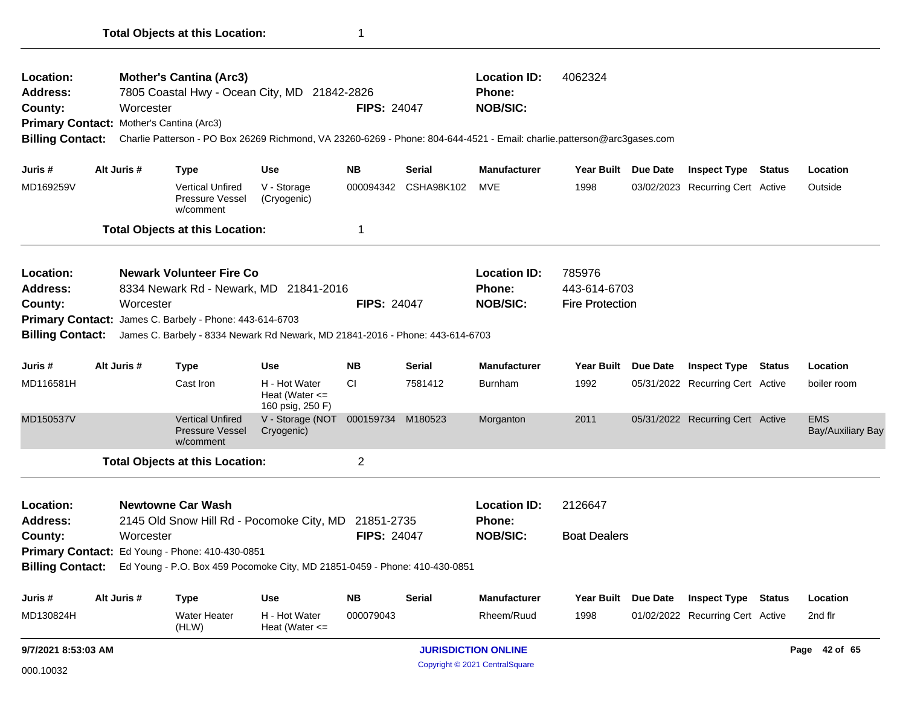|                                                                    |                                                                                    | <b>Total Objects at this Location:</b>                                                                                                                                                                                     |                                                         | 1                  |                                                  |                                                  |                                |                                  |                           |
|--------------------------------------------------------------------|------------------------------------------------------------------------------------|----------------------------------------------------------------------------------------------------------------------------------------------------------------------------------------------------------------------------|---------------------------------------------------------|--------------------|--------------------------------------------------|--------------------------------------------------|--------------------------------|----------------------------------|---------------------------|
| <b>Location:</b><br><b>Address:</b><br>County:                     | Worcester<br>Primary Contact: Mother's Cantina (Arc3)                              | <b>Mother's Cantina (Arc3)</b><br>7805 Coastal Hwy - Ocean City, MD 21842-2826<br>Billing Contact: Charlie Patterson - PO Box 26269 Richmond, VA 23260-6269 - Phone: 804-644-4521 - Email: charlie.patterson@arc3gases.com |                                                         | <b>FIPS: 24047</b> |                                                  | <b>Location ID:</b><br>Phone:<br><b>NOB/SIC:</b> | 4062324                        |                                  |                           |
| Juris #                                                            | Alt Juris #                                                                        | <b>Type</b>                                                                                                                                                                                                                | Use                                                     | <b>NB</b>          | Serial                                           | <b>Manufacturer</b>                              | Year Built Due Date            | <b>Inspect Type Status</b>       | Location                  |
| MD169259V                                                          |                                                                                    | <b>Vertical Unfired</b><br><b>Pressure Vessel</b><br>w/comment                                                                                                                                                             | V - Storage<br>(Cryogenic)                              |                    | 000094342 CSHA98K102                             | MVE                                              | 1998                           | 03/02/2023 Recurring Cert Active | Outside                   |
|                                                                    |                                                                                    | <b>Total Objects at this Location:</b>                                                                                                                                                                                     |                                                         | 1                  |                                                  |                                                  |                                |                                  |                           |
| Location:<br><b>Address:</b><br>County:<br><b>Billing Contact:</b> | Worcester                                                                          | <b>Newark Volunteer Fire Co</b><br>8334 Newark Rd - Newark, MD 21841-2016<br>Primary Contact: James C. Barbely - Phone: 443-614-6703<br>James C. Barbely - 8334 Newark Rd Newark, MD 21841-2016 - Phone: 443-614-6703      | <b>FIPS: 24047</b>                                      |                    | <b>Location ID:</b><br>Phone:<br><b>NOB/SIC:</b> | 785976<br>443-614-6703<br><b>Fire Protection</b> |                                |                                  |                           |
| Juris #                                                            | Alt Juris #                                                                        | <b>Type</b>                                                                                                                                                                                                                | <b>Use</b>                                              | <b>NB</b>          | <b>Serial</b>                                    | <b>Manufacturer</b>                              | Year Built Due Date            | <b>Inspect Type Status</b>       | Location                  |
| MD116581H                                                          |                                                                                    | Cast Iron                                                                                                                                                                                                                  | H - Hot Water<br>Heat (Water $\leq$<br>160 psig, 250 F) | СI                 | 7581412                                          | <b>Burnham</b>                                   | 1992                           | 05/31/2022 Recurring Cert Active | boiler room               |
| MD150537V                                                          |                                                                                    | <b>Vertical Unfired</b><br><b>Pressure Vessel</b><br>w/comment                                                                                                                                                             | V - Storage (NOT<br>Cryogenic)                          | 000159734 M180523  |                                                  | Morganton                                        | 2011                           | 05/31/2022 Recurring Cert Active | <b>EMS</b><br>Bay/Auxilia |
|                                                                    |                                                                                    | <b>Total Objects at this Location:</b>                                                                                                                                                                                     |                                                         | $\overline{c}$     |                                                  |                                                  |                                |                                  |                           |
| Location:<br><b>Address:</b><br>County:                            | <b>Newtowne Car Wash</b><br>2145 Old Snow Hill Rd - Pocomoke City, MD<br>Worcester |                                                                                                                                                                                                                            |                                                         |                    | 21851-2735<br><b>FIPS: 24047</b>                 | <b>Location ID:</b><br>Phone:<br><b>NOB/SIC:</b> | 2126647<br><b>Boat Dealers</b> |                                  |                           |
|                                                                    |                                                                                    | Primary Contact: Ed Young - Phone: 410-430-0851<br>Billing Contact: Ed Young - P.O. Box 459 Pocomoke City, MD 21851-0459 - Phone: 410-430-0851                                                                             |                                                         |                    |                                                  |                                                  |                                |                                  |                           |

| Juris #   | Alt Juris # | Type                         | Use                             | NΒ        | <b>Serial</b> | <b>Manufacturer</b> | <b>Year Built</b> | Due Date | <b>Inspect Type</b>              | <b>Status</b> | Location |
|-----------|-------------|------------------------------|---------------------------------|-----------|---------------|---------------------|-------------------|----------|----------------------------------|---------------|----------|
| MD130824H |             | <b>Water Heater</b><br>(HLW) | H - Hot Water<br>Heat (Water <= | 000079043 |               | Rheem/Ruud          | 1998              |          | 01/02/2022 Recurring Cert Active |               | 2nd flr  |
|           |             |                              |                                 |           |               |                     |                   |          |                                  |               |          |

EMS<br>Bay/Auxiliary Bay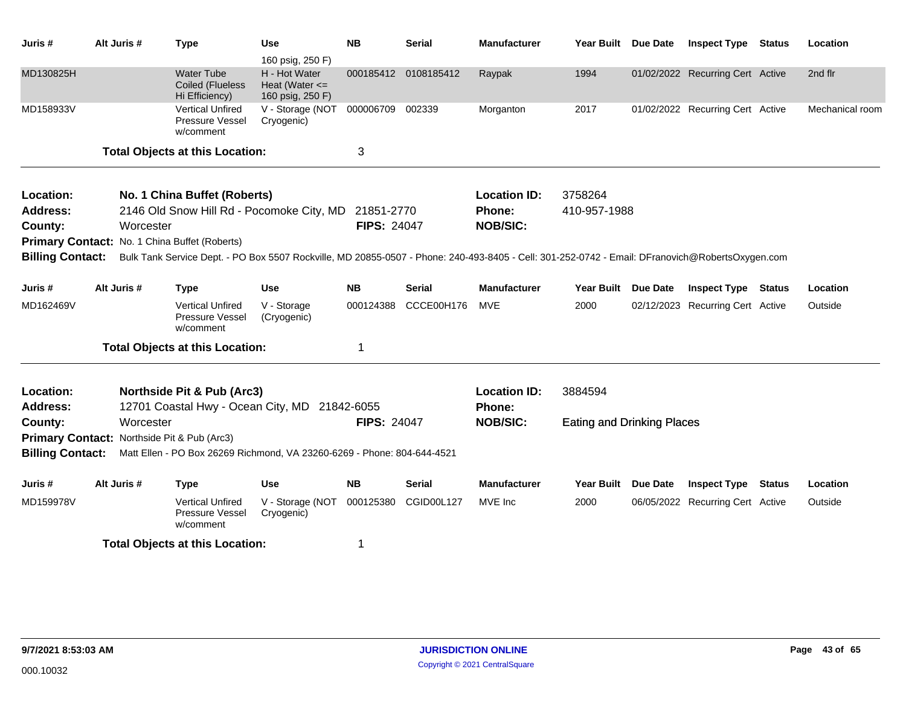| Juris #         | Alt Juris # | <b>Type</b>                                             | <b>Use</b><br>160 psig, 250 F)                                                                                                                                   | <b>NB</b>          | <b>Serial</b>        | <b>Manufacturer</b> | <b>Year Built</b>                 | <b>Due Date</b> | <b>Inspect Type</b>              | Status        | Location        |
|-----------------|-------------|---------------------------------------------------------|------------------------------------------------------------------------------------------------------------------------------------------------------------------|--------------------|----------------------|---------------------|-----------------------------------|-----------------|----------------------------------|---------------|-----------------|
| MD130825H       |             | <b>Water Tube</b><br>Coiled (Flueless<br>Hi Efficiency) | H - Hot Water<br>Heat (Water $\leq$<br>160 psig, 250 F)                                                                                                          |                    | 000185412 0108185412 | Raypak              | 1994                              |                 | 01/02/2022 Recurring Cert Active |               | 2nd flr         |
| MD158933V       |             | <b>Vertical Unfired</b><br>Pressure Vessel<br>w/comment | V - Storage (NOT<br>Cryogenic)                                                                                                                                   | 000006709          | 002339               | Morganton           | 2017                              |                 | 01/02/2022 Recurring Cert Active |               | Mechanical room |
|                 |             | <b>Total Objects at this Location:</b>                  |                                                                                                                                                                  | 3                  |                      |                     |                                   |                 |                                  |               |                 |
| Location:       |             | No. 1 China Buffet (Roberts)                            |                                                                                                                                                                  |                    |                      | <b>Location ID:</b> | 3758264                           |                 |                                  |               |                 |
| <b>Address:</b> |             |                                                         | 2146 Old Snow Hill Rd - Pocomoke City, MD 21851-2770                                                                                                             |                    |                      | Phone:              | 410-957-1988                      |                 |                                  |               |                 |
| County:         | Worcester   |                                                         |                                                                                                                                                                  | <b>FIPS: 24047</b> |                      | <b>NOB/SIC:</b>     |                                   |                 |                                  |               |                 |
|                 |             | Primary Contact: No. 1 China Buffet (Roberts)           |                                                                                                                                                                  |                    |                      |                     |                                   |                 |                                  |               |                 |
|                 |             |                                                         | Billing Contact: Bulk Tank Service Dept. - PO Box 5507 Rockville, MD 20855-0507 - Phone: 240-493-8405 - Cell: 301-252-0742 - Email: DFranovich@RobertsOxygen.com |                    |                      |                     |                                   |                 |                                  |               |                 |
| Juris #         | Alt Juris # | <b>Type</b>                                             | <b>Use</b>                                                                                                                                                       | <b>NB</b>          | Serial               | <b>Manufacturer</b> | <b>Year Built</b>                 | Due Date        | <b>Inspect Type</b>              | Status        | Location        |
| MD162469V       |             | <b>Vertical Unfired</b><br>Pressure Vessel<br>w/comment | V - Storage<br>(Cryogenic)                                                                                                                                       | 000124388          | CCCE00H176           | MVE                 | 2000                              |                 | 02/12/2023 Recurring Cert Active |               | Outside         |
|                 |             | <b>Total Objects at this Location:</b>                  |                                                                                                                                                                  | 1                  |                      |                     |                                   |                 |                                  |               |                 |
| Location:       |             | Northside Pit & Pub (Arc3)                              |                                                                                                                                                                  |                    |                      | <b>Location ID:</b> | 3884594                           |                 |                                  |               |                 |
| <b>Address:</b> |             |                                                         | 12701 Coastal Hwy - Ocean City, MD 21842-6055                                                                                                                    |                    |                      | Phone:              |                                   |                 |                                  |               |                 |
| County:         | Worcester   |                                                         |                                                                                                                                                                  | <b>FIPS: 24047</b> |                      | <b>NOB/SIC:</b>     | <b>Eating and Drinking Places</b> |                 |                                  |               |                 |
|                 |             | Primary Contact: Northside Pit & Pub (Arc3)             |                                                                                                                                                                  |                    |                      |                     |                                   |                 |                                  |               |                 |
|                 |             |                                                         | Billing Contact: Matt Ellen - PO Box 26269 Richmond, VA 23260-6269 - Phone: 804-644-4521                                                                         |                    |                      |                     |                                   |                 |                                  |               |                 |
| Juris #         | Alt Juris # | <b>Type</b>                                             | <b>Use</b>                                                                                                                                                       | <b>NB</b>          | Serial               | <b>Manufacturer</b> | Year Built                        | <b>Due Date</b> | <b>Inspect Type</b>              | <b>Status</b> | Location        |
| MD159978V       |             | <b>Vertical Unfired</b><br>Pressure Vessel<br>w/comment | V - Storage (NOT<br>Cryogenic)                                                                                                                                   | 000125380          | CGID00L127           | MVE Inc             | 2000                              |                 | 06/05/2022 Recurring Cert Active |               | Outside         |
|                 |             | <b>Total Objects at this Location:</b>                  |                                                                                                                                                                  |                    |                      |                     |                                   |                 |                                  |               |                 |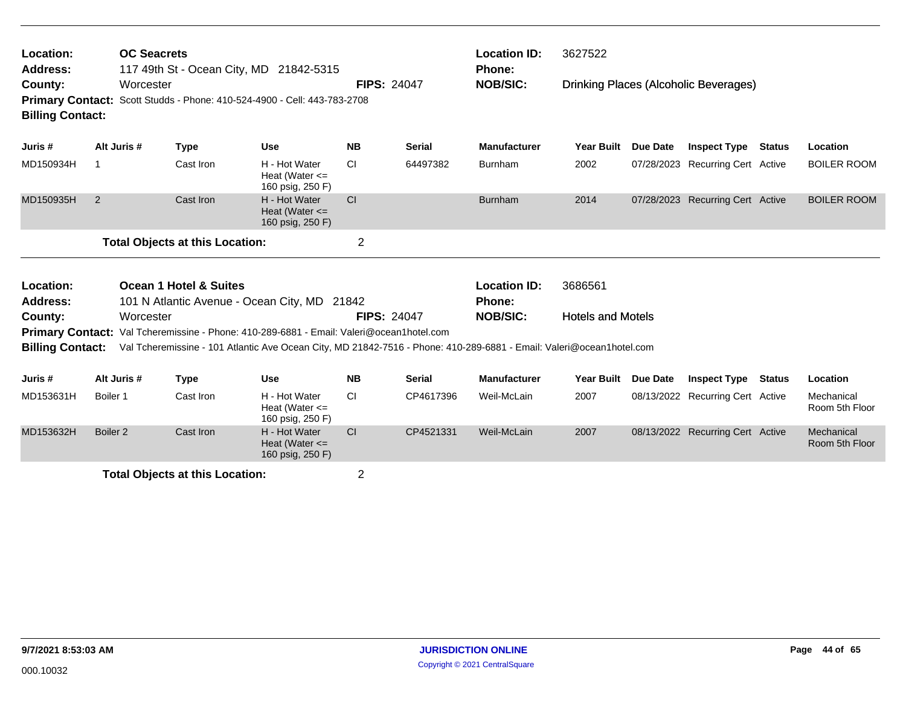| Location:<br><b>Address:</b>       |          | <b>OC Seacrets</b> | 117 49th St - Ocean City, MD 21842-5315                                                                                                                                                                          |                                                         |                    |               | <b>Location ID:</b><br><b>Phone:</b> | 3627522                  |          |                                       |        |                              |
|------------------------------------|----------|--------------------|------------------------------------------------------------------------------------------------------------------------------------------------------------------------------------------------------------------|---------------------------------------------------------|--------------------|---------------|--------------------------------------|--------------------------|----------|---------------------------------------|--------|------------------------------|
| County:<br><b>Billing Contact:</b> |          | Worcester          | Primary Contact: Scott Studds - Phone: 410-524-4900 - Cell: 443-783-2708                                                                                                                                         |                                                         | <b>FIPS: 24047</b> |               | <b>NOB/SIC:</b>                      |                          |          | Drinking Places (Alcoholic Beverages) |        |                              |
| Juris #                            |          | Alt Juris #        | <b>Type</b>                                                                                                                                                                                                      | <b>Use</b>                                              | <b>NB</b>          | <b>Serial</b> | <b>Manufacturer</b>                  | <b>Year Built</b>        | Due Date | <b>Inspect Type</b>                   | Status | Location                     |
| MD150934H                          | -1       |                    | Cast Iron                                                                                                                                                                                                        | H - Hot Water<br>Heat (Water $\leq$<br>160 psig, 250 F) | <b>CI</b>          | 64497382      | <b>Burnham</b>                       | 2002                     |          | 07/28/2023 Recurring Cert Active      |        | <b>BOILER ROOM</b>           |
| MD150935H                          | 2        |                    | Cast Iron                                                                                                                                                                                                        | H - Hot Water<br>Heat (Water $\leq$<br>160 psig, 250 F) | CI                 |               | <b>Burnham</b>                       | 2014                     |          | 07/28/2023 Recurring Cert Active      |        | <b>BOILER ROOM</b>           |
|                                    |          |                    | <b>Total Objects at this Location:</b>                                                                                                                                                                           |                                                         | $\overline{2}$     |               |                                      |                          |          |                                       |        |                              |
| Location:<br>Address:              |          |                    | <b>Ocean 1 Hotel &amp; Suites</b><br>101 N Atlantic Avenue - Ocean City, MD 21842                                                                                                                                |                                                         |                    |               | <b>Location ID:</b><br><b>Phone:</b> | 3686561                  |          |                                       |        |                              |
| County:<br><b>Billing Contact:</b> |          | Worcester          | Primary Contact: Val Tcheremissine - Phone: 410-289-6881 - Email: Valeri@ocean1hotel.com<br>Val Tcheremissine - 101 Atlantic Ave Ocean City, MD 21842-7516 - Phone: 410-289-6881 - Email: Valeri@ocean1hotel.com |                                                         | <b>FIPS: 24047</b> |               | <b>NOB/SIC:</b>                      | <b>Hotels and Motels</b> |          |                                       |        |                              |
| Juris #                            |          | Alt Juris #        | <b>Type</b>                                                                                                                                                                                                      | <b>Use</b>                                              | <b>NB</b>          | <b>Serial</b> | <b>Manufacturer</b>                  | <b>Year Built</b>        | Due Date | <b>Inspect Type</b>                   | Status | Location                     |
| MD153631H                          | Boiler 1 |                    | Cast Iron                                                                                                                                                                                                        | H - Hot Water<br>Heat (Water $\leq$<br>160 psig, 250 F) | <b>CI</b>          | CP4617396     | Weil-McLain                          | 2007                     |          | 08/13/2022 Recurring Cert Active      |        | Mechanical<br>Room 5th Floor |

MD153632H Boiler 2 Cast Iron H - Hot Water Cl CP4521331 Weil-McLain 2007 08/13/2022

Heat (Water <= 160 psig, 250 F)

**Total Objects at this Location:** 2

Boiler 2 Cast Iron H - Hot Water Cl CP4521331 Weil-McLain 2007 08/13/2022 Recurring Cert Active Mechanical

Room 5th Floor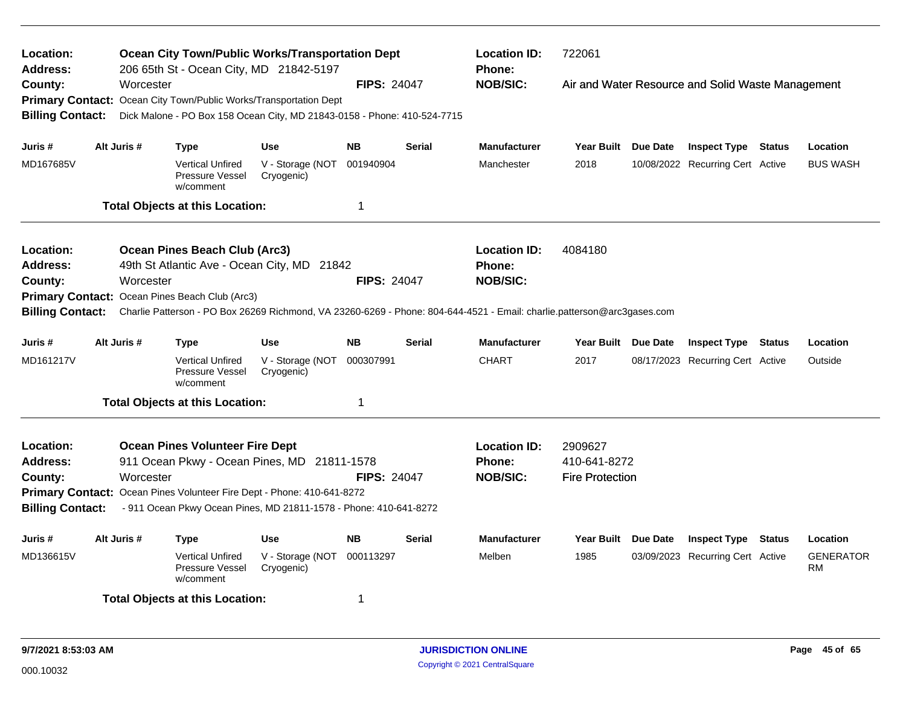| Location:<br><b>Address:</b> |             | <b>Ocean City Town/Public Works/Transportation Dept</b><br>206 65th St - Ocean City, MD 21842-5197                      |                                |                    |               | <b>Location ID:</b><br><b>Phone:</b> | 722061                 |          |                                                   |        |                        |
|------------------------------|-------------|-------------------------------------------------------------------------------------------------------------------------|--------------------------------|--------------------|---------------|--------------------------------------|------------------------|----------|---------------------------------------------------|--------|------------------------|
| County:                      | Worcester   |                                                                                                                         |                                | <b>FIPS: 24047</b> |               | <b>NOB/SIC:</b>                      |                        |          | Air and Water Resource and Solid Waste Management |        |                        |
|                              |             | Primary Contact: Ocean City Town/Public Works/Transportation Dept                                                       |                                |                    |               |                                      |                        |          |                                                   |        |                        |
| <b>Billing Contact:</b>      |             | Dick Malone - PO Box 158 Ocean City, MD 21843-0158 - Phone: 410-524-7715                                                |                                |                    |               |                                      |                        |          |                                                   |        |                        |
| Juris #                      | Alt Juris # | <b>Type</b>                                                                                                             | <b>Use</b>                     | <b>NB</b>          | <b>Serial</b> | <b>Manufacturer</b>                  | <b>Year Built</b>      | Due Date | <b>Inspect Type Status</b>                        |        | Location               |
|                              |             |                                                                                                                         |                                |                    |               |                                      |                        |          |                                                   |        |                        |
| MD167685V                    |             | <b>Vertical Unfired</b><br>Pressure Vessel<br>w/comment                                                                 | V - Storage (NOT<br>Cryogenic) | 001940904          |               | Manchester                           | 2018                   |          | 10/08/2022 Recurring Cert Active                  |        | <b>BUS WASH</b>        |
|                              |             | <b>Total Objects at this Location:</b>                                                                                  |                                | $\mathbf 1$        |               |                                      |                        |          |                                                   |        |                        |
| Location:                    |             | Ocean Pines Beach Club (Arc3)                                                                                           |                                |                    |               | <b>Location ID:</b>                  | 4084180                |          |                                                   |        |                        |
| <b>Address:</b>              |             | 49th St Atlantic Ave - Ocean City, MD 21842                                                                             |                                |                    |               | <b>Phone:</b>                        |                        |          |                                                   |        |                        |
| County:                      | Worcester   |                                                                                                                         |                                | <b>FIPS: 24047</b> |               | <b>NOB/SIC:</b>                      |                        |          |                                                   |        |                        |
| <b>Primary Contact:</b>      |             | Ocean Pines Beach Club (Arc3)                                                                                           |                                |                    |               |                                      |                        |          |                                                   |        |                        |
| <b>Billing Contact:</b>      |             | Charlie Patterson - PO Box 26269 Richmond, VA 23260-6269 - Phone: 804-644-4521 - Email: charlie.patterson@arc3gases.com |                                |                    |               |                                      |                        |          |                                                   |        |                        |
| Juris #                      | Alt Juris # | <b>Type</b>                                                                                                             | <b>Use</b>                     | <b>NB</b>          | <b>Serial</b> | <b>Manufacturer</b>                  | Year Built Due Date    |          | <b>Inspect Type Status</b>                        |        | Location               |
| MD161217V                    |             | <b>Vertical Unfired</b><br>Pressure Vessel<br>w/comment                                                                 | V - Storage (NOT<br>Cryogenic) | 000307991          |               | <b>CHART</b>                         | 2017                   |          | 08/17/2023 Recurring Cert Active                  |        | Outside                |
|                              |             | <b>Total Objects at this Location:</b>                                                                                  |                                | -1                 |               |                                      |                        |          |                                                   |        |                        |
| Location:                    |             | <b>Ocean Pines Volunteer Fire Dept</b>                                                                                  |                                |                    |               | <b>Location ID:</b>                  | 2909627                |          |                                                   |        |                        |
| Address:                     |             | 911 Ocean Pkwy - Ocean Pines, MD 21811-1578                                                                             |                                |                    |               | <b>Phone:</b>                        | 410-641-8272           |          |                                                   |        |                        |
| County:                      | Worcester   |                                                                                                                         |                                | <b>FIPS: 24047</b> |               | <b>NOB/SIC:</b>                      | <b>Fire Protection</b> |          |                                                   |        |                        |
|                              |             | Primary Contact: Ocean Pines Volunteer Fire Dept - Phone: 410-641-8272                                                  |                                |                    |               |                                      |                        |          |                                                   |        |                        |
| <b>Billing Contact:</b>      |             | - 911 Ocean Pkwy Ocean Pines, MD 21811-1578 - Phone: 410-641-8272                                                       |                                |                    |               |                                      |                        |          |                                                   |        |                        |
| Juris #                      | Alt Juris # | <b>Type</b>                                                                                                             | <b>Use</b>                     | <b>NB</b>          | <b>Serial</b> | Manufacturer                         | Year Built Due Date    |          | <b>Inspect Type</b>                               | Status | Location               |
| MD136615V                    |             | <b>Vertical Unfired</b><br>Pressure Vessel<br>w/comment                                                                 | V - Storage (NOT<br>Cryogenic) | 000113297          |               | Melben                               | 1985                   |          | 03/09/2023 Recurring Cert Active                  |        | <b>GENERATOR</b><br>RM |
|                              |             | <b>Total Objects at this Location:</b>                                                                                  |                                | -1                 |               |                                      |                        |          |                                                   |        |                        |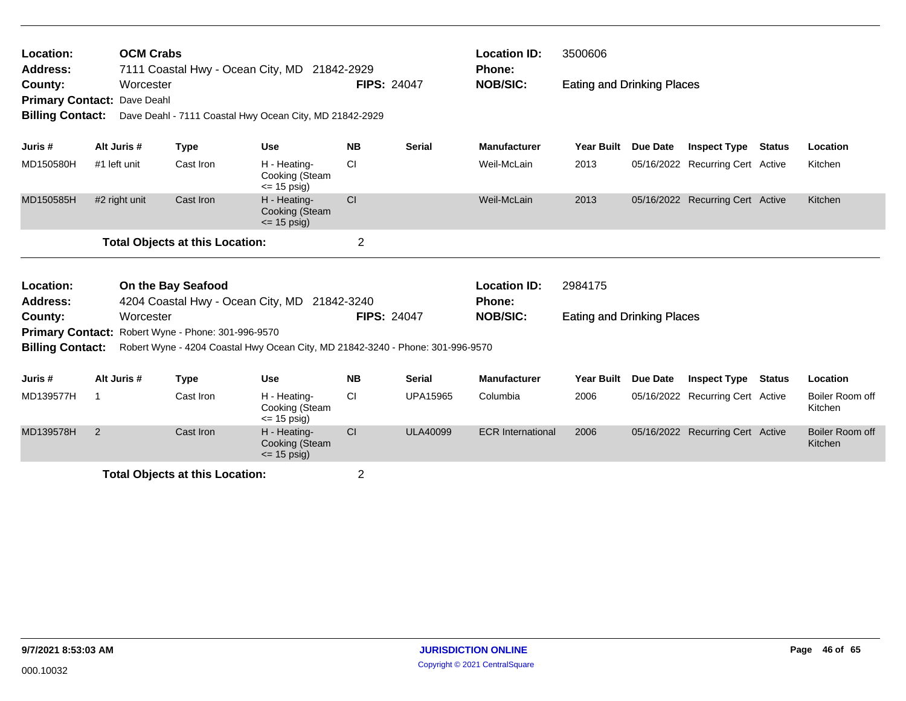| Location:<br>Address:<br>County:<br><b>Primary Contact:</b><br><b>Billing Contact:</b>             |                | <b>OCM Crabs</b><br>Worcester<br>Dave Deahl |                                                    | 7111 Coastal Hwy - Ocean City, MD 21842-2929<br>Dave Deahl - 7111 Coastal Hwy Ocean City, MD 21842-2929 | <b>FIPS: 24047</b> |                 | <b>Location ID:</b><br><b>Phone:</b><br><b>NOB/SIC:</b> | 3500606<br><b>Eating and Drinking Places</b> |          |                                  |               |                            |
|----------------------------------------------------------------------------------------------------|----------------|---------------------------------------------|----------------------------------------------------|---------------------------------------------------------------------------------------------------------|--------------------|-----------------|---------------------------------------------------------|----------------------------------------------|----------|----------------------------------|---------------|----------------------------|
| Juris #                                                                                            |                | Alt Juris #                                 | <b>Type</b>                                        | <b>Use</b>                                                                                              | <b>NB</b>          | <b>Serial</b>   | <b>Manufacturer</b>                                     | <b>Year Built</b>                            | Due Date | <b>Inspect Type</b>              | <b>Status</b> | Location                   |
| MD150580H                                                                                          |                | #1 left unit                                | Cast Iron                                          | H - Heating-<br>Cooking (Steam<br>$\le$ 15 psig)                                                        | <b>CI</b>          |                 | Weil-McLain                                             | 2013                                         |          | 05/16/2022 Recurring Cert Active |               | Kitchen                    |
| MD150585H                                                                                          |                | #2 right unit                               | Cast Iron                                          | H - Heating-<br>Cooking (Steam<br>$\leq$ 15 psig)                                                       | CI                 |                 | Weil-McLain                                             | 2013                                         |          | 05/16/2022 Recurring Cert Active |               | Kitchen                    |
|                                                                                                    |                |                                             | <b>Total Objects at this Location:</b>             |                                                                                                         | $\overline{2}$     |                 |                                                         |                                              |          |                                  |               |                            |
| Location:<br>On the Bay Seafood<br>4204 Coastal Hwy - Ocean City, MD 21842-3240<br><b>Address:</b> |                |                                             |                                                    |                                                                                                         |                    |                 | <b>Location ID:</b><br><b>Phone:</b>                    | 2984175                                      |          |                                  |               |                            |
| County:                                                                                            |                | Worcester                                   |                                                    |                                                                                                         | <b>FIPS: 24047</b> |                 | <b>NOB/SIC:</b>                                         | <b>Eating and Drinking Places</b>            |          |                                  |               |                            |
| <b>Billing Contact:</b>                                                                            |                |                                             | Primary Contact: Robert Wyne - Phone: 301-996-9570 | Robert Wyne - 4204 Coastal Hwy Ocean City, MD 21842-3240 - Phone: 301-996-9570                          |                    |                 |                                                         |                                              |          |                                  |               |                            |
| Juris #                                                                                            |                | Alt Juris #                                 | <b>Type</b>                                        | <b>Use</b>                                                                                              | <b>NB</b>          | <b>Serial</b>   | <b>Manufacturer</b>                                     | <b>Year Built</b>                            | Due Date | <b>Inspect Type</b>              | <b>Status</b> | Location                   |
| MD139577H                                                                                          | $\mathbf 1$    |                                             | Cast Iron                                          | H - Heating-<br>Cooking (Steam<br>$\leq$ 15 psig)                                                       | <b>CI</b>          | <b>UPA15965</b> | Columbia                                                | 2006                                         |          | 05/16/2022 Recurring Cert Active |               | Boiler Room off<br>Kitchen |
| MD139578H                                                                                          | $\overline{2}$ |                                             | Cast Iron                                          | H - Heating-<br>Cooking (Steam<br>$\leq$ 15 psig)                                                       | <b>CI</b>          | <b>ULA40099</b> | <b>ECR</b> International                                | 2006                                         |          | 05/16/2022 Recurring Cert Active |               | Boiler Room off<br>Kitchen |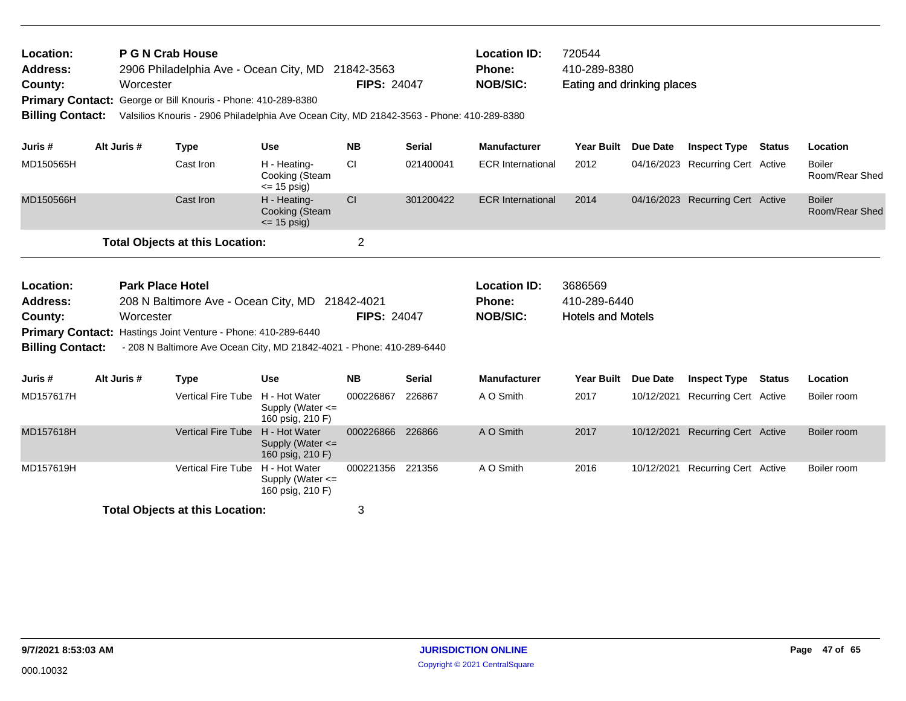| Location:<br><b>Address:</b><br>County:<br><b>Billing Contact:</b> |                                                                                                                                                                                                                                   | P G N Crab House<br>Worcester | 2906 Philadelphia Ave - Ocean City, MD<br>Primary Contact: George or Bill Knouris - Phone: 410-289-8380<br>Valsilios Knouris - 2906 Philadelphia Ave Ocean City, MD 21842-3563 - Phone: 410-289-8380 |                                                           | 21842-3563<br><b>FIPS: 24047</b> |               | <b>Location ID:</b><br><b>Phone:</b><br><b>NOB/SIC:</b> | 720544<br>410-289-8380<br>Eating and drinking places |                 |                                  |        |                                 |
|--------------------------------------------------------------------|-----------------------------------------------------------------------------------------------------------------------------------------------------------------------------------------------------------------------------------|-------------------------------|------------------------------------------------------------------------------------------------------------------------------------------------------------------------------------------------------|-----------------------------------------------------------|----------------------------------|---------------|---------------------------------------------------------|------------------------------------------------------|-----------------|----------------------------------|--------|---------------------------------|
| Juris #                                                            |                                                                                                                                                                                                                                   | Alt Juris #                   | <b>Type</b>                                                                                                                                                                                          | <b>Use</b>                                                | <b>NB</b>                        | <b>Serial</b> | <b>Manufacturer</b>                                     | <b>Year Built</b>                                    | Due Date        | <b>Inspect Type</b>              | Status | Location                        |
| MD150565H                                                          |                                                                                                                                                                                                                                   |                               | Cast Iron                                                                                                                                                                                            | H - Heating-<br>Cooking (Steam<br>$\le$ 15 psig)          | <b>CI</b>                        | 021400041     | <b>ECR International</b>                                | 2012                                                 |                 | 04/16/2023 Recurring Cert Active |        | <b>Boiler</b><br>Room/Rear Shed |
| MD150566H                                                          |                                                                                                                                                                                                                                   |                               | Cast Iron                                                                                                                                                                                            | H - Heating-<br>Cooking (Steam<br>$\le$ 15 psig)          | <b>CI</b>                        | 301200422     | <b>ECR International</b>                                | 2014                                                 |                 | 04/16/2023 Recurring Cert Active |        | <b>Boiler</b><br>Room/Rear Shed |
|                                                                    |                                                                                                                                                                                                                                   |                               | <b>Total Objects at this Location:</b>                                                                                                                                                               |                                                           | $\overline{c}$                   |               |                                                         |                                                      |                 |                                  |        |                                 |
| Location:<br><b>Address:</b><br>County:<br><b>Billing Contact:</b> | <b>Park Place Hotel</b><br>208 N Baltimore Ave - Ocean City, MD 21842-4021<br>Worcester<br>Primary Contact: Hastings Joint Venture - Phone: 410-289-6440<br>- 208 N Baltimore Ave Ocean City, MD 21842-4021 - Phone: 410-289-6440 |                               |                                                                                                                                                                                                      |                                                           | <b>FIPS: 24047</b>               |               | <b>Location ID:</b><br>Phone:<br><b>NOB/SIC:</b>        | 3686569<br>410-289-6440<br><b>Hotels and Motels</b>  |                 |                                  |        |                                 |
| Juris #                                                            |                                                                                                                                                                                                                                   | Alt Juris #                   | <b>Type</b>                                                                                                                                                                                          | <b>Use</b>                                                | <b>NB</b>                        | <b>Serial</b> | <b>Manufacturer</b>                                     | <b>Year Built</b>                                    | <b>Due Date</b> | <b>Inspect Type</b>              | Status | Location                        |
| MD157617H                                                          |                                                                                                                                                                                                                                   |                               | Vertical Fire Tube H - Hot Water                                                                                                                                                                     | Supply (Water $\leq$<br>160 psig, 210 F)                  | 000226867                        | 226867        | A O Smith                                               | 2017                                                 | 10/12/2021      | Recurring Cert Active            |        | Boiler room                     |
| MD157618H                                                          |                                                                                                                                                                                                                                   |                               | <b>Vertical Fire Tube</b>                                                                                                                                                                            | H - Hot Water<br>Supply (Water $\leq$<br>160 psig, 210 F) | 000226866                        | 226866        | A O Smith                                               | 2017                                                 |                 | 10/12/2021 Recurring Cert Active |        | Boiler room                     |
| MD157619H                                                          |                                                                                                                                                                                                                                   |                               | Vertical Fire Tube H - Hot Water                                                                                                                                                                     | Supply (Water <=<br>160 psig, 210 F)                      | 000221356 221356                 |               | A O Smith                                               | 2016                                                 |                 | 10/12/2021 Recurring Cert Active |        | Boiler room                     |
|                                                                    |                                                                                                                                                                                                                                   |                               | <b>Total Objects at this Location:</b>                                                                                                                                                               |                                                           | 3                                |               |                                                         |                                                      |                 |                                  |        |                                 |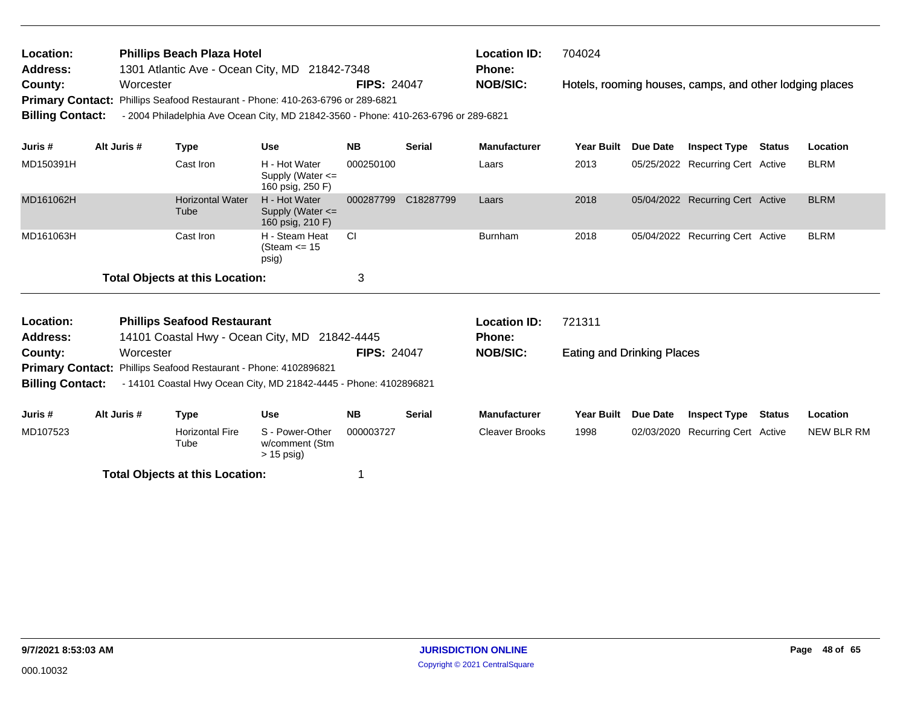| Location:<br><b>Address:</b> | <b>Phillips Beach Plaza Hotel</b><br>1301 Atlantic Ave - Ocean City, MD 21842-7348  |                    | <b>Location ID:</b><br><b>Phone:</b> | 704024                                                  |
|------------------------------|-------------------------------------------------------------------------------------|--------------------|--------------------------------------|---------------------------------------------------------|
| County:                      | Worcester                                                                           | <b>FIPS: 24047</b> | <b>NOB/SIC:</b>                      | Hotels, rooming houses, camps, and other lodging places |
|                              | Primary Contact: Phillips Seafood Restaurant - Phone: 410-263-6796 or 289-6821      |                    |                                      |                                                         |
| <b>Billing Contact:</b>      | - 2004 Philadelphia Ave Ocean City, MD 21842-3560 - Phone: 410-263-6796 or 289-6821 |                    |                                      |                                                         |
|                              |                                                                                     |                    |                                      |                                                         |

| Juris #   | Alt Juris # | Type                                   | <b>Use</b>                                                | <b>NB</b> | <b>Serial</b> | <b>Manufacturer</b> | <b>Year Built</b> | <b>Due Date</b> | <b>Inspect Type</b>              | <b>Status</b> | <b>Location</b> |
|-----------|-------------|----------------------------------------|-----------------------------------------------------------|-----------|---------------|---------------------|-------------------|-----------------|----------------------------------|---------------|-----------------|
| MD150391H |             | Cast Iron                              | H - Hot Water<br>Supply (Water $\leq$<br>160 psig, 250 F) | 000250100 |               | Laars               | 2013              |                 | 05/25/2022 Recurring Cert Active |               | <b>BLRM</b>     |
| MD161062H |             | <b>Horizontal Water</b><br>Tube        | H - Hot Water<br>Supply (Water $\leq$<br>160 psig, 210 F) | 000287799 | C18287799     | Laars               | 2018              |                 | 05/04/2022 Recurring Cert Active |               | <b>BLRM</b>     |
| MD161063H |             | Cast Iron                              | H - Steam Heat<br>(Steam $\leq$ 15<br>psig)               | - CI      |               | Burnham             | 2018              |                 | 05/04/2022 Recurring Cert Active |               | <b>BLRM</b>     |
|           |             | <b>Total Objects at this Location:</b> |                                                           | 3         |               |                     |                   |                 |                                  |               |                 |

| Location:<br><b>Address:</b> |             | <b>Phillips Seafood Restaurant</b><br>14101 Coastal Hwy - Ocean City, MD 21842-4445 |                                                   |                    |               | <b>Location ID:</b><br><b>Phone:</b> | 721311                     |                 |                                  |        |            |
|------------------------------|-------------|-------------------------------------------------------------------------------------|---------------------------------------------------|--------------------|---------------|--------------------------------------|----------------------------|-----------------|----------------------------------|--------|------------|
| County:                      | Worcester   |                                                                                     |                                                   | <b>FIPS: 24047</b> |               | <b>NOB/SIC:</b>                      | Eating and Drinking Places |                 |                                  |        |            |
|                              |             | <b>Primary Contact:</b> Phillips Seafood Restaurant - Phone: 4102896821             |                                                   |                    |               |                                      |                            |                 |                                  |        |            |
| <b>Billing Contact:</b>      |             | - 14101 Coastal Hwy Ocean City, MD 21842-4445 - Phone: 4102896821                   |                                                   |                    |               |                                      |                            |                 |                                  |        |            |
| Juris #                      | Alt Juris # | Type                                                                                | Use                                               | <b>NB</b>          | <b>Serial</b> | <b>Manufacturer</b>                  | <b>Year Built</b>          | <b>Due Date</b> | <b>Inspect Type</b>              | Status | Location   |
| MD107523                     |             | <b>Horizontal Fire</b><br>Tube                                                      | S - Power-Other<br>w/comment (Stm<br>$> 15$ psig) | 000003727          |               | Cleaver Brooks                       | 1998                       |                 | 02/03/2020 Recurring Cert Active |        | NEW BLR RM |
|                              |             |                                                                                     |                                                   |                    |               |                                      |                            |                 |                                  |        |            |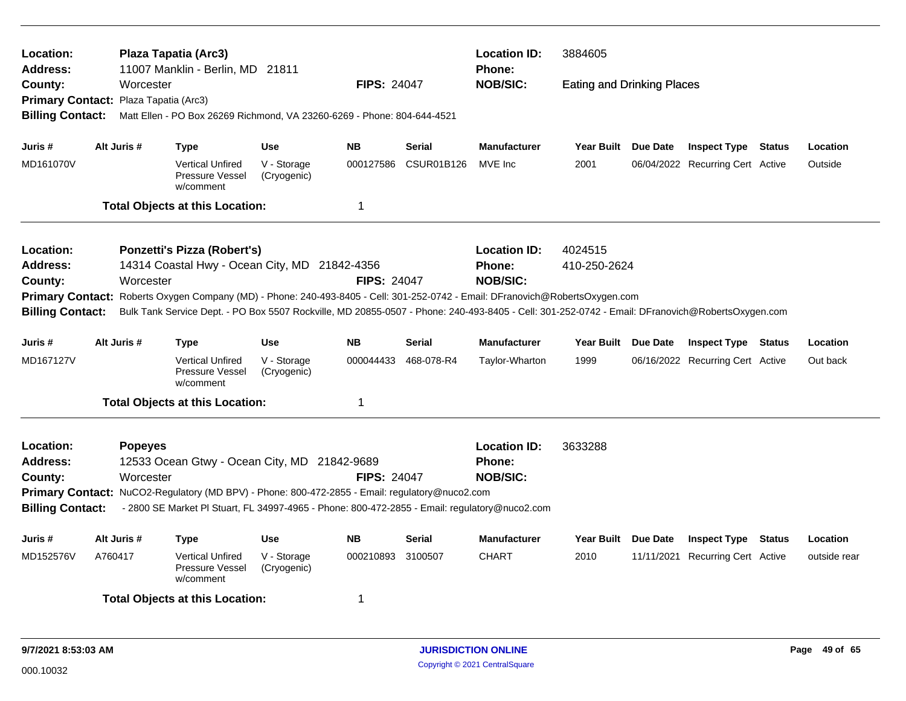| Location:<br>Address:                                                                                                                                                      |                                                                                                                                                                                                                               |                      | Plaza Tapatia (Arc3)<br>11007 Manklin - Berlin, MD 21811                                       |                            |                    |                   | <b>Location ID:</b><br><b>Phone:</b> | 3884605                           |                                  |  |              |
|----------------------------------------------------------------------------------------------------------------------------------------------------------------------------|-------------------------------------------------------------------------------------------------------------------------------------------------------------------------------------------------------------------------------|----------------------|------------------------------------------------------------------------------------------------|----------------------------|--------------------|-------------------|--------------------------------------|-----------------------------------|----------------------------------|--|--------------|
| County:                                                                                                                                                                    |                                                                                                                                                                                                                               | Worcester            |                                                                                                |                            | <b>FIPS: 24047</b> |                   | <b>NOB/SIC:</b>                      | <b>Eating and Drinking Places</b> |                                  |  |              |
| <b>Primary Contact:</b>                                                                                                                                                    |                                                                                                                                                                                                                               | Plaza Tapatia (Arc3) |                                                                                                |                            |                    |                   |                                      |                                   |                                  |  |              |
| <b>Billing Contact:</b>                                                                                                                                                    | Matt Ellen - PO Box 26269 Richmond, VA 23260-6269 - Phone: 804-644-4521<br>Alt Juris #<br><b>Use</b><br><b>NB</b><br><b>Serial</b><br><b>Manufacturer</b><br><b>Type</b><br>Year Built Due Date<br><b>Inspect Type Status</b> |                      |                                                                                                |                            |                    |                   |                                      |                                   |                                  |  |              |
| Juris #                                                                                                                                                                    |                                                                                                                                                                                                                               |                      |                                                                                                |                            |                    |                   |                                      |                                   |                                  |  | Location     |
| MD161070V                                                                                                                                                                  |                                                                                                                                                                                                                               |                      | <b>Vertical Unfired</b><br>Pressure Vessel<br>w/comment                                        | V - Storage<br>(Cryogenic) | 000127586          | <b>CSUR01B126</b> | MVE Inc                              | 2001                              | 06/04/2022 Recurring Cert Active |  | Outside      |
|                                                                                                                                                                            |                                                                                                                                                                                                                               |                      | <b>Total Objects at this Location:</b>                                                         |                            | $\mathbf 1$        |                   |                                      |                                   |                                  |  |              |
| Location:                                                                                                                                                                  |                                                                                                                                                                                                                               |                      | <b>Ponzetti's Pizza (Robert's)</b>                                                             |                            |                    |                   | <b>Location ID:</b>                  | 4024515                           |                                  |  |              |
| 14314 Coastal Hwy - Ocean City, MD 21842-4356<br><b>Address:</b><br><b>Phone:</b>                                                                                          |                                                                                                                                                                                                                               |                      |                                                                                                |                            |                    |                   | 410-250-2624                         |                                   |                                  |  |              |
| County:<br>Worcester                                                                                                                                                       |                                                                                                                                                                                                                               |                      |                                                                                                |                            | <b>FIPS: 24047</b> |                   | <b>NOB/SIC:</b>                      |                                   |                                  |  |              |
| Roberts Oxygen Company (MD) - Phone: 240-493-8405 - Cell: 301-252-0742 - Email: DFranovich@RobertsOxygen.com<br><b>Primary Contact:</b>                                    |                                                                                                                                                                                                                               |                      |                                                                                                |                            |                    |                   |                                      |                                   |                                  |  |              |
| Bulk Tank Service Dept. - PO Box 5507 Rockville, MD 20855-0507 - Phone: 240-493-8405 - Cell: 301-252-0742 - Email: DFranovich@RobertsOxygen.com<br><b>Billing Contact:</b> |                                                                                                                                                                                                                               |                      |                                                                                                |                            |                    |                   |                                      |                                   |                                  |  |              |
| Juris #                                                                                                                                                                    | Alt Juris #                                                                                                                                                                                                                   |                      | <b>Type</b>                                                                                    | <b>Use</b>                 | <b>NB</b>          | <b>Serial</b>     | <b>Manufacturer</b>                  | Year Built Due Date               | <b>Inspect Type Status</b>       |  | Location     |
| MD167127V                                                                                                                                                                  |                                                                                                                                                                                                                               |                      | <b>Vertical Unfired</b><br>Pressure Vessel<br>w/comment                                        | V - Storage<br>(Cryogenic) | 000044433          | 468-078-R4        | Taylor-Wharton                       | 1999                              | 06/16/2022 Recurring Cert Active |  | Out back     |
|                                                                                                                                                                            |                                                                                                                                                                                                                               |                      | <b>Total Objects at this Location:</b>                                                         |                            | 1                  |                   |                                      |                                   |                                  |  |              |
| Location:                                                                                                                                                                  |                                                                                                                                                                                                                               | <b>Popeyes</b>       |                                                                                                |                            |                    |                   | <b>Location ID:</b>                  | 3633288                           |                                  |  |              |
| <b>Address:</b>                                                                                                                                                            |                                                                                                                                                                                                                               |                      | 12533 Ocean Gtwy - Ocean City, MD 21842-9689                                                   |                            |                    |                   | <b>Phone:</b>                        |                                   |                                  |  |              |
| County:                                                                                                                                                                    |                                                                                                                                                                                                                               | Worcester            |                                                                                                |                            | <b>FIPS: 24047</b> |                   | <b>NOB/SIC:</b>                      |                                   |                                  |  |              |
|                                                                                                                                                                            |                                                                                                                                                                                                                               |                      | Primary Contact: NuCO2-Regulatory (MD BPV) - Phone: 800-472-2855 - Email: regulatory@nuco2.com |                            |                    |                   |                                      |                                   |                                  |  |              |
| <b>Billing Contact:</b>                                                                                                                                                    |                                                                                                                                                                                                                               |                      | - 2800 SE Market PI Stuart, FL 34997-4965 - Phone: 800-472-2855 - Email: regulatory@nuco2.com  |                            |                    |                   |                                      |                                   |                                  |  |              |
| Juris #                                                                                                                                                                    | Alt Juris #                                                                                                                                                                                                                   |                      | <b>Type</b>                                                                                    | <b>Use</b>                 | <b>NB</b>          | Serial            | <b>Manufacturer</b>                  | Year Built Due Date               | <b>Inspect Type Status</b>       |  | Location     |
| MD152576V                                                                                                                                                                  | A760417                                                                                                                                                                                                                       |                      | <b>Vertical Unfired</b><br>Pressure Vessel<br>w/comment                                        | V - Storage<br>(Cryogenic) | 000210893          | 3100507           | <b>CHART</b>                         | 2010                              | 11/11/2021 Recurring Cert Active |  | outside rear |
|                                                                                                                                                                            |                                                                                                                                                                                                                               |                      | <b>Total Objects at this Location:</b>                                                         |                            | 1                  |                   |                                      |                                   |                                  |  |              |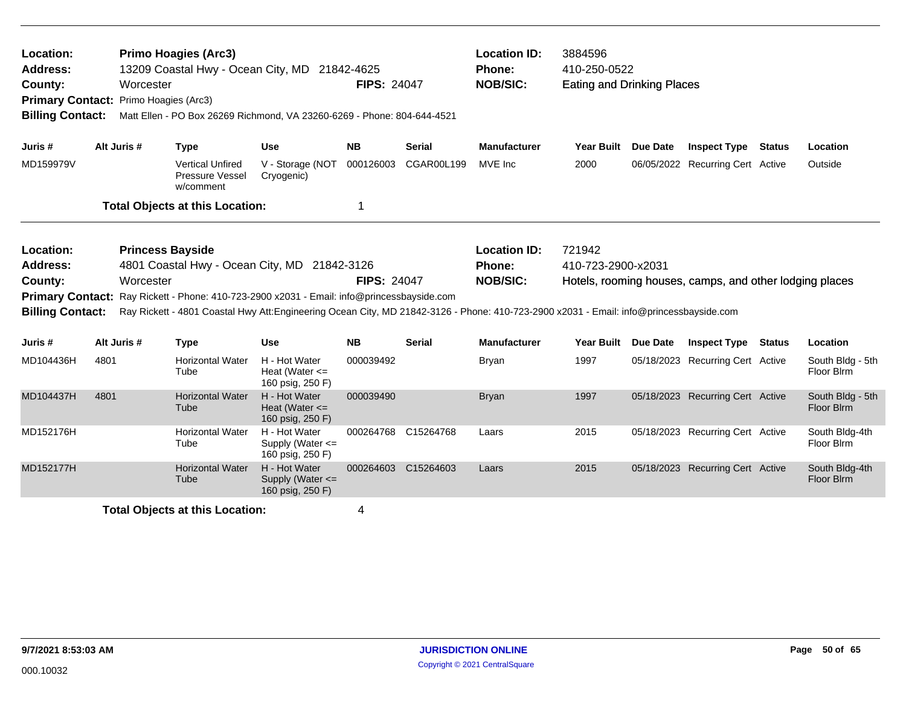| Location:<br><b>Address:</b><br>County:<br><b>Primary Contact:</b><br><b>Billing Contact:</b> | Worcester   | <b>Primo Hoagies (Arc3)</b><br>13209 Coastal Hwy - Ocean City, MD 21842-4625<br>Primo Hoagies (Arc3)<br>Matt Ellen - PO Box 26269 Richmond, VA 23260-6269 - Phone: 804-644-4521                                                                                                                |                                                           | <b>FIPS: 24047</b> |                     | <b>Location ID:</b><br>Phone:<br><b>NOB/SIC:</b> | 3884596<br>410-250-0522<br><b>Eating and Drinking Places</b> |                 |                                                         |               |                                |
|-----------------------------------------------------------------------------------------------|-------------|------------------------------------------------------------------------------------------------------------------------------------------------------------------------------------------------------------------------------------------------------------------------------------------------|-----------------------------------------------------------|--------------------|---------------------|--------------------------------------------------|--------------------------------------------------------------|-----------------|---------------------------------------------------------|---------------|--------------------------------|
| Juris #                                                                                       | Alt Juris # | <b>Type</b>                                                                                                                                                                                                                                                                                    | <b>Use</b>                                                | <b>NB</b>          | <b>Serial</b>       | <b>Manufacturer</b>                              | <b>Year Built</b>                                            | <b>Due Date</b> | <b>Inspect Type</b>                                     | <b>Status</b> | Location                       |
| MD159979V                                                                                     |             | <b>Vertical Unfired</b><br>Pressure Vessel<br>w/comment                                                                                                                                                                                                                                        | V - Storage (NOT<br>Cryogenic)                            | 000126003          | CGAR00L199          | MVE Inc                                          | 2000                                                         |                 | 06/05/2022 Recurring Cert Active                        |               | Outside                        |
|                                                                                               |             | <b>Total Objects at this Location:</b>                                                                                                                                                                                                                                                         |                                                           | 1                  |                     |                                                  |                                                              |                 |                                                         |               |                                |
| Location:<br><b>Address:</b><br>County:<br><b>Primary Contact:</b><br><b>Billing Contact:</b> | Worcester   | <b>Princess Bayside</b><br>4801 Coastal Hwy - Ocean City, MD 21842-3126<br>Ray Rickett - Phone: 410-723-2900 x2031 - Email: info@princessbayside.com<br>Ray Rickett - 4801 Coastal Hwy Att:Engineering Ocean City, MD 21842-3126 - Phone: 410-723-2900 x2031 - Email: info@princessbayside.com |                                                           | <b>FIPS: 24047</b> |                     | <b>Location ID:</b><br>Phone:<br><b>NOB/SIC:</b> | 721942<br>410-723-2900-x2031                                 |                 | Hotels, rooming houses, camps, and other lodging places |               |                                |
| Juris #                                                                                       | Alt Juris # | <b>Type</b>                                                                                                                                                                                                                                                                                    | <b>Use</b>                                                | <b>NB</b>          | <b>Serial</b>       | <b>Manufacturer</b>                              | <b>Year Built</b>                                            | <b>Due Date</b> | <b>Inspect Type</b>                                     | <b>Status</b> | Location                       |
| MD104436H                                                                                     | 4801        | <b>Horizontal Water</b><br>Tube                                                                                                                                                                                                                                                                | H - Hot Water<br>Heat (Water $\leq$<br>160 psig, 250 F)   | 000039492          |                     | <b>Bryan</b>                                     | 1997                                                         |                 | 05/18/2023 Recurring Cert Active                        |               | South Bldg - 5th<br>Floor Blrm |
| MD104437H                                                                                     | 4801        | <b>Horizontal Water</b><br>Tube                                                                                                                                                                                                                                                                | H - Hot Water<br>Heat (Water $\leq$<br>160 psig, 250 F)   | 000039490          |                     | <b>Bryan</b>                                     | 1997                                                         |                 | 05/18/2023 Recurring Cert Active                        |               | South Bldg - 5th<br>Floor Blrm |
| MD152176H                                                                                     |             | <b>Horizontal Water</b><br>Tube                                                                                                                                                                                                                                                                | H - Hot Water<br>Supply (Water <=<br>160 psig, 250 F)     |                    | 000264768 C15264768 | Laars                                            | 2015                                                         |                 | 05/18/2023 Recurring Cert Active                        |               | South Bldg-4th<br>Floor Blrm   |
| MD152177H                                                                                     |             | <b>Horizontal Water</b><br>Tube                                                                                                                                                                                                                                                                | H - Hot Water<br>Supply (Water $\leq$<br>160 psig, 250 F) |                    | 000264603 C15264603 | Laars                                            | 2015                                                         |                 | 05/18/2023 Recurring Cert Active                        |               | South Bldg-4th<br>Floor Blrm   |
|                                                                                               |             | <b>Total Objects at this Location:</b>                                                                                                                                                                                                                                                         |                                                           | 4                  |                     |                                                  |                                                              |                 |                                                         |               |                                |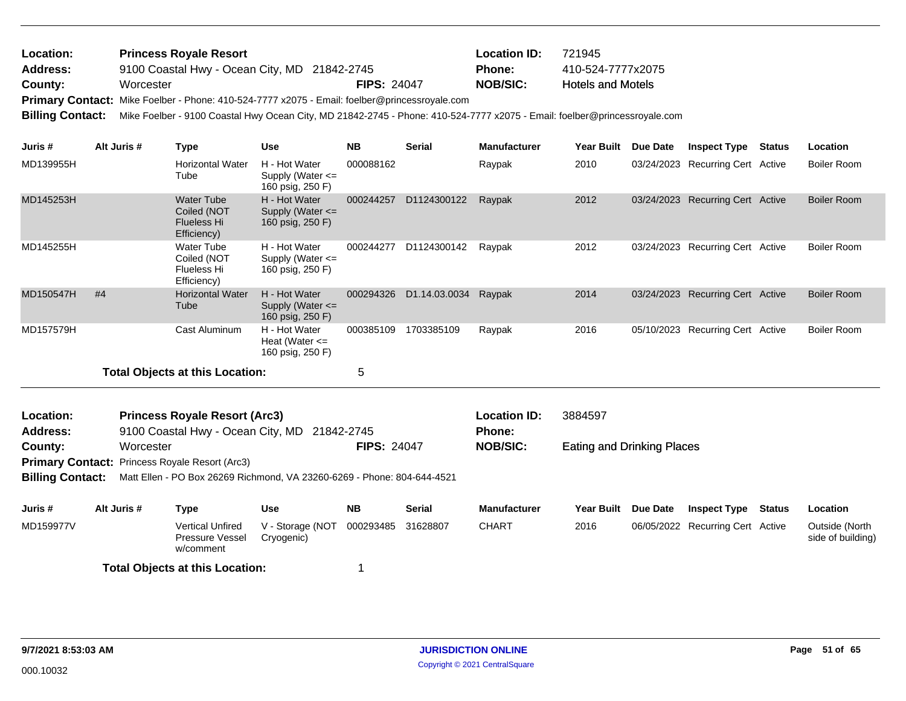| <b>Location:</b> | <b>Princess Royale Resort</b>                                                                 |             | <b>Location ID:</b> | 721945                   |
|------------------|-----------------------------------------------------------------------------------------------|-------------|---------------------|--------------------------|
| <b>Address:</b>  | 9100 Coastal Hwy - Ocean City, MD 21842-2745                                                  |             | <b>Phone:</b>       | 410-524-7777x2075        |
| County:          | Worcester                                                                                     | FIPS: 24047 | <b>NOB/SIC:</b>     | <b>Hotels and Motels</b> |
|                  | Primary Contact: Mike Foelber - Phone: 410-524-7777 x2075 - Email: foelber@princessroyale.com |             |                     |                          |
|                  |                                                                                               |             |                     |                          |

**Billing Contact:** Mike Foelber - 9100 Coastal Hwy Ocean City, MD 21842-2745 - Phone: 410-524-7777 x2075 - Email: foelber@princessroyale.com

| Juris #                 | Alt Juris # | <b>Type</b>                                                               | <b>Use</b>                                                | <b>NB</b>          | <b>Serial</b> | <b>Manufacturer</b>                  | Year Built                        | <b>Due Date</b> | <b>Inspect Type</b>              | <b>Status</b> | Location                            |
|-------------------------|-------------|---------------------------------------------------------------------------|-----------------------------------------------------------|--------------------|---------------|--------------------------------------|-----------------------------------|-----------------|----------------------------------|---------------|-------------------------------------|
| MD139955H               |             | <b>Horizontal Water</b><br>Tube                                           | H - Hot Water<br>Supply (Water <=<br>160 psig, 250 F)     | 000088162          |               | Raypak                               | 2010                              |                 | 03/24/2023 Recurring Cert Active |               | Boiler Room                         |
| MD145253H               |             | <b>Water Tube</b><br>Coiled (NOT<br><b>Flueless Hi</b><br>Efficiency)     | H - Hot Water<br>Supply (Water $\leq$<br>160 psig, 250 F) | 000244257          | D1124300122   | Raypak                               | 2012                              |                 | 03/24/2023 Recurring Cert Active |               | <b>Boiler Room</b>                  |
| MD145255H               |             | <b>Water Tube</b><br>Coiled (NOT<br><b>Flueless Hi</b><br>Efficiency)     | H - Hot Water<br>Supply (Water <=<br>160 psig, 250 F)     | 000244277          | D1124300142   | Raypak                               | 2012                              |                 | 03/24/2023 Recurring Cert Active |               | Boiler Room                         |
| MD150547H               | #4          | <b>Horizontal Water</b><br>Tube                                           | H - Hot Water<br>Supply (Water $\leq$<br>160 psig, 250 F) | 000294326          | D1.14.03.0034 | Raypak                               | 2014                              |                 | 03/24/2023 Recurring Cert Active |               | <b>Boiler Room</b>                  |
| MD157579H               |             | Cast Aluminum                                                             | H - Hot Water<br>Heat (Water $\leq$<br>160 psig, 250 F)   | 000385109          | 1703385109    | Raypak                               | 2016                              |                 | 05/10/2023 Recurring Cert Active |               | <b>Boiler Room</b>                  |
|                         |             | <b>Total Objects at this Location:</b>                                    |                                                           | 5                  |               |                                      |                                   |                 |                                  |               |                                     |
| Location:<br>Address:   |             | <b>Princess Royale Resort (Arc3)</b><br>9100 Coastal Hwy - Ocean City, MD |                                                           | 21842-2745         |               | <b>Location ID:</b><br><b>Phone:</b> | 3884597                           |                 |                                  |               |                                     |
| County:                 | Worcester   |                                                                           |                                                           | <b>FIPS: 24047</b> |               | <b>NOB/SIC:</b>                      | <b>Eating and Drinking Places</b> |                 |                                  |               |                                     |
|                         |             | <b>Primary Contact: Princess Royale Resort (Arc3)</b>                     |                                                           |                    |               |                                      |                                   |                 |                                  |               |                                     |
| <b>Billing Contact:</b> |             | Matt Ellen - PO Box 26269 Richmond, VA 23260-6269 - Phone: 804-644-4521   |                                                           |                    |               |                                      |                                   |                 |                                  |               |                                     |
| Juris #                 | Alt Juris # | <b>Type</b>                                                               | <b>Use</b>                                                | <b>NB</b>          | <b>Serial</b> | <b>Manufacturer</b>                  | <b>Year Built</b>                 | Due Date        | <b>Inspect Type</b>              | Status        | Location                            |
| MD159977V               |             | <b>Vertical Unfired</b><br><b>Pressure Vessel</b><br>w/comment            | V - Storage (NOT<br>Cryogenic)                            | 000293485          | 31628807      | <b>CHART</b>                         | 2016                              |                 | 06/05/2022 Recurring Cert Active |               | Outside (North<br>side of building) |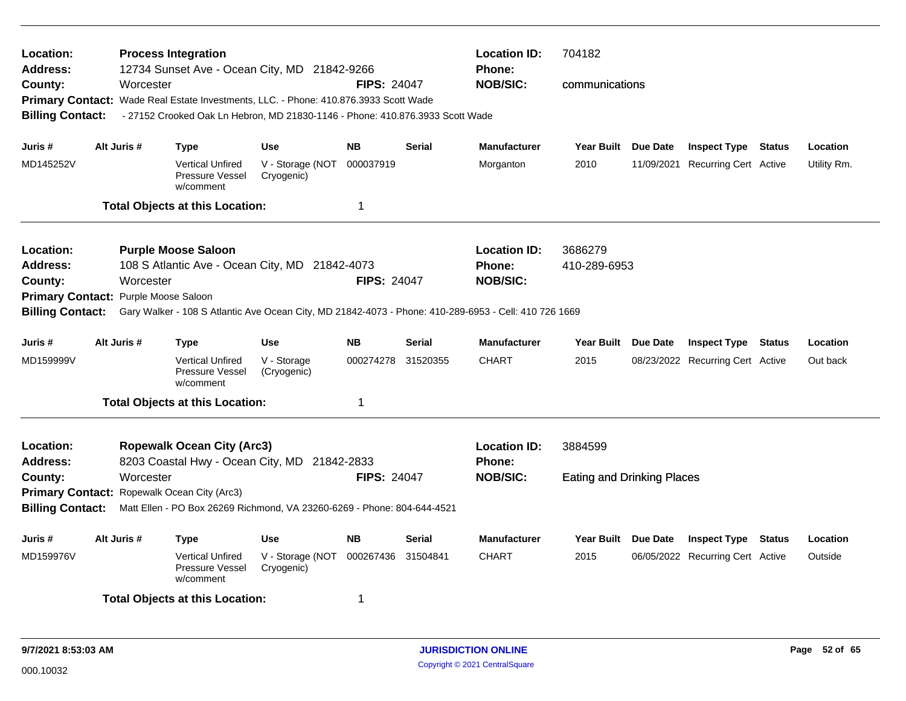| Location:<br><b>Address:</b><br>County:                                                       | Worcester                                                                                                                                         | <b>Process Integration</b><br>12734 Sunset Ave - Ocean City, MD 21842-9266<br>Primary Contact: Wade Real Estate Investments, LLC. - Phone: 410.876.3933 Scott Wade |                                | <b>FIPS: 24047</b> | <b>Location ID:</b><br><b>Phone:</b><br><b>NOB/SIC:</b> | 704182<br>communications                                                                                                                                         |                                              |            |                                                                |                      |
|-----------------------------------------------------------------------------------------------|---------------------------------------------------------------------------------------------------------------------------------------------------|--------------------------------------------------------------------------------------------------------------------------------------------------------------------|--------------------------------|--------------------|---------------------------------------------------------|------------------------------------------------------------------------------------------------------------------------------------------------------------------|----------------------------------------------|------------|----------------------------------------------------------------|----------------------|
| <b>Billing Contact:</b>                                                                       |                                                                                                                                                   | - 27152 Crooked Oak Ln Hebron, MD 21830-1146 - Phone: 410.876.3933 Scott Wade                                                                                      |                                |                    |                                                         |                                                                                                                                                                  |                                              |            |                                                                |                      |
| Juris #                                                                                       | Alt Juris #                                                                                                                                       | <b>Type</b>                                                                                                                                                        | <b>Use</b>                     | <b>NB</b>          | <b>Serial</b>                                           | <b>Manufacturer</b>                                                                                                                                              | Year Built Due Date                          |            | <b>Inspect Type Status</b>                                     | Location             |
| MD145252V                                                                                     |                                                                                                                                                   | <b>Vertical Unfired</b><br>Pressure Vessel<br>w/comment                                                                                                            | V - Storage (NOT<br>Cryogenic) | 000037919          |                                                         | Morganton                                                                                                                                                        | 2010                                         | 11/09/2021 | <b>Recurring Cert Active</b>                                   | Utility Rm.          |
|                                                                                               |                                                                                                                                                   | <b>Total Objects at this Location:</b>                                                                                                                             |                                | 1                  |                                                         |                                                                                                                                                                  |                                              |            |                                                                |                      |
| Location:<br><b>Address:</b><br>County:<br><b>Primary Contact:</b><br><b>Billing Contact:</b> | Worcester<br>Purple Moose Saloon                                                                                                                  | <b>Purple Moose Saloon</b><br>108 S Atlantic Ave - Ocean City, MD 21842-4073                                                                                       |                                | <b>FIPS: 24047</b> |                                                         | <b>Location ID:</b><br><b>Phone:</b><br><b>NOB/SIC:</b><br>Gary Walker - 108 S Atlantic Ave Ocean City, MD 21842-4073 - Phone: 410-289-6953 - Cell: 410 726 1669 | 3686279<br>410-289-6953                      |            |                                                                |                      |
| Juris #                                                                                       | Alt Juris #                                                                                                                                       |                                                                                                                                                                    | Use                            | <b>NB</b>          | Serial                                                  | <b>Manufacturer</b>                                                                                                                                              |                                              |            |                                                                |                      |
| MD159999V                                                                                     |                                                                                                                                                   | <b>Type</b><br><b>Vertical Unfired</b><br>Pressure Vessel<br>w/comment                                                                                             | V - Storage<br>(Cryogenic)     | 000274278          | 31520355                                                | <b>CHART</b>                                                                                                                                                     | Year Built Due Date<br>2015                  |            | <b>Inspect Type Status</b><br>08/23/2022 Recurring Cert Active | Location<br>Out back |
|                                                                                               |                                                                                                                                                   | <b>Total Objects at this Location:</b>                                                                                                                             |                                | $\mathbf 1$        |                                                         |                                                                                                                                                                  |                                              |            |                                                                |                      |
| Location:<br><b>Address:</b><br>County:                                                       | Worcester                                                                                                                                         | <b>Ropewalk Ocean City (Arc3)</b><br>8203 Coastal Hwy - Ocean City, MD 21842-2833                                                                                  |                                | <b>FIPS: 24047</b> |                                                         | <b>Location ID:</b><br><b>Phone:</b><br><b>NOB/SIC:</b>                                                                                                          | 3884599<br><b>Eating and Drinking Places</b> |            |                                                                |                      |
|                                                                                               | Primary Contact: Ropewalk Ocean City (Arc3)<br>Matt Ellen - PO Box 26269 Richmond, VA 23260-6269 - Phone: 804-644-4521<br><b>Billing Contact:</b> |                                                                                                                                                                    |                                |                    |                                                         |                                                                                                                                                                  |                                              |            |                                                                |                      |
| Juris#                                                                                        | Alt Juris #                                                                                                                                       | Type                                                                                                                                                               | <b>Use</b>                     | <b>NB</b>          | Serial                                                  | <b>Manufacturer</b>                                                                                                                                              | Year Built Due Date                          |            | <b>Inspect Type Status</b>                                     | Location             |
| MD159976V                                                                                     |                                                                                                                                                   | <b>Vertical Unfired</b><br>Pressure Vessel<br>w/comment                                                                                                            | V - Storage (NOT<br>Cryogenic) | 000267436          | 31504841                                                | <b>CHART</b>                                                                                                                                                     | 2015                                         |            | 06/05/2022 Recurring Cert Active                               | Outside              |
|                                                                                               |                                                                                                                                                   | <b>Total Objects at this Location:</b>                                                                                                                             |                                | -1                 |                                                         |                                                                                                                                                                  |                                              |            |                                                                |                      |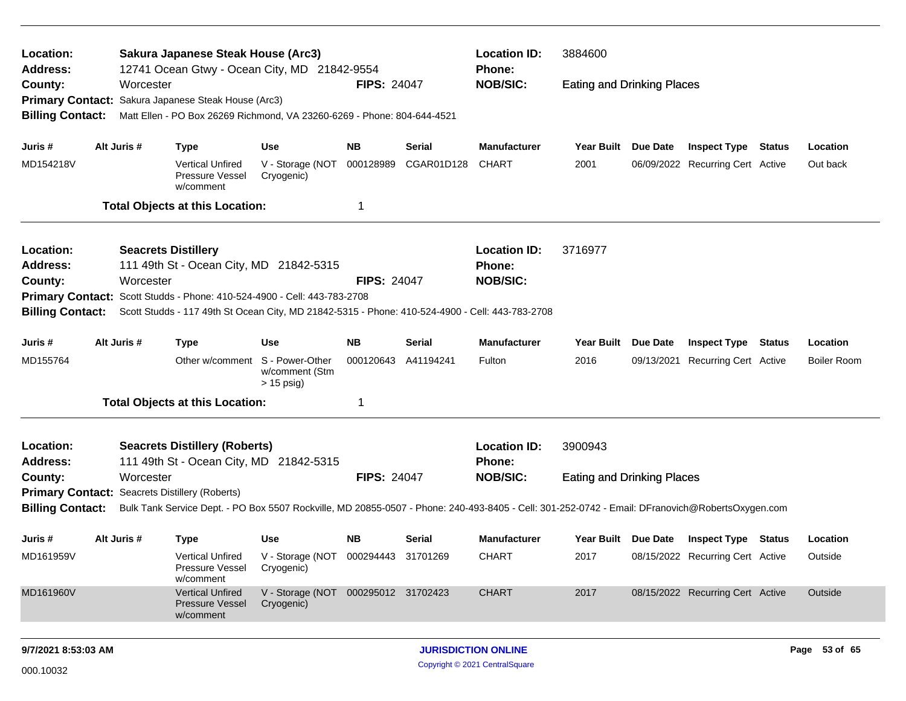| Location:                    |                                                                                    |             | Sakura Japanese Steak House (Arc3)                                                                                                              |                                                                                                                                                                                   |                    |               | <b>Location ID:</b>                  | 3884600                           |                 |                                  |               |                    |
|------------------------------|------------------------------------------------------------------------------------|-------------|-------------------------------------------------------------------------------------------------------------------------------------------------|-----------------------------------------------------------------------------------------------------------------------------------------------------------------------------------|--------------------|---------------|--------------------------------------|-----------------------------------|-----------------|----------------------------------|---------------|--------------------|
| Address:                     |                                                                                    |             |                                                                                                                                                 | 12741 Ocean Gtwy - Ocean City, MD 21842-9554<br><b>Phone:</b><br><b>NOB/SIC:</b><br><b>FIPS: 24047</b><br><b>Eating and Drinking Places</b><br>Sakura Japanese Steak House (Arc3) |                    |               |                                      |                                   |                 |                                  |               |                    |
| County:                      |                                                                                    | Worcester   |                                                                                                                                                 |                                                                                                                                                                                   |                    |               |                                      |                                   |                 |                                  |               |                    |
| <b>Primary Contact:</b>      |                                                                                    |             |                                                                                                                                                 |                                                                                                                                                                                   |                    |               |                                      |                                   |                 |                                  |               |                    |
| <b>Billing Contact:</b>      |                                                                                    |             | Matt Ellen - PO Box 26269 Richmond, VA 23260-6269 - Phone: 804-644-4521                                                                         |                                                                                                                                                                                   |                    |               |                                      |                                   |                 |                                  |               |                    |
| Juris #                      |                                                                                    | Alt Juris # | <b>Type</b>                                                                                                                                     | Use                                                                                                                                                                               | <b>NB</b>          | Serial        | <b>Manufacturer</b>                  | <b>Year Built</b>                 | Due Date        | <b>Inspect Type</b>              | Status        | Location           |
| MD154218V                    |                                                                                    |             | <b>Vertical Unfired</b><br>Pressure Vessel<br>w/comment                                                                                         | V - Storage (NOT<br>Cryogenic)                                                                                                                                                    | 000128989          | CGAR01D128    | <b>CHART</b>                         | 2001                              |                 | 06/09/2022 Recurring Cert Active |               | Out back           |
|                              |                                                                                    |             | <b>Total Objects at this Location:</b>                                                                                                          |                                                                                                                                                                                   | 1                  |               |                                      |                                   |                 |                                  |               |                    |
| Location:                    |                                                                                    |             | <b>Seacrets Distillery</b>                                                                                                                      |                                                                                                                                                                                   |                    |               | <b>Location ID:</b>                  | 3716977                           |                 |                                  |               |                    |
| Address:                     |                                                                                    |             | 111 49th St - Ocean City, MD 21842-5315                                                                                                         |                                                                                                                                                                                   |                    |               | Phone:                               |                                   |                 |                                  |               |                    |
| County:                      |                                                                                    | Worcester   |                                                                                                                                                 |                                                                                                                                                                                   | <b>FIPS: 24047</b> |               | <b>NOB/SIC:</b>                      |                                   |                 |                                  |               |                    |
|                              | Scott Studds - Phone: 410-524-4900 - Cell: 443-783-2708<br><b>Primary Contact:</b> |             |                                                                                                                                                 |                                                                                                                                                                                   |                    |               |                                      |                                   |                 |                                  |               |                    |
| <b>Billing Contact:</b>      |                                                                                    |             | Scott Studds - 117 49th St Ocean City, MD 21842-5315 - Phone: 410-524-4900 - Cell: 443-783-2708                                                 |                                                                                                                                                                                   |                    |               |                                      |                                   |                 |                                  |               |                    |
| Juris #                      |                                                                                    | Alt Juris # | <b>Type</b>                                                                                                                                     | Use                                                                                                                                                                               | <b>NB</b>          | <b>Serial</b> | <b>Manufacturer</b>                  | <b>Year Built</b>                 | <b>Due Date</b> | <b>Inspect Type</b>              | <b>Status</b> | Location           |
| MD155764                     |                                                                                    |             | Other w/comment S - Power-Other                                                                                                                 | w/comment (Stm<br>$> 15$ psig)                                                                                                                                                    | 000120643          | A41194241     | Fulton                               | 2016                              | 09/13/2021      | Recurring Cert Active            |               | <b>Boiler Room</b> |
|                              |                                                                                    |             | <b>Total Objects at this Location:</b>                                                                                                          |                                                                                                                                                                                   | 1                  |               |                                      |                                   |                 |                                  |               |                    |
| Location:<br><b>Address:</b> |                                                                                    |             | <b>Seacrets Distillery (Roberts)</b><br>111 49th St - Ocean City, MD 21842-5315                                                                 |                                                                                                                                                                                   |                    |               | <b>Location ID:</b><br><b>Phone:</b> | 3900943                           |                 |                                  |               |                    |
| County:                      |                                                                                    | Worcester   |                                                                                                                                                 |                                                                                                                                                                                   | <b>FIPS: 24047</b> |               | <b>NOB/SIC:</b>                      | <b>Eating and Drinking Places</b> |                 |                                  |               |                    |
| <b>Primary Contact:</b>      |                                                                                    |             | Seacrets Distillery (Roberts)                                                                                                                   |                                                                                                                                                                                   |                    |               |                                      |                                   |                 |                                  |               |                    |
| <b>Billing Contact:</b>      |                                                                                    |             | Bulk Tank Service Dept. - PO Box 5507 Rockville, MD 20855-0507 - Phone: 240-493-8405 - Cell: 301-252-0742 - Email: DFranovich@RobertsOxygen.com |                                                                                                                                                                                   |                    |               |                                      |                                   |                 |                                  |               |                    |
| Juris #                      |                                                                                    | Alt Juris # | <b>Type</b>                                                                                                                                     | Use                                                                                                                                                                               | NB.                | <b>Serial</b> | Manufacturer                         | Year Built Due Date               |                 | <b>Inspect Type Status</b>       |               | Location           |
| MD161959V                    |                                                                                    |             | <b>Vertical Unfired</b><br>Pressure Vessel<br>w/comment                                                                                         | V - Storage (NOT 000294443 31701269<br>Cryogenic)                                                                                                                                 |                    |               | <b>CHART</b>                         | 2017                              |                 | 08/15/2022 Recurring Cert Active |               | Outside            |
| MD161960V                    |                                                                                    |             | <b>Vertical Unfired</b><br>Pressure Vessel<br>w/comment                                                                                         | V - Storage (NOT 000295012 31702423<br>Cryogenic)                                                                                                                                 |                    |               | <b>CHART</b>                         | 2017                              |                 | 08/15/2022 Recurring Cert Active |               | Outside            |
| 9/7/2021 8:53:03 AM          |                                                                                    |             |                                                                                                                                                 |                                                                                                                                                                                   |                    |               | <b>JURISDICTION ONLINE</b>           |                                   |                 |                                  |               | Page 53 of 65      |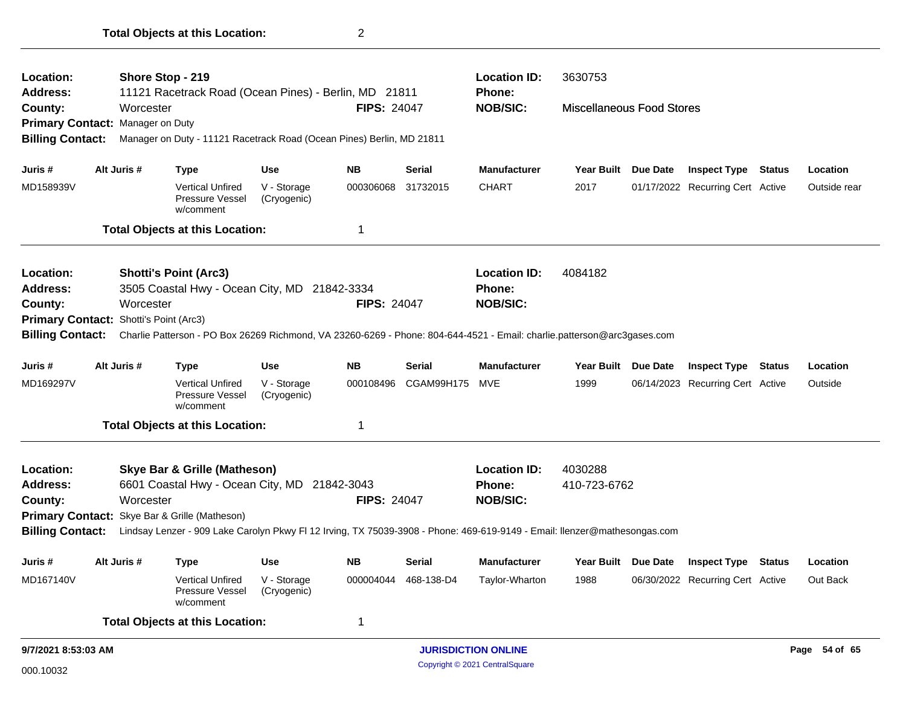| Location:                                          |  | Shore Stop - 219      |                                                                                                                           |                            |                    |               | <b>Location ID:</b>        | 3630753                          |                     |                                  |               |
|----------------------------------------------------|--|-----------------------|---------------------------------------------------------------------------------------------------------------------------|----------------------------|--------------------|---------------|----------------------------|----------------------------------|---------------------|----------------------------------|---------------|
| Address:                                           |  |                       | 11121 Racetrack Road (Ocean Pines) - Berlin, MD 21811                                                                     |                            |                    |               | <b>Phone:</b>              |                                  |                     |                                  |               |
| County:                                            |  | Worcester             |                                                                                                                           |                            | <b>FIPS: 24047</b> |               | <b>NOB/SIC:</b>            | <b>Miscellaneous Food Stores</b> |                     |                                  |               |
| Primary Contact: Manager on Duty                   |  |                       |                                                                                                                           |                            |                    |               |                            |                                  |                     |                                  |               |
| <b>Billing Contact:</b>                            |  |                       | Manager on Duty - 11121 Racetrack Road (Ocean Pines) Berlin, MD 21811                                                     |                            |                    |               |                            |                                  |                     |                                  |               |
| Juris #                                            |  | Alt Juris #           | <b>Type</b>                                                                                                               | <b>Use</b>                 | <b>NB</b>          | <b>Serial</b> | <b>Manufacturer</b>        | Year Built Due Date              |                     | <b>Inspect Type Status</b>       | Location      |
| MD158939V                                          |  |                       | <b>Vertical Unfired</b><br>Pressure Vessel<br>w/comment                                                                   | V - Storage<br>(Cryogenic) | 000306068          | 31732015      | <b>CHART</b>               | 2017                             |                     | 01/17/2022 Recurring Cert Active | Outside rear  |
|                                                    |  |                       | <b>Total Objects at this Location:</b>                                                                                    |                            | 1                  |               |                            |                                  |                     |                                  |               |
| Location:                                          |  |                       | <b>Shotti's Point (Arc3)</b>                                                                                              |                            |                    |               | <b>Location ID:</b>        | 4084182                          |                     |                                  |               |
| <b>Address:</b>                                    |  |                       | 3505 Coastal Hwy - Ocean City, MD 21842-3334                                                                              |                            |                    |               | Phone:                     |                                  |                     |                                  |               |
| County:                                            |  | Worcester             |                                                                                                                           |                            | <b>FIPS: 24047</b> |               | <b>NOB/SIC:</b>            |                                  |                     |                                  |               |
|                                                    |  | Shotti's Point (Arc3) |                                                                                                                           |                            |                    |               |                            |                                  |                     |                                  |               |
| <b>Primary Contact:</b><br><b>Billing Contact:</b> |  |                       | Charlie Patterson - PO Box 26269 Richmond, VA 23260-6269 - Phone: 804-644-4521 - Email: charlie.patterson@arc3gases.com   |                            |                    |               |                            |                                  |                     |                                  |               |
| Juris #                                            |  | Alt Juris #           | <b>Type</b>                                                                                                               | Use                        | <b>NB</b>          | Serial        | <b>Manufacturer</b>        | Year Built Due Date              |                     | <b>Inspect Type Status</b>       | Location      |
| MD169297V                                          |  |                       | <b>Vertical Unfired</b><br>Pressure Vessel<br>w/comment                                                                   | V - Storage<br>(Cryogenic) | 000108496          | CGAM99H175    | MVE                        | 1999                             |                     | 06/14/2023 Recurring Cert Active | Outside       |
|                                                    |  |                       | <b>Total Objects at this Location:</b>                                                                                    |                            | 1                  |               |                            |                                  |                     |                                  |               |
| Location:                                          |  |                       | <b>Skye Bar &amp; Grille (Matheson)</b>                                                                                   |                            |                    |               | <b>Location ID:</b>        | 4030288                          |                     |                                  |               |
| <b>Address:</b>                                    |  |                       | 6601 Coastal Hwy - Ocean City, MD 21842-3043                                                                              |                            |                    |               | <b>Phone:</b>              | 410-723-6762                     |                     |                                  |               |
| County:                                            |  | Worcester             |                                                                                                                           |                            | <b>FIPS: 24047</b> |               | <b>NOB/SIC:</b>            |                                  |                     |                                  |               |
|                                                    |  |                       | Primary Contact: Skye Bar & Grille (Matheson)                                                                             |                            |                    |               |                            |                                  |                     |                                  |               |
| <b>Billing Contact:</b>                            |  |                       | Lindsay Lenzer - 909 Lake Carolyn Pkwy FI 12 Irving, TX 75039-3908 - Phone: 469-619-9149 - Email: Ilenzer@mathesongas.com |                            |                    |               |                            |                                  |                     |                                  |               |
| Juris #                                            |  | Alt Juris #           | Type                                                                                                                      | Use                        | <b>NB</b>          | <b>Serial</b> | <b>Manufacturer</b>        |                                  | Year Built Due Date | <b>Inspect Type Status</b>       | Location      |
| MD167140V                                          |  |                       | <b>Vertical Unfired</b><br>Pressure Vessel<br>w/comment                                                                   | V - Storage<br>(Cryogenic) | 000004044          | 468-138-D4    | Taylor-Wharton             | 1988                             |                     | 06/30/2022 Recurring Cert Active | Out Back      |
|                                                    |  |                       | <b>Total Objects at this Location:</b>                                                                                    |                            | 1                  |               |                            |                                  |                     |                                  |               |
| 9/7/2021 8:53:03 AM                                |  |                       |                                                                                                                           |                            |                    |               | <b>JURISDICTION ONLINE</b> |                                  |                     |                                  | Page 54 of 65 |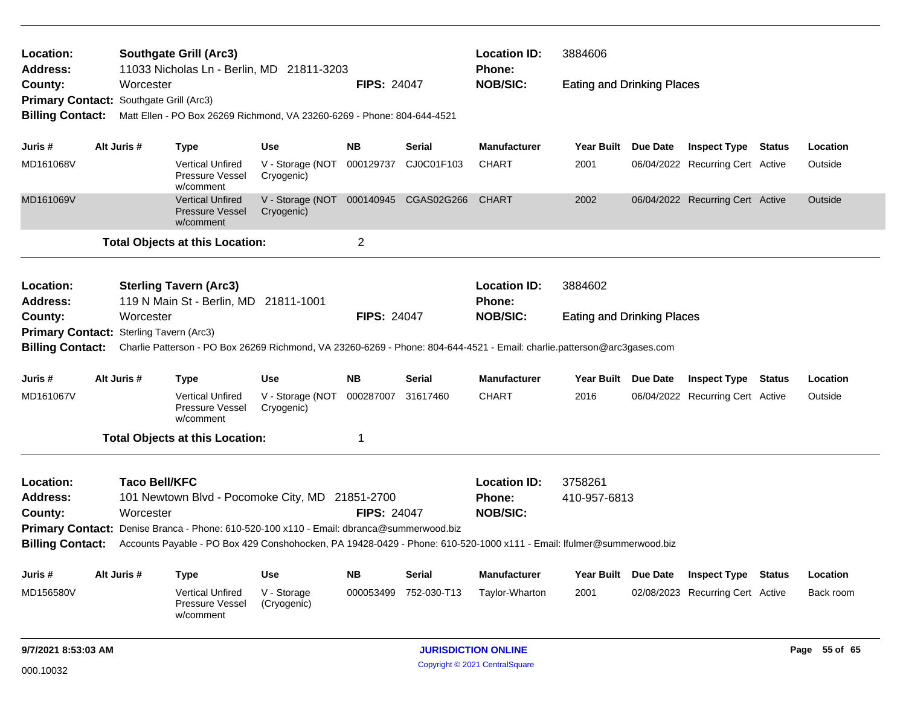| <b>Location ID:</b><br>3884606<br>Location:<br><b>Southgate Grill (Arc3)</b><br>11033 Nicholas Ln - Berlin, MD 21811-3203<br><b>Address:</b><br>Phone:<br><b>NOB/SIC:</b><br>Worcester<br><b>FIPS: 24047</b><br><b>Eating and Drinking Places</b><br>County: |                                                                                                                                                                    |                      |                                                                                                                      |                                                     |                    |               |                               |                                   |          |                                  |  |               |
|--------------------------------------------------------------------------------------------------------------------------------------------------------------------------------------------------------------------------------------------------------------|--------------------------------------------------------------------------------------------------------------------------------------------------------------------|----------------------|----------------------------------------------------------------------------------------------------------------------|-----------------------------------------------------|--------------------|---------------|-------------------------------|-----------------------------------|----------|----------------------------------|--|---------------|
|                                                                                                                                                                                                                                                              |                                                                                                                                                                    |                      | Primary Contact: Southgate Grill (Arc3)<br>Matt Ellen - PO Box 26269 Richmond, VA 23260-6269 - Phone: 804-644-4521   |                                                     |                    |               |                               |                                   |          |                                  |  |               |
|                                                                                                                                                                                                                                                              |                                                                                                                                                                    |                      |                                                                                                                      |                                                     |                    |               |                               |                                   |          |                                  |  |               |
| <b>Billing Contact:</b>                                                                                                                                                                                                                                      |                                                                                                                                                                    |                      |                                                                                                                      |                                                     |                    |               |                               |                                   |          |                                  |  |               |
| Juris #                                                                                                                                                                                                                                                      |                                                                                                                                                                    | Alt Juris #          | <b>Type</b>                                                                                                          | <b>Use</b>                                          | <b>NB</b>          | Serial        | <b>Manufacturer</b>           | Year Built Due Date               |          | <b>Inspect Type Status</b>       |  | Location      |
| MD161068V                                                                                                                                                                                                                                                    |                                                                                                                                                                    |                      | <b>Vertical Unfired</b><br>Pressure Vessel<br>w/comment                                                              | V - Storage (NOT<br>Cryogenic)                      | 000129737          | CJ0C01F103    | <b>CHART</b>                  | 2001                              |          | 06/04/2022 Recurring Cert Active |  | Outside       |
| MD161069V                                                                                                                                                                                                                                                    |                                                                                                                                                                    |                      | <b>Vertical Unfired</b><br><b>Pressure Vessel</b><br>w/comment                                                       | V - Storage (NOT 000140945 CGAS02G266<br>Cryogenic) |                    |               | <b>CHART</b>                  | 2002                              |          | 06/04/2022 Recurring Cert Active |  | Outside       |
|                                                                                                                                                                                                                                                              |                                                                                                                                                                    |                      | <b>Total Objects at this Location:</b>                                                                               |                                                     | 2                  |               |                               |                                   |          |                                  |  |               |
| Location:<br><b>Address:</b>                                                                                                                                                                                                                                 |                                                                                                                                                                    |                      | <b>Sterling Tavern (Arc3)</b><br>119 N Main St - Berlin, MD 21811-1001                                               |                                                     |                    |               | <b>Location ID:</b><br>Phone: | 3884602                           |          |                                  |  |               |
| County:                                                                                                                                                                                                                                                      |                                                                                                                                                                    | Worcester            |                                                                                                                      |                                                     | <b>FIPS: 24047</b> |               | <b>NOB/SIC:</b>               | <b>Eating and Drinking Places</b> |          |                                  |  |               |
|                                                                                                                                                                                                                                                              |                                                                                                                                                                    |                      |                                                                                                                      |                                                     |                    |               |                               |                                   |          |                                  |  |               |
| <b>Billing Contact:</b>                                                                                                                                                                                                                                      | Primary Contact: Sterling Tavern (Arc3)<br>Charlie Patterson - PO Box 26269 Richmond, VA 23260-6269 - Phone: 804-644-4521 - Email: charlie.patterson@arc3gases.com |                      |                                                                                                                      |                                                     |                    |               |                               |                                   |          |                                  |  |               |
| Juris #                                                                                                                                                                                                                                                      |                                                                                                                                                                    | Alt Juris #          | <b>Type</b>                                                                                                          | <b>Use</b>                                          | <b>NB</b>          | Serial        | <b>Manufacturer</b>           | Year Built Due Date               |          | <b>Inspect Type Status</b>       |  | Location      |
| MD161067V                                                                                                                                                                                                                                                    |                                                                                                                                                                    |                      | <b>Vertical Unfired</b><br>Pressure Vessel<br>w/comment                                                              | V - Storage (NOT<br>Cryogenic)                      | 000287007          | 31617460      | <b>CHART</b>                  | 2016                              |          | 06/04/2022 Recurring Cert Active |  | Outside       |
|                                                                                                                                                                                                                                                              |                                                                                                                                                                    |                      | <b>Total Objects at this Location:</b>                                                                               |                                                     | 1                  |               |                               |                                   |          |                                  |  |               |
| Location:                                                                                                                                                                                                                                                    |                                                                                                                                                                    | <b>Taco Bell/KFC</b> |                                                                                                                      |                                                     |                    |               | <b>Location ID:</b>           | 3758261                           |          |                                  |  |               |
| <b>Address:</b>                                                                                                                                                                                                                                              |                                                                                                                                                                    |                      | 101 Newtown Blvd - Pocomoke City, MD 21851-2700                                                                      |                                                     |                    |               | <b>Phone:</b>                 | 410-957-6813                      |          |                                  |  |               |
| County:                                                                                                                                                                                                                                                      |                                                                                                                                                                    | Worcester            |                                                                                                                      |                                                     | <b>FIPS: 24047</b> |               | <b>NOB/SIC:</b>               |                                   |          |                                  |  |               |
|                                                                                                                                                                                                                                                              |                                                                                                                                                                    |                      | Primary Contact: Denise Branca - Phone: 610-520-100 x110 - Email: dbranca@summerwood.biz                             |                                                     |                    |               |                               |                                   |          |                                  |  |               |
| <b>Billing Contact:</b>                                                                                                                                                                                                                                      |                                                                                                                                                                    |                      | Accounts Payable - PO Box 429 Conshohocken, PA 19428-0429 - Phone: 610-520-1000 x111 - Email: Ifulmer@summerwood.biz |                                                     |                    |               |                               |                                   |          |                                  |  |               |
| Juris #                                                                                                                                                                                                                                                      |                                                                                                                                                                    | Alt Juris #          | <b>Type</b>                                                                                                          | <b>Use</b>                                          | <b>NB</b>          | <b>Serial</b> | <b>Manufacturer</b>           | <b>Year Built</b>                 | Due Date | <b>Inspect Type Status</b>       |  | Location      |
| MD156580V                                                                                                                                                                                                                                                    |                                                                                                                                                                    |                      | <b>Vertical Unfired</b><br>Pressure Vessel<br>w/comment                                                              | V - Storage<br>(Cryogenic)                          | 000053499          | 752-030-T13   | Taylor-Wharton                | 2001                              |          | 02/08/2023 Recurring Cert Active |  | Back room     |
| 9/7/2021 8:53:03 AM                                                                                                                                                                                                                                          |                                                                                                                                                                    |                      |                                                                                                                      |                                                     |                    |               | <b>JURISDICTION ONLINE</b>    |                                   |          |                                  |  | Page 55 of 65 |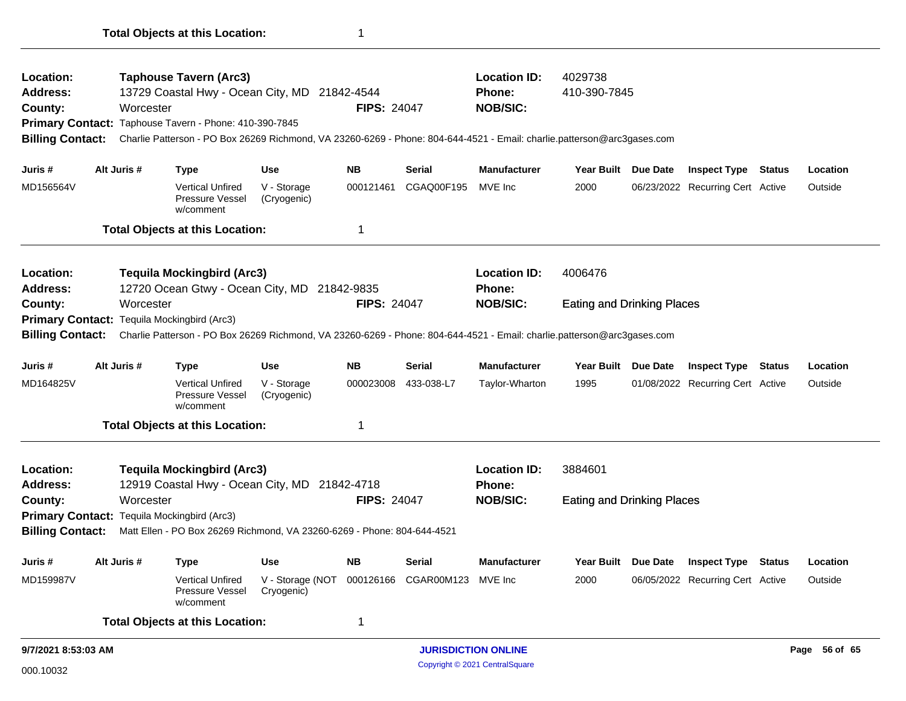| <b>Location:</b><br><b>Address:</b><br>County:<br>Primary Contact: Taphouse Tavern - Phone: 410-390-7845 |                                                                                                                      | Worcester   | <b>Taphouse Tavern (Arc3)</b><br>13729 Coastal Hwy - Ocean City, MD 21842-4544                                          |                                                     | <b>FIPS: 24047</b> |               | <b>Location ID:</b><br><b>Phone:</b><br><b>NOB/SIC:</b> | 4029738<br>410-390-7845           |                 |                                  |               |               |
|----------------------------------------------------------------------------------------------------------|----------------------------------------------------------------------------------------------------------------------|-------------|-------------------------------------------------------------------------------------------------------------------------|-----------------------------------------------------|--------------------|---------------|---------------------------------------------------------|-----------------------------------|-----------------|----------------------------------|---------------|---------------|
| <b>Billing Contact:</b>                                                                                  |                                                                                                                      |             | Charlie Patterson - PO Box 26269 Richmond, VA 23260-6269 - Phone: 804-644-4521 - Email: charlie.patterson@arc3gases.com |                                                     |                    |               |                                                         |                                   |                 |                                  |               |               |
| Juris #                                                                                                  |                                                                                                                      | Alt Juris # | <b>Type</b>                                                                                                             | <b>Use</b>                                          | <b>NB</b>          | Serial        | <b>Manufacturer</b>                                     | <b>Year Built</b>                 | Due Date        | <b>Inspect Type</b>              | <b>Status</b> | Location      |
| MD156564V                                                                                                |                                                                                                                      |             | <b>Vertical Unfired</b><br>Pressure Vessel<br>w/comment                                                                 | V - Storage<br>(Cryogenic)                          | 000121461          | CGAQ00F195    | MVE Inc                                                 | 2000                              |                 | 06/23/2022 Recurring Cert Active |               | Outside       |
|                                                                                                          |                                                                                                                      |             | <b>Total Objects at this Location:</b>                                                                                  |                                                     | 1                  |               |                                                         |                                   |                 |                                  |               |               |
| Location:<br><b>Address:</b>                                                                             | <b>Tequila Mockingbird (Arc3)</b><br>12720 Ocean Gtwy - Ocean City, MD 21842-9835<br>Worcester<br><b>FIPS: 24047</b> |             |                                                                                                                         |                                                     |                    |               | <b>Location ID:</b><br><b>Phone:</b>                    | 4006476                           |                 |                                  |               |               |
| County:                                                                                                  |                                                                                                                      |             |                                                                                                                         |                                                     |                    |               | <b>NOB/SIC:</b>                                         | <b>Eating and Drinking Places</b> |                 |                                  |               |               |
|                                                                                                          |                                                                                                                      |             | Primary Contact: Tequila Mockingbird (Arc3)                                                                             |                                                     |                    |               |                                                         |                                   |                 |                                  |               |               |
| <b>Billing Contact:</b>                                                                                  |                                                                                                                      |             | Charlie Patterson - PO Box 26269 Richmond, VA 23260-6269 - Phone: 804-644-4521 - Email: charlie.patterson@arc3gases.com |                                                     |                    |               |                                                         |                                   |                 |                                  |               |               |
| Juris #                                                                                                  |                                                                                                                      | Alt Juris # | Type                                                                                                                    | <b>Use</b>                                          | <b>NB</b>          | Serial        | <b>Manufacturer</b>                                     | <b>Year Built</b>                 | <b>Due Date</b> | <b>Inspect Type Status</b>       |               | Location      |
| MD164825V                                                                                                |                                                                                                                      |             | <b>Vertical Unfired</b><br>Pressure Vessel<br>w/comment                                                                 | V - Storage<br>(Cryogenic)                          | 000023008          | 433-038-L7    | Taylor-Wharton                                          | 1995                              |                 | 01/08/2022 Recurring Cert Active |               | Outside       |
|                                                                                                          |                                                                                                                      |             | <b>Total Objects at this Location:</b>                                                                                  |                                                     | 1                  |               |                                                         |                                   |                 |                                  |               |               |
| <b>Location:</b><br><b>Address:</b>                                                                      |                                                                                                                      |             | <b>Tequila Mockingbird (Arc3)</b><br>12919 Coastal Hwy - Ocean City, MD 21842-4718                                      |                                                     |                    |               | <b>Location ID:</b><br><b>Phone:</b>                    | 3884601                           |                 |                                  |               |               |
| County:                                                                                                  |                                                                                                                      | Worcester   |                                                                                                                         |                                                     | <b>FIPS: 24047</b> |               | <b>NOB/SIC:</b>                                         | <b>Eating and Drinking Places</b> |                 |                                  |               |               |
|                                                                                                          |                                                                                                                      |             | Primary Contact: Tequila Mockingbird (Arc3)                                                                             |                                                     |                    |               |                                                         |                                   |                 |                                  |               |               |
| <b>Billing Contact:</b>                                                                                  |                                                                                                                      |             | Matt Ellen - PO Box 26269 Richmond, VA 23260-6269 - Phone: 804-644-4521                                                 |                                                     |                    |               |                                                         |                                   |                 |                                  |               |               |
| Juris #                                                                                                  | Alt Juris #                                                                                                          |             | Type                                                                                                                    | <b>Use</b>                                          | NΒ                 | <b>Serial</b> | <b>Manufacturer</b>                                     | Year Built                        | <b>Due Date</b> | <b>Inspect Type Status</b>       |               | Location      |
| MD159987V                                                                                                |                                                                                                                      |             | <b>Vertical Unfired</b><br>Pressure Vessel<br>w/comment                                                                 | V - Storage (NOT 000126166 CGAR00M123<br>Cryogenic) |                    |               | MVE Inc                                                 | 2000                              |                 | 06/05/2022 Recurring Cert Active |               | Outside       |
|                                                                                                          |                                                                                                                      |             | <b>Total Objects at this Location:</b>                                                                                  |                                                     | 1                  |               |                                                         |                                   |                 |                                  |               |               |
|                                                                                                          |                                                                                                                      |             |                                                                                                                         |                                                     |                    |               |                                                         |                                   |                 |                                  |               |               |
| 9/7/2021 8:53:03 AM                                                                                      |                                                                                                                      |             |                                                                                                                         |                                                     |                    |               | <b>JURISDICTION ONLINE</b>                              |                                   |                 |                                  |               | Page 56 of 65 |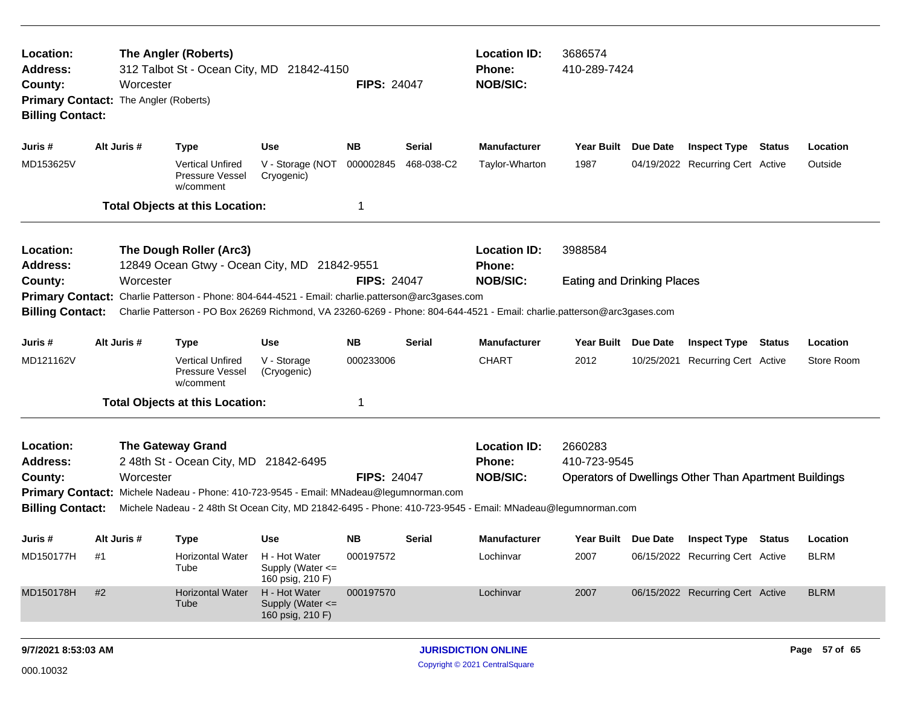| Location:<br><b>Address:</b><br>County:<br><b>Billing Contact:</b>                                                                                                                                                                                                                                                                                                                  | The Angler (Roberts)<br>312 Talbot St - Ocean City, MD 21842-4150<br><b>FIPS: 24047</b><br>Worcester<br>Primary Contact: The Angler (Roberts) |                                                         |                                                                                                                                                                                                             |                    |               | <b>Location ID:</b><br><b>Phone:</b><br><b>NOB/SIC:</b> | 3686574<br>410-289-7424                                                                 |          |                                  |        |             |  |
|-------------------------------------------------------------------------------------------------------------------------------------------------------------------------------------------------------------------------------------------------------------------------------------------------------------------------------------------------------------------------------------|-----------------------------------------------------------------------------------------------------------------------------------------------|---------------------------------------------------------|-------------------------------------------------------------------------------------------------------------------------------------------------------------------------------------------------------------|--------------------|---------------|---------------------------------------------------------|-----------------------------------------------------------------------------------------|----------|----------------------------------|--------|-------------|--|
| Juris #                                                                                                                                                                                                                                                                                                                                                                             | Alt Juris #                                                                                                                                   | <b>Type</b>                                             | <b>Use</b>                                                                                                                                                                                                  | NB.                | <b>Serial</b> | Manufacturer                                            | Year Built Due Date                                                                     |          | <b>Inspect Type Status</b>       |        | Location    |  |
| MD153625V                                                                                                                                                                                                                                                                                                                                                                           |                                                                                                                                               | <b>Vertical Unfired</b><br>Pressure Vessel<br>w/comment | V - Storage (NOT<br>Cryogenic)                                                                                                                                                                              | 000002845          | 468-038-C2    | Taylor-Wharton                                          | 1987                                                                                    |          | 04/19/2022 Recurring Cert Active |        | Outside     |  |
|                                                                                                                                                                                                                                                                                                                                                                                     |                                                                                                                                               | <b>Total Objects at this Location:</b>                  |                                                                                                                                                                                                             |                    |               |                                                         |                                                                                         |          |                                  |        |             |  |
| The Dough Roller (Arc3)<br>Location:<br>12849 Ocean Gtwy - Ocean City, MD 21842-9551<br><b>Address:</b>                                                                                                                                                                                                                                                                             |                                                                                                                                               |                                                         |                                                                                                                                                                                                             |                    |               | <b>Location ID:</b><br><b>Phone:</b>                    | 3988584                                                                                 |          |                                  |        |             |  |
| County:<br><b>Primary Contact:</b><br><b>Billing Contact:</b>                                                                                                                                                                                                                                                                                                                       |                                                                                                                                               | Worcester                                               | Charlie Patterson - Phone: 804-644-4521 - Email: charlie.patterson@arc3gases.com<br>Charlie Patterson - PO Box 26269 Richmond, VA 23260-6269 - Phone: 804-644-4521 - Email: charlie.patterson@arc3gases.com | <b>FIPS: 24047</b> |               | <b>NOB/SIC:</b>                                         | <b>Eating and Drinking Places</b>                                                       |          |                                  |        |             |  |
| Juris #                                                                                                                                                                                                                                                                                                                                                                             | Alt Juris #                                                                                                                                   | <b>Type</b>                                             | <b>Use</b>                                                                                                                                                                                                  | <b>NB</b>          | <b>Serial</b> | <b>Manufacturer</b>                                     | <b>Year Built</b>                                                                       | Due Date | <b>Inspect Type</b>              | Status | Location    |  |
| MD121162V                                                                                                                                                                                                                                                                                                                                                                           |                                                                                                                                               | <b>Vertical Unfired</b><br>Pressure Vessel<br>w/comment | V - Storage<br>(Cryogenic)                                                                                                                                                                                  | 000233006          |               | <b>CHART</b>                                            | 2012                                                                                    |          | 10/25/2021 Recurring Cert Active |        | Store Room  |  |
|                                                                                                                                                                                                                                                                                                                                                                                     |                                                                                                                                               | <b>Total Objects at this Location:</b>                  |                                                                                                                                                                                                             | 1                  |               |                                                         |                                                                                         |          |                                  |        |             |  |
| Location:<br><b>The Gateway Grand</b><br>2 48th St - Ocean City, MD 21842-6495<br><b>Address:</b><br>Worcester<br><b>FIPS: 24047</b><br>County:<br>Primary Contact: Michele Nadeau - Phone: 410-723-9545 - Email: MNadeau@legumnorman.com<br><b>Billing Contact:</b><br>Michele Nadeau - 2 48th St Ocean City, MD 21842-6495 - Phone: 410-723-9545 - Email: MNadeau@legumnorman.com |                                                                                                                                               |                                                         |                                                                                                                                                                                                             |                    |               | <b>Location ID:</b><br><b>Phone:</b><br><b>NOB/SIC:</b> | 2660283<br>410-723-9545<br><b>Operators of Dwellings Other Than Apartment Buildings</b> |          |                                  |        |             |  |
| Juris #                                                                                                                                                                                                                                                                                                                                                                             | Alt Juris #                                                                                                                                   | <b>Type</b>                                             | <b>Use</b>                                                                                                                                                                                                  | <b>NB</b>          | <b>Serial</b> | Manufacturer                                            | Year Built Due Date                                                                     |          | <b>Inspect Type Status</b>       |        | Location    |  |
| MD150177H                                                                                                                                                                                                                                                                                                                                                                           | #1                                                                                                                                            | Horizontal Water<br>Tube                                | H - Hot Water<br>Supply (Water <=<br>160 psig, 210 F)                                                                                                                                                       | 000197572          |               | Lochinvar                                               | 2007                                                                                    |          | 06/15/2022 Recurring Cert Active |        | <b>BLRM</b> |  |
| MD150178H                                                                                                                                                                                                                                                                                                                                                                           | $\#2$                                                                                                                                         | <b>Horizontal Water</b><br>Tube                         | H - Hot Water<br>Supply (Water <=<br>160 psig, 210 F)                                                                                                                                                       | 000197570          |               | Lochinvar                                               | 2007                                                                                    |          | 06/15/2022 Recurring Cert Active |        | <b>BLRM</b> |  |
|                                                                                                                                                                                                                                                                                                                                                                                     |                                                                                                                                               |                                                         |                                                                                                                                                                                                             |                    |               |                                                         |                                                                                         |          |                                  |        |             |  |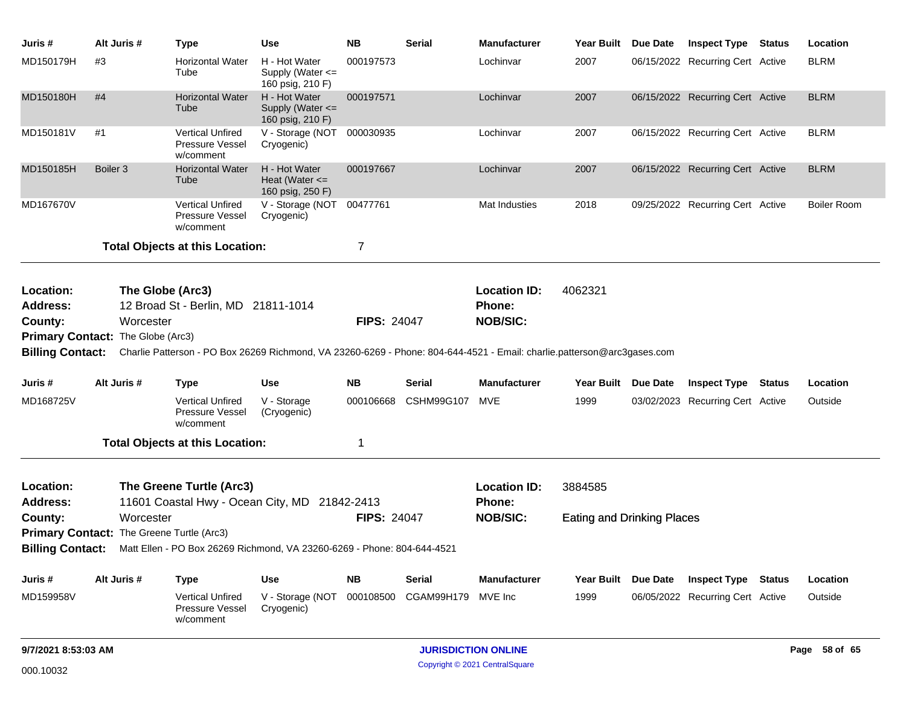| Juris #                                          | Alt Juris #         |           | <b>Type</b>                                                    | <b>Use</b>                                                                                                              | <b>NB</b>          | <b>Serial</b> | <b>Manufacturer</b>                                     | Year Built Due Date               | <b>Inspect Type Status</b>       | Location           |
|--------------------------------------------------|---------------------|-----------|----------------------------------------------------------------|-------------------------------------------------------------------------------------------------------------------------|--------------------|---------------|---------------------------------------------------------|-----------------------------------|----------------------------------|--------------------|
| MD150179H                                        | #3                  |           | <b>Horizontal Water</b><br>Tube                                | H - Hot Water<br>Supply (Water $\leq$<br>160 psig, 210 F)                                                               | 000197573          |               | Lochinvar                                               | 2007                              | 06/15/2022 Recurring Cert Active | <b>BLRM</b>        |
| MD150180H                                        | #4                  |           | <b>Horizontal Water</b><br>Tube                                | H - Hot Water<br>Supply (Water <=<br>160 psig, 210 F)                                                                   | 000197571          |               | Lochinvar                                               | 2007                              | 06/15/2022 Recurring Cert Active | <b>BLRM</b>        |
| MD150181V                                        | #1                  |           | <b>Vertical Unfired</b><br>Pressure Vessel<br>w/comment        | V - Storage (NOT<br>Cryogenic)                                                                                          | 000030935          |               | Lochinvar                                               | 2007                              | 06/15/2022 Recurring Cert Active | <b>BLRM</b>        |
| MD150185H                                        | Boiler <sub>3</sub> |           | <b>Horizontal Water</b><br>Tube                                | H - Hot Water<br>Heat (Water $\leq$<br>160 psig, 250 F)                                                                 | 000197667          |               | Lochinvar                                               | 2007                              | 06/15/2022 Recurring Cert Active | <b>BLRM</b>        |
| MD167670V                                        |                     |           | <b>Vertical Unfired</b><br><b>Pressure Vessel</b><br>w/comment | V - Storage (NOT<br>Cryogenic)                                                                                          | 00477761           |               | Mat Industies                                           | 2018                              | 09/25/2022 Recurring Cert Active | <b>Boiler Room</b> |
|                                                  |                     |           | <b>Total Objects at this Location:</b>                         |                                                                                                                         | 7                  |               |                                                         |                                   |                                  |                    |
| Location:<br>Address:<br>County:                 |                     | Worcester | The Globe (Arc3)<br>12 Broad St - Berlin, MD 21811-1014        |                                                                                                                         | <b>FIPS: 24047</b> |               | <b>Location ID:</b><br><b>Phone:</b><br><b>NOB/SIC:</b> | 4062321                           |                                  |                    |
| Primary Contact: The Globe (Arc3)                |                     |           |                                                                |                                                                                                                         |                    |               |                                                         |                                   |                                  |                    |
| <b>Billing Contact:</b>                          |                     |           |                                                                | Charlie Patterson - PO Box 26269 Richmond, VA 23260-6269 - Phone: 804-644-4521 - Email: charlie.patterson@arc3gases.com |                    |               |                                                         |                                   |                                  |                    |
| Juris #                                          | Alt Juris #         |           | <b>Type</b>                                                    | <b>Use</b>                                                                                                              | <b>NB</b>          | Serial        | <b>Manufacturer</b>                                     | Year Built Due Date               | <b>Inspect Type Status</b>       | Location           |
| MD168725V                                        |                     |           | <b>Vertical Unfired</b><br><b>Pressure Vessel</b><br>w/comment | V - Storage<br>(Cryogenic)                                                                                              | 000106668          | CSHM99G107    | MVE                                                     | 1999                              | 03/02/2023 Recurring Cert Active | Outside            |
|                                                  |                     |           | <b>Total Objects at this Location:</b>                         |                                                                                                                         | 1                  |               |                                                         |                                   |                                  |                    |
| Location:<br><b>Address:</b>                     |                     |           | The Greene Turtle (Arc3)                                       | 11601 Coastal Hwy - Ocean City, MD 21842-2413                                                                           |                    |               | <b>Location ID:</b><br>Phone:                           | 3884585                           |                                  |                    |
| County:                                          |                     | Worcester |                                                                |                                                                                                                         | <b>FIPS: 24047</b> |               | <b>NOB/SIC:</b>                                         | <b>Eating and Drinking Places</b> |                                  |                    |
| <b>Primary Contact:</b> The Greene Turtle (Arc3) |                     |           |                                                                |                                                                                                                         |                    |               |                                                         |                                   |                                  |                    |
|                                                  |                     |           |                                                                | Billing Contact: Matt Ellen - PO Box 26269 Richmond, VA 23260-6269 - Phone: 804-644-4521                                |                    |               |                                                         |                                   |                                  |                    |
| Juris #                                          | Alt Juris #         |           | <b>Type</b>                                                    | <b>Use</b>                                                                                                              | <b>NB</b>          | <b>Serial</b> | <b>Manufacturer</b>                                     | Year Built Due Date               | <b>Inspect Type Status</b>       | Location           |
| MD159958V                                        |                     |           | <b>Vertical Unfired</b><br>Pressure Vessel<br>w/comment        | V - Storage (NOT<br>Cryogenic)                                                                                          | 000108500          | CGAM99H179    | MVE Inc                                                 | 1999                              | 06/05/2022 Recurring Cert Active | Outside            |
| 9/7/2021 8:53:03 AM                              |                     |           |                                                                |                                                                                                                         |                    |               | <b>JURISDICTION ONLINE</b>                              |                                   |                                  | Page 58 of 65      |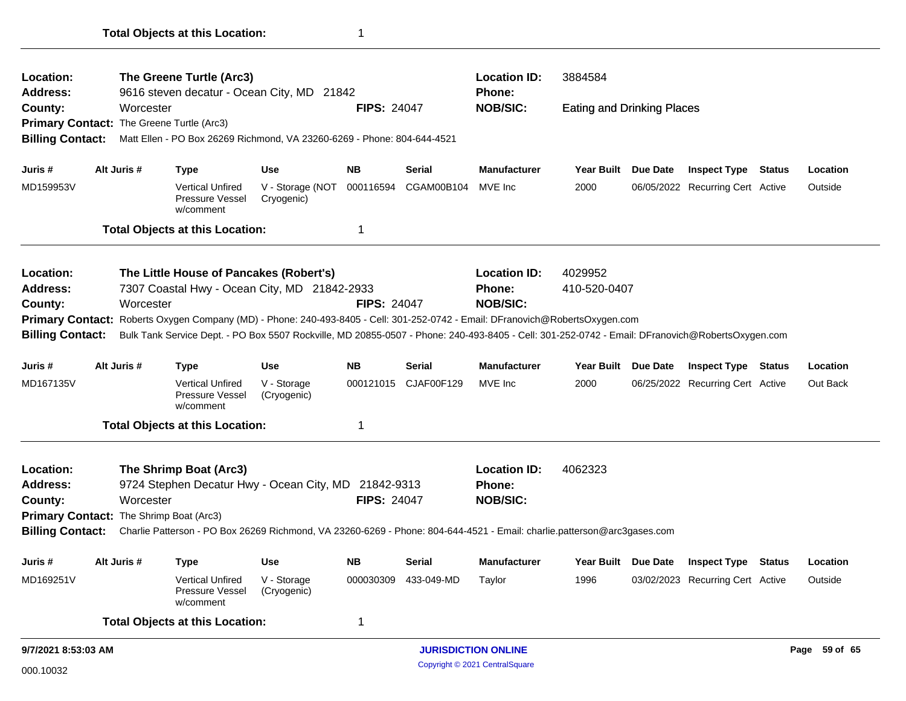|                                                      |  | w/comment<br><b>Total Objects at this Location:</b>     |                                                                                                                                                       | $\mathbf 1$                                                                                                                 |                                                                                                                |                                                                                                                                                                                                                           |                                                                                                                                            |         |                                                                                                                                                                                                                                                                                                                                               |                                   |                                                                                                                                                                                                                                                                                                                                                       |  |  |
|------------------------------------------------------|--|---------------------------------------------------------|-------------------------------------------------------------------------------------------------------------------------------------------------------|-----------------------------------------------------------------------------------------------------------------------------|----------------------------------------------------------------------------------------------------------------|---------------------------------------------------------------------------------------------------------------------------------------------------------------------------------------------------------------------------|--------------------------------------------------------------------------------------------------------------------------------------------|---------|-----------------------------------------------------------------------------------------------------------------------------------------------------------------------------------------------------------------------------------------------------------------------------------------------------------------------------------------------|-----------------------------------|-------------------------------------------------------------------------------------------------------------------------------------------------------------------------------------------------------------------------------------------------------------------------------------------------------------------------------------------------------|--|--|
|                                                      |  |                                                         |                                                                                                                                                       |                                                                                                                             |                                                                                                                |                                                                                                                                                                                                                           |                                                                                                                                            |         |                                                                                                                                                                                                                                                                                                                                               |                                   |                                                                                                                                                                                                                                                                                                                                                       |  |  |
|                                                      |  | <b>Vertical Unfired</b><br>Pressure Vessel              | V - Storage<br>(Cryogenic)                                                                                                                            | 000030309                                                                                                                   | 433-049-MD                                                                                                     | Taylor                                                                                                                                                                                                                    | 1996                                                                                                                                       |         |                                                                                                                                                                                                                                                                                                                                               |                                   | Outside                                                                                                                                                                                                                                                                                                                                               |  |  |
|                                                      |  | Type                                                    | <b>Use</b>                                                                                                                                            | <b>NB</b>                                                                                                                   | <b>Serial</b>                                                                                                  | Manufacturer                                                                                                                                                                                                              |                                                                                                                                            |         |                                                                                                                                                                                                                                                                                                                                               |                                   | Location                                                                                                                                                                                                                                                                                                                                              |  |  |
| <b>Billing Contact:</b>                              |  |                                                         |                                                                                                                                                       |                                                                                                                             |                                                                                                                |                                                                                                                                                                                                                           |                                                                                                                                            |         |                                                                                                                                                                                                                                                                                                                                               |                                   |                                                                                                                                                                                                                                                                                                                                                       |  |  |
|                                                      |  |                                                         |                                                                                                                                                       |                                                                                                                             |                                                                                                                |                                                                                                                                                                                                                           |                                                                                                                                            |         |                                                                                                                                                                                                                                                                                                                                               |                                   |                                                                                                                                                                                                                                                                                                                                                       |  |  |
|                                                      |  |                                                         |                                                                                                                                                       |                                                                                                                             |                                                                                                                | <b>NOB/SIC:</b>                                                                                                                                                                                                           |                                                                                                                                            |         |                                                                                                                                                                                                                                                                                                                                               |                                   |                                                                                                                                                                                                                                                                                                                                                       |  |  |
|                                                      |  |                                                         |                                                                                                                                                       |                                                                                                                             |                                                                                                                | <b>Phone:</b>                                                                                                                                                                                                             |                                                                                                                                            |         |                                                                                                                                                                                                                                                                                                                                               |                                   |                                                                                                                                                                                                                                                                                                                                                       |  |  |
|                                                      |  |                                                         |                                                                                                                                                       |                                                                                                                             |                                                                                                                | <b>Location ID:</b>                                                                                                                                                                                                       | 4062323                                                                                                                                    |         |                                                                                                                                                                                                                                                                                                                                               |                                   |                                                                                                                                                                                                                                                                                                                                                       |  |  |
|                                                      |  |                                                         |                                                                                                                                                       | 1                                                                                                                           |                                                                                                                |                                                                                                                                                                                                                           |                                                                                                                                            |         |                                                                                                                                                                                                                                                                                                                                               |                                   |                                                                                                                                                                                                                                                                                                                                                       |  |  |
|                                                      |  | <b>Vertical Unfired</b><br>Pressure Vessel<br>w/comment | (Cryogenic)                                                                                                                                           |                                                                                                                             |                                                                                                                | MVE Inc                                                                                                                                                                                                                   | 2000                                                                                                                                       |         |                                                                                                                                                                                                                                                                                                                                               |                                   | Out Back                                                                                                                                                                                                                                                                                                                                              |  |  |
|                                                      |  | <b>Type</b>                                             | <b>Use</b>                                                                                                                                            | <b>NB</b>                                                                                                                   | <b>Serial</b>                                                                                                  | <b>Manufacturer</b>                                                                                                                                                                                                       |                                                                                                                                            |         |                                                                                                                                                                                                                                                                                                                                               |                                   | Location                                                                                                                                                                                                                                                                                                                                              |  |  |
| <b>Billing Contact:</b>                              |  |                                                         |                                                                                                                                                       |                                                                                                                             |                                                                                                                |                                                                                                                                                                                                                           |                                                                                                                                            |         |                                                                                                                                                                                                                                                                                                                                               |                                   |                                                                                                                                                                                                                                                                                                                                                       |  |  |
|                                                      |  |                                                         |                                                                                                                                                       |                                                                                                                             |                                                                                                                |                                                                                                                                                                                                                           |                                                                                                                                            |         |                                                                                                                                                                                                                                                                                                                                               |                                   |                                                                                                                                                                                                                                                                                                                                                       |  |  |
| <b>Address:</b><br>County:                           |  |                                                         |                                                                                                                                                       |                                                                                                                             |                                                                                                                |                                                                                                                                                                                                                           |                                                                                                                                            |         |                                                                                                                                                                                                                                                                                                                                               |                                   |                                                                                                                                                                                                                                                                                                                                                       |  |  |
| The Little House of Pancakes (Robert's)<br>Location: |  |                                                         |                                                                                                                                                       |                                                                                                                             |                                                                                                                |                                                                                                                                                                                                                           | 4029952                                                                                                                                    |         |                                                                                                                                                                                                                                                                                                                                               |                                   |                                                                                                                                                                                                                                                                                                                                                       |  |  |
|                                                      |  |                                                         |                                                                                                                                                       | 1                                                                                                                           |                                                                                                                |                                                                                                                                                                                                                           |                                                                                                                                            |         |                                                                                                                                                                                                                                                                                                                                               |                                   |                                                                                                                                                                                                                                                                                                                                                       |  |  |
|                                                      |  | <b>Vertical Unfired</b><br>Pressure Vessel<br>w/comment | Cryogenic)                                                                                                                                            |                                                                                                                             |                                                                                                                | MVE Inc                                                                                                                                                                                                                   | 2000                                                                                                                                       |         |                                                                                                                                                                                                                                                                                                                                               |                                   | Outside                                                                                                                                                                                                                                                                                                                                               |  |  |
|                                                      |  | <b>Type</b>                                             | <b>Use</b>                                                                                                                                            | <b>NB</b>                                                                                                                   | <b>Serial</b>                                                                                                  | <b>Manufacturer</b>                                                                                                                                                                                                       |                                                                                                                                            |         |                                                                                                                                                                                                                                                                                                                                               |                                   | Location                                                                                                                                                                                                                                                                                                                                              |  |  |
| <b>Billing Contact:</b>                              |  |                                                         |                                                                                                                                                       |                                                                                                                             |                                                                                                                |                                                                                                                                                                                                                           |                                                                                                                                            |         |                                                                                                                                                                                                                                                                                                                                               |                                   |                                                                                                                                                                                                                                                                                                                                                       |  |  |
|                                                      |  |                                                         |                                                                                                                                                       |                                                                                                                             |                                                                                                                |                                                                                                                                                                                                                           |                                                                                                                                            |         |                                                                                                                                                                                                                                                                                                                                               |                                   |                                                                                                                                                                                                                                                                                                                                                       |  |  |
|                                                      |  |                                                         |                                                                                                                                                       |                                                                                                                             |                                                                                                                |                                                                                                                                                                                                                           |                                                                                                                                            |         |                                                                                                                                                                                                                                                                                                                                               |                                   |                                                                                                                                                                                                                                                                                                                                                       |  |  |
|                                                      |  |                                                         |                                                                                                                                                       |                                                                                                                             |                                                                                                                |                                                                                                                                                                                                                           |                                                                                                                                            |         |                                                                                                                                                                                                                                                                                                                                               |                                   |                                                                                                                                                                                                                                                                                                                                                       |  |  |
|                                                      |  | Alt Juris #<br>Alt Juris #<br>Alt Juris #               | Worcester<br>Primary Contact: The Greene Turtle (Arc3)<br>Worcester<br>The Shrimp Boat (Arc3)<br>Worcester<br>Primary Contact: The Shrimp Boat (Arc3) | The Greene Turtle (Arc3)<br><b>Total Objects at this Location:</b><br>V - Storage<br><b>Total Objects at this Location:</b> | 9616 steven decatur - Ocean City, MD 21842<br>V - Storage (NOT<br>7307 Coastal Hwy - Ocean City, MD 21842-2933 | <b>FIPS: 24047</b><br>Matt Ellen - PO Box 26269 Richmond, VA 23260-6269 - Phone: 804-644-4521<br><b>FIPS: 24047</b><br>000121015 CJAF00F129<br>9724 Stephen Decatur Hwy - Ocean City, MD 21842-9313<br><b>FIPS: 24047</b> | <b>Location ID:</b><br><b>Phone:</b><br><b>NOB/SIC:</b><br>000116594 CGAM00B104<br><b>Location ID:</b><br><b>Phone:</b><br><b>NOB/SIC:</b> | 3884584 | Year Built Due Date<br>410-520-0407<br>Primary Contact: Roberts Oxygen Company (MD) - Phone: 240-493-8405 - Cell: 301-252-0742 - Email: DFranovich@RobertsOxygen.com<br>Year Built Due Date<br>Charlie Patterson - PO Box 26269 Richmond, VA 23260-6269 - Phone: 804-644-4521 - Email: charlie.patterson@arc3gases.com<br>Year Built Due Date | <b>Eating and Drinking Places</b> | <b>Inspect Type Status</b><br>06/05/2022 Recurring Cert Active<br>Bulk Tank Service Dept. - PO Box 5507 Rockville, MD 20855-0507 - Phone: 240-493-8405 - Cell: 301-252-0742 - Email: DFranovich@RobertsOxygen.com<br><b>Inspect Type Status</b><br>06/25/2022 Recurring Cert Active<br><b>Inspect Type Status</b><br>03/02/2023 Recurring Cert Active |  |  |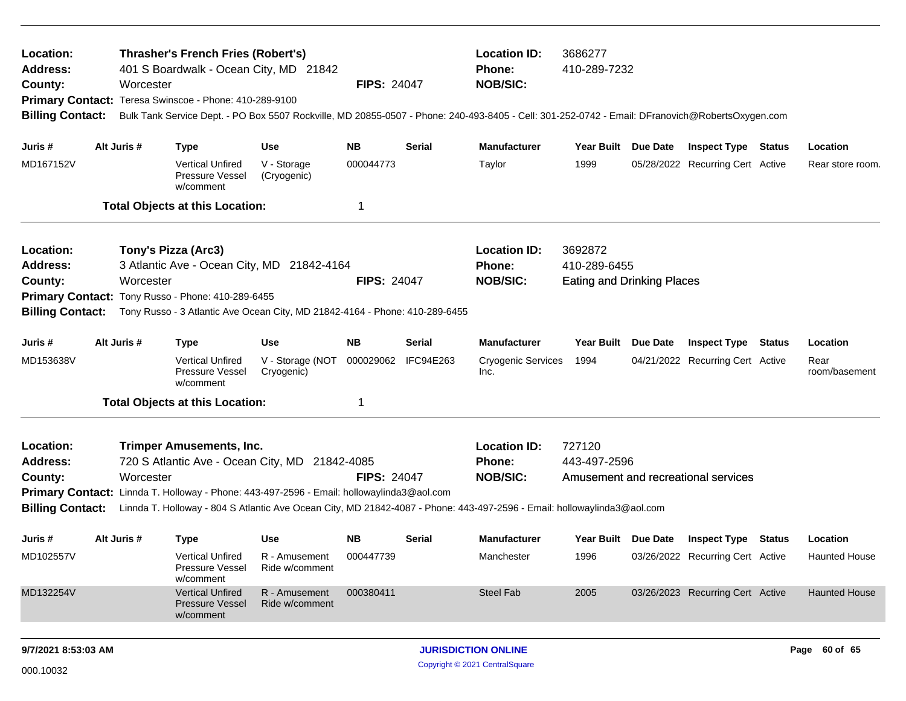| Location:<br>Address:<br>County:<br><b>Primary Contact:</b><br><b>Billing Contact:</b> | Worcester                                                                                                                                                                                                                                                                                                                                    | <b>Thrasher's French Fries (Robert's)</b><br>Teresa Swinscoe - Phone: 410-289-9100                                                       | 401 S Boardwalk - Ocean City, MD 21842                                                                                    | <b>FIPS: 24047</b>                  |                            | <b>Location ID:</b><br>Phone:<br><b>NOB/SIC:</b><br>Bulk Tank Service Dept. - PO Box 5507 Rockville, MD 20855-0507 - Phone: 240-493-8405 - Cell: 301-252-0742 - Email: DFranovich@RobertsOxygen.com | 3686277<br>410-289-7232                                                                                                       |  |                                                                                                    |        |                                                          |  |
|----------------------------------------------------------------------------------------|----------------------------------------------------------------------------------------------------------------------------------------------------------------------------------------------------------------------------------------------------------------------------------------------------------------------------------------------|------------------------------------------------------------------------------------------------------------------------------------------|---------------------------------------------------------------------------------------------------------------------------|-------------------------------------|----------------------------|-----------------------------------------------------------------------------------------------------------------------------------------------------------------------------------------------------|-------------------------------------------------------------------------------------------------------------------------------|--|----------------------------------------------------------------------------------------------------|--------|----------------------------------------------------------|--|
| Juris #<br>MD167152V                                                                   | Alt Juris #                                                                                                                                                                                                                                                                                                                                  | <b>Type</b><br><b>Vertical Unfired</b><br>Pressure Vessel<br>w/comment<br><b>Total Objects at this Location:</b>                         | <b>Use</b><br>V - Storage<br>(Cryogenic)                                                                                  | <b>NB</b><br>000044773<br>1         | <b>Serial</b>              | <b>Manufacturer</b><br>Taylor                                                                                                                                                                       | Year Built Due Date<br><b>Inspect Type Status</b><br>Location<br>1999<br>05/28/2022 Recurring Cert Active<br>Rear store room. |  |                                                                                                    |        |                                                          |  |
| Location:<br>Address:<br>County:<br><b>Primary Contact:</b><br><b>Billing Contact:</b> | Worcester                                                                                                                                                                                                                                                                                                                                    | Tony's Pizza (Arc3)<br>Tony Russo - Phone: 410-289-6455                                                                                  | 3 Atlantic Ave - Ocean City, MD 21842-4164<br>Tony Russo - 3 Atlantic Ave Ocean City, MD 21842-4164 - Phone: 410-289-6455 | <b>FIPS: 24047</b>                  |                            | <b>Location ID:</b><br>Phone:<br><b>NOB/SIC:</b>                                                                                                                                                    | 3692872<br>410-289-6455<br><b>Eating and Drinking Places</b>                                                                  |  |                                                                                                    |        |                                                          |  |
| Juris #<br>MD153638V                                                                   | Alt Juris #                                                                                                                                                                                                                                                                                                                                  | <b>Type</b><br><b>Vertical Unfired</b><br>Pressure Vessel<br>w/comment<br><b>Total Objects at this Location:</b>                         | Use<br>V - Storage (NOT<br>Cryogenic)                                                                                     | <b>NB</b><br>000029062<br>1         | Serial<br><b>IFC94E263</b> | <b>Manufacturer</b><br><b>Cryogenic Services</b><br>Inc.                                                                                                                                            | Year Built Due Date<br>1994                                                                                                   |  | <b>Inspect Type</b><br>04/21/2022 Recurring Cert Active                                            | Status | Location<br>Rear<br>room/basement                        |  |
| Location:<br><b>Address:</b><br>County:<br><b>Billing Contact:</b>                     | <b>Trimper Amusements, Inc.</b><br>720 S Atlantic Ave - Ocean City, MD 21842-4085<br><b>FIPS: 24047</b><br>Worcester<br>Primary Contact: Linnda T. Holloway - Phone: 443-497-2596 - Email: hollowaylinda3@aol.com<br>Linnda T. Holloway - 804 S Atlantic Ave Ocean City, MD 21842-4087 - Phone: 443-497-2596 - Email: hollowaylinda3@aol.com |                                                                                                                                          |                                                                                                                           |                                     |                            |                                                                                                                                                                                                     | <b>Location ID:</b><br>727120<br>443-497-2596<br>Amusement and recreational services                                          |  |                                                                                                    |        |                                                          |  |
| Juris #<br>MD102557V<br>MD132254V                                                      | Alt Juris #                                                                                                                                                                                                                                                                                                                                  | <b>Type</b><br><b>Vertical Unfired</b><br>Pressure Vessel<br>w/comment<br><b>Vertical Unfired</b><br><b>Pressure Vessel</b><br>w/comment | Use<br>R - Amusement<br>Ride w/comment<br>R - Amusement<br>Ride w/comment                                                 | <b>NB</b><br>000447739<br>000380411 | <b>Serial</b>              | <b>Manufacturer</b><br>Manchester<br><b>Steel Fab</b>                                                                                                                                               | Year Built Due Date<br>1996<br>2005                                                                                           |  | <b>Inspect Type Status</b><br>03/26/2022 Recurring Cert Active<br>03/26/2023 Recurring Cert Active |        | Location<br><b>Haunted House</b><br><b>Haunted House</b> |  |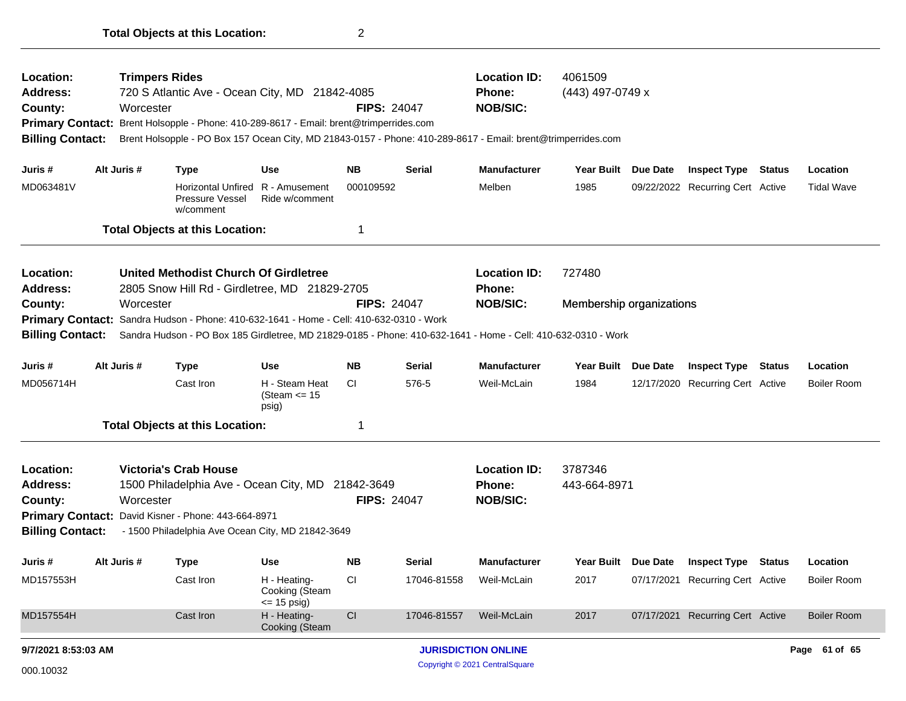| Location:<br><b>Address:</b><br>County:<br><b>Primary Contact:</b><br><b>Billing Contact:</b> |                                                                                | <b>Trimpers Rides</b><br>720 S Atlantic Ave - Ocean City, MD 21842-4085<br>Worcester<br>Brent Holsopple - Phone: 410-289-8617 - Email: brent@trimperrides.com<br>Brent Holsopple - PO Box 157 Ocean City, MD 21843-0157 - Phone: 410-289-8617 - Email: brent@trimperrides.com |                                                    | <b>FIPS: 24047</b> |               | <b>Location ID:</b><br><b>Phone:</b><br><b>NOB/SIC:</b> | 4061509<br>(443) 497-0749 x |          |                                  |  |                    |  |
|-----------------------------------------------------------------------------------------------|--------------------------------------------------------------------------------|-------------------------------------------------------------------------------------------------------------------------------------------------------------------------------------------------------------------------------------------------------------------------------|----------------------------------------------------|--------------------|---------------|---------------------------------------------------------|-----------------------------|----------|----------------------------------|--|--------------------|--|
| Juris #                                                                                       | Alt Juris #                                                                    | <b>Type</b>                                                                                                                                                                                                                                                                   | Use                                                | <b>NB</b>          | <b>Serial</b> | <b>Manufacturer</b>                                     | Year Built Due Date         |          | <b>Inspect Type Status</b>       |  | Location           |  |
| MD063481V                                                                                     |                                                                                | Pressure Vessel<br>w/comment                                                                                                                                                                                                                                                  | Horizontal Unfired R - Amusement<br>Ride w/comment | 000109592          |               | Melben                                                  | 1985                        |          | 09/22/2022 Recurring Cert Active |  | <b>Tidal Wave</b>  |  |
|                                                                                               |                                                                                | <b>Total Objects at this Location:</b>                                                                                                                                                                                                                                        |                                                    | 1                  |               |                                                         |                             |          |                                  |  |                    |  |
| Location:<br><b>Address:</b>                                                                  |                                                                                | United Methodist Church Of Girdletree<br><b>Location ID:</b><br>727480<br>2805 Snow Hill Rd - Girdletree, MD 21829-2705<br>Phone:                                                                                                                                             |                                                    |                    |               |                                                         |                             |          |                                  |  |                    |  |
| County:                                                                                       | <b>NOB/SIC:</b><br>Worcester<br><b>FIPS: 24047</b><br>Membership organizations |                                                                                                                                                                                                                                                                               |                                                    |                    |               |                                                         |                             |          |                                  |  |                    |  |
|                                                                                               |                                                                                | Primary Contact: Sandra Hudson - Phone: 410-632-1641 - Home - Cell: 410-632-0310 - Work                                                                                                                                                                                       |                                                    |                    |               |                                                         |                             |          |                                  |  |                    |  |
| <b>Billing Contact:</b>                                                                       |                                                                                | Sandra Hudson - PO Box 185 Girdletree, MD 21829-0185 - Phone: 410-632-1641 - Home - Cell: 410-632-0310 - Work                                                                                                                                                                 |                                                    |                    |               |                                                         |                             |          |                                  |  |                    |  |
| Juris #                                                                                       | Alt Juris #                                                                    | <b>Type</b>                                                                                                                                                                                                                                                                   | <b>Use</b>                                         | <b>NB</b>          | <b>Serial</b> | <b>Manufacturer</b>                                     | Year Built Due Date         |          | <b>Inspect Type Status</b>       |  | Location           |  |
| MD056714H                                                                                     |                                                                                | Cast Iron                                                                                                                                                                                                                                                                     | H - Steam Heat<br>(Steam $\leq$ 15<br>psig)        | CI.                | 576-5         | Weil-McLain                                             | 1984                        |          | 12/17/2020 Recurring Cert Active |  | <b>Boiler Room</b> |  |
|                                                                                               |                                                                                | <b>Total Objects at this Location:</b>                                                                                                                                                                                                                                        |                                                    | 1                  |               |                                                         |                             |          |                                  |  |                    |  |
| <b>Location:</b><br><b>Address:</b><br>County:                                                |                                                                                | <b>Victoria's Crab House</b><br>1500 Philadelphia Ave - Ocean City, MD 21842-3649<br><b>FIPS: 24047</b><br>Worcester                                                                                                                                                          |                                                    |                    |               |                                                         | 3787346<br>443-664-8971     |          |                                  |  |                    |  |
| <b>Billing Contact:</b>                                                                       |                                                                                | Primary Contact: David Kisner - Phone: 443-664-8971<br>- 1500 Philadelphia Ave Ocean City, MD 21842-3649                                                                                                                                                                      |                                                    |                    |               |                                                         |                             |          |                                  |  |                    |  |
|                                                                                               |                                                                                |                                                                                                                                                                                                                                                                               |                                                    |                    |               |                                                         |                             |          |                                  |  |                    |  |
| Juris #                                                                                       | Alt Juris #                                                                    | <b>Type</b>                                                                                                                                                                                                                                                                   | <b>Use</b>                                         | <b>NB</b>          | <b>Serial</b> | <b>Manufacturer</b>                                     | <b>Year Built</b>           | Due Date | <b>Inspect Type Status</b>       |  | Location           |  |
| MD157553H                                                                                     |                                                                                | Cast Iron                                                                                                                                                                                                                                                                     | H - Heating-<br>Cooking (Steam<br><= 15 psig)      | <b>CI</b>          | 17046-81558   | Weil-McLain                                             | 2017                        |          | 07/17/2021 Recurring Cert Active |  | <b>Boiler Room</b> |  |
| MD157554H                                                                                     |                                                                                | Cast Iron                                                                                                                                                                                                                                                                     | H - Heating-<br>Cooking (Steam                     | CI                 | 17046-81557   | Weil-McLain                                             | 2017                        |          | 07/17/2021 Recurring Cert Active |  | <b>Boiler Room</b> |  |
| 9/7/2021 8:53:03 AM                                                                           |                                                                                |                                                                                                                                                                                                                                                                               |                                                    |                    |               | <b>JURISDICTION ONLINE</b>                              |                             |          |                                  |  | Page 61 of 65      |  |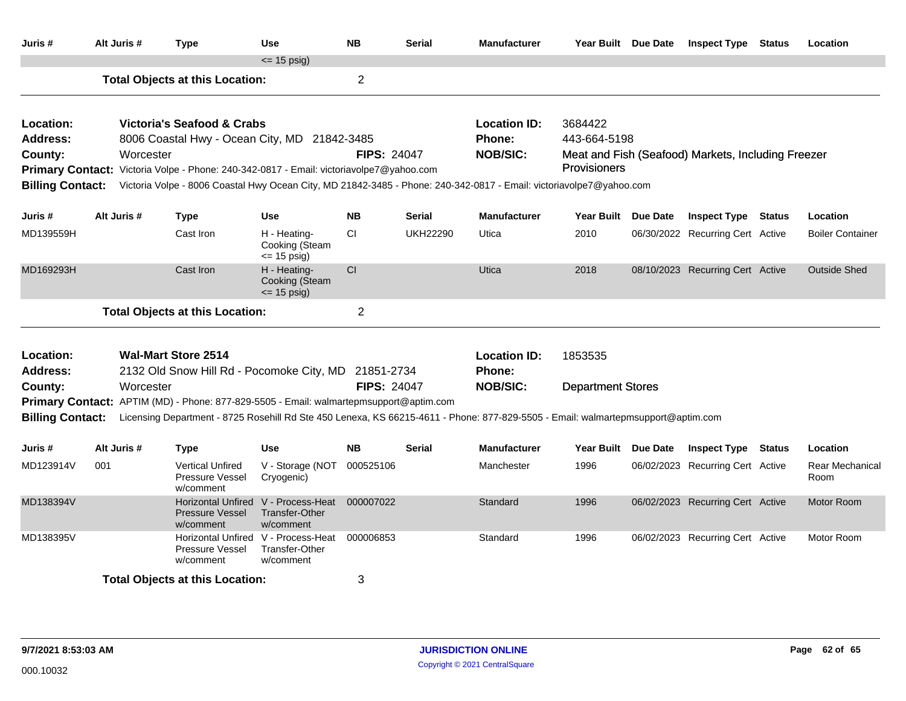| Juris #                            | Alt Juris #                                                                                                                                                                                                                                                                                                                                                | <b>Type</b>                                                      | <b>Use</b>                                                         | <b>NB</b>      | <b>Serial</b>   | <b>Manufacturer</b>                                     | Year Built Due Date                            | <b>Inspect Type Status</b>                         |               | Location                       |
|------------------------------------|------------------------------------------------------------------------------------------------------------------------------------------------------------------------------------------------------------------------------------------------------------------------------------------------------------------------------------------------------------|------------------------------------------------------------------|--------------------------------------------------------------------|----------------|-----------------|---------------------------------------------------------|------------------------------------------------|----------------------------------------------------|---------------|--------------------------------|
|                                    |                                                                                                                                                                                                                                                                                                                                                            |                                                                  | $\le$ 15 psig)                                                     |                |                 |                                                         |                                                |                                                    |               |                                |
|                                    |                                                                                                                                                                                                                                                                                                                                                            | <b>Total Objects at this Location:</b>                           |                                                                    | $\overline{2}$ |                 |                                                         |                                                |                                                    |               |                                |
| Location:<br>Address:<br>County:   | Victoria's Seafood & Crabs<br>8006 Coastal Hwy - Ocean City, MD 21842-3485<br>Worcester<br><b>FIPS: 24047</b><br>Primary Contact: Victoria Volpe - Phone: 240-342-0817 - Email: victoriavolpe7@yahoo.com<br><b>Billing Contact:</b><br>Victoria Volpe - 8006 Coastal Hwy Ocean City, MD 21842-3485 - Phone: 240-342-0817 - Email: victoriavolpe7@yahoo.com |                                                                  |                                                                    |                |                 | <b>Location ID:</b><br><b>Phone:</b><br><b>NOB/SIC:</b> | 3684422<br>443-664-5198<br><b>Provisioners</b> | Meat and Fish (Seafood) Markets, Including Freezer |               |                                |
| Juris #                            | Alt Juris #                                                                                                                                                                                                                                                                                                                                                | <b>Type</b>                                                      | <b>Use</b>                                                         | <b>NB</b>      | <b>Serial</b>   | <b>Manufacturer</b>                                     | Year Built Due Date                            | <b>Inspect Type Status</b>                         |               | Location                       |
| MD139559H                          |                                                                                                                                                                                                                                                                                                                                                            | Cast Iron                                                        | H - Heating-<br>Cooking (Steam<br>$\leq$ 15 psig)                  | CI             | <b>UKH22290</b> | Utica                                                   | 2010                                           | 06/30/2022 Recurring Cert Active                   |               | <b>Boiler Container</b>        |
| MD169293H                          |                                                                                                                                                                                                                                                                                                                                                            | Cast Iron                                                        | H - Heating-<br>Cooking (Steam<br>$\le$ 15 psig)                   | <b>CI</b>      |                 | Utica                                                   | 2018                                           | 08/10/2023 Recurring Cert Active                   |               | <b>Outside Shed</b>            |
|                                    |                                                                                                                                                                                                                                                                                                                                                            | <b>Total Objects at this Location:</b>                           |                                                                    | $\overline{2}$ |                 |                                                         |                                                |                                                    |               |                                |
| Location:<br>Address:              |                                                                                                                                                                                                                                                                                                                                                            | <b>Wal-Mart Store 2514</b>                                       |                                                                    |                |                 | <b>Location ID:</b><br><b>Phone:</b>                    | 1853535                                        |                                                    |               |                                |
| County:<br><b>Billing Contact:</b> | 2132 Old Snow Hill Rd - Pocomoke City, MD 21851-2734<br><b>FIPS: 24047</b><br>Worcester<br>Primary Contact: APTIM (MD) - Phone: 877-829-5505 - Email: walmartepmsupport@aptim.com<br>Licensing Department - 8725 Rosehill Rd Ste 450 Lenexa, KS 66215-4611 - Phone: 877-829-5505 - Email: walmartepmsupport@aptim.com                                      |                                                                  |                                                                    |                |                 |                                                         | <b>Department Stores</b>                       |                                                    |               |                                |
| Juris #                            | Alt Juris #                                                                                                                                                                                                                                                                                                                                                | <b>Type</b>                                                      | <b>Use</b>                                                         | <b>NB</b>      | <b>Serial</b>   | <b>Manufacturer</b>                                     | Year Built Due Date                            | <b>Inspect Type</b>                                | <b>Status</b> | Location                       |
| MD123914V                          | 001                                                                                                                                                                                                                                                                                                                                                        | <b>Vertical Unfired</b><br>Pressure Vessel<br>w/comment          | V - Storage (NOT 000525106<br>Cryogenic)                           |                |                 | Manchester                                              | 1996                                           | 06/02/2023 Recurring Cert Active                   |               | <b>Rear Mechanical</b><br>Room |
| MD138394V                          |                                                                                                                                                                                                                                                                                                                                                            | <b>Horizontal Unfired</b><br><b>Pressure Vessel</b><br>w/comment | V - Process-Heat<br>Transfer-Other<br>w/comment                    | 000007022      |                 | Standard                                                | 1996                                           | 06/02/2023 Recurring Cert Active                   |               | <b>Motor Room</b>              |
| MD138395V                          |                                                                                                                                                                                                                                                                                                                                                            | Pressure Vessel<br>w/comment                                     | Horizontal Unfired V - Process-Heat<br>Transfer-Other<br>w/comment | 000006853      |                 | Standard                                                | 1996                                           | 06/02/2023 Recurring Cert Active                   |               | Motor Room                     |
|                                    |                                                                                                                                                                                                                                                                                                                                                            | <b>Total Objects at this Location:</b>                           |                                                                    | 3              |                 |                                                         |                                                |                                                    |               |                                |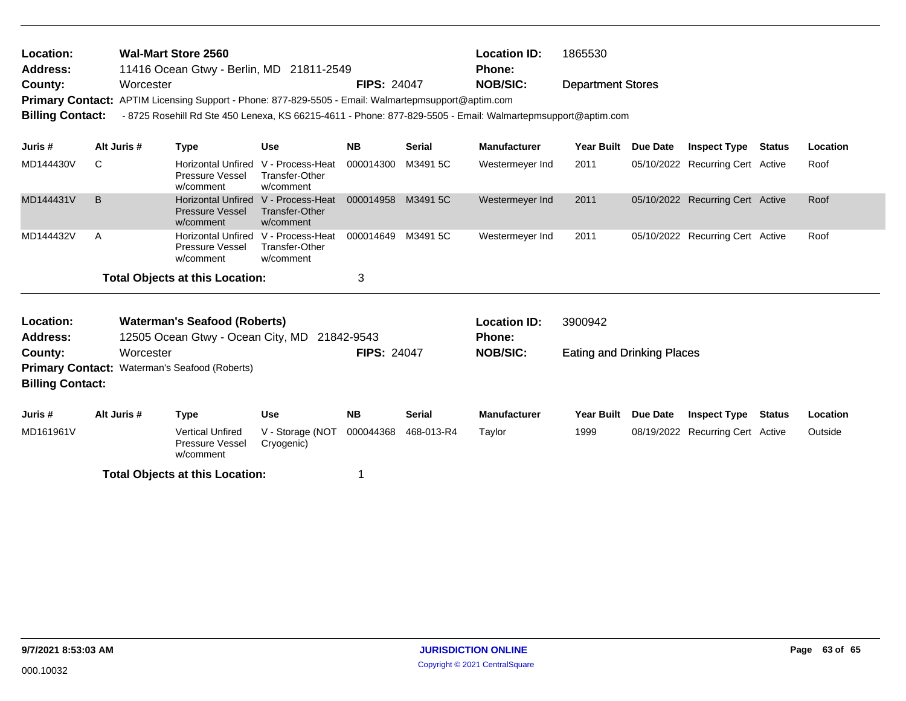| <b>Wal-Mart Store 2560</b><br>Location:<br>11416 Ocean Gtwy - Berlin, MD 21811-2549<br><b>Address:</b><br>Worcester |                                                                                                                                                                                                                                                         |             | <b>FIPS: 24047</b>                                                       |                                                        | <b>Location ID:</b><br><b>Phone:</b><br><b>NOB/SIC:</b> | 1865530<br><b>Department Stores</b> |                                      |                                   |                 |                                  |               |          |
|---------------------------------------------------------------------------------------------------------------------|---------------------------------------------------------------------------------------------------------------------------------------------------------------------------------------------------------------------------------------------------------|-------------|--------------------------------------------------------------------------|--------------------------------------------------------|---------------------------------------------------------|-------------------------------------|--------------------------------------|-----------------------------------|-----------------|----------------------------------|---------------|----------|
| County:                                                                                                             | <b>Primary Contact:</b><br>APTIM Licensing Support - Phone: 877-829-5505 - Email: Walmartepmsupport@aptim.com<br><b>Billing Contact:</b><br>- 8725 Rosehill Rd Ste 450 Lenexa, KS 66215-4611 - Phone: 877-829-5505 - Email: Walmartepmsupport@aptim.com |             |                                                                          |                                                        |                                                         |                                     |                                      |                                   |                 |                                  |               |          |
| Juris #                                                                                                             |                                                                                                                                                                                                                                                         | Alt Juris # | <b>Type</b>                                                              | <b>Use</b>                                             | <b>NB</b>                                               | <b>Serial</b>                       | <b>Manufacturer</b>                  | <b>Year Built</b>                 | Due Date        | <b>Inspect Type</b>              | <b>Status</b> | Location |
| MD144430V                                                                                                           | C                                                                                                                                                                                                                                                       |             | <b>Horizontal Unfired</b><br><b>Pressure Vessel</b><br>w/comment         | V - Process-Heat<br><b>Transfer-Other</b><br>w/comment | 000014300                                               | M3491 5C                            | Westermeyer Ind                      | 2011                              |                 | 05/10/2022 Recurring Cert Active |               | Roof     |
| MD144431V                                                                                                           | B                                                                                                                                                                                                                                                       |             | <b>Horizontal Unfired</b><br><b>Pressure Vessel</b><br>w/comment         | V - Process-Heat<br><b>Transfer-Other</b><br>w/comment | 000014958                                               | M3491 5C                            | Westermeyer Ind                      | 2011                              |                 | 05/10/2022 Recurring Cert Active |               | Roof     |
| MD144432V                                                                                                           | A                                                                                                                                                                                                                                                       |             | <b>Horizontal Unfired</b><br>Pressure Vessel<br>w/comment                | V - Process-Heat<br>Transfer-Other<br>w/comment        | 000014649                                               | M3491 5C                            | Westermeyer Ind                      | 2011                              |                 | 05/10/2022 Recurring Cert Active |               | Roof     |
|                                                                                                                     |                                                                                                                                                                                                                                                         |             | <b>Total Objects at this Location:</b>                                   |                                                        | 3                                                       |                                     |                                      |                                   |                 |                                  |               |          |
| Location:<br><b>Address:</b>                                                                                        |                                                                                                                                                                                                                                                         |             | <b>Waterman's Seafood (Roberts)</b><br>12505 Ocean Gtwy - Ocean City, MD |                                                        | 21842-9543                                              |                                     | <b>Location ID:</b><br><b>Phone:</b> | 3900942                           |                 |                                  |               |          |
| County:<br><b>Billing Contact:</b>                                                                                  |                                                                                                                                                                                                                                                         | Worcester   | <b>Primary Contact: Waterman's Seafood (Roberts)</b>                     |                                                        | <b>FIPS: 24047</b>                                      |                                     | <b>NOB/SIC:</b>                      | <b>Eating and Drinking Places</b> |                 |                                  |               |          |
| Juris #                                                                                                             |                                                                                                                                                                                                                                                         | Alt Juris # | <b>Type</b>                                                              | <b>Use</b>                                             | <b>NB</b>                                               | <b>Serial</b>                       | <b>Manufacturer</b>                  | <b>Year Built</b>                 | <b>Due Date</b> | <b>Inspect Type Status</b>       |               | Location |
| MD161961V                                                                                                           |                                                                                                                                                                                                                                                         |             | <b>Vertical Unfired</b><br>Pressure Vessel<br>w/comment                  | V - Storage (NOT<br>Cryogenic)                         | 000044368                                               | 468-013-R4                          | Taylor                               | 1999                              |                 | 08/19/2022 Recurring Cert Active |               | Outside  |
|                                                                                                                     |                                                                                                                                                                                                                                                         |             | <b>Total Objects at this Location:</b>                                   |                                                        | 1                                                       |                                     |                                      |                                   |                 |                                  |               |          |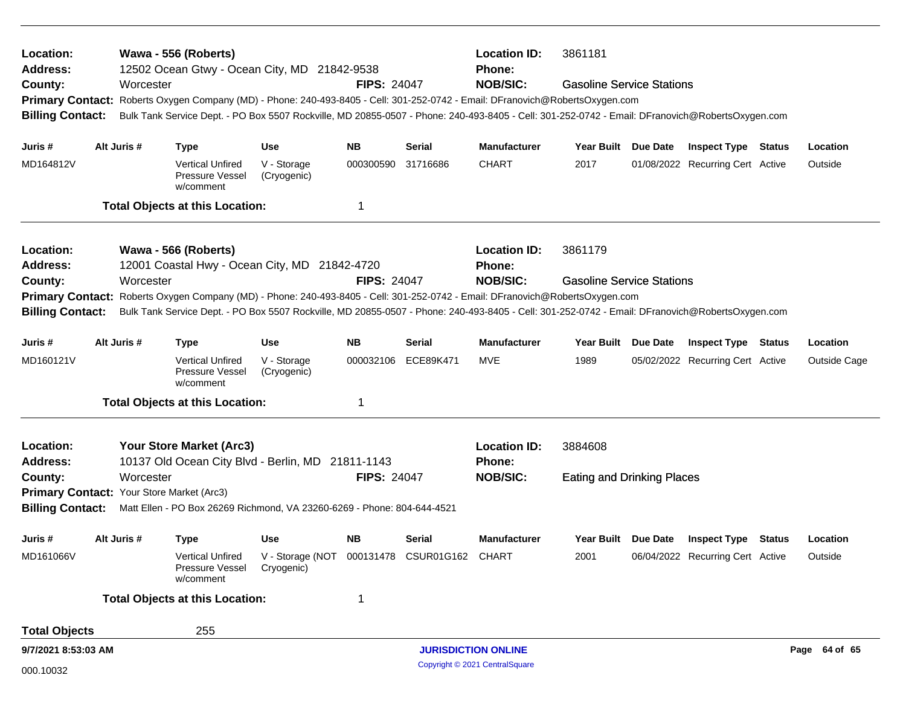| Location:<br><b>Address:</b>                       |                                                                       |             | Wawa - 556 (Roberts)<br>12502 Ocean Gtwy - Ocean City, MD 21842-9538                                                                                                                                                                                            |                                                           |                    |                 | <b>Location ID:</b><br><b>Phone:</b> | 3861181                                                                                                                                                                                                                                                                                                              |          |                                         |  |               |  |
|----------------------------------------------------|-----------------------------------------------------------------------|-------------|-----------------------------------------------------------------------------------------------------------------------------------------------------------------------------------------------------------------------------------------------------------------|-----------------------------------------------------------|--------------------|-----------------|--------------------------------------|----------------------------------------------------------------------------------------------------------------------------------------------------------------------------------------------------------------------------------------------------------------------------------------------------------------------|----------|-----------------------------------------|--|---------------|--|
| County:<br><b>Billing Contact:</b>                 |                                                                       | Worcester   |                                                                                                                                                                                                                                                                 |                                                           | <b>FIPS: 24047</b> |                 | <b>NOB/SIC:</b>                      | <b>Gasoline Service Stations</b><br>Primary Contact: Roberts Oxygen Company (MD) - Phone: 240-493-8405 - Cell: 301-252-0742 - Email: DFranovich@RobertsOxygen.com<br>Bulk Tank Service Dept. - PO Box 5507 Rockville, MD 20855-0507 - Phone: 240-493-8405 - Cell: 301-252-0742 - Email: DFranovich@RobertsOxygen.com |          |                                         |  |               |  |
| Juris #                                            |                                                                       | Alt Juris # | <b>Type</b>                                                                                                                                                                                                                                                     | Use                                                       | <b>NB</b>          | <b>Serial</b>   | <b>Manufacturer</b>                  | <b>Year Built</b>                                                                                                                                                                                                                                                                                                    | Due Date | <b>Inspect Type Status</b>              |  | Location      |  |
| MD164812V                                          |                                                                       |             | <b>Vertical Unfired</b><br>Pressure Vessel<br>w/comment                                                                                                                                                                                                         | V - Storage<br>(Cryogenic)                                | 000300590 31716686 |                 | <b>CHART</b>                         | 2017                                                                                                                                                                                                                                                                                                                 |          | 01/08/2022 Recurring Cert Active        |  | Outside       |  |
|                                                    |                                                                       |             | <b>Total Objects at this Location:</b>                                                                                                                                                                                                                          |                                                           | 1                  |                 |                                      |                                                                                                                                                                                                                                                                                                                      |          |                                         |  |               |  |
| Location:<br>Address:                              | Wawa - 566 (Roberts)<br>12001 Coastal Hwy - Ocean City, MD 21842-4720 |             |                                                                                                                                                                                                                                                                 |                                                           |                    |                 |                                      | 3861179                                                                                                                                                                                                                                                                                                              |          |                                         |  |               |  |
| Worcester<br>County:                               |                                                                       |             |                                                                                                                                                                                                                                                                 | <b>FIPS: 24047</b>                                        |                    | <b>NOB/SIC:</b> | <b>Gasoline Service Stations</b>     |                                                                                                                                                                                                                                                                                                                      |          |                                         |  |               |  |
| <b>Primary Contact:</b><br><b>Billing Contact:</b> |                                                                       |             | Roberts Oxygen Company (MD) - Phone: 240-493-8405 - Cell: 301-252-0742 - Email: DFranovich@RobertsOxygen.com<br>Bulk Tank Service Dept. - PO Box 5507 Rockville, MD 20855-0507 - Phone: 240-493-8405 - Cell: 301-252-0742 - Email: DFranovich@RobertsOxygen.com |                                                           |                    |                 |                                      |                                                                                                                                                                                                                                                                                                                      |          |                                         |  |               |  |
|                                                    |                                                                       |             |                                                                                                                                                                                                                                                                 |                                                           |                    |                 |                                      |                                                                                                                                                                                                                                                                                                                      |          |                                         |  |               |  |
| Juris #                                            |                                                                       | Alt Juris # | <b>Type</b>                                                                                                                                                                                                                                                     | Use                                                       | <b>NB</b>          | Serial          | <b>Manufacturer</b>                  | Year Built Due Date                                                                                                                                                                                                                                                                                                  |          | <b>Inspect Type Status</b>              |  | Location      |  |
| MD160121V                                          |                                                                       |             | <b>Vertical Unfired</b><br>Pressure Vessel<br>w/comment                                                                                                                                                                                                         | V - Storage<br>(Cryogenic)                                | 000032106          | ECE89K471       | MVE                                  | 1989                                                                                                                                                                                                                                                                                                                 |          | 05/02/2022 Recurring Cert Active        |  | Outside Cage  |  |
|                                                    |                                                                       |             | <b>Total Objects at this Location:</b>                                                                                                                                                                                                                          |                                                           | $\mathbf 1$        |                 |                                      |                                                                                                                                                                                                                                                                                                                      |          |                                         |  |               |  |
| Location:                                          |                                                                       |             | <b>Your Store Market (Arc3)</b>                                                                                                                                                                                                                                 |                                                           |                    |                 | <b>Location ID:</b>                  | 3884608                                                                                                                                                                                                                                                                                                              |          |                                         |  |               |  |
| <b>Address:</b>                                    |                                                                       |             | 10137 Old Ocean City Blvd - Berlin, MD 21811-1143                                                                                                                                                                                                               |                                                           |                    |                 | <b>Phone:</b>                        |                                                                                                                                                                                                                                                                                                                      |          |                                         |  |               |  |
| County:                                            |                                                                       | Worcester   | Primary Contact: Your Store Market (Arc3)                                                                                                                                                                                                                       |                                                           | <b>FIPS: 24047</b> |                 | <b>NOB/SIC:</b>                      | <b>Eating and Drinking Places</b>                                                                                                                                                                                                                                                                                    |          |                                         |  |               |  |
|                                                    |                                                                       |             | Billing Contact: Matt Ellen - PO Box 26269 Richmond, VA 23260-6269 - Phone: 804-644-4521                                                                                                                                                                        |                                                           |                    |                 |                                      |                                                                                                                                                                                                                                                                                                                      |          |                                         |  |               |  |
| Juris #                                            |                                                                       | Alt Juris # | <b>Type</b>                                                                                                                                                                                                                                                     | <b>Use</b>                                                | <b>NB</b>          | Serial          | <b>Manufacturer</b>                  |                                                                                                                                                                                                                                                                                                                      |          | Year Built Due Date Inspect Type Status |  | Location      |  |
| MD161066V                                          |                                                                       |             | <b>Vertical Unfired</b><br>Pressure Vessel<br>w/comment                                                                                                                                                                                                         | V - Storage (NOT 000131478 CSUR01G162 CHART<br>Cryogenic) |                    |                 |                                      | 2001                                                                                                                                                                                                                                                                                                                 |          | 06/04/2022 Recurring Cert Active        |  | Outside       |  |
|                                                    |                                                                       |             | <b>Total Objects at this Location:</b>                                                                                                                                                                                                                          |                                                           | 1                  |                 |                                      |                                                                                                                                                                                                                                                                                                                      |          |                                         |  |               |  |
| <b>Total Objects</b>                               |                                                                       |             | 255                                                                                                                                                                                                                                                             |                                                           |                    |                 |                                      |                                                                                                                                                                                                                                                                                                                      |          |                                         |  |               |  |
| 9/7/2021 8:53:03 AM                                |                                                                       |             |                                                                                                                                                                                                                                                                 |                                                           |                    |                 | <b>JURISDICTION ONLINE</b>           |                                                                                                                                                                                                                                                                                                                      |          |                                         |  | Page 64 of 65 |  |
| 000.10032                                          |                                                                       |             |                                                                                                                                                                                                                                                                 |                                                           |                    |                 | Copyright © 2021 CentralSquare       |                                                                                                                                                                                                                                                                                                                      |          |                                         |  |               |  |